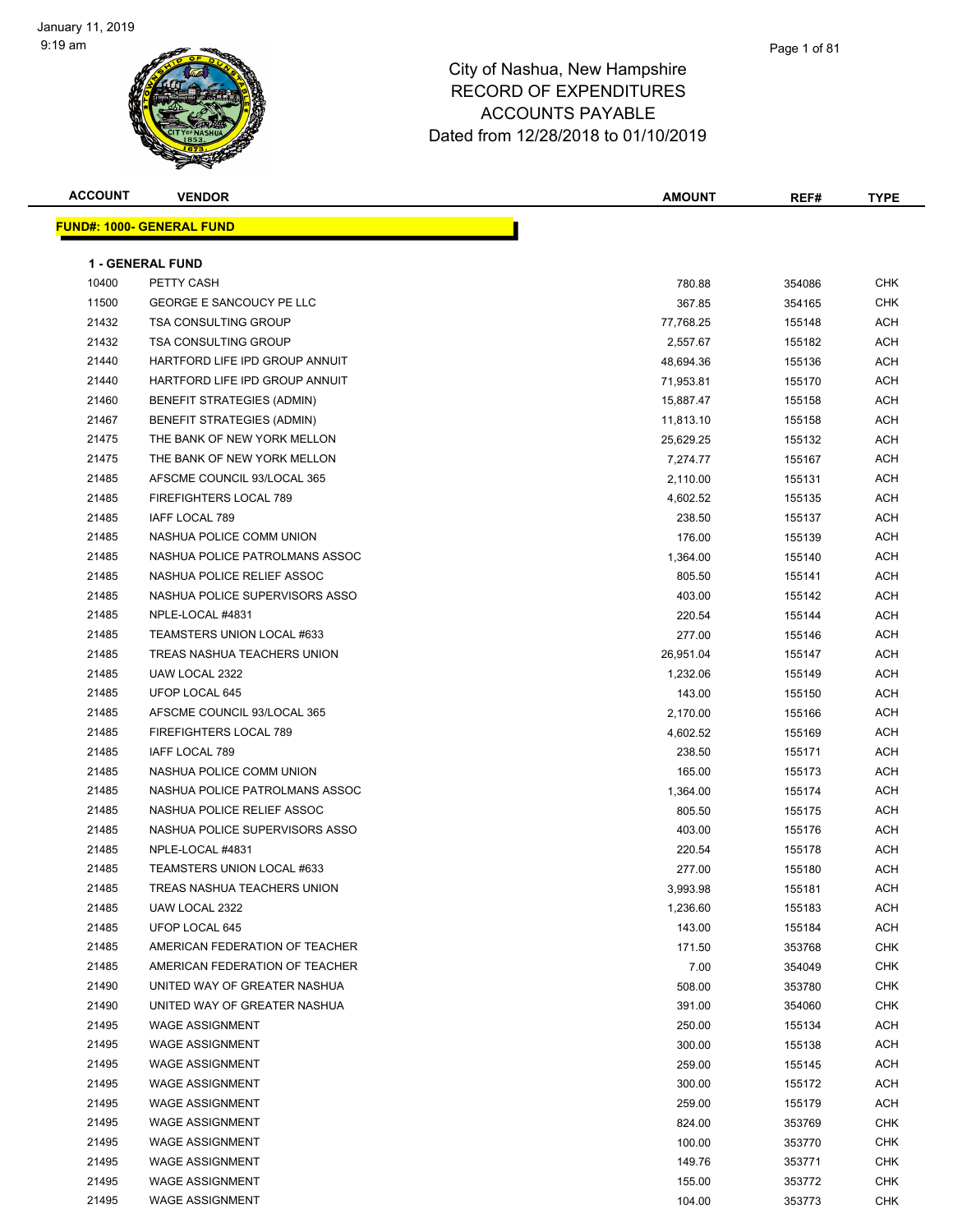

| <b>ACCOUNT</b> | <b>VENDOR</b>                     | <b>AMOUNT</b> | REF#   | <b>TYPE</b> |
|----------------|-----------------------------------|---------------|--------|-------------|
|                | <b>FUND#: 1000- GENERAL FUND</b>  |               |        |             |
|                |                                   |               |        |             |
|                | <b>1 - GENERAL FUND</b>           |               |        |             |
| 10400          | PETTY CASH                        | 780.88        | 354086 | <b>CHK</b>  |
| 11500          | <b>GEORGE E SANCOUCY PE LLC</b>   | 367.85        | 354165 | <b>CHK</b>  |
| 21432          | <b>TSA CONSULTING GROUP</b>       | 77,768.25     | 155148 | <b>ACH</b>  |
| 21432          | <b>TSA CONSULTING GROUP</b>       | 2,557.67      | 155182 | <b>ACH</b>  |
| 21440          | HARTFORD LIFE IPD GROUP ANNUIT    | 48,694.36     | 155136 | <b>ACH</b>  |
| 21440          | HARTFORD LIFE IPD GROUP ANNUIT    | 71,953.81     | 155170 | ACH         |
| 21460          | BENEFIT STRATEGIES (ADMIN)        | 15,887.47     | 155158 | <b>ACH</b>  |
| 21467          | <b>BENEFIT STRATEGIES (ADMIN)</b> | 11,813.10     | 155158 | <b>ACH</b>  |
| 21475          | THE BANK OF NEW YORK MELLON       | 25,629.25     | 155132 | <b>ACH</b>  |
| 21475          | THE BANK OF NEW YORK MELLON       | 7,274.77      | 155167 | <b>ACH</b>  |
| 21485          | AFSCME COUNCIL 93/LOCAL 365       | 2,110.00      | 155131 | <b>ACH</b>  |
| 21485          | FIREFIGHTERS LOCAL 789            | 4,602.52      | 155135 | <b>ACH</b>  |
| 21485          | IAFF LOCAL 789                    | 238.50        | 155137 | <b>ACH</b>  |
| 21485          | NASHUA POLICE COMM UNION          | 176.00        | 155139 | <b>ACH</b>  |
| 21485          | NASHUA POLICE PATROLMANS ASSOC    | 1,364.00      | 155140 | <b>ACH</b>  |
| 21485          | NASHUA POLICE RELIEF ASSOC        | 805.50        | 155141 | <b>ACH</b>  |
| 21485          | NASHUA POLICE SUPERVISORS ASSO    | 403.00        | 155142 | <b>ACH</b>  |
| 21485          | NPLE-LOCAL #4831                  | 220.54        | 155144 | <b>ACH</b>  |
| 21485          | TEAMSTERS UNION LOCAL #633        | 277.00        | 155146 | <b>ACH</b>  |
| 21485          | TREAS NASHUA TEACHERS UNION       | 26,951.04     | 155147 | <b>ACH</b>  |
| 21485          | UAW LOCAL 2322                    | 1,232.06      | 155149 | <b>ACH</b>  |
| 21485          | UFOP LOCAL 645                    | 143.00        | 155150 | <b>ACH</b>  |
| 21485          | AFSCME COUNCIL 93/LOCAL 365       | 2,170.00      | 155166 | <b>ACH</b>  |
| 21485          | FIREFIGHTERS LOCAL 789            | 4,602.52      | 155169 | <b>ACH</b>  |
| 21485          | IAFF LOCAL 789                    | 238.50        | 155171 | <b>ACH</b>  |
| 21485          | NASHUA POLICE COMM UNION          | 165.00        | 155173 | <b>ACH</b>  |
| 21485          | NASHUA POLICE PATROLMANS ASSOC    | 1,364.00      | 155174 | <b>ACH</b>  |
| 21485          | NASHUA POLICE RELIEF ASSOC        | 805.50        | 155175 | <b>ACH</b>  |
| 21485          | NASHUA POLICE SUPERVISORS ASSO    | 403.00        | 155176 | <b>ACH</b>  |
| 21485          | NPLE-LOCAL #4831                  | 220.54        | 155178 | <b>ACH</b>  |
| 21485          | TEAMSTERS UNION LOCAL #633        | 277.00        | 155180 | <b>ACH</b>  |
| 21485          | TREAS NASHUA TEACHERS UNION       | 3,993.98      | 155181 | ACH         |
| 21485          | UAW LOCAL 2322                    | 1,236.60      | 155183 | ACH         |
| 21485          | UFOP LOCAL 645                    | 143.00        | 155184 | <b>ACH</b>  |
| 21485          | AMERICAN FEDERATION OF TEACHER    | 171.50        | 353768 | <b>CHK</b>  |
| 21485          | AMERICAN FEDERATION OF TEACHER    | 7.00          | 354049 | <b>CHK</b>  |
| 21490          | UNITED WAY OF GREATER NASHUA      | 508.00        | 353780 | <b>CHK</b>  |
| 21490          | UNITED WAY OF GREATER NASHUA      | 391.00        | 354060 | <b>CHK</b>  |
| 21495          | <b>WAGE ASSIGNMENT</b>            | 250.00        | 155134 | ACH         |
| 21495          | <b>WAGE ASSIGNMENT</b>            | 300.00        | 155138 | ACH         |
| 21495          | <b>WAGE ASSIGNMENT</b>            | 259.00        | 155145 | ACH         |
| 21495          | <b>WAGE ASSIGNMENT</b>            | 300.00        | 155172 | ACH         |
| 21495          | <b>WAGE ASSIGNMENT</b>            | 259.00        | 155179 | ACH         |
| 21495          | <b>WAGE ASSIGNMENT</b>            | 824.00        | 353769 | <b>CHK</b>  |
| 21495          | <b>WAGE ASSIGNMENT</b>            | 100.00        | 353770 | <b>CHK</b>  |
| 21495          | <b>WAGE ASSIGNMENT</b>            | 149.76        | 353771 | <b>CHK</b>  |
| 21495          | <b>WAGE ASSIGNMENT</b>            | 155.00        | 353772 | <b>CHK</b>  |
| 21495          | <b>WAGE ASSIGNMENT</b>            | 104.00        | 353773 | CHK         |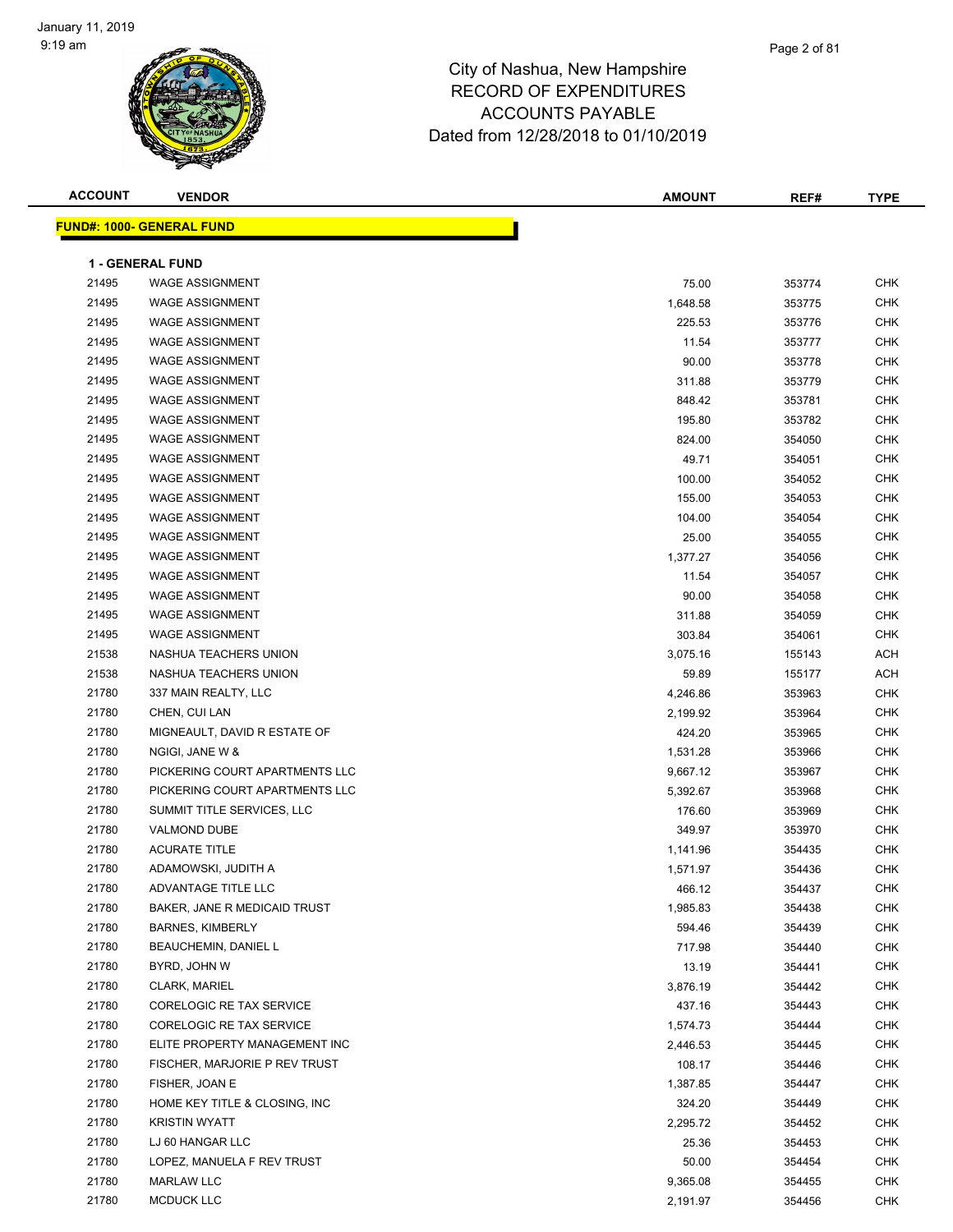| <b>ACCOUNT</b> | <b>VENDOR</b>                    | <b>AMOUNT</b> | REF#   | <b>TYPE</b> |
|----------------|----------------------------------|---------------|--------|-------------|
|                | <b>FUND#: 1000- GENERAL FUND</b> |               |        |             |
|                |                                  |               |        |             |
|                | <b>1 - GENERAL FUND</b>          |               |        |             |
| 21495          | <b>WAGE ASSIGNMENT</b>           | 75.00         | 353774 | <b>CHK</b>  |
| 21495          | <b>WAGE ASSIGNMENT</b>           | 1,648.58      | 353775 | <b>CHK</b>  |
| 21495          | <b>WAGE ASSIGNMENT</b>           | 225.53        | 353776 | <b>CHK</b>  |
| 21495          | <b>WAGE ASSIGNMENT</b>           | 11.54         | 353777 | <b>CHK</b>  |
| 21495          | <b>WAGE ASSIGNMENT</b>           | 90.00         | 353778 | <b>CHK</b>  |
| 21495          | <b>WAGE ASSIGNMENT</b>           | 311.88        | 353779 | <b>CHK</b>  |
| 21495          | <b>WAGE ASSIGNMENT</b>           | 848.42        | 353781 | CHK         |
| 21495          | <b>WAGE ASSIGNMENT</b>           | 195.80        | 353782 | <b>CHK</b>  |
| 21495          | <b>WAGE ASSIGNMENT</b>           | 824.00        | 354050 | <b>CHK</b>  |
| 21495          | <b>WAGE ASSIGNMENT</b>           | 49.71         | 354051 | <b>CHK</b>  |
| 21495          | <b>WAGE ASSIGNMENT</b>           | 100.00        | 354052 | <b>CHK</b>  |
| 21495          | <b>WAGE ASSIGNMENT</b>           | 155.00        | 354053 | CHK         |
| 21495          | <b>WAGE ASSIGNMENT</b>           | 104.00        | 354054 | CHK         |
| 21495          | <b>WAGE ASSIGNMENT</b>           | 25.00         | 354055 | <b>CHK</b>  |
| 21495          | <b>WAGE ASSIGNMENT</b>           | 1,377.27      | 354056 | <b>CHK</b>  |
| 21495          | <b>WAGE ASSIGNMENT</b>           | 11.54         | 354057 | <b>CHK</b>  |
| 21495          | <b>WAGE ASSIGNMENT</b>           | 90.00         | 354058 | <b>CHK</b>  |
| 21495          | <b>WAGE ASSIGNMENT</b>           | 311.88        | 354059 | CHK         |
| 21495          | <b>WAGE ASSIGNMENT</b>           | 303.84        | 354061 | CHK         |
| 21538          | NASHUA TEACHERS UNION            | 3,075.16      | 155143 | <b>ACH</b>  |
| 21538          | NASHUA TEACHERS UNION            | 59.89         | 155177 | <b>ACH</b>  |
| 21780          | 337 MAIN REALTY, LLC             | 4,246.86      | 353963 | <b>CHK</b>  |
| 21780          | CHEN, CUI LAN                    | 2,199.92      | 353964 | <b>CHK</b>  |
| 21780          | MIGNEAULT, DAVID R ESTATE OF     | 424.20        | 353965 | <b>CHK</b>  |
| 21780          | NGIGI, JANE W &                  | 1,531.28      | 353966 | <b>CHK</b>  |
| 21780          | PICKERING COURT APARTMENTS LLC   | 9,667.12      | 353967 | <b>CHK</b>  |
| 21780          | PICKERING COURT APARTMENTS LLC   | 5,392.67      | 353968 | <b>CHK</b>  |
| 21780          | SUMMIT TITLE SERVICES, LLC       | 176.60        | 353969 | CHK         |
| 21780          | <b>VALMOND DUBE</b>              | 349.97        | 353970 | CHK         |
| 21780          | <b>ACURATE TITLE</b>             | 1,141.96      | 354435 | <b>CHK</b>  |
| 21780          | ADAMOWSKI, JUDITH A              | 1,571.97      | 354436 | <b>CHK</b>  |
| 21780          | ADVANTAGE TITLE LLC              | 466.12        | 354437 | CHK         |
| 21780          | BAKER, JANE R MEDICAID TRUST     | 1,985.83      | 354438 | <b>CHK</b>  |
| 21780          | BARNES, KIMBERLY                 | 594.46        | 354439 | CHK         |
| 21780          | <b>BEAUCHEMIN, DANIEL L</b>      | 717.98        | 354440 | <b>CHK</b>  |
| 21780          | BYRD, JOHN W                     | 13.19         | 354441 | <b>CHK</b>  |
| 21780          | <b>CLARK, MARIEL</b>             | 3,876.19      | 354442 | CHK         |
| 21780          | CORELOGIC RE TAX SERVICE         | 437.16        | 354443 | <b>CHK</b>  |
| 21780          | CORELOGIC RE TAX SERVICE         | 1,574.73      | 354444 | CHK         |
| 21780          | ELITE PROPERTY MANAGEMENT INC    | 2,446.53      | 354445 | CHK         |
| 21780          | FISCHER, MARJORIE P REV TRUST    | 108.17        | 354446 | CHK         |
| 21780          | FISHER, JOAN E                   | 1,387.85      | 354447 | CHK         |
| 21780          | HOME KEY TITLE & CLOSING, INC    | 324.20        | 354449 | CHK         |
| 21780          | <b>KRISTIN WYATT</b>             | 2,295.72      | 354452 | <b>CHK</b>  |
| 21780          | LJ 60 HANGAR LLC                 | 25.36         | 354453 | CHK         |
| 21780          | LOPEZ, MANUELA F REV TRUST       | 50.00         | 354454 | CHK         |
| 21780          | <b>MARLAW LLC</b>                | 9,365.08      | 354455 | <b>CHK</b>  |
| 21780          | MCDUCK LLC                       | 2,191.97      | 354456 | <b>CHK</b>  |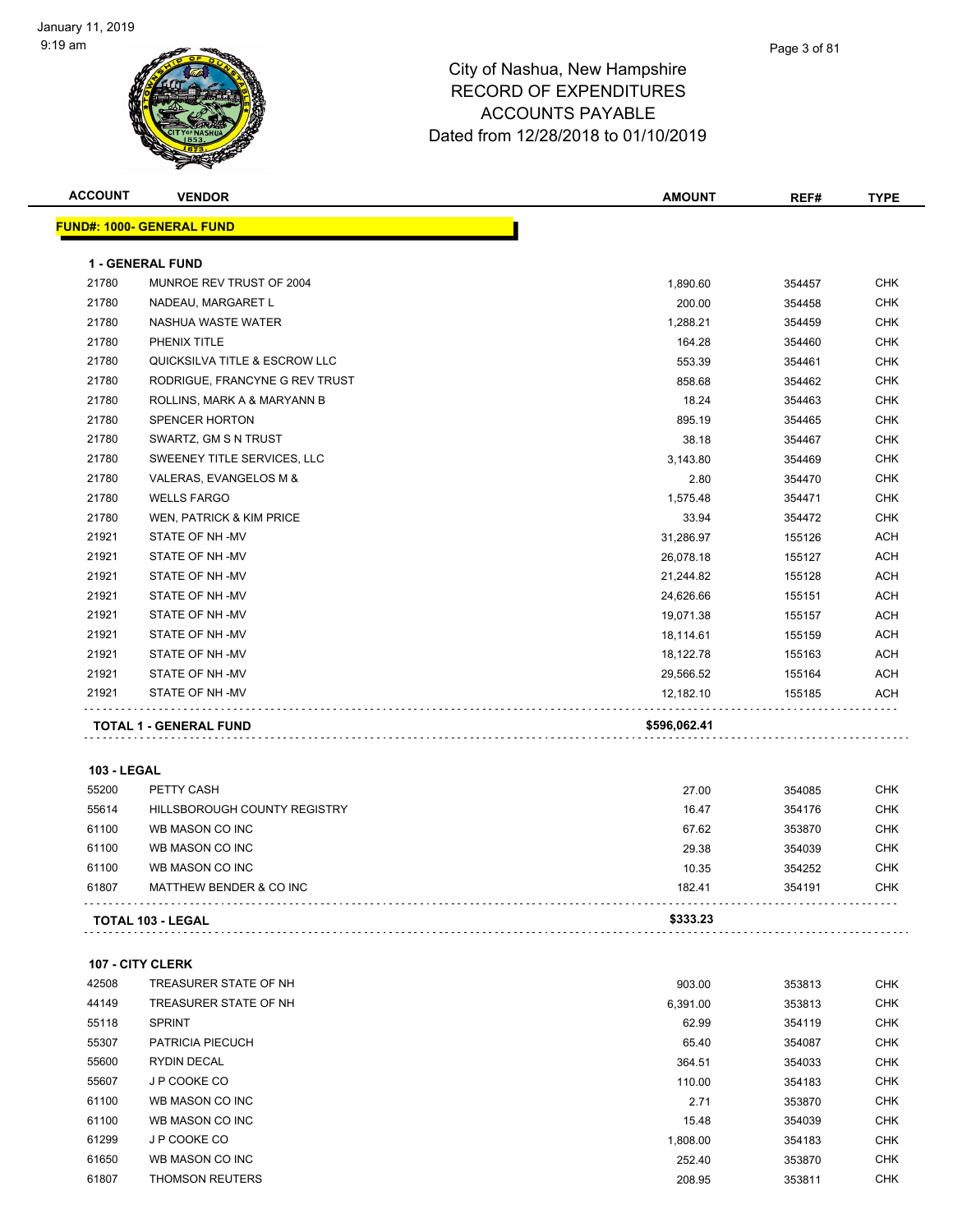

| <b>ACCOUNT</b>     | <b>VENDOR</b>                    | <b>AMOUNT</b> | REF#   | <b>TYPE</b> |
|--------------------|----------------------------------|---------------|--------|-------------|
|                    | <b>FUND#: 1000- GENERAL FUND</b> |               |        |             |
|                    |                                  |               |        |             |
|                    | <b>1 - GENERAL FUND</b>          |               |        |             |
| 21780              | MUNROE REV TRUST OF 2004         | 1,890.60      | 354457 | <b>CHK</b>  |
| 21780              | NADEAU, MARGARET L               | 200.00        | 354458 | CHK         |
| 21780              | NASHUA WASTE WATER               | 1,288.21      | 354459 | <b>CHK</b>  |
| 21780              | PHENIX TITLE                     | 164.28        | 354460 | <b>CHK</b>  |
| 21780              | QUICKSILVA TITLE & ESCROW LLC    | 553.39        | 354461 | <b>CHK</b>  |
| 21780              | RODRIGUE, FRANCYNE G REV TRUST   | 858.68        | 354462 | <b>CHK</b>  |
| 21780              | ROLLINS, MARK A & MARYANN B      | 18.24         | 354463 | <b>CHK</b>  |
| 21780              | <b>SPENCER HORTON</b>            | 895.19        | 354465 | <b>CHK</b>  |
| 21780              | SWARTZ, GM S N TRUST             | 38.18         | 354467 | <b>CHK</b>  |
| 21780              | SWEENEY TITLE SERVICES, LLC      | 3,143.80      | 354469 | <b>CHK</b>  |
| 21780              | VALERAS, EVANGELOS M &           | 2.80          | 354470 | <b>CHK</b>  |
| 21780              | <b>WELLS FARGO</b>               | 1,575.48      | 354471 | <b>CHK</b>  |
| 21780              | WEN, PATRICK & KIM PRICE         | 33.94         | 354472 | <b>CHK</b>  |
| 21921              | STATE OF NH-MV                   | 31,286.97     | 155126 | ACH         |
| 21921              | STATE OF NH-MV                   | 26,078.18     | 155127 | <b>ACH</b>  |
| 21921              | STATE OF NH-MV                   | 21,244.82     | 155128 | <b>ACH</b>  |
| 21921              | STATE OF NH-MV                   | 24,626.66     | 155151 | ACH         |
| 21921              | STATE OF NH-MV                   | 19,071.38     | 155157 | <b>ACH</b>  |
| 21921              | STATE OF NH-MV                   | 18,114.61     | 155159 | <b>ACH</b>  |
| 21921              | STATE OF NH-MV                   | 18,122.78     | 155163 | <b>ACH</b>  |
| 21921              | STATE OF NH-MV                   | 29,566.52     | 155164 | <b>ACH</b>  |
| 21921              | STATE OF NH-MV                   | 12,182.10     | 155185 | ACH         |
|                    |                                  |               |        |             |
|                    | <b>TOTAL 1 - GENERAL FUND</b>    | \$596,062.41  |        |             |
|                    |                                  |               |        |             |
| <b>103 - LEGAL</b> |                                  |               |        |             |
| 55200              | PETTY CASH                       | 27.00         | 354085 | <b>CHK</b>  |
| 55614              | HILLSBOROUGH COUNTY REGISTRY     | 16.47         | 354176 | <b>CHK</b>  |
| 61100              | WB MASON CO INC                  | 67.62         | 353870 | <b>CHK</b>  |
| 61100              | WB MASON CO INC                  | 29.38         | 354039 | <b>CHK</b>  |
| 61100              | WB MASON CO INC                  | 10.35         | 354252 | <b>CHK</b>  |
| 61807              | MATTHEW BENDER & CO INC          | 182.41        | 354191 | CHK         |
|                    | <b>TOTAL 103 - LEGAL</b>         | \$333.23      |        |             |
|                    |                                  |               |        |             |
|                    |                                  |               |        |             |
|                    | <b>107 - CITY CLERK</b>          |               |        |             |
| 42508              | TREASURER STATE OF NH            | 903.00        | 353813 | <b>CHK</b>  |
| 44149              | TREASURER STATE OF NH            | 6,391.00      | 353813 | <b>CHK</b>  |
| 55118              | <b>SPRINT</b>                    | 62.99         | 354119 | <b>CHK</b>  |
| 55307              | PATRICIA PIECUCH                 | 65.40         | 354087 | <b>CHK</b>  |
| 55600              | RYDIN DECAL                      | 364.51        | 354033 | <b>CHK</b>  |
| 55607              | J P COOKE CO                     | 110.00        | 354183 | <b>CHK</b>  |
| 61100              | WB MASON CO INC                  | 2.71          | 353870 | <b>CHK</b>  |
| 61100              | WB MASON CO INC                  | 15.48         | 354039 | <b>CHK</b>  |
| 61299              | J P COOKE CO                     | 1,808.00      | 354183 | <b>CHK</b>  |
| 61650              | WB MASON CO INC                  | 252.40        | 353870 | <b>CHK</b>  |
| 61807              | <b>THOMSON REUTERS</b>           | 208.95        | 353811 | <b>CHK</b>  |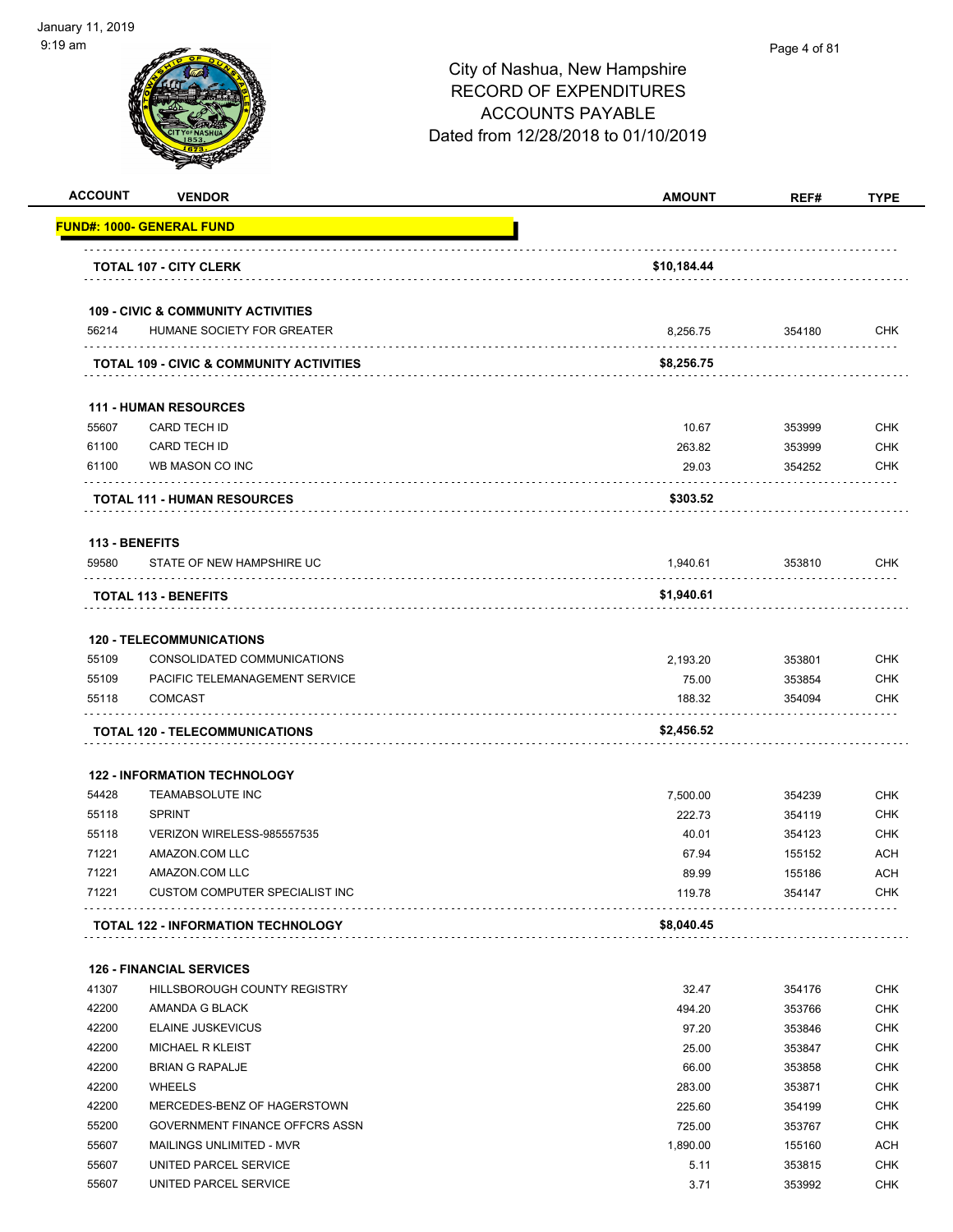| <b>ACCOUNT</b> | <b>VENDOR</b>                                                  | <b>AMOUNT</b>      | REF#   | <b>TYPE</b> |
|----------------|----------------------------------------------------------------|--------------------|--------|-------------|
|                | <u> FUND#: 1000- GENERAL FUND</u>                              |                    |        |             |
|                | <b>TOTAL 107 - CITY CLERK</b>                                  | \$10,184.44        |        |             |
|                |                                                                |                    |        |             |
| 56214          | <b>109 - CIVIC &amp; COMMUNITY ACTIVITIES</b>                  |                    |        | <b>CHK</b>  |
|                | HUMANE SOCIETY FOR GREATER                                     | 8,256.75           | 354180 |             |
|                | TOTAL 109 - CIVIC & COMMUNITY ACTIVITIES                       | \$8,256.75         |        |             |
|                | <b>111 - HUMAN RESOURCES</b>                                   |                    |        |             |
| 55607          | CARD TECH ID                                                   | 10.67              | 353999 | <b>CHK</b>  |
| 61100          | CARD TECH ID                                                   | 263.82             | 353999 | <b>CHK</b>  |
| 61100          | WB MASON CO INC                                                | 29.03              | 354252 | <b>CHK</b>  |
|                | <b>TOTAL 111 - HUMAN RESOURCES</b>                             | \$303.52           |        |             |
| 113 - BENEFITS |                                                                |                    |        |             |
| 59580          | STATE OF NEW HAMPSHIRE UC                                      | 1,940.61           | 353810 | <b>CHK</b>  |
|                | <b>TOTAL 113 - BENEFITS</b>                                    | \$1,940.61         |        |             |
|                | <b>120 - TELECOMMUNICATIONS</b>                                |                    |        |             |
| 55109          | CONSOLIDATED COMMUNICATIONS                                    | 2,193.20           | 353801 | <b>CHK</b>  |
| 55109          | PACIFIC TELEMANAGEMENT SERVICE                                 | 75.00              | 353854 | <b>CHK</b>  |
| 55118          | <b>COMCAST</b>                                                 | 188.32             | 354094 | <b>CHK</b>  |
|                | TOTAL 120 - TELECOMMUNICATIONS                                 | \$2,456.52         |        |             |
|                |                                                                |                    |        |             |
| 54428          | <b>122 - INFORMATION TECHNOLOGY</b><br><b>TEAMABSOLUTE INC</b> |                    | 354239 | <b>CHK</b>  |
| 55118          | <b>SPRINT</b>                                                  | 7,500.00<br>222.73 | 354119 | <b>CHK</b>  |
| 55118          | VERIZON WIRELESS-985557535                                     | 40.01              | 354123 | <b>CHK</b>  |
| 71221          | AMAZON.COM LLC                                                 | 67.94              | 155152 | <b>ACH</b>  |
| 71221          | AMAZON.COM LLC                                                 | 89.99              | 155186 | <b>ACH</b>  |
| 71221          | CUSTOM COMPUTER SPECIALIST INC                                 | 119.78             | 354147 | <b>CHK</b>  |
|                | <b>TOTAL 122 - INFORMATION TECHNOLOGY</b>                      | \$8,040.45         |        |             |
|                | <b>126 - FINANCIAL SERVICES</b>                                |                    |        |             |
| 41307          | <b>HILLSBOROUGH COUNTY REGISTRY</b>                            | 32.47              | 354176 | <b>CHK</b>  |
| 42200          | AMANDA G BLACK                                                 | 494.20             | 353766 | <b>CHK</b>  |
| 42200          | <b>ELAINE JUSKEVICUS</b>                                       | 97.20              | 353846 | <b>CHK</b>  |
|                | <b>MICHAEL R KLEIST</b>                                        | 25.00              | 353847 | <b>CHK</b>  |
| 42200          | <b>BRIAN G RAPALJE</b>                                         | 66.00              | 353858 | <b>CHK</b>  |
| 42200          |                                                                |                    |        |             |
| 42200          | <b>WHEELS</b>                                                  | 283.00             | 353871 | <b>CHK</b>  |
| 42200          | MERCEDES-BENZ OF HAGERSTOWN                                    | 225.60             | 354199 | <b>CHK</b>  |
| 55200          | GOVERNMENT FINANCE OFFCRS ASSN                                 | 725.00             | 353767 | <b>CHK</b>  |
| 55607          | MAILINGS UNLIMITED - MVR                                       | 1,890.00           | 155160 | <b>ACH</b>  |
| 55607          | UNITED PARCEL SERVICE                                          | 5.11               | 353815 | <b>CHK</b>  |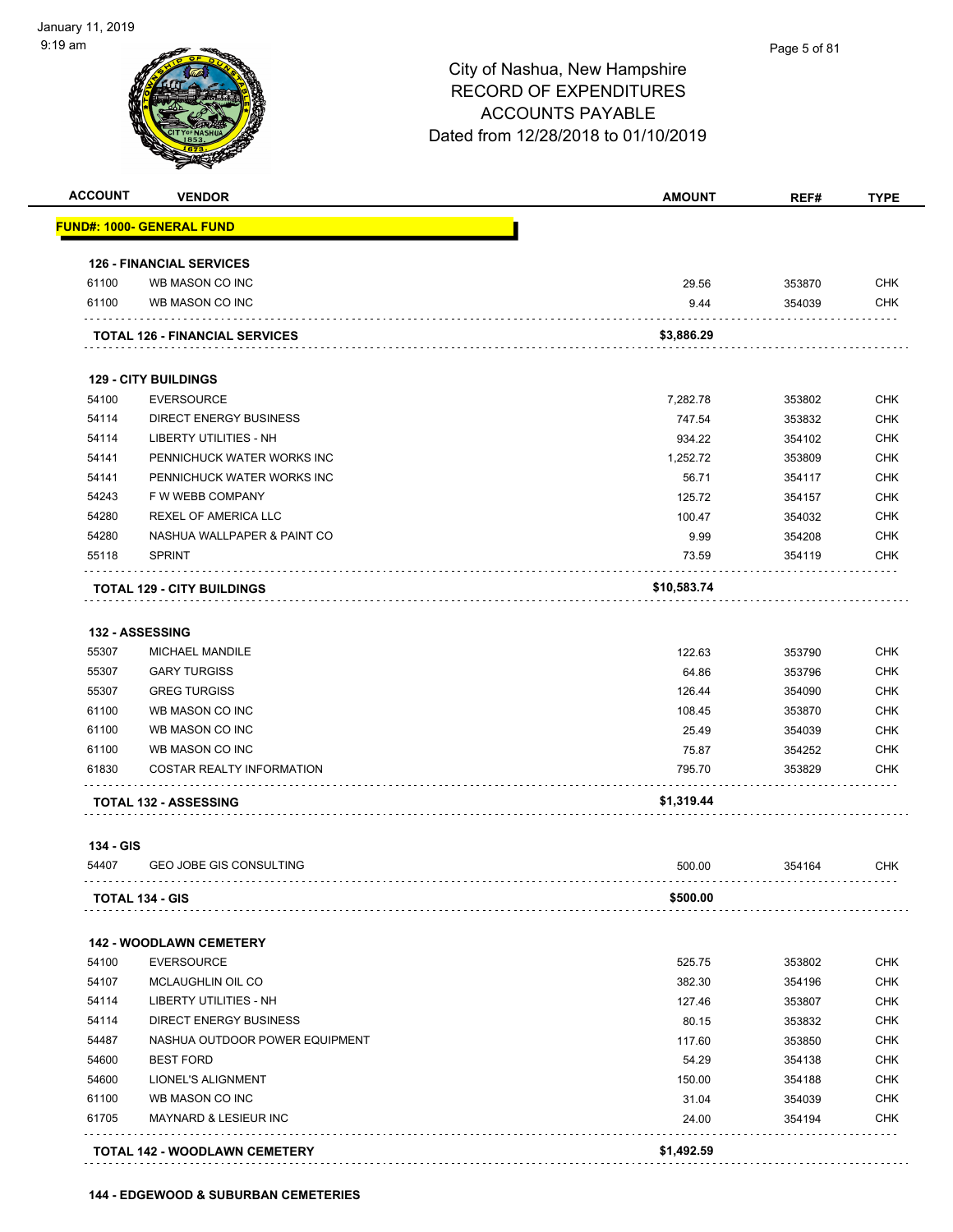#### Page 5 of 81

| <b>ACCOUNT</b> | <b>VENDOR</b>                         | <b>AMOUNT</b> | REF#   | <b>TYPE</b> |
|----------------|---------------------------------------|---------------|--------|-------------|
|                | <b>FUND#: 1000- GENERAL FUND</b>      |               |        |             |
|                | <b>126 - FINANCIAL SERVICES</b>       |               |        |             |
| 61100          | WB MASON CO INC                       | 29.56         | 353870 | <b>CHK</b>  |
| 61100          | WB MASON CO INC                       | 9.44          | 354039 | <b>CHK</b>  |
|                | <b>TOTAL 126 - FINANCIAL SERVICES</b> | \$3,886.29    |        |             |
|                | <b>129 - CITY BUILDINGS</b>           |               |        |             |
| 54100          | <b>EVERSOURCE</b>                     | 7,282.78      | 353802 | <b>CHK</b>  |
| 54114          | <b>DIRECT ENERGY BUSINESS</b>         | 747.54        | 353832 | <b>CHK</b>  |
| 54114          | LIBERTY UTILITIES - NH                | 934.22        | 354102 | <b>CHK</b>  |
| 54141          | PENNICHUCK WATER WORKS INC            | 1,252.72      | 353809 | <b>CHK</b>  |
| 54141          | PENNICHUCK WATER WORKS INC            | 56.71         | 354117 | <b>CHK</b>  |
| 54243          | F W WEBB COMPANY                      | 125.72        | 354157 | <b>CHK</b>  |
| 54280          | REXEL OF AMERICA LLC                  | 100.47        | 354032 | <b>CHK</b>  |
| 54280          | NASHUA WALLPAPER & PAINT CO           | 9.99          | 354208 | <b>CHK</b>  |
| 55118          | <b>SPRINT</b>                         | 73.59         | 354119 | <b>CHK</b>  |
|                | <b>TOTAL 129 - CITY BUILDINGS</b>     | \$10,583.74   |        |             |
|                | <b>132 - ASSESSING</b>                |               |        |             |
| 55307          | MICHAEL MANDILE                       | 122.63        | 353790 | <b>CHK</b>  |
| 55307          | <b>GARY TURGISS</b>                   | 64.86         | 353796 | <b>CHK</b>  |
| 55307          | <b>GREG TURGISS</b>                   | 126.44        | 354090 | <b>CHK</b>  |
| 61100          | WB MASON CO INC                       | 108.45        | 353870 | <b>CHK</b>  |
| 61100          | WB MASON CO INC                       | 25.49         | 354039 | <b>CHK</b>  |
| 61100          | WB MASON CO INC                       | 75.87         | 354252 | <b>CHK</b>  |
| 61830          | <b>COSTAR REALTY INFORMATION</b>      | 795.70        | 353829 | <b>CHK</b>  |
|                | <b>TOTAL 132 - ASSESSING</b>          | \$1,319.44    |        |             |
| 134 - GIS      |                                       |               |        |             |
| 54407          | <b>GEO JOBE GIS CONSULTING</b>        | 500.00        | 354164 | <b>CHK</b>  |
|                | <b>TOTAL 134 - GIS</b>                | \$500.00      |        |             |
|                | <b>142 - WOODLAWN CEMETERY</b>        |               |        |             |
| 54100          | <b>EVERSOURCE</b>                     | 525.75        | 353802 | <b>CHK</b>  |
| 54107          | MCLAUGHLIN OIL CO                     | 382.30        | 354196 | <b>CHK</b>  |
| 54114          | LIBERTY UTILITIES - NH                | 127.46        | 353807 | <b>CHK</b>  |
| 54114          | <b>DIRECT ENERGY BUSINESS</b>         | 80.15         | 353832 | <b>CHK</b>  |
| 54487          | NASHUA OUTDOOR POWER EQUIPMENT        | 117.60        | 353850 | <b>CHK</b>  |
| 54600          | <b>BEST FORD</b>                      | 54.29         | 354138 | <b>CHK</b>  |
| 54600          | LIONEL'S ALIGNMENT                    | 150.00        | 354188 | <b>CHK</b>  |
| 61100          | WB MASON CO INC                       | 31.04         | 354039 | <b>CHK</b>  |
|                | <b>MAYNARD &amp; LESIEUR INC</b>      | 24.00         | 354194 | <b>CHK</b>  |
| 61705          |                                       |               |        |             |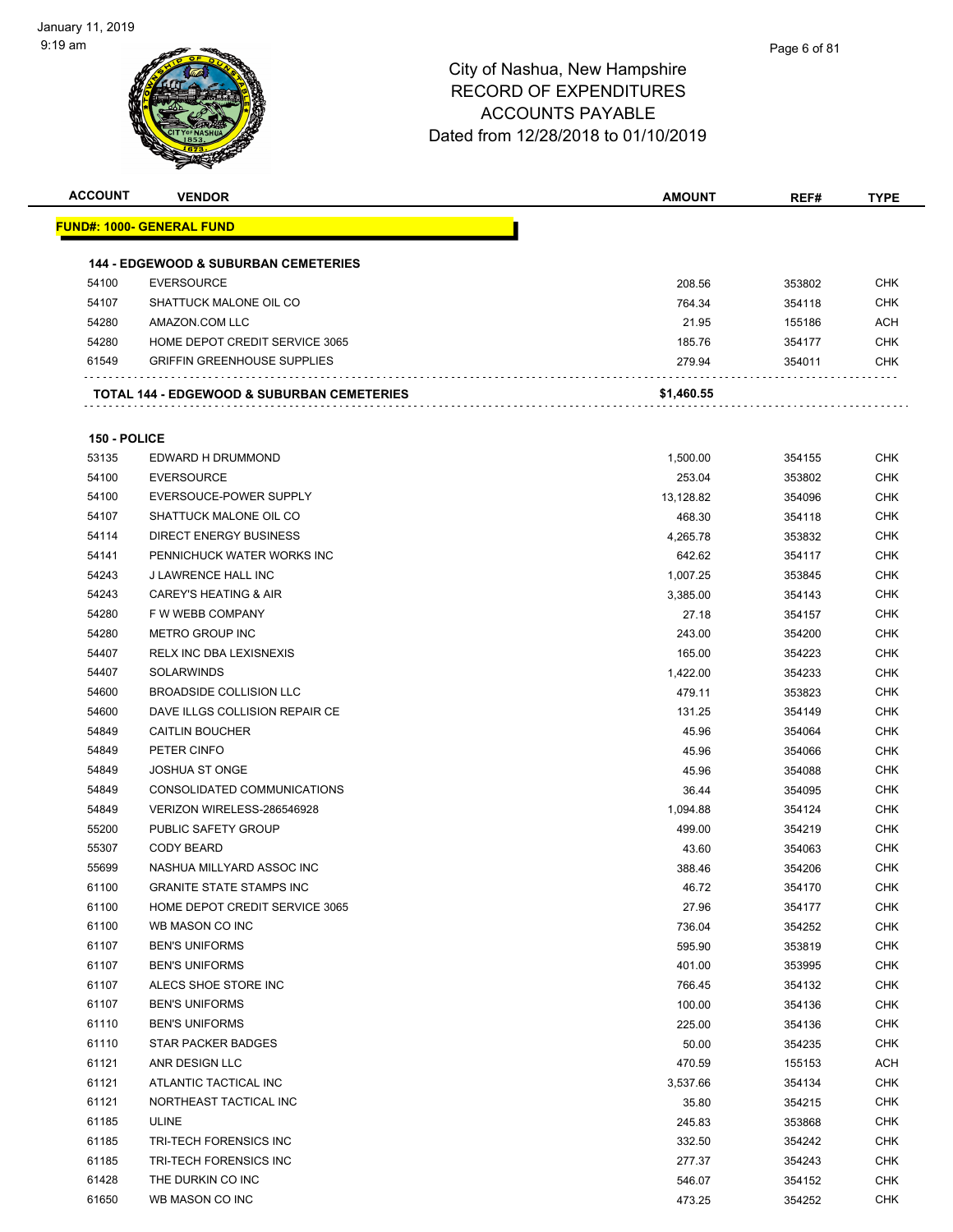| <b>ACCOUNT</b> | <b>VENDOR</b>                                   | <b>AMOUNT</b> | REF#   | TYPE       |
|----------------|-------------------------------------------------|---------------|--------|------------|
|                | <u> FUND#: 1000- GENERAL FUND</u>               |               |        |            |
|                |                                                 |               |        |            |
|                | <b>144 - EDGEWOOD &amp; SUBURBAN CEMETERIES</b> |               |        |            |
| 54100          | <b>EVERSOURCE</b>                               | 208.56        | 353802 | <b>CHK</b> |
| 54107          | SHATTUCK MALONE OIL CO                          | 764.34        | 354118 | <b>CHK</b> |
| 54280          | AMAZON.COM LLC                                  | 21.95         | 155186 | ACH        |
| 54280          | HOME DEPOT CREDIT SERVICE 3065                  | 185.76        | 354177 | CHK        |
| 61549          | <b>GRIFFIN GREENHOUSE SUPPLIES</b>              | 279.94        | 354011 | CHK        |
|                | TOTAL 144 - EDGEWOOD & SUBURBAN CEMETERIES      | \$1,460.55    |        |            |
| 150 - POLICE   |                                                 |               |        |            |
| 53135          | EDWARD H DRUMMOND                               | 1,500.00      | 354155 | <b>CHK</b> |
| 54100          | <b>EVERSOURCE</b>                               | 253.04        | 353802 | <b>CHK</b> |
| 54100          | EVERSOUCE-POWER SUPPLY                          | 13,128.82     | 354096 | CHK        |
| 54107          | SHATTUCK MALONE OIL CO                          | 468.30        | 354118 | <b>CHK</b> |
| 54114          | <b>DIRECT ENERGY BUSINESS</b>                   | 4,265.78      | 353832 | <b>CHK</b> |
| 54141          | PENNICHUCK WATER WORKS INC                      | 642.62        | 354117 | <b>CHK</b> |
| 54243          | <b>J LAWRENCE HALL INC</b>                      | 1,007.25      | 353845 | <b>CHK</b> |
| 54243          | <b>CAREY'S HEATING &amp; AIR</b>                | 3,385.00      | 354143 | <b>CHK</b> |
| 54280          | F W WEBB COMPANY                                | 27.18         | 354157 | <b>CHK</b> |
| 54280          | METRO GROUP INC                                 | 243.00        | 354200 | CHK        |
| 54407          | <b>RELX INC DBA LEXISNEXIS</b>                  | 165.00        | 354223 | <b>CHK</b> |
| 54407          | <b>SOLARWINDS</b>                               | 1,422.00      | 354233 | <b>CHK</b> |
| 54600          | <b>BROADSIDE COLLISION LLC</b>                  | 479.11        | 353823 | CHK        |
| 54600          | DAVE ILLGS COLLISION REPAIR CE                  | 131.25        | 354149 | CHK        |
| 54849          | <b>CAITLIN BOUCHER</b>                          | 45.96         | 354064 | <b>CHK</b> |
| 54849          | PETER CINFO                                     | 45.96         | 354066 | <b>CHK</b> |
| 54849          | <b>JOSHUA ST ONGE</b>                           | 45.96         | 354088 | <b>CHK</b> |
| 54849          | CONSOLIDATED COMMUNICATIONS                     | 36.44         | 354095 | <b>CHK</b> |
| 54849          | VERIZON WIRELESS-286546928                      | 1,094.88      | 354124 | <b>CHK</b> |
| 55200          | PUBLIC SAFETY GROUP                             | 499.00        | 354219 | <b>CHK</b> |
| 55307          | <b>CODY BEARD</b>                               | 43.60         | 354063 | <b>CHK</b> |
| 55699          | NASHUA MILLYARD ASSOC INC                       | 388.46        | 354206 | <b>CHK</b> |
| 61100          | <b>GRANITE STATE STAMPS INC</b>                 | 46.72         | 354170 | <b>CHK</b> |
| 61100          | HOME DEPOT CREDIT SERVICE 3065                  | 27.96         | 354177 | <b>CHK</b> |
| 61100          | WB MASON CO INC                                 | 736.04        | 354252 | <b>CHK</b> |
| 61107          | <b>BEN'S UNIFORMS</b>                           | 595.90        | 353819 | <b>CHK</b> |
| 61107          | <b>BEN'S UNIFORMS</b>                           | 401.00        | 353995 | <b>CHK</b> |
| 61107          | ALECS SHOE STORE INC                            | 766.45        | 354132 | <b>CHK</b> |
| 61107          | <b>BEN'S UNIFORMS</b>                           | 100.00        | 354136 | <b>CHK</b> |
| 61110          | <b>BEN'S UNIFORMS</b>                           | 225.00        | 354136 | <b>CHK</b> |
| 61110          | STAR PACKER BADGES                              | 50.00         | 354235 | <b>CHK</b> |
| 61121          | ANR DESIGN LLC                                  | 470.59        | 155153 | <b>ACH</b> |
| 61121          | ATLANTIC TACTICAL INC                           | 3,537.66      | 354134 | <b>CHK</b> |
| 61121          | NORTHEAST TACTICAL INC                          | 35.80         | 354215 | <b>CHK</b> |
| 61185          | <b>ULINE</b>                                    | 245.83        | 353868 | <b>CHK</b> |
| 61185          | TRI-TECH FORENSICS INC                          | 332.50        | 354242 | <b>CHK</b> |
| 61185          | TRI-TECH FORENSICS INC                          | 277.37        | 354243 | <b>CHK</b> |
| 61428          | THE DURKIN CO INC                               | 546.07        | 354152 | <b>CHK</b> |
| 61650          | WB MASON CO INC                                 | 473.25        | 354252 | <b>CHK</b> |
|                |                                                 |               |        |            |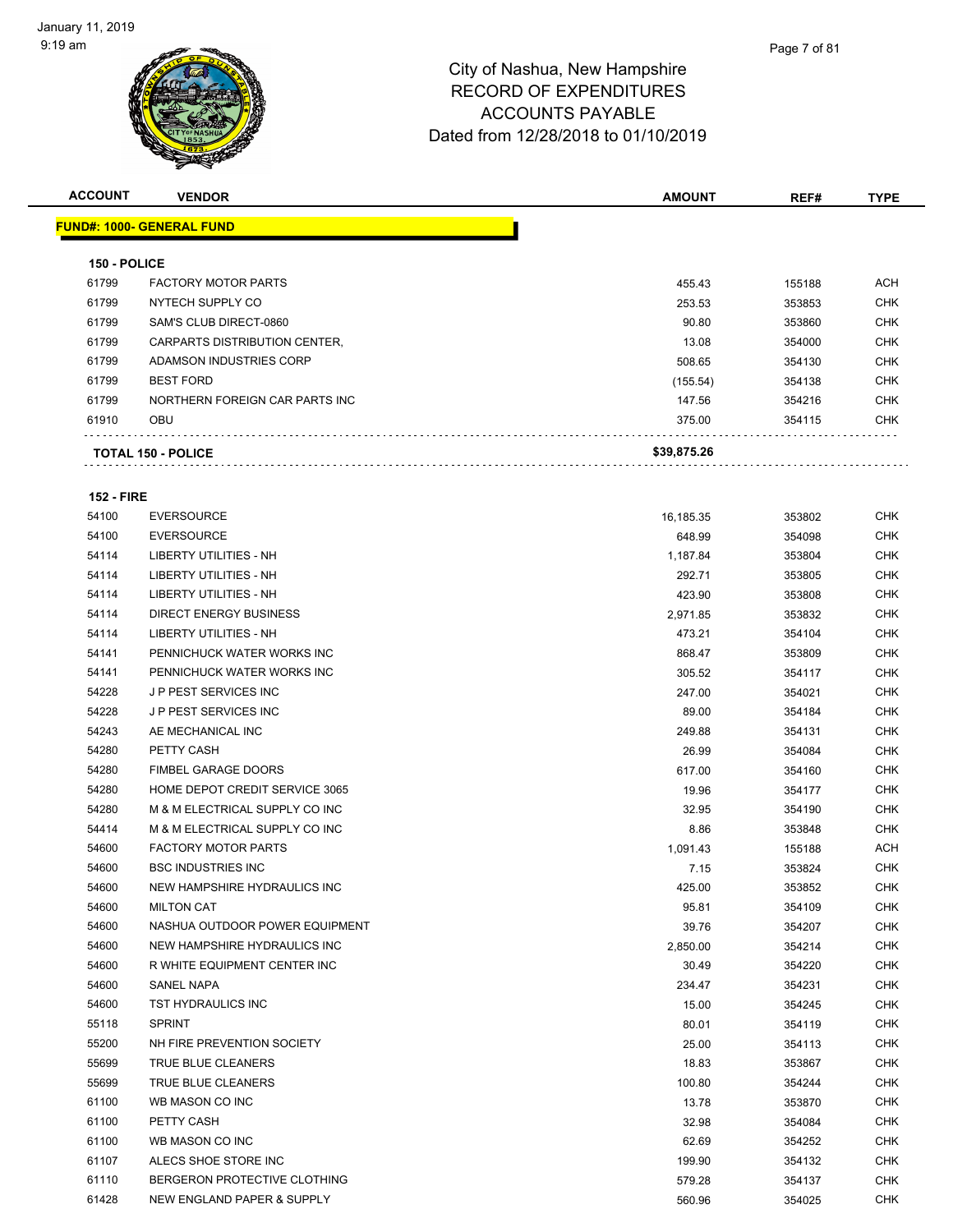| <b>FUND#: 1000- GENERAL FUND</b><br>150 - POLICE<br><b>FACTORY MOTOR PARTS</b><br>61799<br>455.43<br>155188<br>NYTECH SUPPLY CO<br>61799<br>253.53<br>353853<br>61799<br>SAM'S CLUB DIRECT-0860<br>90.80<br>353860<br>61799<br>CARPARTS DISTRIBUTION CENTER,<br>13.08<br>354000 | <b>TYPE</b> |
|---------------------------------------------------------------------------------------------------------------------------------------------------------------------------------------------------------------------------------------------------------------------------------|-------------|
|                                                                                                                                                                                                                                                                                 |             |
|                                                                                                                                                                                                                                                                                 |             |
|                                                                                                                                                                                                                                                                                 | <b>ACH</b>  |
|                                                                                                                                                                                                                                                                                 | <b>CHK</b>  |
|                                                                                                                                                                                                                                                                                 | <b>CHK</b>  |
|                                                                                                                                                                                                                                                                                 | <b>CHK</b>  |
| 61799<br>ADAMSON INDUSTRIES CORP<br>508.65<br>354130                                                                                                                                                                                                                            | <b>CHK</b>  |
| 61799<br><b>BEST FORD</b><br>(155.54)<br>354138                                                                                                                                                                                                                                 | <b>CHK</b>  |
| 61799<br>NORTHERN FOREIGN CAR PARTS INC<br>147.56<br>354216                                                                                                                                                                                                                     | <b>CHK</b>  |
| 61910<br><b>OBU</b><br>375.00<br>354115                                                                                                                                                                                                                                         | <b>CHK</b>  |
| \$39,875.26<br><b>TOTAL 150 - POLICE</b>                                                                                                                                                                                                                                        |             |

#### **152 - FIRE**

| 54100 | <b>EVERSOURCE</b>                     | 16,185.35 | 353802 | <b>CHK</b> |
|-------|---------------------------------------|-----------|--------|------------|
| 54100 | <b>EVERSOURCE</b>                     | 648.99    | 354098 | <b>CHK</b> |
| 54114 | LIBERTY UTILITIES - NH                | 1,187.84  | 353804 | <b>CHK</b> |
| 54114 | <b>LIBERTY UTILITIES - NH</b>         | 292.71    | 353805 | <b>CHK</b> |
| 54114 | LIBERTY UTILITIES - NH                | 423.90    | 353808 | <b>CHK</b> |
| 54114 | <b>DIRECT ENERGY BUSINESS</b>         | 2,971.85  | 353832 | <b>CHK</b> |
| 54114 | LIBERTY UTILITIES - NH                | 473.21    | 354104 | <b>CHK</b> |
| 54141 | PENNICHUCK WATER WORKS INC            | 868.47    | 353809 | <b>CHK</b> |
| 54141 | PENNICHUCK WATER WORKS INC            | 305.52    | 354117 | <b>CHK</b> |
| 54228 | J P PEST SERVICES INC                 | 247.00    | 354021 | <b>CHK</b> |
| 54228 | J P PEST SERVICES INC                 | 89.00     | 354184 | <b>CHK</b> |
| 54243 | AE MECHANICAL INC                     | 249.88    | 354131 | CHK        |
| 54280 | PETTY CASH                            | 26.99     | 354084 | <b>CHK</b> |
| 54280 | <b>FIMBEL GARAGE DOORS</b>            | 617.00    | 354160 | <b>CHK</b> |
| 54280 | HOME DEPOT CREDIT SERVICE 3065        | 19.96     | 354177 | <b>CHK</b> |
| 54280 | M & M ELECTRICAL SUPPLY CO INC        | 32.95     | 354190 | <b>CHK</b> |
| 54414 | M & M ELECTRICAL SUPPLY CO INC        | 8.86      | 353848 | <b>CHK</b> |
| 54600 | <b>FACTORY MOTOR PARTS</b>            | 1,091.43  | 155188 | ACH        |
| 54600 | <b>BSC INDUSTRIES INC</b>             | 7.15      | 353824 | <b>CHK</b> |
| 54600 | NEW HAMPSHIRE HYDRAULICS INC          | 425.00    | 353852 | <b>CHK</b> |
| 54600 | <b>MILTON CAT</b>                     | 95.81     | 354109 | <b>CHK</b> |
| 54600 | NASHUA OUTDOOR POWER EQUIPMENT        | 39.76     | 354207 | <b>CHK</b> |
| 54600 | NEW HAMPSHIRE HYDRAULICS INC          | 2,850.00  | 354214 | <b>CHK</b> |
| 54600 | R WHITE EQUIPMENT CENTER INC          | 30.49     | 354220 | <b>CHK</b> |
| 54600 | <b>SANEL NAPA</b>                     | 234.47    | 354231 | <b>CHK</b> |
| 54600 | <b>TST HYDRAULICS INC</b>             | 15.00     | 354245 | <b>CHK</b> |
| 55118 | <b>SPRINT</b>                         | 80.01     | 354119 | <b>CHK</b> |
| 55200 | NH FIRE PREVENTION SOCIETY            | 25.00     | 354113 | <b>CHK</b> |
| 55699 | TRUE BLUE CLEANERS                    | 18.83     | 353867 | <b>CHK</b> |
| 55699 | <b>TRUE BLUE CLEANERS</b>             | 100.80    | 354244 | <b>CHK</b> |
| 61100 | WB MASON CO INC                       | 13.78     | 353870 | <b>CHK</b> |
| 61100 | PETTY CASH                            | 32.98     | 354084 | <b>CHK</b> |
| 61100 | WB MASON CO INC                       | 62.69     | 354252 | <b>CHK</b> |
| 61107 | ALECS SHOE STORE INC                  | 199.90    | 354132 | <b>CHK</b> |
| 61110 | BERGERON PROTECTIVE CLOTHING          | 579.28    | 354137 | <b>CHK</b> |
| 61428 | <b>NEW ENGLAND PAPER &amp; SUPPLY</b> | 560.96    | 354025 | <b>CHK</b> |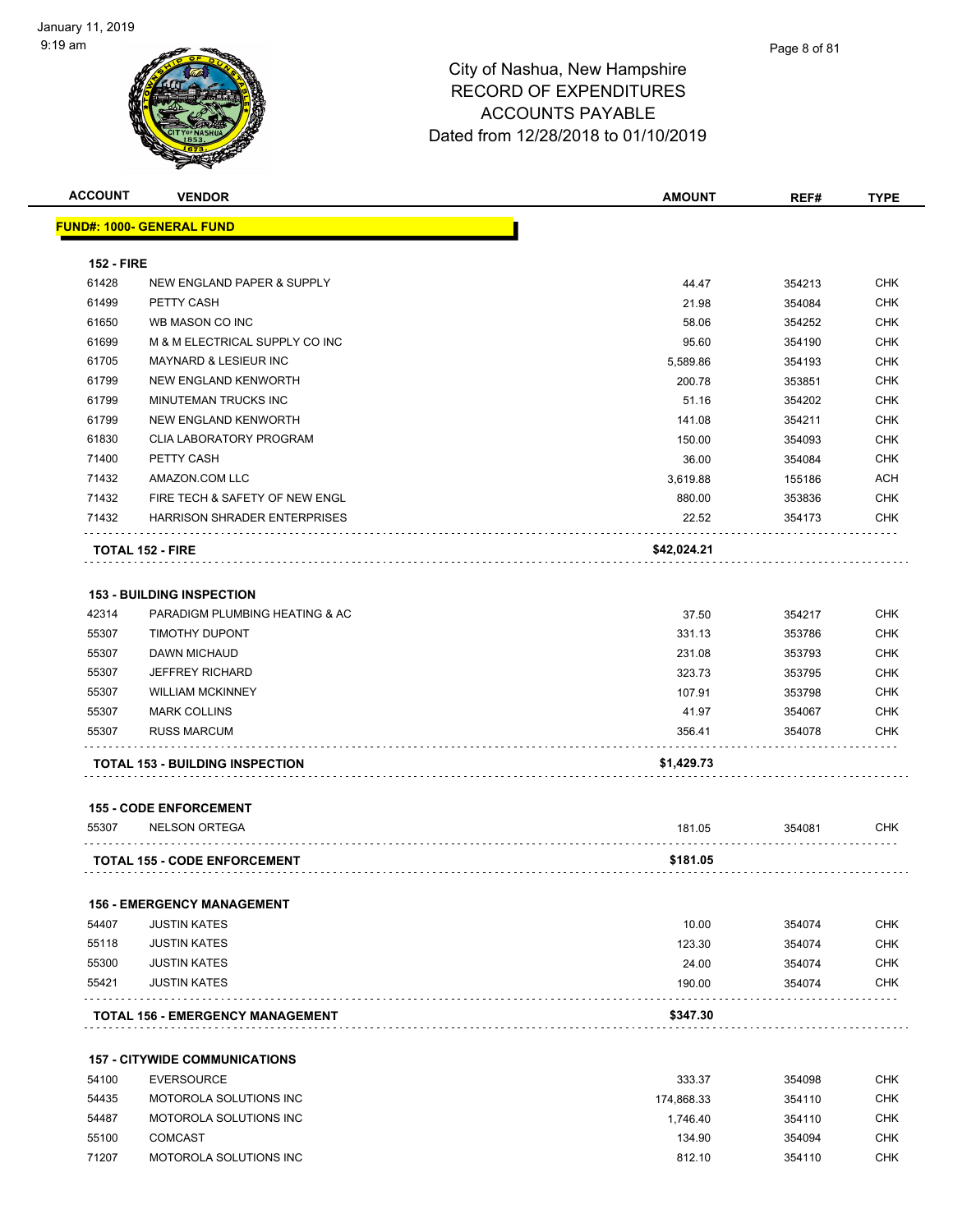

| <b>ACCOUNT</b>    | <b>VENDOR</b>                           | <b>AMOUNT</b> | REF#   | <b>TYPE</b> |
|-------------------|-----------------------------------------|---------------|--------|-------------|
|                   | FUND#: 1000- GENERAL FUND               |               |        |             |
|                   |                                         |               |        |             |
| <b>152 - FIRE</b> |                                         |               |        |             |
| 61428             | NEW ENGLAND PAPER & SUPPLY              | 44.47         | 354213 | <b>CHK</b>  |
| 61499             | PETTY CASH                              | 21.98         | 354084 | <b>CHK</b>  |
| 61650             | WB MASON CO INC                         | 58.06         | 354252 | <b>CHK</b>  |
| 61699             | M & M ELECTRICAL SUPPLY CO INC          | 95.60         | 354190 | <b>CHK</b>  |
| 61705             | <b>MAYNARD &amp; LESIEUR INC</b>        | 5,589.86      | 354193 | <b>CHK</b>  |
| 61799             | NEW ENGLAND KENWORTH                    | 200.78        | 353851 | <b>CHK</b>  |
| 61799             | MINUTEMAN TRUCKS INC                    | 51.16         | 354202 | <b>CHK</b>  |
| 61799             | NEW ENGLAND KENWORTH                    | 141.08        | 354211 | <b>CHK</b>  |
| 61830             | <b>CLIA LABORATORY PROGRAM</b>          | 150.00        | 354093 | <b>CHK</b>  |
| 71400             | PETTY CASH                              | 36.00         | 354084 | <b>CHK</b>  |
| 71432             | AMAZON.COM LLC                          | 3,619.88      | 155186 | <b>ACH</b>  |
| 71432             | FIRE TECH & SAFETY OF NEW ENGL          | 880.00        | 353836 | <b>CHK</b>  |
| 71432             | <b>HARRISON SHRADER ENTERPRISES</b>     | 22.52         | 354173 | <b>CHK</b>  |
|                   | <b>TOTAL 152 - FIRE</b>                 | \$42,024.21   |        |             |
|                   | <b>153 - BUILDING INSPECTION</b>        |               |        |             |
| 42314             | PARADIGM PLUMBING HEATING & AC          | 37.50         | 354217 | <b>CHK</b>  |
| 55307             | TIMOTHY DUPONT                          | 331.13        | 353786 | <b>CHK</b>  |
|                   | <b>DAWN MICHAUD</b>                     |               |        |             |
| 55307             |                                         | 231.08        | 353793 | <b>CHK</b>  |
| 55307             | <b>JEFFREY RICHARD</b>                  | 323.73        | 353795 | <b>CHK</b>  |
| 55307             | <b>WILLIAM MCKINNEY</b>                 | 107.91        | 353798 | <b>CHK</b>  |
| 55307             | <b>MARK COLLINS</b>                     | 41.97         | 354067 | <b>CHK</b>  |
| 55307             | <b>RUSS MARCUM</b>                      | 356.41        | 354078 | <b>CHK</b>  |
|                   | <b>TOTAL 153 - BUILDING INSPECTION</b>  | \$1,429.73    |        |             |
|                   | <b>155 - CODE ENFORCEMENT</b>           |               |        |             |
| 55307             | <b>NELSON ORTEGA</b>                    | 181.05        | 354081 | <b>CHK</b>  |
|                   | <b>TOTAL 155 - CODE ENFORCEMENT</b>     | \$181.05      |        |             |
|                   | <b>156 - EMERGENCY MANAGEMENT</b>       |               |        |             |
| 54407             | <b>JUSTIN KATES</b>                     | 10.00         | 354074 | CHK         |
| 55118             | <b>JUSTIN KATES</b>                     | 123.30        | 354074 | <b>CHK</b>  |
| 55300             | <b>JUSTIN KATES</b>                     | 24.00         | 354074 | <b>CHK</b>  |
| 55421             | <b>JUSTIN KATES</b>                     | 190.00        | 354074 | CHK         |
|                   | <b>TOTAL 156 - EMERGENCY MANAGEMENT</b> | \$347.30      |        |             |
|                   |                                         |               |        |             |
|                   | <b>157 - CITYWIDE COMMUNICATIONS</b>    |               |        |             |
| 54100             | <b>EVERSOURCE</b>                       | 333.37        | 354098 | CHK         |
| 54435             | MOTOROLA SOLUTIONS INC                  | 174,868.33    | 354110 | <b>CHK</b>  |
| 54487             | MOTOROLA SOLUTIONS INC                  | 1,746.40      | 354110 | <b>CHK</b>  |
| 55100             | <b>COMCAST</b>                          | 134.90        | 354094 | <b>CHK</b>  |
| 71207             | MOTOROLA SOLUTIONS INC                  | 812.10        | 354110 | <b>CHK</b>  |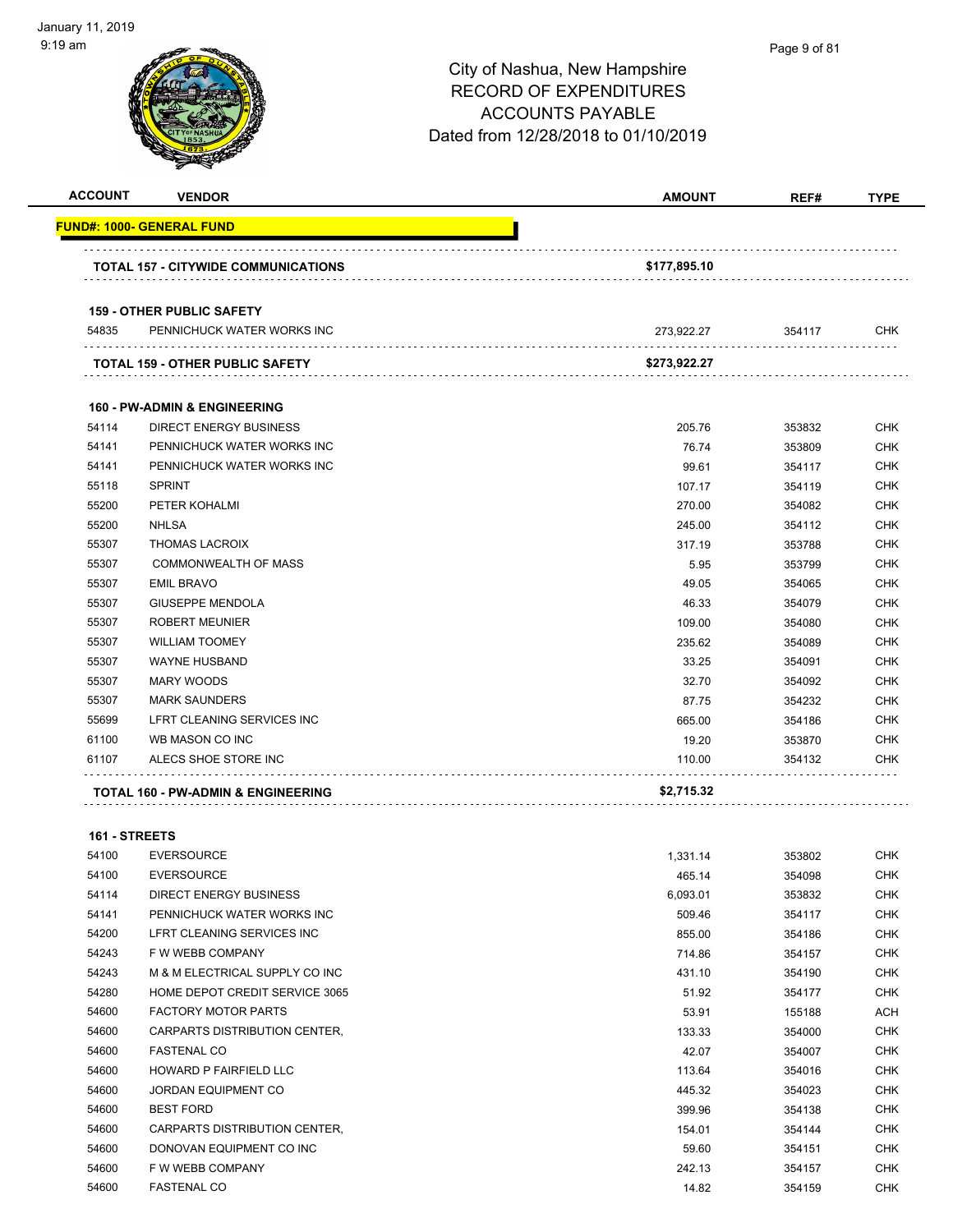| <b>ACCOUNT</b> | <b>VENDOR</b>                                                  | <b>AMOUNT</b> | REF#   | <b>TYPE</b> |
|----------------|----------------------------------------------------------------|---------------|--------|-------------|
|                | <u> FUND#: 1000- GENERAL FUND</u>                              |               |        |             |
|                |                                                                |               |        |             |
|                | <b>TOTAL 157 - CITYWIDE COMMUNICATIONS</b>                     | \$177,895.10  |        |             |
|                |                                                                |               |        |             |
| 54835          | <b>159 - OTHER PUBLIC SAFETY</b><br>PENNICHUCK WATER WORKS INC |               | 354117 | CHK         |
|                |                                                                | 273,922.27    |        |             |
|                | TOTAL 159 - OTHER PUBLIC SAFETY                                | \$273,922.27  |        |             |
|                | <b>160 - PW-ADMIN &amp; ENGINEERING</b>                        |               |        |             |
| 54114          | <b>DIRECT ENERGY BUSINESS</b>                                  | 205.76        | 353832 | <b>CHK</b>  |
| 54141          | PENNICHUCK WATER WORKS INC                                     | 76.74         | 353809 | <b>CHK</b>  |
| 54141          | PENNICHUCK WATER WORKS INC                                     | 99.61         | 354117 | CHK         |
| 55118          | <b>SPRINT</b>                                                  | 107.17        | 354119 | <b>CHK</b>  |
| 55200          | PETER KOHALMI                                                  | 270.00        | 354082 | CHK         |
| 55200          | <b>NHLSA</b>                                                   | 245.00        | 354112 | <b>CHK</b>  |
| 55307          | <b>THOMAS LACROIX</b>                                          | 317.19        | 353788 | <b>CHK</b>  |
| 55307          | <b>COMMONWEALTH OF MASS</b>                                    | 5.95          | 353799 | CHK         |
| 55307          | <b>EMIL BRAVO</b>                                              | 49.05         | 354065 | <b>CHK</b>  |
| 55307          | <b>GIUSEPPE MENDOLA</b>                                        | 46.33         | 354079 | <b>CHK</b>  |
| 55307          | <b>ROBERT MEUNIER</b>                                          | 109.00        | 354080 | <b>CHK</b>  |
| 55307          | <b>WILLIAM TOOMEY</b>                                          | 235.62        | 354089 | <b>CHK</b>  |
| 55307          | <b>WAYNE HUSBAND</b>                                           | 33.25         | 354091 | <b>CHK</b>  |
| 55307          | <b>MARY WOODS</b>                                              | 32.70         | 354092 | <b>CHK</b>  |
| 55307          | <b>MARK SAUNDERS</b>                                           | 87.75         | 354232 | <b>CHK</b>  |
| 55699          | LFRT CLEANING SERVICES INC                                     | 665.00        | 354186 | <b>CHK</b>  |
| 61100          | WB MASON CO INC                                                | 19.20         | 353870 | <b>CHK</b>  |
| 61107          | ALECS SHOE STORE INC                                           | 110.00        | 354132 | <b>CHK</b>  |
|                | TOTAL 160 - PW-ADMIN & ENGINEERING                             | \$2,715.32    |        |             |
|                |                                                                |               |        |             |
| 161 - STREETS  |                                                                |               |        |             |
| 54100          | <b>EVERSOURCE</b>                                              | 1.331.14      | 353802 | CHK         |
| 54100          | <b>EVERSOURCE</b>                                              | 465.14        | 354098 | <b>CHK</b>  |
| 54114          | <b>DIRECT ENERGY BUSINESS</b>                                  | 6,093.01      | 353832 | <b>CHK</b>  |
| 54141          | PENNICHUCK WATER WORKS INC                                     | 509.46        | 354117 | <b>CHK</b>  |
| 54200          | LFRT CLEANING SERVICES INC                                     | 855.00        | 354186 | <b>CHK</b>  |
| 54243          | F W WEBB COMPANY                                               | 714.86        | 354157 | <b>CHK</b>  |
| 54243          | M & M ELECTRICAL SUPPLY CO INC                                 | 431.10        | 354190 | <b>CHK</b>  |
| 54280          | HOME DEPOT CREDIT SERVICE 3065                                 | 51.92         | 354177 | <b>CHK</b>  |
| 54600          | <b>FACTORY MOTOR PARTS</b>                                     | 53.91         | 155188 | ACH         |
| 54600          | CARPARTS DISTRIBUTION CENTER,                                  | 133.33        | 354000 | <b>CHK</b>  |
| 54600          | <b>FASTENAL CO</b>                                             | 42.07         | 354007 | <b>CHK</b>  |
| 54600          | HOWARD P FAIRFIELD LLC                                         | 113.64        | 354016 | <b>CHK</b>  |
| 54600          | JORDAN EQUIPMENT CO                                            | 445.32        | 354023 | <b>CHK</b>  |
| 54600          | <b>BEST FORD</b>                                               | 399.96        | 354138 | CHK         |
| 54600          | CARPARTS DISTRIBUTION CENTER,                                  | 154.01        | 354144 | CHK         |
| 54600          | DONOVAN EQUIPMENT CO INC                                       | 59.60         | 354151 | <b>CHK</b>  |
| 54600          | F W WEBB COMPANY                                               | 242.13        | 354157 | <b>CHK</b>  |
| 54600          | <b>FASTENAL CO</b>                                             | 14.82         | 354159 | <b>CHK</b>  |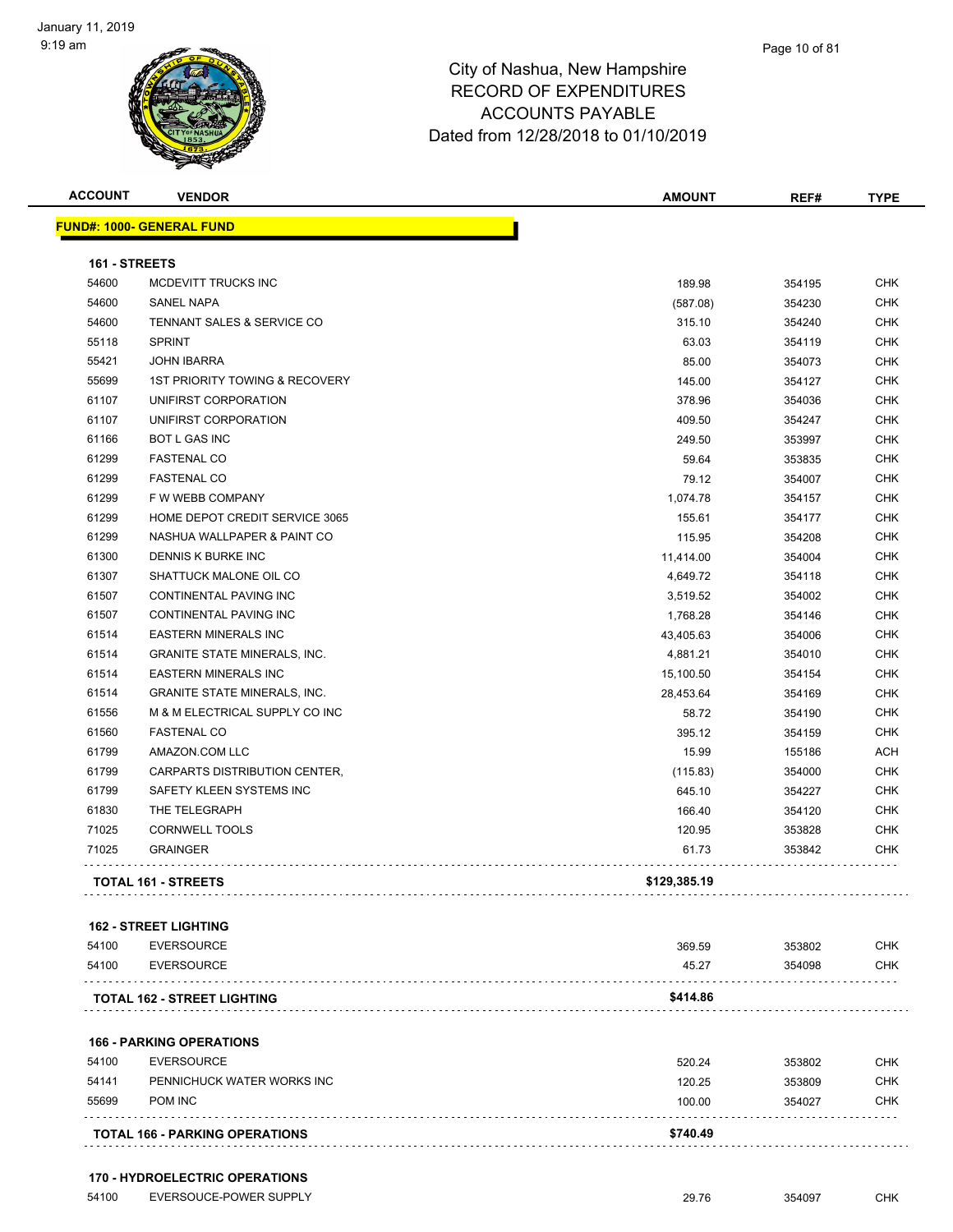

| <b>ACCOUNT</b> | <b>VENDOR</b>                             | <b>AMOUNT</b> | REF#   | <b>TYPE</b> |
|----------------|-------------------------------------------|---------------|--------|-------------|
|                | <b>FUND#: 1000- GENERAL FUND</b>          |               |        |             |
|                |                                           |               |        |             |
| 161 - STREETS  |                                           |               |        |             |
| 54600          | MCDEVITT TRUCKS INC                       | 189.98        | 354195 | <b>CHK</b>  |
| 54600          | <b>SANEL NAPA</b>                         | (587.08)      | 354230 | <b>CHK</b>  |
| 54600          | TENNANT SALES & SERVICE CO                | 315.10        | 354240 | <b>CHK</b>  |
| 55118          | <b>SPRINT</b>                             | 63.03         | 354119 | <b>CHK</b>  |
| 55421          | <b>JOHN IBARRA</b>                        | 85.00         | 354073 | <b>CHK</b>  |
| 55699          | <b>1ST PRIORITY TOWING &amp; RECOVERY</b> | 145.00        | 354127 | <b>CHK</b>  |
| 61107          | UNIFIRST CORPORATION                      | 378.96        | 354036 | <b>CHK</b>  |
| 61107          | UNIFIRST CORPORATION                      | 409.50        | 354247 | <b>CHK</b>  |
| 61166          | <b>BOT L GAS INC</b>                      | 249.50        | 353997 | <b>CHK</b>  |
| 61299          | <b>FASTENAL CO</b>                        | 59.64         | 353835 | <b>CHK</b>  |
| 61299          | <b>FASTENAL CO</b>                        | 79.12         | 354007 | <b>CHK</b>  |
| 61299          | F W WEBB COMPANY                          | 1,074.78      | 354157 | <b>CHK</b>  |
| 61299          | HOME DEPOT CREDIT SERVICE 3065            | 155.61        | 354177 | <b>CHK</b>  |
| 61299          | NASHUA WALLPAPER & PAINT CO               | 115.95        | 354208 | <b>CHK</b>  |
| 61300          | DENNIS K BURKE INC                        | 11,414.00     | 354004 | <b>CHK</b>  |
| 61307          | SHATTUCK MALONE OIL CO                    | 4,649.72      | 354118 | <b>CHK</b>  |
| 61507          | <b>CONTINENTAL PAVING INC</b>             | 3,519.52      | 354002 | <b>CHK</b>  |
| 61507          | CONTINENTAL PAVING INC                    | 1,768.28      | 354146 | <b>CHK</b>  |

| 61514 | <b>GRANITE STATE MINERALS, INC.</b> | 4.881.21     | 354010 | <b>CHK</b> |
|-------|-------------------------------------|--------------|--------|------------|
| 61514 | <b>EASTERN MINERALS INC</b>         | 15,100.50    | 354154 | <b>CHK</b> |
| 61514 | <b>GRANITE STATE MINERALS, INC.</b> | 28.453.64    | 354169 | <b>CHK</b> |
| 61556 | M & M ELECTRICAL SUPPLY CO INC      | 58.72        | 354190 | <b>CHK</b> |
| 61560 | <b>FASTENAL CO</b>                  | 395.12       | 354159 | <b>CHK</b> |
| 61799 | AMAZON.COM LLC                      | 15.99        | 155186 | <b>ACH</b> |
| 61799 | CARPARTS DISTRIBUTION CENTER,       | (115.83)     | 354000 | <b>CHK</b> |
| 61799 | SAFETY KLEEN SYSTEMS INC            | 645.10       | 354227 | <b>CHK</b> |
| 61830 | THE TELEGRAPH                       | 166.40       | 354120 | <b>CHK</b> |
| 71025 | <b>CORNWELL TOOLS</b>               | 120.95       | 353828 | <b>CHK</b> |
| 71025 | <b>GRAINGER</b>                     | 61.73        | 353842 | <b>CHK</b> |
|       | <b>TOTAL 161 - STREETS</b>          | \$129,385.19 |        |            |

ed to the formulation of the set of the set of the set of the set of the set of the set of the set of the set of the set of the set of the set of the set of the set of the set of the set of the set of the set of the set of

|       | <b>162 - STREET LIGHTING</b>          |          |        |            |
|-------|---------------------------------------|----------|--------|------------|
| 54100 | <b>EVERSOURCE</b>                     | 369.59   | 353802 | <b>CHK</b> |
| 54100 | <b>EVERSOURCE</b>                     | 45.27    | 354098 | <b>CHK</b> |
|       | <b>TOTAL 162 - STREET LIGHTING</b>    | \$414.86 |        |            |
|       | <b>166 - PARKING OPERATIONS</b>       |          |        |            |
| 54100 | <b>EVERSOURCE</b>                     | 520.24   | 353802 | <b>CHK</b> |
| 54141 | PENNICHUCK WATER WORKS INC            | 120.25   | 353809 | <b>CHK</b> |
| 55699 | POM INC                               | 100.00   | 354027 | <b>CHK</b> |
|       | <b>TOTAL 166 - PARKING OPERATIONS</b> | \$740.49 |        |            |

#### **170 - HYDROELECTRIC OPERATIONS**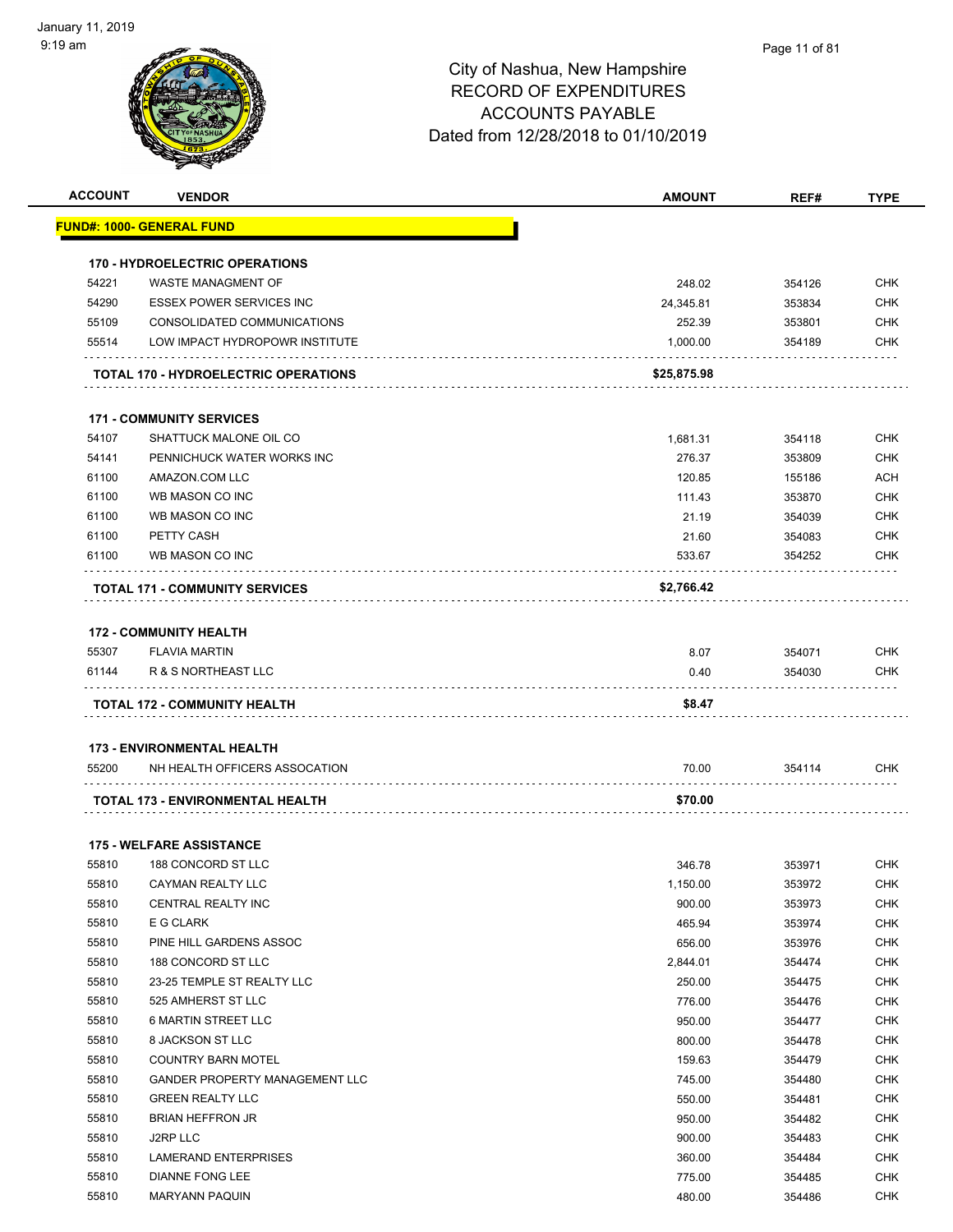| <b>ACCOUNT</b> | <b>VENDOR</b>                                                      | <b>AMOUNT</b>    | REF#             | <b>TYPE</b>              |
|----------------|--------------------------------------------------------------------|------------------|------------------|--------------------------|
|                | <u> FUND#: 1000- GENERAL FUND</u>                                  |                  |                  |                          |
|                | <b>170 - HYDROELECTRIC OPERATIONS</b>                              |                  |                  |                          |
| 54221          | <b>WASTE MANAGMENT OF</b>                                          | 248.02           | 354126           | <b>CHK</b>               |
| 54290          | <b>ESSEX POWER SERVICES INC</b>                                    | 24,345.81        | 353834           | <b>CHK</b>               |
| 55109          | CONSOLIDATED COMMUNICATIONS                                        | 252.39           | 353801           | <b>CHK</b>               |
| 55514          | LOW IMPACT HYDROPOWR INSTITUTE                                     | 1,000.00         | 354189           | CHK                      |
|                | <b>TOTAL 170 - HYDROELECTRIC OPERATIONS</b>                        | \$25,875.98      |                  |                          |
|                | <b>171 - COMMUNITY SERVICES</b>                                    |                  |                  |                          |
| 54107          | SHATTUCK MALONE OIL CO                                             | 1,681.31         | 354118           | <b>CHK</b>               |
| 54141          | PENNICHUCK WATER WORKS INC                                         | 276.37           | 353809           | <b>CHK</b>               |
| 61100          | AMAZON.COM LLC                                                     | 120.85           | 155186           | <b>ACH</b>               |
| 61100          | WB MASON CO INC                                                    | 111.43           | 353870           | <b>CHK</b>               |
| 61100          | WB MASON CO INC                                                    | 21.19            | 354039           | <b>CHK</b>               |
| 61100          | PETTY CASH                                                         | 21.60            | 354083           | <b>CHK</b>               |
| 61100          | WB MASON CO INC                                                    | 533.67           | 354252           | CHK                      |
|                | <b>TOTAL 171 - COMMUNITY SERVICES</b>                              | \$2,766.42       |                  |                          |
|                |                                                                    |                  |                  |                          |
|                | <b>172 - COMMUNITY HEALTH</b>                                      |                  |                  |                          |
| 55307          | <b>FLAVIA MARTIN</b>                                               | 8.07             | 354071           | <b>CHK</b>               |
|                |                                                                    |                  |                  |                          |
|                | <b>TOTAL 172 - COMMUNITY HEALTH</b>                                | \$8.47           |                  |                          |
|                |                                                                    |                  |                  |                          |
| 55200          | <b>173 - ENVIRONMENTAL HEALTH</b><br>NH HEALTH OFFICERS ASSOCATION | 70.00            | 354114           | <b>CHK</b>               |
|                |                                                                    |                  |                  |                          |
|                | TOTAL 173 - ENVIRONMENTAL HEALTH                                   | \$70.00          |                  |                          |
|                | <b>175 - WELFARE ASSISTANCE</b>                                    |                  |                  |                          |
| 55810          | 188 CONCORD ST LLC                                                 | 346.78           | 353971           | <b>CHK</b>               |
| 55810          | CAYMAN REALTY LLC                                                  | 1,150.00         | 353972           | <b>CHK</b>               |
| 55810          | CENTRAL REALTY INC                                                 | 900.00           | 353973           | <b>CHK</b>               |
| 55810          | E G CLARK                                                          | 465.94           | 353974           | <b>CHK</b>               |
| 55810          | PINE HILL GARDENS ASSOC                                            | 656.00           | 353976           | <b>CHK</b>               |
| 55810          | 188 CONCORD ST LLC                                                 | 2,844.01         | 354474           | <b>CHK</b>               |
| 55810          | 23-25 TEMPLE ST REALTY LLC                                         | 250.00           | 354475           | <b>CHK</b>               |
| 55810          | 525 AMHERST ST LLC                                                 | 776.00           | 354476           | <b>CHK</b>               |
| 55810          | <b>6 MARTIN STREET LLC</b>                                         | 950.00           | 354477           | <b>CHK</b>               |
| 55810          | 8 JACKSON ST LLC                                                   | 800.00           | 354478           | <b>CHK</b>               |
| 55810          | <b>COUNTRY BARN MOTEL</b>                                          | 159.63           | 354479           | <b>CHK</b>               |
| 55810          | GANDER PROPERTY MANAGEMENT LLC                                     | 745.00           | 354480           | <b>CHK</b>               |
| 55810          | <b>GREEN REALTY LLC</b>                                            | 550.00           | 354481           | <b>CHK</b>               |
| 55810          | <b>BRIAN HEFFRON JR</b>                                            | 950.00           | 354482           | <b>CHK</b>               |
| 55810          | J2RP LLC                                                           | 900.00           | 354483           | <b>CHK</b>               |
|                |                                                                    |                  |                  |                          |
| 55810          | LAMERAND ENTERPRISES                                               | 360.00           | 354484           | <b>CHK</b>               |
|                |                                                                    |                  |                  | <b>CHK</b><br><b>CHK</b> |
| 55810<br>55810 | <b>DIANNE FONG LEE</b><br><b>MARYANN PAQUIN</b>                    | 775.00<br>480.00 | 354485<br>354486 |                          |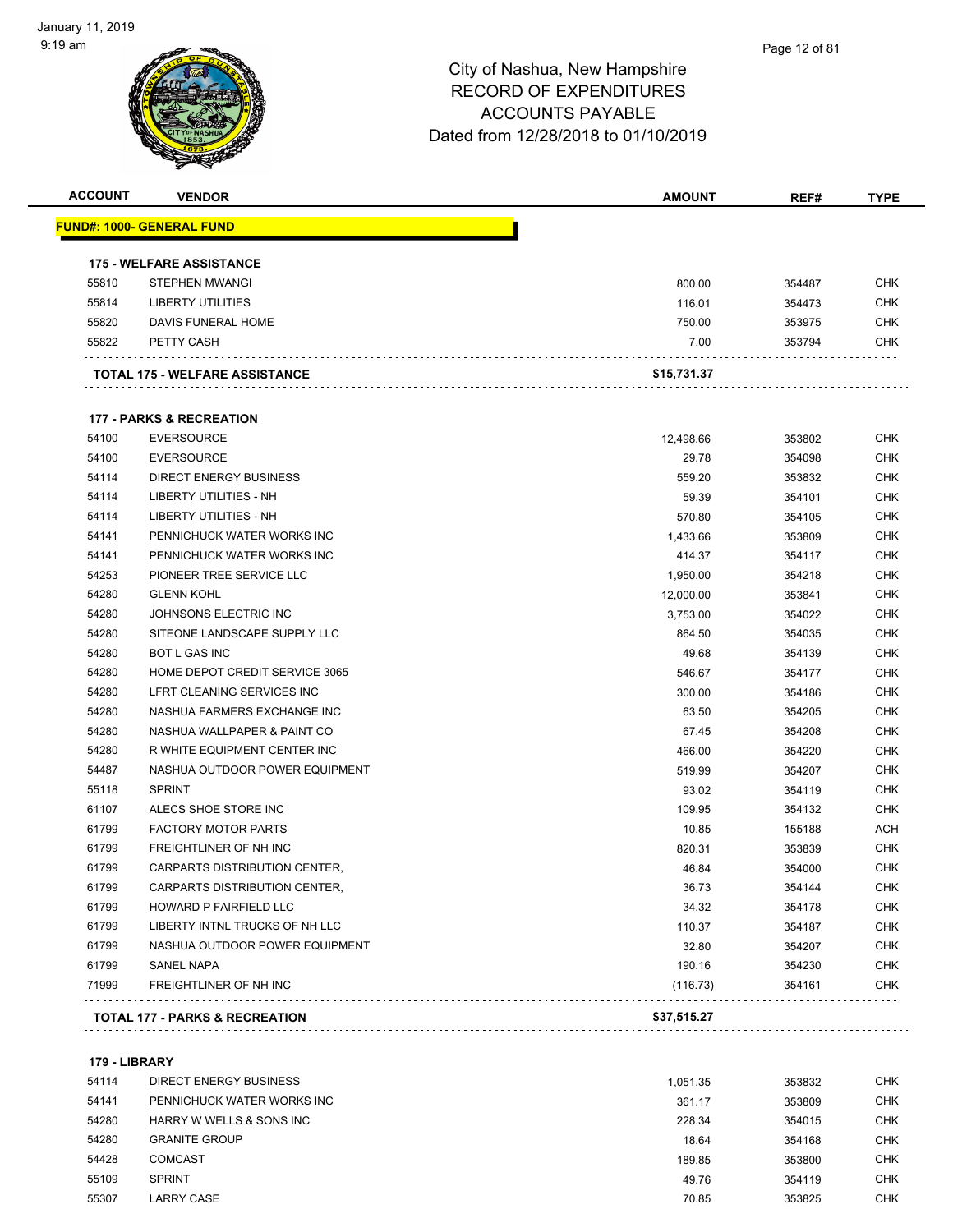#### Page 12 of 81

### City of Nashua, New Hampshire RECORD OF EXPENDITURES ACCOUNTS PAYABLE Dated from 12/28/2018 to 01/10/2019

| <b>ACCOUNT</b> | <b>VENDOR</b>                         | <b>AMOUNT</b> | REF#   | <b>TYPE</b> |
|----------------|---------------------------------------|---------------|--------|-------------|
|                | <u> FUND#: 1000- GENERAL FUND</u>     |               |        |             |
|                | <b>175 - WELFARE ASSISTANCE</b>       |               |        |             |
| 55810          | <b>STEPHEN MWANGI</b>                 | 800.00        | 354487 | <b>CHK</b>  |
| 55814          | <b>LIBERTY UTILITIES</b>              | 116.01        | 354473 | <b>CHK</b>  |
| 55820          | DAVIS FUNERAL HOME                    | 750.00        | 353975 | <b>CHK</b>  |
| 55822          | PETTY CASH                            | 7.00          | 353794 | CHK         |
|                | <b>TOTAL 175 - WELFARE ASSISTANCE</b> | \$15,731.37   |        |             |
|                | <b>177 - PARKS &amp; RECREATION</b>   |               |        |             |
| 54100          | <b>EVERSOURCE</b>                     | 12,498.66     | 353802 | <b>CHK</b>  |
| 54100          | <b>EVERSOURCE</b>                     | 29.78         | 354098 | <b>CHK</b>  |
| 54114          | <b>DIRECT ENERGY BUSINESS</b>         | 559.20        | 353832 | <b>CHK</b>  |
| 54114          | LIBERTY UTILITIES - NH                | 59.39         | 354101 | <b>CHK</b>  |
| 54114          | <b>LIBERTY UTILITIES - NH</b>         | 570.80        | 354105 | <b>CHK</b>  |
| 54141          | PENNICHUCK WATER WORKS INC            | 1,433.66      | 353809 | <b>CHK</b>  |
| 54141          | PENNICHUCK WATER WORKS INC            | 414.37        | 354117 | CHK         |
| 54253          | PIONEER TREE SERVICE LLC              | 1,950.00      | 354218 | <b>CHK</b>  |
| 54280          | <b>GLENN KOHL</b>                     | 12,000.00     | 353841 | <b>CHK</b>  |
| 54280          | JOHNSONS ELECTRIC INC                 | 3,753.00      | 354022 | <b>CHK</b>  |
| 54280          | SITEONE LANDSCAPE SUPPLY LLC          | 864.50        | 354035 | <b>CHK</b>  |
| 54280          | <b>BOT L GAS INC</b>                  | 49.68         | 354139 | <b>CHK</b>  |
| 54280          | HOME DEPOT CREDIT SERVICE 3065        | 546.67        | 354177 | <b>CHK</b>  |
| 54280          | LFRT CLEANING SERVICES INC            | 300.00        | 354186 | <b>CHK</b>  |
| 54280          | NASHUA FARMERS EXCHANGE INC           | 63.50         | 354205 | <b>CHK</b>  |
| 54280          | NASHUA WALLPAPER & PAINT CO           | 67.45         | 354208 | <b>CHK</b>  |
| 54280          | R WHITE EQUIPMENT CENTER INC          | 466.00        | 354220 | <b>CHK</b>  |
| 54487          | NASHUA OUTDOOR POWER EQUIPMENT        | 519.99        | 354207 | <b>CHK</b>  |
| 55118          | <b>SPRINT</b>                         | 93.02         | 354119 | <b>CHK</b>  |
| 61107          | ALECS SHOE STORE INC                  | 109.95        | 354132 | <b>CHK</b>  |
| 61799          | <b>FACTORY MOTOR PARTS</b>            | 10.85         | 155188 | <b>ACH</b>  |
| 61799          | FREIGHTLINER OF NH INC                | 820.31        | 353839 | <b>CHK</b>  |
| 61799          | <b>CARPARTS DISTRIBUTION CENTER.</b>  | 46.84         | 354000 | <b>CHK</b>  |
| 61799          | CARPARTS DISTRIBUTION CENTER,         | 36.73         | 354144 | <b>CHK</b>  |
| 61799          | HOWARD P FAIRFIELD LLC                | 34.32         | 354178 | <b>CHK</b>  |
| 61799          | LIBERTY INTNL TRUCKS OF NH LLC        | 110.37        | 354187 | <b>CHK</b>  |
| 61799          | NASHUA OUTDOOR POWER EQUIPMENT        | 32.80         | 354207 | <b>CHK</b>  |
| 61799          | SANEL NAPA                            | 190.16        | 354230 | <b>CHK</b>  |
| 71999          | FREIGHTLINER OF NH INC                | (116.73)      | 354161 | <b>CHK</b>  |
|                | TOTAL 177 - PARKS & RECREATION        | \$37,515.27   |        |             |

**179 - LIBRARY**

| 54114 | DIRECT ENERGY BUSINESS     | 1.051.35 | 353832 | <b>CHK</b> |
|-------|----------------------------|----------|--------|------------|
| 54141 | PENNICHUCK WATER WORKS INC | 361.17   | 353809 | <b>CHK</b> |
| 54280 | HARRY W WELLS & SONS INC   | 228.34   | 354015 | CHK        |
| 54280 | <b>GRANITE GROUP</b>       | 18.64    | 354168 | <b>CHK</b> |
| 54428 | <b>COMCAST</b>             | 189.85   | 353800 | <b>CHK</b> |
| 55109 | <b>SPRINT</b>              | 49.76    | 354119 | <b>CHK</b> |
| 55307 | LARRY CASE                 | 70.85    | 353825 | <b>CHK</b> |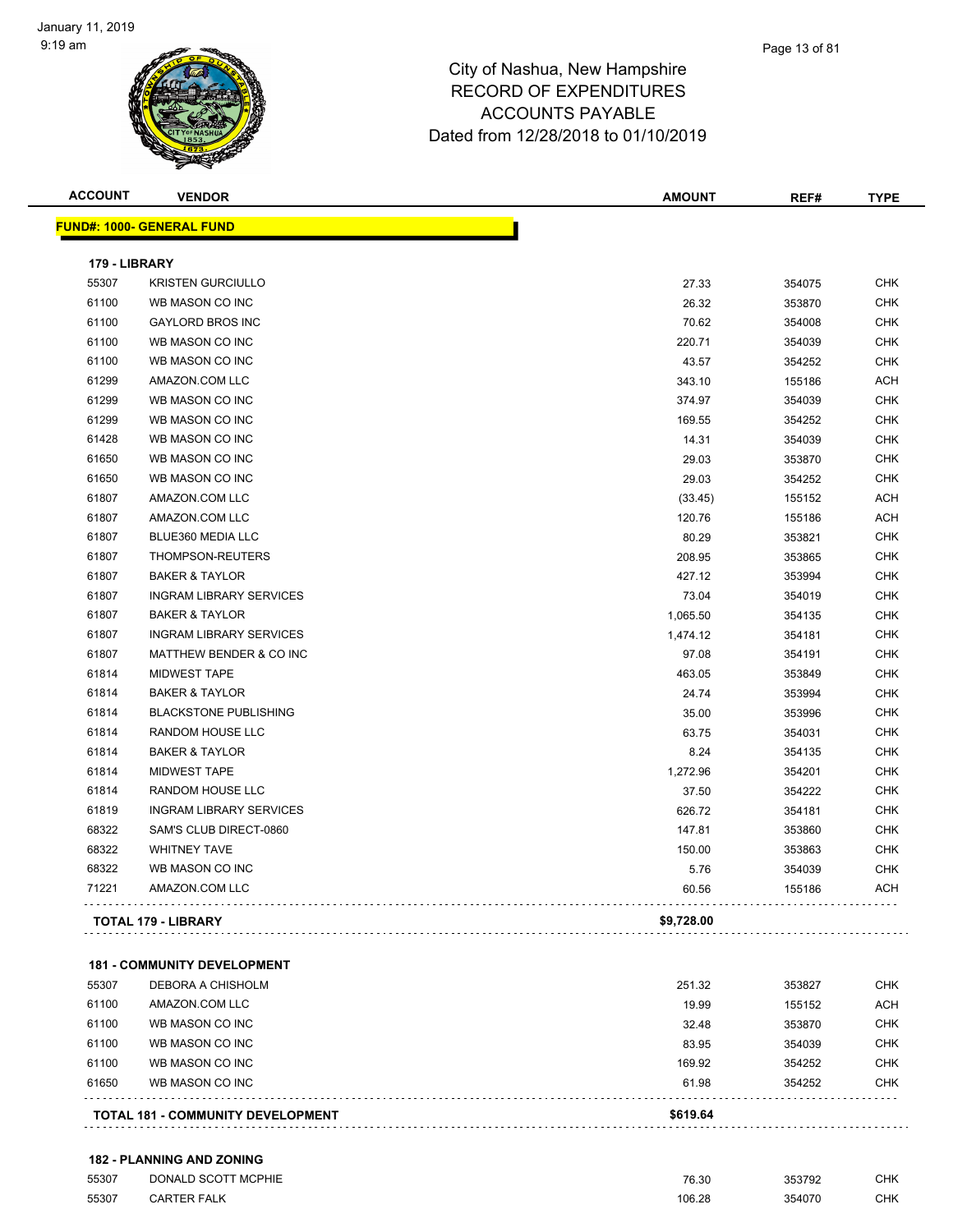

| <b>ACCOUNT</b> | <b>VENDOR</b>                    | <b>AMOUNT</b> | REF#   | <b>TYPE</b> |
|----------------|----------------------------------|---------------|--------|-------------|
|                | <b>FUND#: 1000- GENERAL FUND</b> |               |        |             |
| 179 - LIBRARY  |                                  |               |        |             |
| 55307          | <b>KRISTEN GURCIULLO</b>         | 27.33         | 354075 | <b>CHK</b>  |
| 61100          | WB MASON CO INC                  | 26.32         | 353870 | <b>CHK</b>  |
| 61100          | <b>GAYLORD BROS INC</b>          | 70.62         | 354008 | <b>CHK</b>  |
| 61100          | WB MASON CO INC                  | 220.71        | 354039 | <b>CHK</b>  |
| 61100          | WB MASON CO INC                  | 43.57         | 354252 | <b>CHK</b>  |
| 61299          | AMAZON.COM LLC                   | 343.10        | 155186 | <b>ACH</b>  |
| 61299          | WB MASON CO INC                  | 374.97        | 354039 | <b>CHK</b>  |
| 61299          | WB MASON CO INC                  | 169.55        | 354252 | <b>CHK</b>  |
| 61428          | WB MASON CO INC                  | 14.31         | 354039 | <b>CHK</b>  |
| 61650          | WB MASON CO INC                  | 29.03         | 353870 | <b>CHK</b>  |
| 61650          | WB MASON CO INC                  | 29.03         | 354252 | <b>CHK</b>  |
| 61807          | AMAZON.COM LLC                   | (33.45)       | 155152 | ACH         |
| 61807          | AMAZON.COM LLC                   | 120.76        | 155186 | <b>ACH</b>  |
| 61807          | BLUE360 MEDIA LLC                | 80.29         | 353821 | <b>CHK</b>  |
| 61807          | THOMPSON-REUTERS                 | 208.95        | 353865 | <b>CHK</b>  |
| 61807          | <b>BAKER &amp; TAYLOR</b>        | 427.12        | 353994 | <b>CHK</b>  |
| 61807          | <b>INGRAM LIBRARY SERVICES</b>   | 73.04         | 354019 | <b>CHK</b>  |
| 61807          | <b>BAKER &amp; TAYLOR</b>        | 1,065.50      | 354135 | <b>CHK</b>  |
| 61807          | <b>INGRAM LIBRARY SERVICES</b>   | 1,474.12      | 354181 | <b>CHK</b>  |
| 61807          | MATTHEW BENDER & CO INC          | 97.08         | 354191 | <b>CHK</b>  |
| 61814          | <b>MIDWEST TAPE</b>              | 463.05        | 353849 | <b>CHK</b>  |
| 61814          | <b>BAKER &amp; TAYLOR</b>        | 24.74         | 353994 | <b>CHK</b>  |
| 61814          | <b>BLACKSTONE PUBLISHING</b>     | 35.00         | 353996 | <b>CHK</b>  |
| 61814          | RANDOM HOUSE LLC                 | 63.75         | 354031 | <b>CHK</b>  |
| 61814          | <b>BAKER &amp; TAYLOR</b>        | 8.24          | 354135 | <b>CHK</b>  |
| 61814          | <b>MIDWEST TAPE</b>              | 1,272.96      | 354201 | <b>CHK</b>  |
| 61814          | RANDOM HOUSE LLC                 | 37.50         | 354222 | <b>CHK</b>  |
| 61819          | <b>INGRAM LIBRARY SERVICES</b>   | 626.72        | 354181 | <b>CHK</b>  |
| 68322          | SAM'S CLUB DIRECT-0860           | 147.81        | 353860 | <b>CHK</b>  |
| 68322          | <b>WHITNEY TAVE</b>              | 150.00        | 353863 | <b>CHK</b>  |
| 68322          | WB MASON CO INC                  | 5.76          | 354039 | <b>CHK</b>  |
| 71221          | AMAZON.COM LLC                   | 60.56         | 155186 | ACH         |
|                | <b>TOTAL 179 - LIBRARY</b>       | \$9,728.00    |        |             |

#### **181 - COMMUNITY DEVELOPMENT**

|       | <b>TOTAL 181 - COMMUNITY DEVELOPMENT</b> | \$619.64 |        |            |
|-------|------------------------------------------|----------|--------|------------|
| 61650 | WB MASON CO INC                          | 61.98    | 354252 | <b>CHK</b> |
| 61100 | WB MASON CO INC                          | 169.92   | 354252 | <b>CHK</b> |
| 61100 | WB MASON CO INC                          | 83.95    | 354039 | <b>CHK</b> |
| 61100 | WB MASON CO INC                          | 32.48    | 353870 | <b>CHK</b> |
| 61100 | AMAZON.COM LLC                           | 19.99    | 155152 | <b>ACH</b> |
| 55307 | DEBORA A CHISHOLM                        | 251.32   | 353827 | <b>CHK</b> |

### **182 - PLANNING AND ZONING**

| 55307 | DONALD SCOTT MCPHIE | <b>76.30</b><br>0.3∪ | 353792 | CHK |
|-------|---------------------|----------------------|--------|-----|
| 55307 | <b>CARTER FALK</b>  | 106.28               | 354070 | CHK |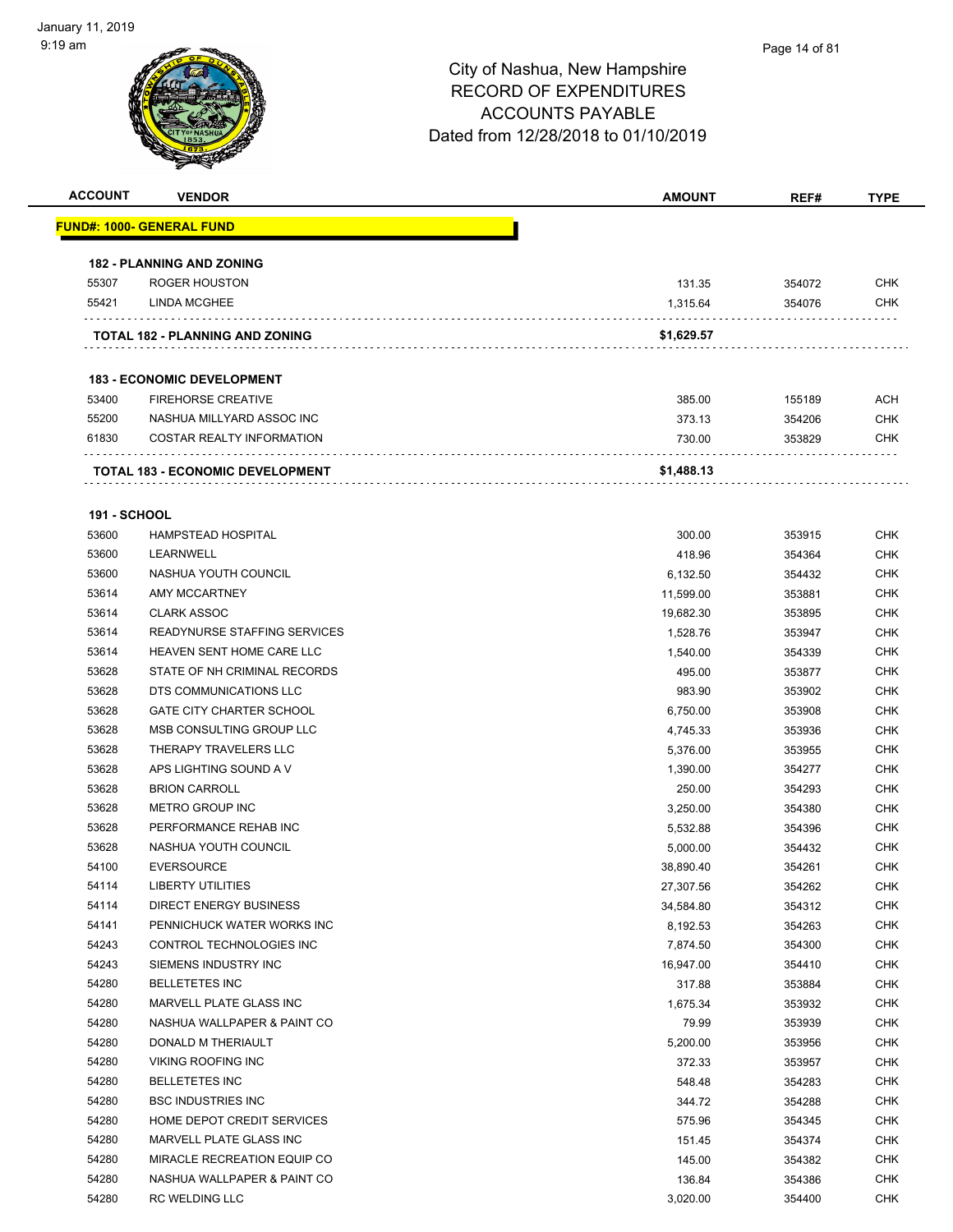### Page 14 of 81

| <b>ACCOUNT</b>      | <b>VENDOR</b>                           | <b>AMOUNT</b> | REF#   | <b>TYPE</b> |
|---------------------|-----------------------------------------|---------------|--------|-------------|
|                     | <u> FUND#: 1000- GENERAL FUND</u>       |               |        |             |
|                     | <b>182 - PLANNING AND ZONING</b>        |               |        |             |
| 55307               | <b>ROGER HOUSTON</b>                    | 131.35        | 354072 | <b>CHK</b>  |
| 55421               | LINDA MCGHEE                            | 1,315.64      | 354076 | <b>CHK</b>  |
|                     |                                         |               |        |             |
|                     | TOTAL 182 - PLANNING AND ZONING         | \$1,629.57    |        |             |
|                     | <b>183 - ECONOMIC DEVELOPMENT</b>       |               |        |             |
| 53400               | <b>FIREHORSE CREATIVE</b>               | 385.00        | 155189 | ACH         |
| 55200               | NASHUA MILLYARD ASSOC INC               | 373.13        | 354206 | <b>CHK</b>  |
| 61830               | <b>COSTAR REALTY INFORMATION</b>        | 730.00        | 353829 | CHK         |
|                     | <b>TOTAL 183 - ECONOMIC DEVELOPMENT</b> | \$1,488.13    |        |             |
| <b>191 - SCHOOL</b> |                                         |               |        |             |
| 53600               | <b>HAMPSTEAD HOSPITAL</b>               | 300.00        | 353915 | <b>CHK</b>  |
| 53600               | LEARNWELL                               | 418.96        | 354364 | <b>CHK</b>  |
| 53600               | NASHUA YOUTH COUNCIL                    | 6,132.50      | 354432 | <b>CHK</b>  |
| 53614               | AMY MCCARTNEY                           | 11,599.00     | 353881 | <b>CHK</b>  |
| 53614               | <b>CLARK ASSOC</b>                      | 19,682.30     | 353895 | <b>CHK</b>  |
| 53614               | READYNURSE STAFFING SERVICES            | 1,528.76      | 353947 | CHK         |
| 53614               | HEAVEN SENT HOME CARE LLC               | 1,540.00      | 354339 | <b>CHK</b>  |
| 53628               | STATE OF NH CRIMINAL RECORDS            | 495.00        | 353877 | <b>CHK</b>  |
| 53628               | DTS COMMUNICATIONS LLC                  | 983.90        | 353902 | <b>CHK</b>  |
| 53628               | <b>GATE CITY CHARTER SCHOOL</b>         | 6,750.00      | 353908 | <b>CHK</b>  |
| 53628               | MSB CONSULTING GROUP LLC                | 4,745.33      | 353936 | <b>CHK</b>  |
| 53628               | THERAPY TRAVELERS LLC                   | 5,376.00      | 353955 | <b>CHK</b>  |
| 53628               | APS LIGHTING SOUND A V                  | 1,390.00      | 354277 | <b>CHK</b>  |
| 53628               | <b>BRION CARROLL</b>                    | 250.00        | 354293 | <b>CHK</b>  |
| 53628               | METRO GROUP INC                         | 3,250.00      | 354380 | <b>CHK</b>  |
| 53628               | PERFORMANCE REHAB INC                   | 5,532.88      | 354396 | <b>CHK</b>  |
| 53628               | NASHUA YOUTH COUNCIL                    | 5,000.00      | 354432 | CHK         |
| 54100               | <b>EVERSOURCE</b>                       | 38,890.40     | 354261 | <b>CHK</b>  |
| 54114               | LIBERTY UTILITIES                       | 27,307.56     | 354262 | <b>CHK</b>  |
| 54114               | DIRECT ENERGY BUSINESS                  | 34,584.80     | 354312 | <b>CHK</b>  |
| 54141               | PENNICHUCK WATER WORKS INC              | 8,192.53      | 354263 | <b>CHK</b>  |
| 54243               | CONTROL TECHNOLOGIES INC                | 7,874.50      | 354300 | <b>CHK</b>  |
| 54243               | SIEMENS INDUSTRY INC                    | 16,947.00     | 354410 | CHK         |
| 54280               | <b>BELLETETES INC</b>                   | 317.88        | 353884 | <b>CHK</b>  |
| 54280               | MARVELL PLATE GLASS INC                 | 1,675.34      | 353932 | <b>CHK</b>  |
| 54280               | NASHUA WALLPAPER & PAINT CO             | 79.99         | 353939 | <b>CHK</b>  |
| 54280               | DONALD M THERIAULT                      | 5,200.00      | 353956 | <b>CHK</b>  |
| 54280               | VIKING ROOFING INC                      | 372.33        | 353957 | <b>CHK</b>  |
| 54280               | <b>BELLETETES INC</b>                   | 548.48        | 354283 | <b>CHK</b>  |
| 54280               | <b>BSC INDUSTRIES INC</b>               | 344.72        | 354288 | <b>CHK</b>  |
| 54280               | HOME DEPOT CREDIT SERVICES              | 575.96        | 354345 | <b>CHK</b>  |
| 54280               | MARVELL PLATE GLASS INC                 | 151.45        | 354374 | <b>CHK</b>  |
| 54280               | MIRACLE RECREATION EQUIP CO             | 145.00        | 354382 | CHK         |
| 54280               | NASHUA WALLPAPER & PAINT CO             | 136.84        | 354386 | <b>CHK</b>  |
| 54280               | RC WELDING LLC                          | 3,020.00      | 354400 | <b>CHK</b>  |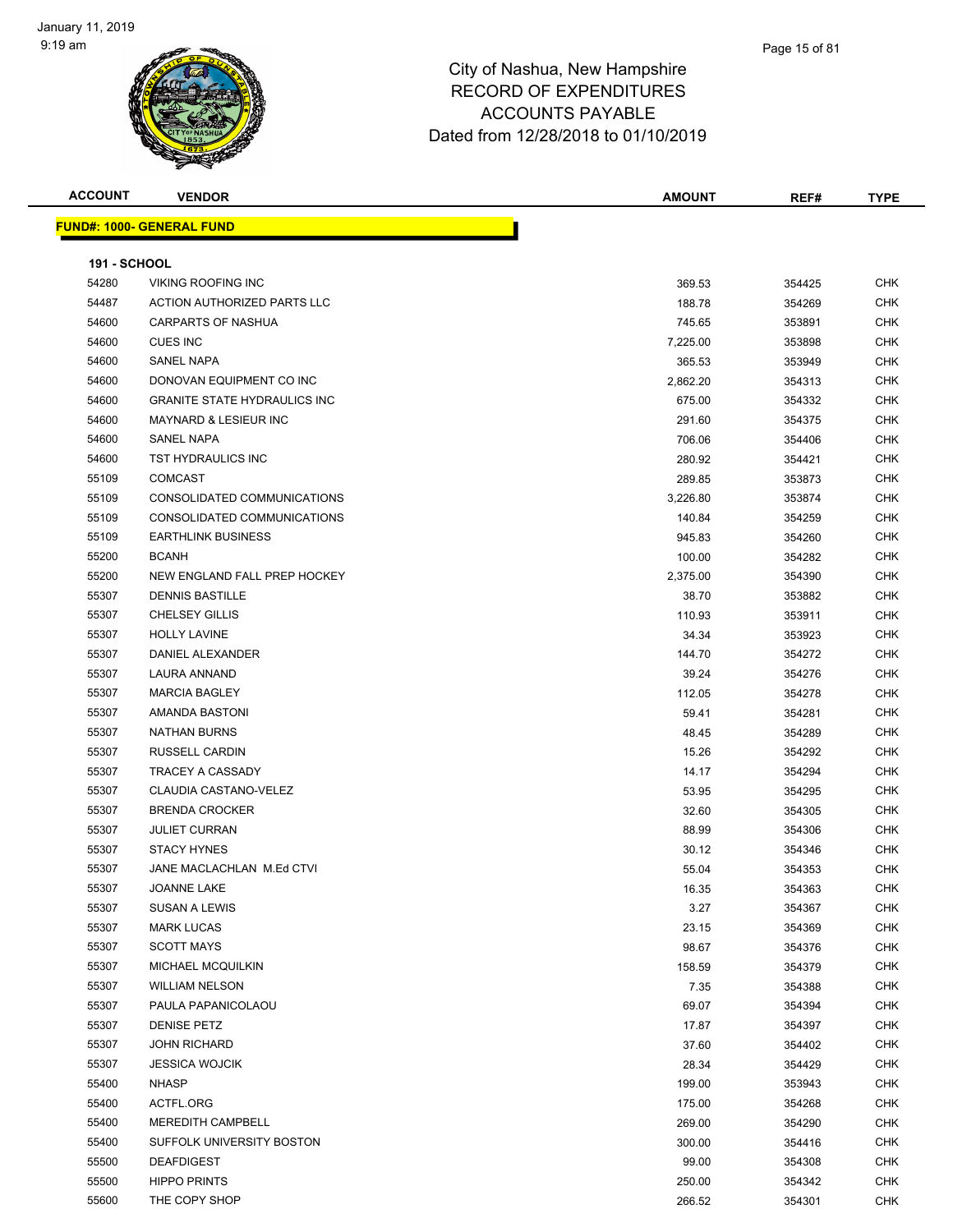

| <b>ACCOUNT</b>      | <b>VENDOR</b>                       | <b>AMOUNT</b> | REF#   | <b>TYPE</b> |
|---------------------|-------------------------------------|---------------|--------|-------------|
|                     | <u> FUND#: 1000- GENERAL FUND</u>   |               |        |             |
|                     |                                     |               |        |             |
| <b>191 - SCHOOL</b> |                                     |               |        |             |
| 54280               | <b>VIKING ROOFING INC</b>           | 369.53        | 354425 | <b>CHK</b>  |
| 54487               | ACTION AUTHORIZED PARTS LLC         | 188.78        | 354269 | <b>CHK</b>  |
| 54600               | CARPARTS OF NASHUA                  | 745.65        | 353891 | <b>CHK</b>  |
| 54600               | <b>CUES INC</b>                     | 7,225.00      | 353898 | <b>CHK</b>  |
| 54600               | SANEL NAPA                          | 365.53        | 353949 | <b>CHK</b>  |
| 54600               | DONOVAN EQUIPMENT CO INC            | 2,862.20      | 354313 | <b>CHK</b>  |
| 54600               | <b>GRANITE STATE HYDRAULICS INC</b> | 675.00        | 354332 | <b>CHK</b>  |
| 54600               | <b>MAYNARD &amp; LESIEUR INC</b>    | 291.60        | 354375 | <b>CHK</b>  |
| 54600               | SANEL NAPA                          | 706.06        | 354406 | <b>CHK</b>  |
| 54600               | TST HYDRAULICS INC                  | 280.92        | 354421 | <b>CHK</b>  |
| 55109               | <b>COMCAST</b>                      | 289.85        | 353873 | <b>CHK</b>  |
| 55109               | CONSOLIDATED COMMUNICATIONS         | 3,226.80      | 353874 | <b>CHK</b>  |
| 55109               | CONSOLIDATED COMMUNICATIONS         | 140.84        | 354259 | <b>CHK</b>  |
| 55109               | <b>EARTHLINK BUSINESS</b>           | 945.83        | 354260 | <b>CHK</b>  |
| 55200               | <b>BCANH</b>                        | 100.00        | 354282 | <b>CHK</b>  |
| 55200               | NEW ENGLAND FALL PREP HOCKEY        | 2,375.00      | 354390 | <b>CHK</b>  |
| 55307               | <b>DENNIS BASTILLE</b>              | 38.70         | 353882 | <b>CHK</b>  |
| 55307               | <b>CHELSEY GILLIS</b>               | 110.93        | 353911 | <b>CHK</b>  |
| 55307               | <b>HOLLY LAVINE</b>                 | 34.34         | 353923 | <b>CHK</b>  |
| 55307               | DANIEL ALEXANDER                    | 144.70        | 354272 | <b>CHK</b>  |
| 55307               | LAURA ANNAND                        | 39.24         | 354276 | <b>CHK</b>  |
| 55307               | <b>MARCIA BAGLEY</b>                | 112.05        | 354278 | <b>CHK</b>  |
| 55307               | AMANDA BASTONI                      | 59.41         | 354281 | <b>CHK</b>  |
| 55307               | <b>NATHAN BURNS</b>                 | 48.45         | 354289 | <b>CHK</b>  |
| 55307               | <b>RUSSELL CARDIN</b>               | 15.26         | 354292 | <b>CHK</b>  |
| 55307               | TRACEY A CASSADY                    | 14.17         | 354294 | <b>CHK</b>  |
| 55307               | CLAUDIA CASTANO-VELEZ               | 53.95         | 354295 | <b>CHK</b>  |
| 55307               | <b>BRENDA CROCKER</b>               | 32.60         | 354305 | <b>CHK</b>  |
| 55307               | <b>JULIET CURRAN</b>                | 88.99         | 354306 | <b>CHK</b>  |
| 55307               | <b>STACY HYNES</b>                  | 30.12         | 354346 | <b>CHK</b>  |
| 55307               | JANE MACLACHLAN M.Ed CTVI           | 55.04         | 354353 | <b>CHK</b>  |
| 55307               | JOANNE LAKE                         | 16.35         | 354363 | <b>CHK</b>  |
| 55307               | SUSAN A LEWIS                       | 3.27          | 354367 | <b>CHK</b>  |
| 55307               | <b>MARK LUCAS</b>                   | 23.15         | 354369 | <b>CHK</b>  |
| 55307               | <b>SCOTT MAYS</b>                   | 98.67         | 354376 | <b>CHK</b>  |
| 55307               | <b>MICHAEL MCQUILKIN</b>            | 158.59        | 354379 | <b>CHK</b>  |
| 55307               | <b>WILLIAM NELSON</b>               | 7.35          | 354388 | <b>CHK</b>  |
| 55307               | PAULA PAPANICOLAOU                  | 69.07         | 354394 | <b>CHK</b>  |
| 55307               | <b>DENISE PETZ</b>                  | 17.87         | 354397 | <b>CHK</b>  |
| 55307               | <b>JOHN RICHARD</b>                 | 37.60         | 354402 | <b>CHK</b>  |
| 55307               | <b>JESSICA WOJCIK</b>               | 28.34         | 354429 | <b>CHK</b>  |
| 55400               | <b>NHASP</b>                        | 199.00        | 353943 | <b>CHK</b>  |
| 55400               | ACTFL.ORG                           | 175.00        | 354268 | <b>CHK</b>  |
| 55400               | MEREDITH CAMPBELL                   | 269.00        | 354290 | <b>CHK</b>  |
| 55400               | SUFFOLK UNIVERSITY BOSTON           | 300.00        | 354416 | <b>CHK</b>  |
| 55500               | <b>DEAFDIGEST</b>                   | 99.00         | 354308 | <b>CHK</b>  |
| 55500               | <b>HIPPO PRINTS</b>                 | 250.00        | 354342 | <b>CHK</b>  |
| 55600               | THE COPY SHOP                       | 266.52        | 354301 | <b>CHK</b>  |
|                     |                                     |               |        |             |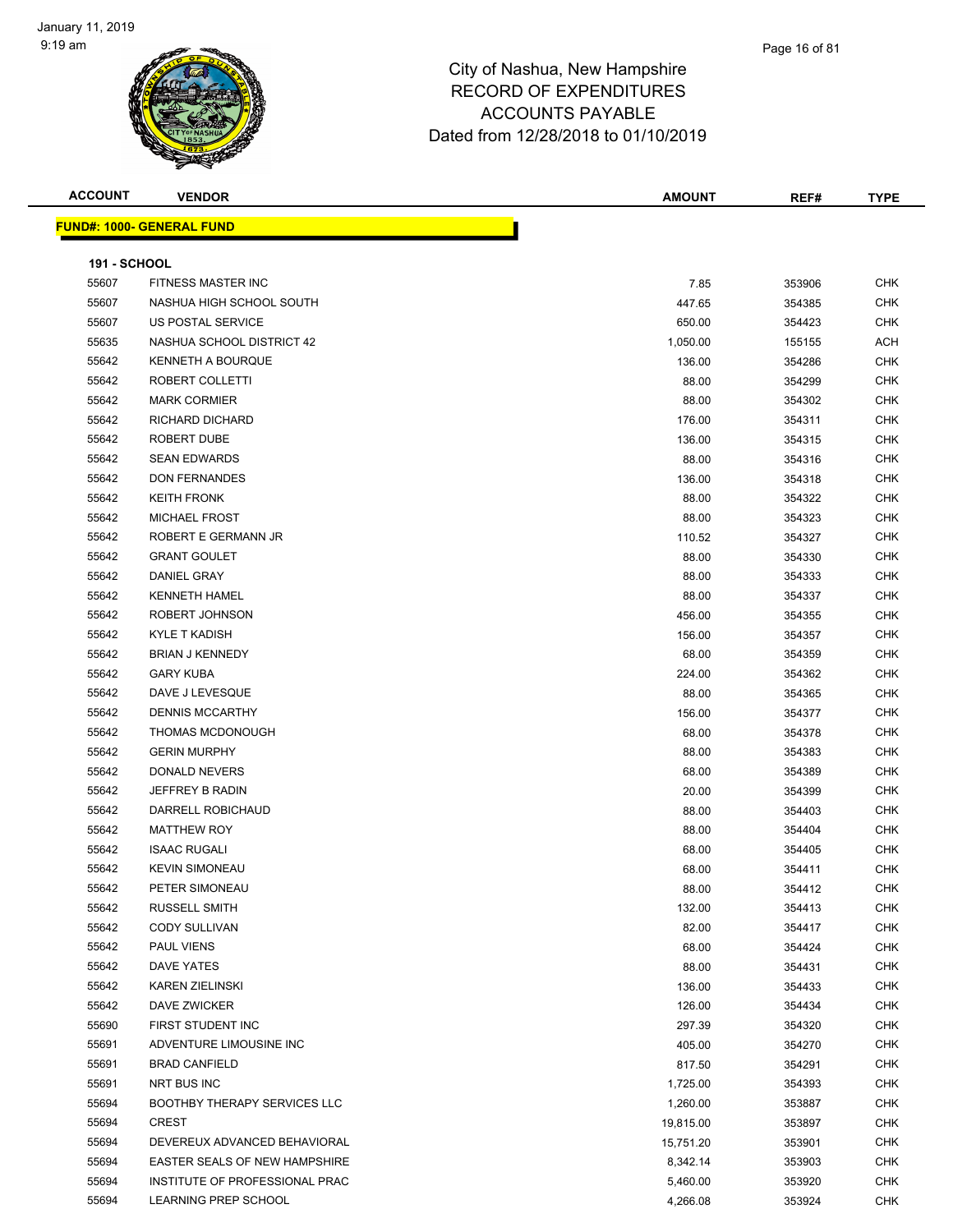### Page 16 of 81

| <b>ACCOUNT</b>      | <b>VENDOR</b>                       | <b>AMOUNT</b> | REF#             | <b>TYPE</b> |
|---------------------|-------------------------------------|---------------|------------------|-------------|
|                     | <b>FUND#: 1000- GENERAL FUND</b>    |               |                  |             |
|                     |                                     |               |                  |             |
| <b>191 - SCHOOL</b> |                                     |               |                  |             |
| 55607               | FITNESS MASTER INC                  | 7.85          | 353906           | <b>CHK</b>  |
| 55607               | NASHUA HIGH SCHOOL SOUTH            | 447.65        | 354385           | <b>CHK</b>  |
| 55607               | US POSTAL SERVICE                   | 650.00        | 354423           | <b>CHK</b>  |
| 55635               | NASHUA SCHOOL DISTRICT 42           | 1,050.00      | 155155           | ACH         |
| 55642               | <b>KENNETH A BOURQUE</b>            | 136.00        | 354286           | <b>CHK</b>  |
| 55642               | ROBERT COLLETTI                     | 88.00         | 354299           | <b>CHK</b>  |
| 55642               | <b>MARK CORMIER</b>                 | 88.00         | 354302           | <b>CHK</b>  |
| 55642               | RICHARD DICHARD                     | 176.00        | 354311           | <b>CHK</b>  |
| 55642               | ROBERT DUBE                         | 136.00        | 354315           | <b>CHK</b>  |
| 55642               | <b>SEAN EDWARDS</b>                 | 88.00         | 354316           | <b>CHK</b>  |
| 55642               | <b>DON FERNANDES</b>                | 136.00        | 354318           | <b>CHK</b>  |
| 55642               | <b>KEITH FRONK</b>                  | 88.00         | 354322           | <b>CHK</b>  |
| 55642               | <b>MICHAEL FROST</b>                | 88.00         | 354323           | CHK         |
| 55642               | ROBERT E GERMANN JR                 | 110.52        | 354327           | CHK         |
| 55642               | <b>GRANT GOULET</b>                 | 88.00         | 354330           | <b>CHK</b>  |
| 55642               | DANIEL GRAY                         | 88.00         | 354333           | <b>CHK</b>  |
| 55642               | <b>KENNETH HAMEL</b>                | 88.00         | 354337           | <b>CHK</b>  |
| 55642               | ROBERT JOHNSON                      | 456.00        | 354355           | <b>CHK</b>  |
| 55642               | <b>KYLE T KADISH</b>                | 156.00        | 354357           | <b>CHK</b>  |
| 55642               | <b>BRIAN J KENNEDY</b>              | 68.00         | 354359           | <b>CHK</b>  |
| 55642               | <b>GARY KUBA</b>                    | 224.00        | 354362           | <b>CHK</b>  |
| 55642               | DAVE J LEVESQUE                     | 88.00         | 354365           | <b>CHK</b>  |
| 55642               | <b>DENNIS MCCARTHY</b>              | 156.00        | 354377           | <b>CHK</b>  |
| 55642               | THOMAS MCDONOUGH                    | 68.00         | 354378           | <b>CHK</b>  |
| 55642               | <b>GERIN MURPHY</b>                 | 88.00         | 354383           | <b>CHK</b>  |
| 55642               | <b>DONALD NEVERS</b>                | 68.00         | 354389           | <b>CHK</b>  |
| 55642               | JEFFREY B RADIN                     | 20.00         | 354399           | <b>CHK</b>  |
| 55642               | DARRELL ROBICHAUD                   | 88.00         | 354403           | <b>CHK</b>  |
| 55642               | <b>MATTHEW ROY</b>                  | 88.00         | 354404           | <b>CHK</b>  |
| 55642               | <b>ISAAC RUGALI</b>                 | 68.00         | 354405           | <b>CHK</b>  |
| 55642               | <b>KEVIN SIMONEAU</b>               | 68.00         | 354411           | <b>CHK</b>  |
| 55642               | PETER SIMONEAU                      | 88.00         | 354412           | <b>CHK</b>  |
| 55642               | <b>RUSSELL SMITH</b>                | 132.00        | 354413           | <b>CHK</b>  |
| 55642               | <b>CODY SULLIVAN</b>                | 82.00         | 354417           | <b>CHK</b>  |
| 55642               | <b>PAUL VIENS</b>                   | 68.00         | 354424           | <b>CHK</b>  |
| 55642               | <b>DAVE YATES</b>                   | 88.00         | 354431           | <b>CHK</b>  |
| 55642               | <b>KAREN ZIELINSKI</b>              | 136.00        | 354433           | <b>CHK</b>  |
| 55642               | DAVE ZWICKER                        | 126.00        | 354434           | <b>CHK</b>  |
| 55690               | FIRST STUDENT INC                   | 297.39        | 354320           | <b>CHK</b>  |
| 55691               | ADVENTURE LIMOUSINE INC             | 405.00        | 354270           | <b>CHK</b>  |
| 55691               | <b>BRAD CANFIELD</b>                | 817.50        |                  | <b>CHK</b>  |
| 55691               | NRT BUS INC                         | 1,725.00      | 354291<br>354393 | <b>CHK</b>  |
| 55694               | <b>BOOTHBY THERAPY SERVICES LLC</b> | 1,260.00      | 353887           | <b>CHK</b>  |
| 55694               | <b>CREST</b>                        | 19,815.00     | 353897           | <b>CHK</b>  |
| 55694               | DEVEREUX ADVANCED BEHAVIORAL        | 15,751.20     | 353901           | <b>CHK</b>  |
| 55694               | EASTER SEALS OF NEW HAMPSHIRE       | 8,342.14      | 353903           | CHK         |
| 55694               | INSTITUTE OF PROFESSIONAL PRAC      |               |                  | <b>CHK</b>  |
| 55694               | LEARNING PREP SCHOOL                | 5,460.00      | 353920           |             |
|                     |                                     | 4,266.08      | 353924           | <b>CHK</b>  |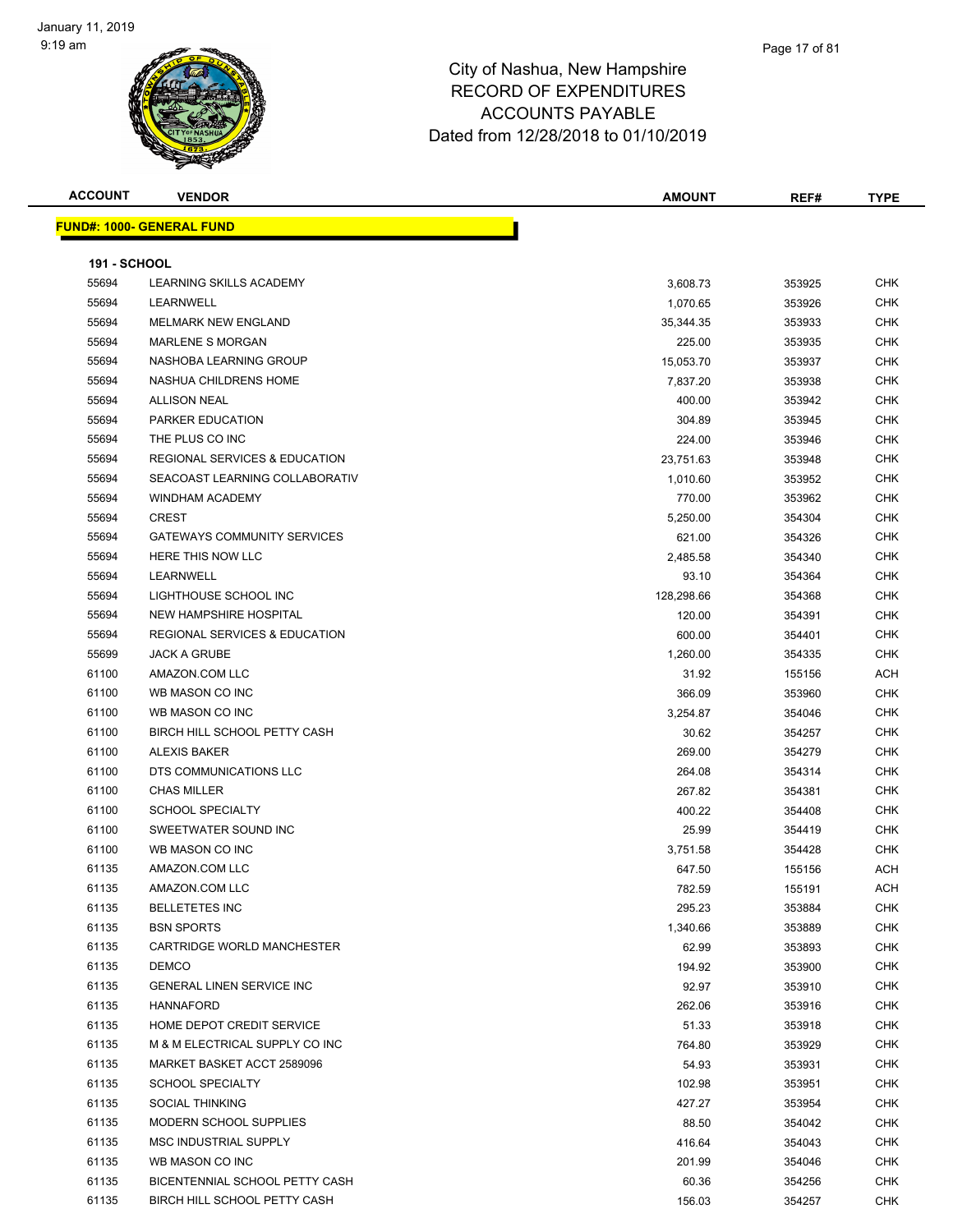

| <b>ACCOUNT</b>      | <b>VENDOR</b>                            | <b>AMOUNT</b> | REF#   | <b>TYPE</b> |
|---------------------|------------------------------------------|---------------|--------|-------------|
|                     | <u> FUND#: 1000- GENERAL FUND</u>        |               |        |             |
|                     |                                          |               |        |             |
| <b>191 - SCHOOL</b> |                                          |               |        |             |
| 55694               | LEARNING SKILLS ACADEMY                  | 3,608.73      | 353925 | <b>CHK</b>  |
| 55694               | <b>LEARNWELL</b>                         | 1,070.65      | 353926 | <b>CHK</b>  |
| 55694               | <b>MELMARK NEW ENGLAND</b>               | 35,344.35     | 353933 | <b>CHK</b>  |
| 55694               | <b>MARLENE S MORGAN</b>                  | 225.00        | 353935 | <b>CHK</b>  |
| 55694               | NASHOBA LEARNING GROUP                   | 15,053.70     | 353937 | <b>CHK</b>  |
| 55694               | NASHUA CHILDRENS HOME                    | 7,837.20      | 353938 | CHK         |
| 55694               | <b>ALLISON NEAL</b>                      | 400.00        | 353942 | <b>CHK</b>  |
| 55694               | PARKER EDUCATION                         | 304.89        | 353945 | <b>CHK</b>  |
| 55694               | THE PLUS CO INC                          | 224.00        | 353946 | <b>CHK</b>  |
| 55694               | REGIONAL SERVICES & EDUCATION            | 23,751.63     | 353948 | <b>CHK</b>  |
| 55694               | SEACOAST LEARNING COLLABORATIV           | 1,010.60      | 353952 | <b>CHK</b>  |
| 55694               | WINDHAM ACADEMY                          | 770.00        | 353962 | <b>CHK</b>  |
| 55694               | <b>CREST</b>                             | 5,250.00      | 354304 | <b>CHK</b>  |
| 55694               | <b>GATEWAYS COMMUNITY SERVICES</b>       | 621.00        | 354326 | <b>CHK</b>  |
| 55694               | HERE THIS NOW LLC                        | 2,485.58      | 354340 | <b>CHK</b>  |
| 55694               | LEARNWELL                                | 93.10         | 354364 | <b>CHK</b>  |
| 55694               | LIGHTHOUSE SCHOOL INC                    | 128,298.66    | 354368 | CHK         |
| 55694               | NEW HAMPSHIRE HOSPITAL                   | 120.00        | 354391 | <b>CHK</b>  |
| 55694               | <b>REGIONAL SERVICES &amp; EDUCATION</b> | 600.00        | 354401 | <b>CHK</b>  |
| 55699               | <b>JACK A GRUBE</b>                      | 1,260.00      | 354335 | <b>CHK</b>  |
| 61100               | AMAZON.COM LLC                           | 31.92         | 155156 | <b>ACH</b>  |
| 61100               | WB MASON CO INC                          | 366.09        | 353960 | <b>CHK</b>  |
| 61100               | WB MASON CO INC                          | 3,254.87      | 354046 | <b>CHK</b>  |
| 61100               | BIRCH HILL SCHOOL PETTY CASH             | 30.62         | 354257 | <b>CHK</b>  |
| 61100               | <b>ALEXIS BAKER</b>                      | 269.00        | 354279 | <b>CHK</b>  |
| 61100               | DTS COMMUNICATIONS LLC                   | 264.08        | 354314 | <b>CHK</b>  |
| 61100               | <b>CHAS MILLER</b>                       | 267.82        | 354381 | <b>CHK</b>  |
| 61100               | <b>SCHOOL SPECIALTY</b>                  | 400.22        | 354408 | CHK         |
| 61100               | SWEETWATER SOUND INC                     | 25.99         | 354419 | <b>CHK</b>  |
| 61100               | WB MASON CO INC                          | 3,751.58      | 354428 | CHK         |
| 61135               | AMAZON.COM LLC                           | 647.50        | 155156 | ACH         |
| 61135               | AMAZON.COM LLC                           | 782.59        | 155191 | <b>ACH</b>  |
| 61135               | <b>BELLETETES INC</b>                    | 295.23        | 353884 | <b>CHK</b>  |
| 61135               | <b>BSN SPORTS</b>                        | 1,340.66      | 353889 | <b>CHK</b>  |
| 61135               | CARTRIDGE WORLD MANCHESTER               | 62.99         | 353893 | <b>CHK</b>  |
| 61135               | <b>DEMCO</b>                             | 194.92        | 353900 | <b>CHK</b>  |
| 61135               | <b>GENERAL LINEN SERVICE INC</b>         | 92.97         | 353910 | <b>CHK</b>  |
| 61135               | <b>HANNAFORD</b>                         | 262.06        | 353916 | <b>CHK</b>  |
| 61135               | HOME DEPOT CREDIT SERVICE                | 51.33         | 353918 | <b>CHK</b>  |
| 61135               | M & M ELECTRICAL SUPPLY CO INC           | 764.80        | 353929 | <b>CHK</b>  |
| 61135               | MARKET BASKET ACCT 2589096               | 54.93         | 353931 | <b>CHK</b>  |
| 61135               | <b>SCHOOL SPECIALTY</b>                  | 102.98        | 353951 | <b>CHK</b>  |
| 61135               | <b>SOCIAL THINKING</b>                   | 427.27        | 353954 | <b>CHK</b>  |
| 61135               | MODERN SCHOOL SUPPLIES                   | 88.50         | 354042 | <b>CHK</b>  |
| 61135               | MSC INDUSTRIAL SUPPLY                    | 416.64        | 354043 | <b>CHK</b>  |
| 61135               | WB MASON CO INC                          | 201.99        | 354046 | <b>CHK</b>  |
| 61135               | BICENTENNIAL SCHOOL PETTY CASH           | 60.36         | 354256 | <b>CHK</b>  |
| 61135               | BIRCH HILL SCHOOL PETTY CASH             | 156.03        | 354257 | <b>CHK</b>  |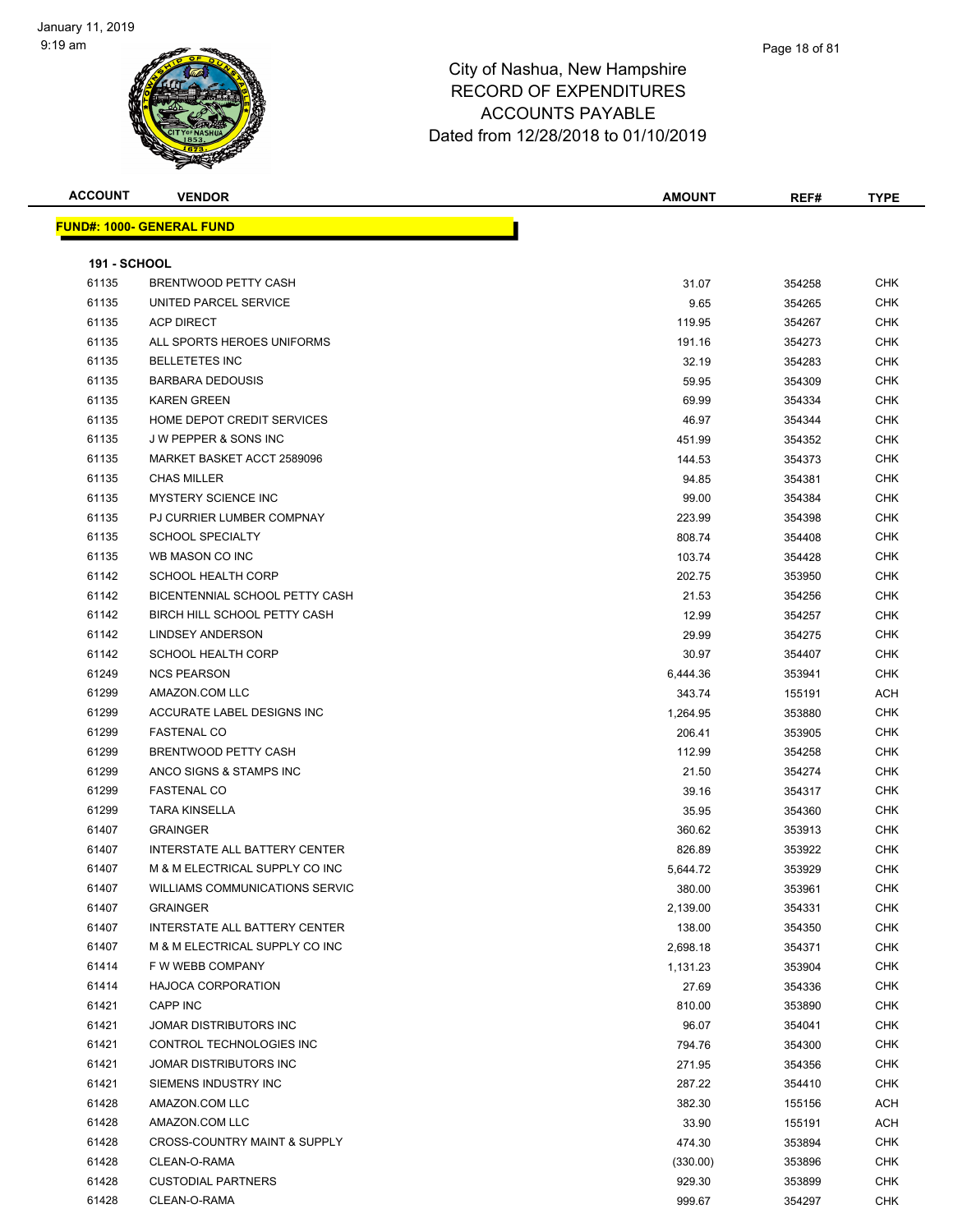| <b>ACCOUNT</b>      | <b>VENDOR</b>                        | <b>AMOUNT</b> | REF#   | <b>TYPE</b> |
|---------------------|--------------------------------------|---------------|--------|-------------|
|                     | <u> FUND#: 1000- GENERAL FUND</u>    |               |        |             |
|                     |                                      |               |        |             |
| <b>191 - SCHOOL</b> |                                      |               |        |             |
| 61135               | <b>BRENTWOOD PETTY CASH</b>          | 31.07         | 354258 | <b>CHK</b>  |
| 61135               | UNITED PARCEL SERVICE                | 9.65          | 354265 | <b>CHK</b>  |
| 61135               | <b>ACP DIRECT</b>                    | 119.95        | 354267 | CHK         |
| 61135               | ALL SPORTS HEROES UNIFORMS           | 191.16        | 354273 | CHK         |
| 61135               | <b>BELLETETES INC</b>                | 32.19         | 354283 | CHK         |
| 61135               | <b>BARBARA DEDOUSIS</b>              | 59.95         | 354309 | CHK         |
| 61135               | <b>KAREN GREEN</b>                   | 69.99         | 354334 | <b>CHK</b>  |
| 61135               | HOME DEPOT CREDIT SERVICES           | 46.97         | 354344 | CHK         |
| 61135               | J W PEPPER & SONS INC                | 451.99        | 354352 | CHK         |
| 61135               | MARKET BASKET ACCT 2589096           | 144.53        | 354373 | <b>CHK</b>  |
| 61135               | <b>CHAS MILLER</b>                   | 94.85         | 354381 | <b>CHK</b>  |
| 61135               | <b>MYSTERY SCIENCE INC</b>           | 99.00         | 354384 | CHK         |
| 61135               | PJ CURRIER LUMBER COMPNAY            | 223.99        | 354398 | <b>CHK</b>  |
| 61135               | <b>SCHOOL SPECIALTY</b>              | 808.74        | 354408 | CHK         |
| 61135               | WB MASON CO INC                      | 103.74        | 354428 | CHK         |
| 61142               | <b>SCHOOL HEALTH CORP</b>            | 202.75        | 353950 | CHK         |
| 61142               | BICENTENNIAL SCHOOL PETTY CASH       | 21.53         | 354256 | CHK         |
| 61142               | BIRCH HILL SCHOOL PETTY CASH         | 12.99         | 354257 | CHK         |
| 61142               | LINDSEY ANDERSON                     | 29.99         | 354275 | CHK         |
| 61142               | <b>SCHOOL HEALTH CORP</b>            | 30.97         | 354407 | <b>CHK</b>  |
| 61249               | <b>NCS PEARSON</b>                   | 6,444.36      | 353941 | CHK         |
| 61299               | AMAZON.COM LLC                       | 343.74        | 155191 | ACH         |
| 61299               | ACCURATE LABEL DESIGNS INC           | 1,264.95      | 353880 | CHK         |
| 61299               | <b>FASTENAL CO</b>                   | 206.41        | 353905 | <b>CHK</b>  |
| 61299               | BRENTWOOD PETTY CASH                 | 112.99        | 354258 | CHK         |
| 61299               | ANCO SIGNS & STAMPS INC              | 21.50         | 354274 | CHK         |
| 61299               | <b>FASTENAL CO</b>                   | 39.16         | 354317 | CHK         |
| 61299               | <b>TARA KINSELLA</b>                 | 35.95         | 354360 | CHK         |
| 61407               | <b>GRAINGER</b>                      | 360.62        | 353913 | CHK         |
| 61407               | <b>INTERSTATE ALL BATTERY CENTER</b> | 826.89        | 353922 | CHK         |
| 61407               | M & M ELECTRICAL SUPPLY CO INC       | 5,644.72      | 353929 | <b>CHK</b>  |
| 61407               | WILLIAMS COMMUNICATIONS SERVIC       | 380.00        | 353961 | <b>CHK</b>  |
| 61407               | <b>GRAINGER</b>                      | 2,139.00      | 354331 | <b>CHK</b>  |
| 61407               | INTERSTATE ALL BATTERY CENTER        | 138.00        | 354350 | <b>CHK</b>  |
| 61407               | M & M ELECTRICAL SUPPLY CO INC       | 2,698.18      | 354371 | <b>CHK</b>  |
| 61414               | F W WEBB COMPANY                     | 1,131.23      | 353904 | <b>CHK</b>  |
| 61414               | <b>HAJOCA CORPORATION</b>            | 27.69         | 354336 | <b>CHK</b>  |
| 61421               | CAPP INC                             | 810.00        | 353890 | <b>CHK</b>  |
| 61421               | JOMAR DISTRIBUTORS INC               | 96.07         | 354041 | CHK         |
| 61421               | CONTROL TECHNOLOGIES INC             | 794.76        | 354300 | <b>CHK</b>  |
| 61421               | JOMAR DISTRIBUTORS INC               | 271.95        | 354356 | <b>CHK</b>  |
| 61421               | SIEMENS INDUSTRY INC                 | 287.22        | 354410 | <b>CHK</b>  |
| 61428               | AMAZON.COM LLC                       | 382.30        | 155156 | ACH         |
| 61428               | AMAZON.COM LLC                       | 33.90         | 155191 | ACH         |
| 61428               | CROSS-COUNTRY MAINT & SUPPLY         | 474.30        | 353894 | <b>CHK</b>  |
| 61428               | CLEAN-O-RAMA                         | (330.00)      | 353896 | <b>CHK</b>  |
| 61428               | <b>CUSTODIAL PARTNERS</b>            | 929.30        | 353899 | <b>CHK</b>  |
| 61428               | CLEAN-O-RAMA                         | 999.67        | 354297 | <b>CHK</b>  |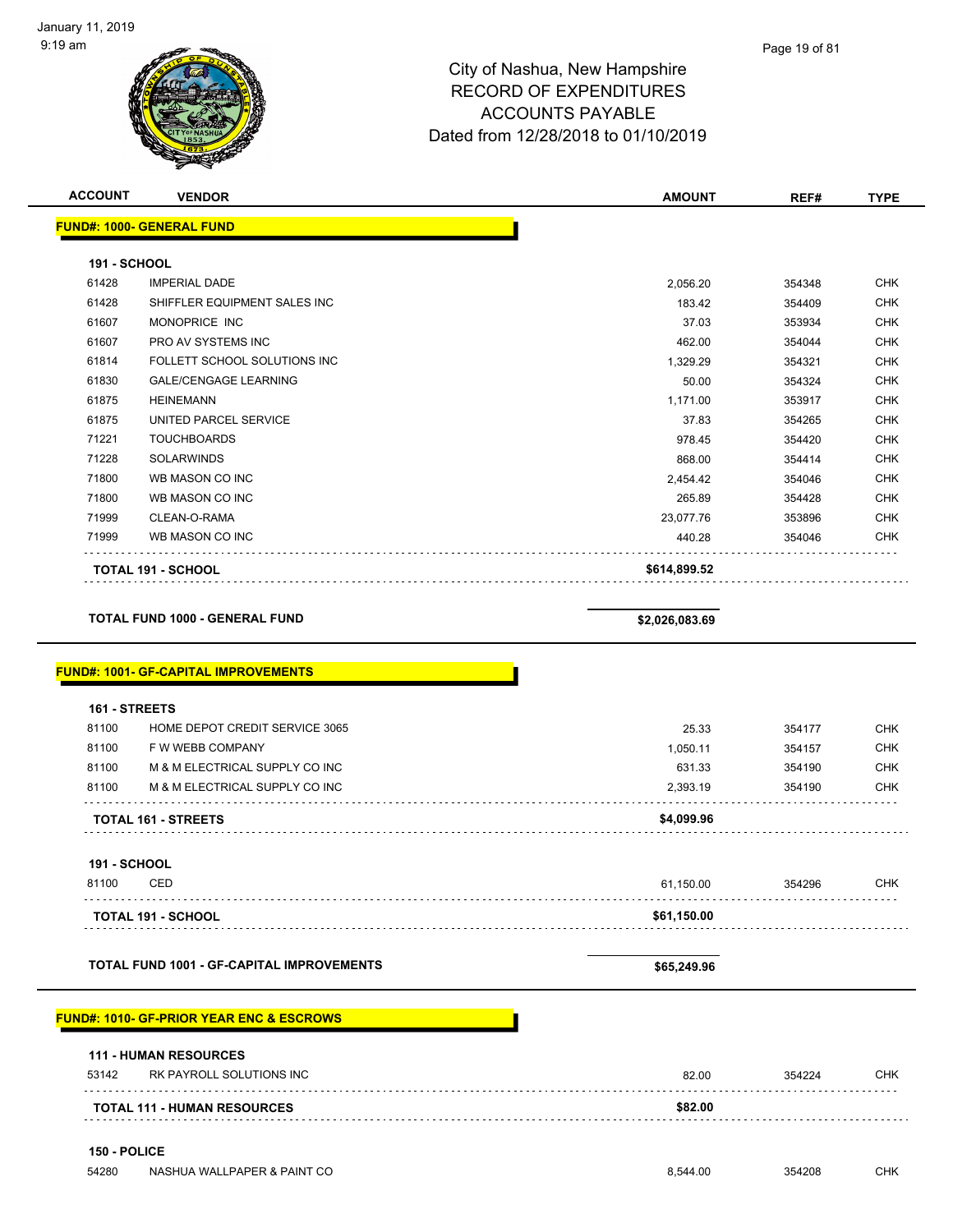| <b>ACCOUNT</b> | <b>VENDOR</b>                               | <b>AMOUNT</b>  | REF#   | <b>TYPE</b> |
|----------------|---------------------------------------------|----------------|--------|-------------|
|                | <b>FUND#: 1000- GENERAL FUND</b>            |                |        |             |
|                |                                             |                |        |             |
| 191 - SCHOOL   |                                             |                |        |             |
| 61428          | <b>IMPERIAL DADE</b>                        | 2,056.20       | 354348 | <b>CHK</b>  |
| 61428          | SHIFFLER EQUIPMENT SALES INC                | 183.42         | 354409 | <b>CHK</b>  |
| 61607          | MONOPRICE INC                               | 37.03          | 353934 | <b>CHK</b>  |
| 61607          | PRO AV SYSTEMS INC                          | 462.00         | 354044 | <b>CHK</b>  |
| 61814          | FOLLETT SCHOOL SOLUTIONS INC                | 1,329.29       | 354321 | <b>CHK</b>  |
| 61830          | <b>GALE/CENGAGE LEARNING</b>                | 50.00          | 354324 | <b>CHK</b>  |
| 61875          | <b>HEINEMANN</b>                            | 1,171.00       | 353917 | <b>CHK</b>  |
| 61875          | UNITED PARCEL SERVICE                       | 37.83          | 354265 | <b>CHK</b>  |
| 71221          | <b>TOUCHBOARDS</b>                          | 978.45         | 354420 | <b>CHK</b>  |
| 71228          | <b>SOLARWINDS</b>                           | 868.00         | 354414 | <b>CHK</b>  |
| 71800          | WB MASON CO INC                             | 2,454.42       | 354046 | <b>CHK</b>  |
| 71800          | WB MASON CO INC                             | 265.89         | 354428 | <b>CHK</b>  |
| 71999          | CLEAN-O-RAMA                                | 23,077.76      | 353896 | <b>CHK</b>  |
| 71999          | WB MASON CO INC                             | 440.28         | 354046 | <b>CHK</b>  |
|                | <b>TOTAL 191 - SCHOOL</b>                   | \$614,899.52   |        |             |
|                | <b>TOTAL FUND 1000 - GENERAL FUND</b>       |                |        |             |
|                |                                             | \$2,026,083.69 |        |             |
|                | <b>FUND#: 1001- GF-CAPITAL IMPROVEMENTS</b> |                |        |             |
|                |                                             |                |        |             |
| 161 - STREETS  |                                             |                |        |             |
| 81100          | HOME DEPOT CREDIT SERVICE 3065              | 25.33          | 354177 | <b>CHK</b>  |
| 81100          | F W WEBB COMPANY                            | 1,050.11       | 354157 | <b>CHK</b>  |
| 81100          | M & M ELECTRICAL SUPPLY CO INC              | 631.33         | 354190 | <b>CHK</b>  |

#### **FUND#: 1010- GF-PRIOR YEAR ENC & ESCROWS**

| \$82.00<br><b>TOTAL 111 - HUMAN RESOURCES</b> |       |                              |       |        |     |
|-----------------------------------------------|-------|------------------------------|-------|--------|-----|
|                                               | 53142 | RK PAYROLL SOLUTIONS INC     | 82.00 | 354224 | CHK |
|                                               |       | <b>111 - HUMAN RESOURCES</b> |       |        |     |

81100 M & M ELECTRICAL SUPPLY CO INC 2,393.19 354190 CHK

81100 CED 61,150.00 354296 CHK

**TOTAL 161 - STREETS \$4,099.96**

**TOTAL 191 - SCHOOL \$61,150.00**

**TOTAL FUND 1001 - GF-CAPITAL IMPROVEMENTS \$65,249.96** 

#### **150 - POLICE**

**191 - SCHOOL**

. . . . . . . . . . . . . . .

. . . . . . . . . . . . . . . . . . . .

. . . . . . . . . . . . . . . . . . .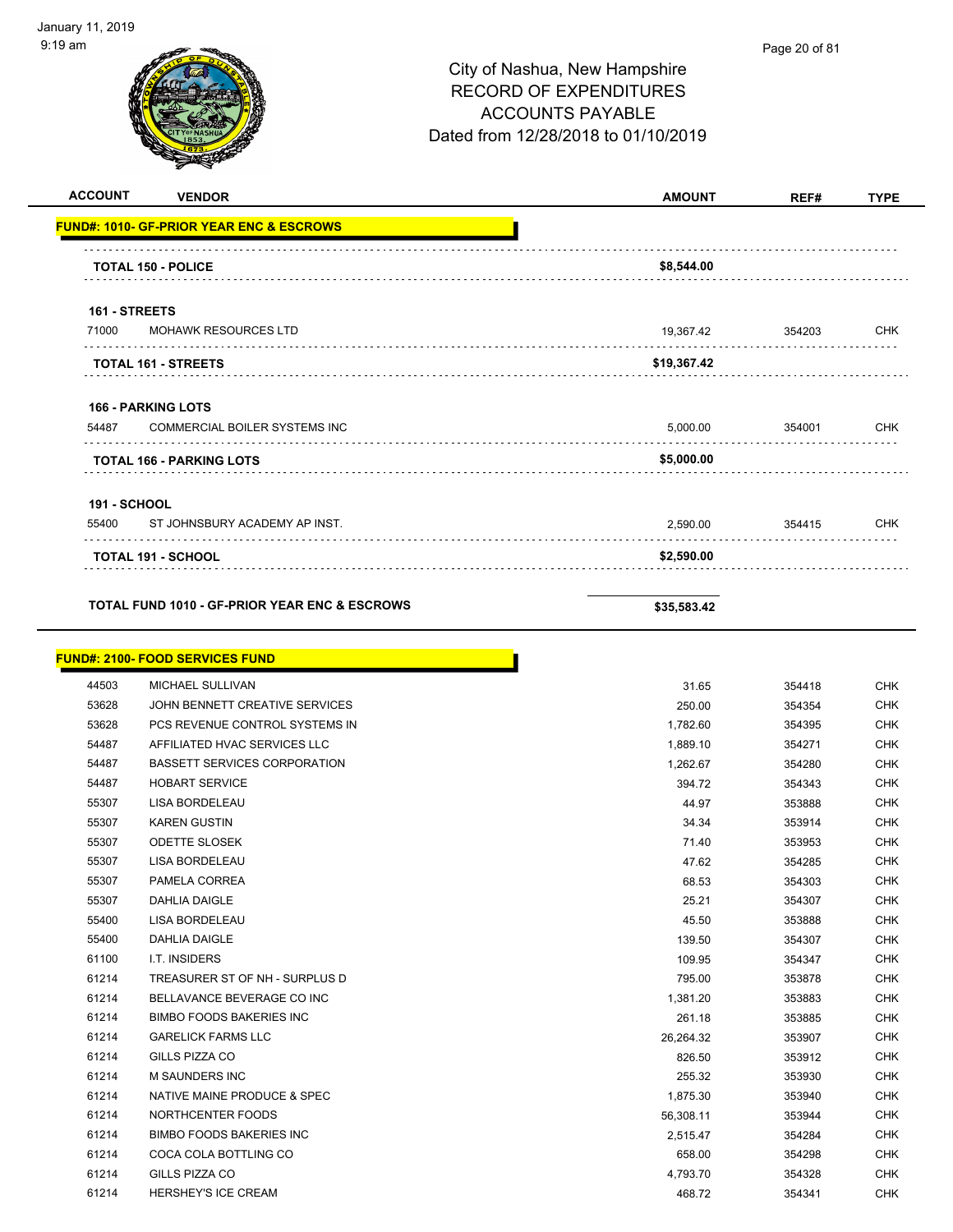| <b>ACCOUNT</b>               | <b>VENDOR</b>                                            | <b>AMOUNT</b> | REF#             | <b>TYPE</b>              |
|------------------------------|----------------------------------------------------------|---------------|------------------|--------------------------|
|                              | <b>FUND#: 1010- GF-PRIOR YEAR ENC &amp; ESCROWS</b>      |               |                  |                          |
|                              |                                                          |               |                  |                          |
|                              | <b>TOTAL 150 - POLICE</b>                                | \$8,544.00    |                  |                          |
| 161 - STREETS                |                                                          |               |                  |                          |
| 71000                        | <b>MOHAWK RESOURCES LTD</b>                              | 19,367.42     | 354203           | <b>CHK</b>               |
|                              |                                                          |               |                  |                          |
|                              | <b>TOTAL 161 - STREETS</b>                               | \$19,367.42   |                  |                          |
|                              | <b>166 - PARKING LOTS</b>                                |               |                  |                          |
| 54487                        | COMMERCIAL BOILER SYSTEMS INC                            | 5,000.00      | 354001           | <b>CHK</b>               |
|                              | <b>TOTAL 166 - PARKING LOTS</b>                          | \$5,000.00    |                  |                          |
|                              |                                                          |               |                  |                          |
| <b>191 - SCHOOL</b><br>55400 | ST JOHNSBURY ACADEMY AP INST.                            | 2.590.00      | 354415           | <b>CHK</b>               |
|                              |                                                          |               |                  |                          |
|                              | <b>TOTAL 191 - SCHOOL</b>                                | \$2,590.00    |                  |                          |
|                              |                                                          |               |                  |                          |
|                              | <b>TOTAL FUND 1010 - GF-PRIOR YEAR ENC &amp; ESCROWS</b> | \$35,583.42   |                  |                          |
|                              |                                                          |               |                  |                          |
|                              | <b>FUND#: 2100- FOOD SERVICES FUND</b>                   |               |                  |                          |
| 44503<br>53628               | MICHAEL SULLIVAN<br>JOHN BENNETT CREATIVE SERVICES       | 31.65         | 354418           | <b>CHK</b><br><b>CHK</b> |
| 53628                        | PCS REVENUE CONTROL SYSTEMS IN                           | 250.00        | 354354<br>354395 | <b>CHK</b>               |
| 54487                        | AFFILIATED HVAC SERVICES LLC                             | 1,782.60      |                  |                          |
| 54487                        | <b>BASSETT SERVICES CORPORATION</b>                      | 1,889.10      | 354271           | <b>CHK</b>               |
|                              | <b>HOBART SERVICE</b>                                    | 1,262.67      | 354280           | <b>CHK</b>               |
| 54487                        |                                                          | 394.72        | 354343           | <b>CHK</b>               |
| 55307                        | LISA BORDELEAU                                           | 44.97         | 353888           | <b>CHK</b>               |
| 55307                        | <b>KAREN GUSTIN</b>                                      | 34.34         | 353914           | <b>CHK</b>               |
| 55307                        | <b>ODETTE SLOSEK</b>                                     | 71.40         | 353953           | <b>CHK</b>               |
| 55307                        | <b>LISA BORDELEAU</b>                                    | 47.62         | 354285           | <b>CHK</b>               |
| 55307                        | PAMELA CORREA                                            | 68.53         | 354303           | <b>CHK</b>               |
| 55307                        | <b>DAHLIA DAIGLE</b>                                     | 25.21         | 354307           | <b>CHK</b>               |
| 55400                        | LISA BORDELEAU                                           | 45.50         | 353888           | <b>CHK</b>               |
| 55400                        | DAHLIA DAIGLE                                            | 139.50        | 354307           | <b>CHK</b>               |
| 61100                        | I.T. INSIDERS                                            | 109.95        | 354347           | <b>CHK</b>               |
| 61214                        | TREASURER ST OF NH - SURPLUS D                           | 795.00        | 353878           | <b>CHK</b>               |
| 61214                        | BELLAVANCE BEVERAGE CO INC                               | 1,381.20      | 353883           | <b>CHK</b>               |
| 61214                        | BIMBO FOODS BAKERIES INC                                 | 261.18        | 353885           | <b>CHK</b>               |
| 61214                        | <b>GARELICK FARMS LLC</b>                                | 26,264.32     | 353907           | <b>CHK</b>               |
| 61214                        | GILLS PIZZA CO                                           | 826.50        | 353912           | <b>CHK</b>               |
| 61214                        | M SAUNDERS INC                                           | 255.32        | 353930           | <b>CHK</b>               |
| 61214                        | NATIVE MAINE PRODUCE & SPEC                              | 1,875.30      | 353940           | <b>CHK</b>               |
| 61214                        | NORTHCENTER FOODS                                        | 56,308.11     | 353944           | CHK                      |
| 61214                        | <b>BIMBO FOODS BAKERIES INC</b>                          | 2,515.47      | 354284           | <b>CHK</b>               |
| 61214                        | COCA COLA BOTTLING CO                                    | 658.00        | 354298           | <b>CHK</b>               |

 GILLS PIZZA CO 4,793.70 354328 CHK er and the HERSHEY'S ICE CREAM CHK CHANGE CONSUMING THE CHANGE CHANGE ASSAULT A 468.72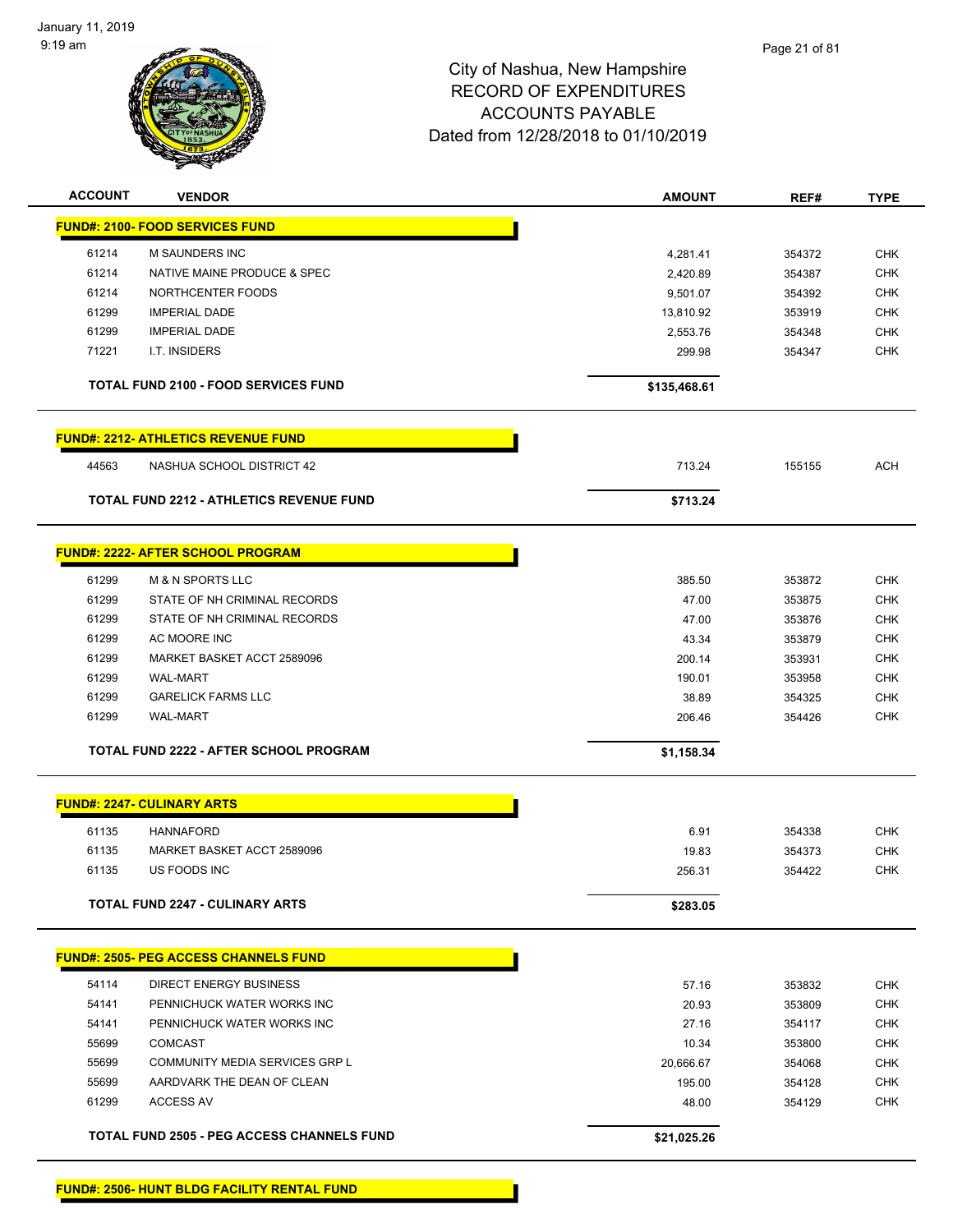

| <b>ACCOUNT</b> | <b>VENDOR</b>                                     | <b>AMOUNT</b> | REF#   | <b>TYPE</b> |
|----------------|---------------------------------------------------|---------------|--------|-------------|
|                | <b>FUND#: 2100- FOOD SERVICES FUND</b>            |               |        |             |
| 61214          | M SAUNDERS INC                                    | 4,281.41      | 354372 | <b>CHK</b>  |
| 61214          | NATIVE MAINE PRODUCE & SPEC                       | 2,420.89      | 354387 | <b>CHK</b>  |
| 61214          | NORTHCENTER FOODS                                 | 9,501.07      | 354392 | <b>CHK</b>  |
| 61299          | <b>IMPERIAL DADE</b>                              | 13,810.92     | 353919 | <b>CHK</b>  |
| 61299          | <b>IMPERIAL DADE</b>                              | 2,553.76      | 354348 | <b>CHK</b>  |
| 71221          | I.T. INSIDERS                                     | 299.98        | 354347 | <b>CHK</b>  |
|                | <b>TOTAL FUND 2100 - FOOD SERVICES FUND</b>       | \$135,468.61  |        |             |
|                | <b>FUND#: 2212- ATHLETICS REVENUE FUND</b>        |               |        |             |
| 44563          | NASHUA SCHOOL DISTRICT 42                         | 713.24        | 155155 | <b>ACH</b>  |
|                | TOTAL FUND 2212 - ATHLETICS REVENUE FUND          | \$713.24      |        |             |
|                | <b>FUND#: 2222- AFTER SCHOOL PROGRAM</b>          |               |        |             |
| 61299          | <b>M &amp; N SPORTS LLC</b>                       | 385.50        | 353872 | <b>CHK</b>  |
| 61299          | STATE OF NH CRIMINAL RECORDS                      | 47.00         | 353875 | <b>CHK</b>  |
| 61299          | STATE OF NH CRIMINAL RECORDS                      | 47.00         | 353876 | <b>CHK</b>  |
| 61299          | AC MOORE INC                                      | 43.34         | 353879 | <b>CHK</b>  |
| 61299          | MARKET BASKET ACCT 2589096                        | 200.14        | 353931 | <b>CHK</b>  |
| 61299          | <b>WAL-MART</b>                                   | 190.01        | 353958 | <b>CHK</b>  |
| 61299          | <b>GARELICK FARMS LLC</b>                         | 38.89         | 354325 | <b>CHK</b>  |
| 61299          | <b>WAL-MART</b>                                   | 206.46        | 354426 | <b>CHK</b>  |
|                | TOTAL FUND 2222 - AFTER SCHOOL PROGRAM            | \$1,158.34    |        |             |
|                | <b>FUND#: 2247- CULINARY ARTS</b>                 |               |        |             |
| 61135          | <b>HANNAFORD</b>                                  | 6.91          | 354338 | <b>CHK</b>  |
| 61135          | MARKET BASKET ACCT 2589096                        | 19.83         | 354373 | <b>CHK</b>  |
| 61135          | US FOODS INC                                      | 256.31        | 354422 | <b>CHK</b>  |
|                | TOTAL FUND 2247 - CULINARY ARTS                   | \$283.05      |        |             |
|                | <b>FUND#: 2505- PEG ACCESS CHANNELS FUND</b>      |               |        |             |
| 54114          | DIRECT ENERGY BUSINESS                            | 57.16         | 353832 | <b>CHK</b>  |
| 54141          | PENNICHUCK WATER WORKS INC                        | 20.93         | 353809 | <b>CHK</b>  |
| 54141          | PENNICHUCK WATER WORKS INC                        | 27.16         | 354117 | <b>CHK</b>  |
| 55699          | <b>COMCAST</b>                                    | 10.34         | 353800 | <b>CHK</b>  |
| 55699          | COMMUNITY MEDIA SERVICES GRP L                    | 20,666.67     | 354068 | <b>CHK</b>  |
| 55699          | AARDVARK THE DEAN OF CLEAN                        | 195.00        | 354128 | <b>CHK</b>  |
| 61299          | <b>ACCESS AV</b>                                  | 48.00         | 354129 | <b>CHK</b>  |
|                | <b>TOTAL FUND 2505 - PEG ACCESS CHANNELS FUND</b> | \$21,025.26   |        |             |
|                |                                                   |               |        |             |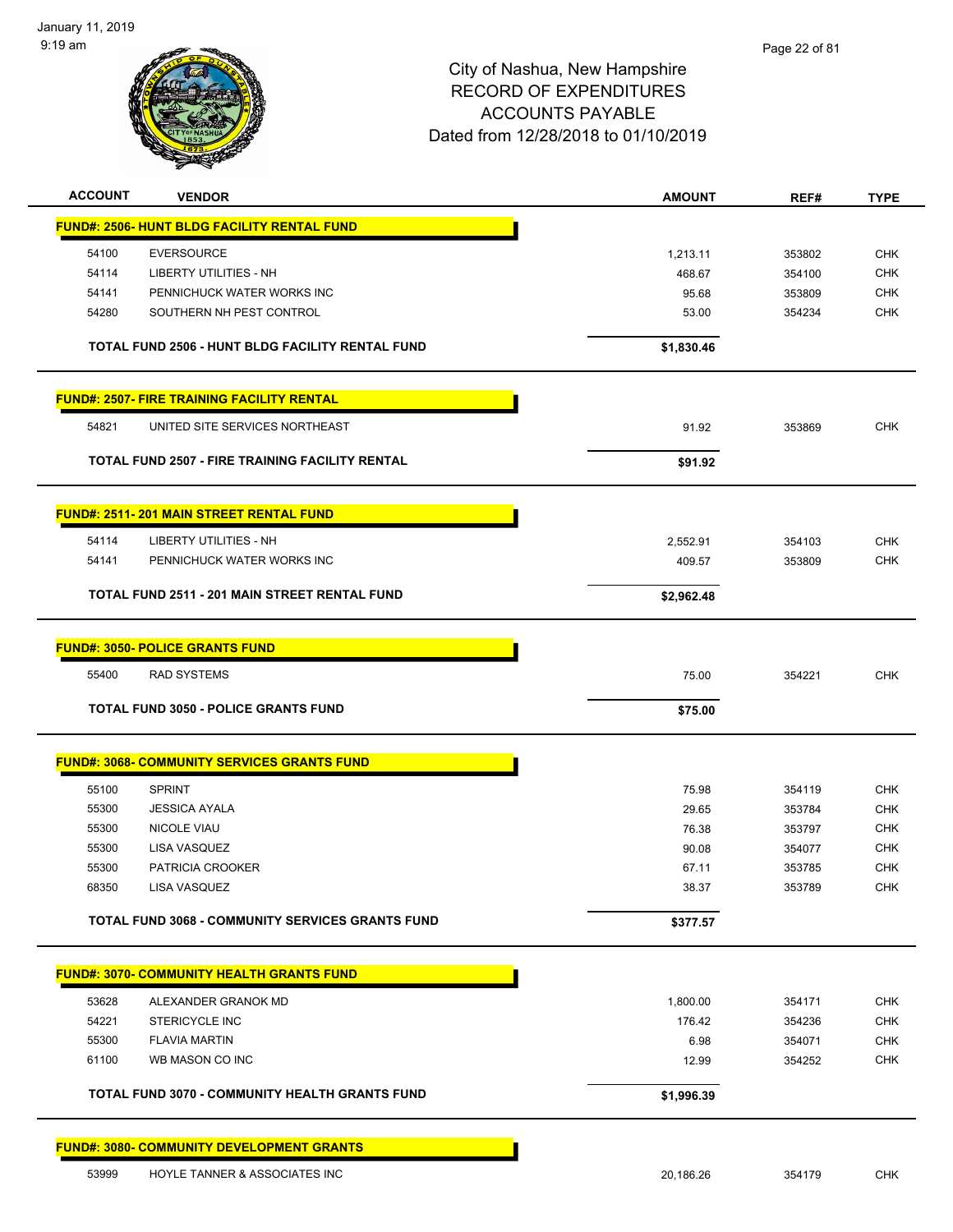

| <b>ACCOUNT</b> | <b>VENDOR</b>                                          | <b>AMOUNT</b> | REF#   | <b>TYPE</b> |
|----------------|--------------------------------------------------------|---------------|--------|-------------|
|                | <b>FUND#: 2506- HUNT BLDG FACILITY RENTAL FUND</b>     |               |        |             |
| 54100          | <b>EVERSOURCE</b>                                      | 1,213.11      | 353802 | <b>CHK</b>  |
| 54114          | LIBERTY UTILITIES - NH                                 | 468.67        | 354100 | <b>CHK</b>  |
| 54141          | PENNICHUCK WATER WORKS INC                             | 95.68         | 353809 | <b>CHK</b>  |
| 54280          | SOUTHERN NH PEST CONTROL                               | 53.00         | 354234 | <b>CHK</b>  |
|                | TOTAL FUND 2506 - HUNT BLDG FACILITY RENTAL FUND       | \$1,830.46    |        |             |
|                | <b>FUND#: 2507- FIRE TRAINING FACILITY RENTAL</b>      |               |        |             |
| 54821          | UNITED SITE SERVICES NORTHEAST                         | 91.92         | 353869 | <b>CHK</b>  |
|                | <b>TOTAL FUND 2507 - FIRE TRAINING FACILITY RENTAL</b> | \$91.92       |        |             |
|                | <b>FUND#: 2511-201 MAIN STREET RENTAL FUND</b>         |               |        |             |
| 54114          | LIBERTY UTILITIES - NH                                 | 2,552.91      | 354103 | <b>CHK</b>  |
| 54141          | PENNICHUCK WATER WORKS INC                             | 409.57        | 353809 | <b>CHK</b>  |
|                | TOTAL FUND 2511 - 201 MAIN STREET RENTAL FUND          | \$2,962.48    |        |             |
|                | <b>FUND#: 3050- POLICE GRANTS FUND</b>                 |               |        |             |
| 55400          | <b>RAD SYSTEMS</b>                                     | 75.00         | 354221 | <b>CHK</b>  |
|                | <b>TOTAL FUND 3050 - POLICE GRANTS FUND</b>            | \$75.00       |        |             |
|                |                                                        |               |        |             |
|                | <b>FUND#: 3068- COMMUNITY SERVICES GRANTS FUND</b>     |               |        |             |
| 55100          | <b>SPRINT</b>                                          | 75.98         | 354119 | <b>CHK</b>  |
| 55300          | <b>JESSICA AYALA</b>                                   | 29.65         | 353784 | <b>CHK</b>  |
| 55300          | <b>NICOLE VIAU</b>                                     | 76.38         | 353797 | <b>CHK</b>  |
| 55300          | LISA VASQUEZ                                           | 90.08         | 354077 | <b>CHK</b>  |
| 55300          | PATRICIA CROOKER                                       | 67.11         | 353785 | <b>CHK</b>  |
| 68350          | LISA VASQUEZ                                           | 38.37         | 353789 | <b>CHK</b>  |
|                | TOTAL FUND 3068 - COMMUNITY SERVICES GRANTS FUND       | \$377.57      |        |             |
|                | <b>FUND#: 3070- COMMUNITY HEALTH GRANTS FUND</b>       |               |        |             |
| 53628          | ALEXANDER GRANOK MD                                    | 1,800.00      | 354171 | <b>CHK</b>  |
| 54221          | STERICYCLE INC                                         | 176.42        | 354236 | CHK         |
| 55300          | <b>FLAVIA MARTIN</b>                                   | 6.98          | 354071 | <b>CHK</b>  |
| 61100          | WB MASON CO INC                                        | 12.99         | 354252 | <b>CHK</b>  |
|                | TOTAL FUND 3070 - COMMUNITY HEALTH GRANTS FUND         | \$1,996.39    |        |             |
|                | <b>FUND#: 3080- COMMUNITY DEVELOPMENT GRANTS</b>       |               |        |             |
| 53999          | HOYLE TANNER & ASSOCIATES INC                          | 20,186.26     | 354179 | <b>CHK</b>  |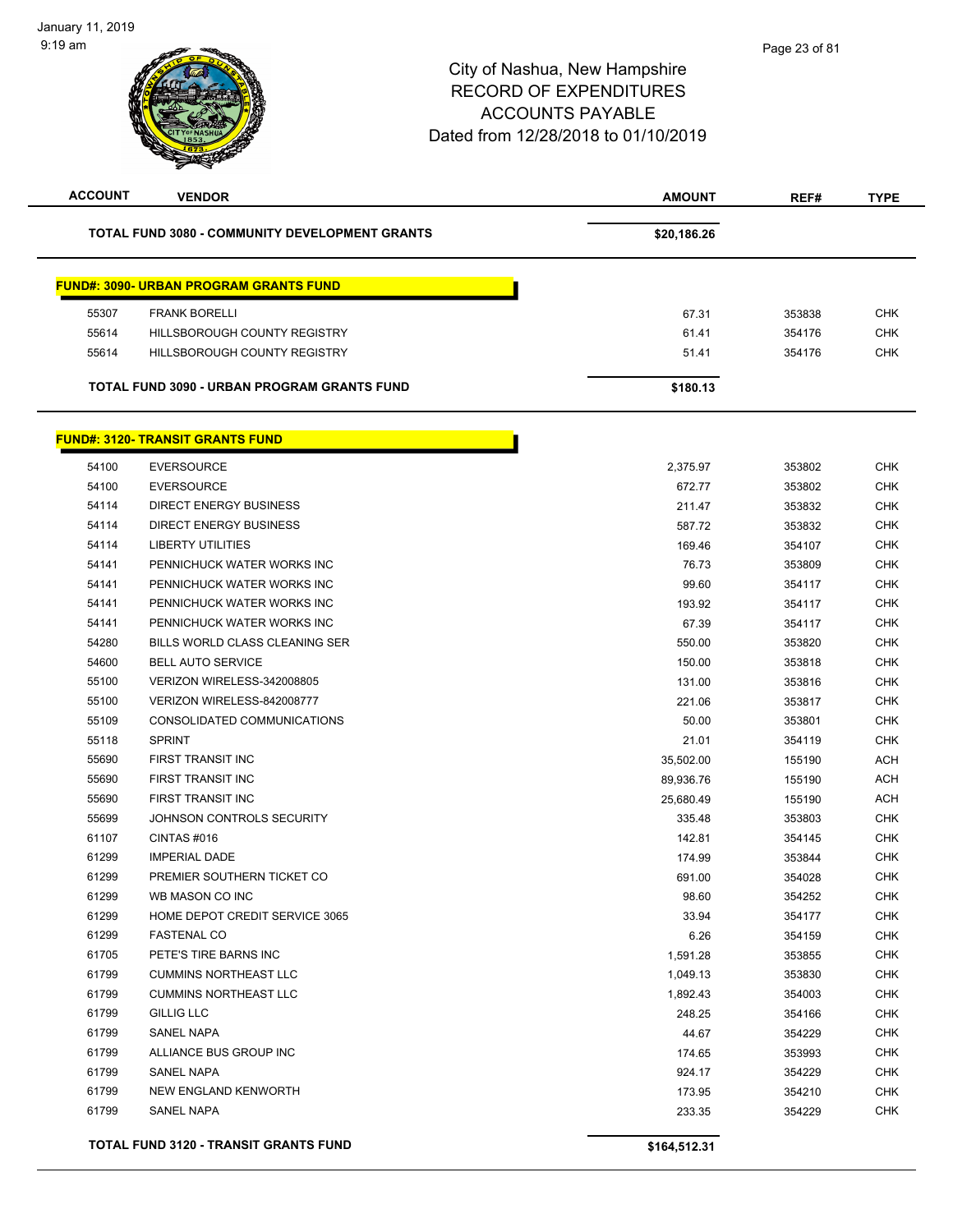| <b>TOTAL FUND 3080 - COMMUNITY DEVELOPMENT GRANTS</b><br>\$20,186.26 |            |
|----------------------------------------------------------------------|------------|
|                                                                      |            |
| <b>FUND#: 3090- URBAN PROGRAM GRANTS FUND</b>                        |            |
| 55307<br><b>FRANK BORELLI</b><br>67.31<br>353838                     | <b>CHK</b> |
| 55614<br>HILLSBOROUGH COUNTY REGISTRY<br>61.41<br>354176             | <b>CHK</b> |
| 55614<br>HILLSBOROUGH COUNTY REGISTRY<br>51.41<br>354176             | <b>CHK</b> |
|                                                                      |            |
| <b>TOTAL FUND 3090 - URBAN PROGRAM GRANTS FUND</b><br>\$180.13       |            |
| <b>FUND#: 3120- TRANSIT GRANTS FUND</b>                              |            |
| 54100<br><b>EVERSOURCE</b><br>2,375.97<br>353802                     | <b>CHK</b> |
| 54100<br><b>EVERSOURCE</b><br>672.77<br>353802                       | <b>CHK</b> |
| <b>DIRECT ENERGY BUSINESS</b><br>54114<br>211.47<br>353832           | <b>CHK</b> |
| <b>DIRECT ENERGY BUSINESS</b><br>54114<br>587.72<br>353832           | <b>CHK</b> |
| 54114<br>LIBERTY UTILITIES<br>169.46<br>354107                       | <b>CHK</b> |
| PENNICHUCK WATER WORKS INC<br>76.73<br>54141<br>353809               | <b>CHK</b> |
| 54141<br>PENNICHUCK WATER WORKS INC<br>99.60<br>354117               | <b>CHK</b> |
| 54141<br>PENNICHUCK WATER WORKS INC<br>193.92<br>354117              | <b>CHK</b> |
| 54141<br>PENNICHUCK WATER WORKS INC<br>67.39<br>354117               | <b>CHK</b> |
| 54280<br>BILLS WORLD CLASS CLEANING SER<br>550.00<br>353820          | CHK        |
| 54600<br><b>BELL AUTO SERVICE</b><br>353818<br>150.00                | <b>CHK</b> |
| 55100<br>VERIZON WIRELESS-342008805<br>131.00<br>353816              | <b>CHK</b> |
| 55100<br>VERIZON WIRELESS-842008777<br>221.06<br>353817              | <b>CHK</b> |
| 55109<br>CONSOLIDATED COMMUNICATIONS<br>50.00<br>353801              | <b>CHK</b> |
| <b>SPRINT</b><br>55118<br>21.01<br>354119                            | <b>CHK</b> |
| 55690<br>FIRST TRANSIT INC<br>35,502.00<br>155190                    | <b>ACH</b> |
| <b>FIRST TRANSIT INC</b><br>55690<br>89,936.76<br>155190             | <b>ACH</b> |
| 55690<br>FIRST TRANSIT INC<br>25,680.49<br>155190                    | <b>ACH</b> |
| 55699<br>JOHNSON CONTROLS SECURITY<br>335.48<br>353803               | <b>CHK</b> |
| 61107<br>CINTAS#016<br>142.81<br>354145                              | <b>CHK</b> |
| 61299<br><b>IMPERIAL DADE</b><br>174.99<br>353844                    | CHK        |
| 61299<br>PREMIER SOUTHERN TICKET CO<br>691.00<br>354028              | <b>CHK</b> |
| 61299<br>WB MASON CO INC<br>98.60<br>354252                          | <b>CHK</b> |
| 61299<br>HOME DEPOT CREDIT SERVICE 3065<br>33.94<br>354177           | CHK        |
| 61299<br><b>FASTENAL CO</b><br>6.26<br>354159                        | <b>CHK</b> |
| 61705<br>PETE'S TIRE BARNS INC<br>1,591.28<br>353855                 | <b>CHK</b> |
| 61799<br><b>CUMMINS NORTHEAST LLC</b><br>1,049.13<br>353830          | <b>CHK</b> |
| 61799<br><b>CUMMINS NORTHEAST LLC</b><br>1,892.43<br>354003          | <b>CHK</b> |
| 61799<br><b>GILLIG LLC</b><br>248.25<br>354166                       | <b>CHK</b> |
| 61799<br>SANEL NAPA<br>44.67<br>354229                               | <b>CHK</b> |
| 61799<br>ALLIANCE BUS GROUP INC<br>174.65<br>353993                  | <b>CHK</b> |
| 61799<br><b>SANEL NAPA</b><br>924.17<br>354229                       | <b>CHK</b> |
| 61799<br>NEW ENGLAND KENWORTH<br>173.95<br>354210                    | <b>CHK</b> |
| 61799<br>SANEL NAPA<br>233.35<br>354229                              | <b>CHK</b> |
| TOTAL FUND 3120 - TRANSIT GRANTS FUND<br>\$164,512.31                |            |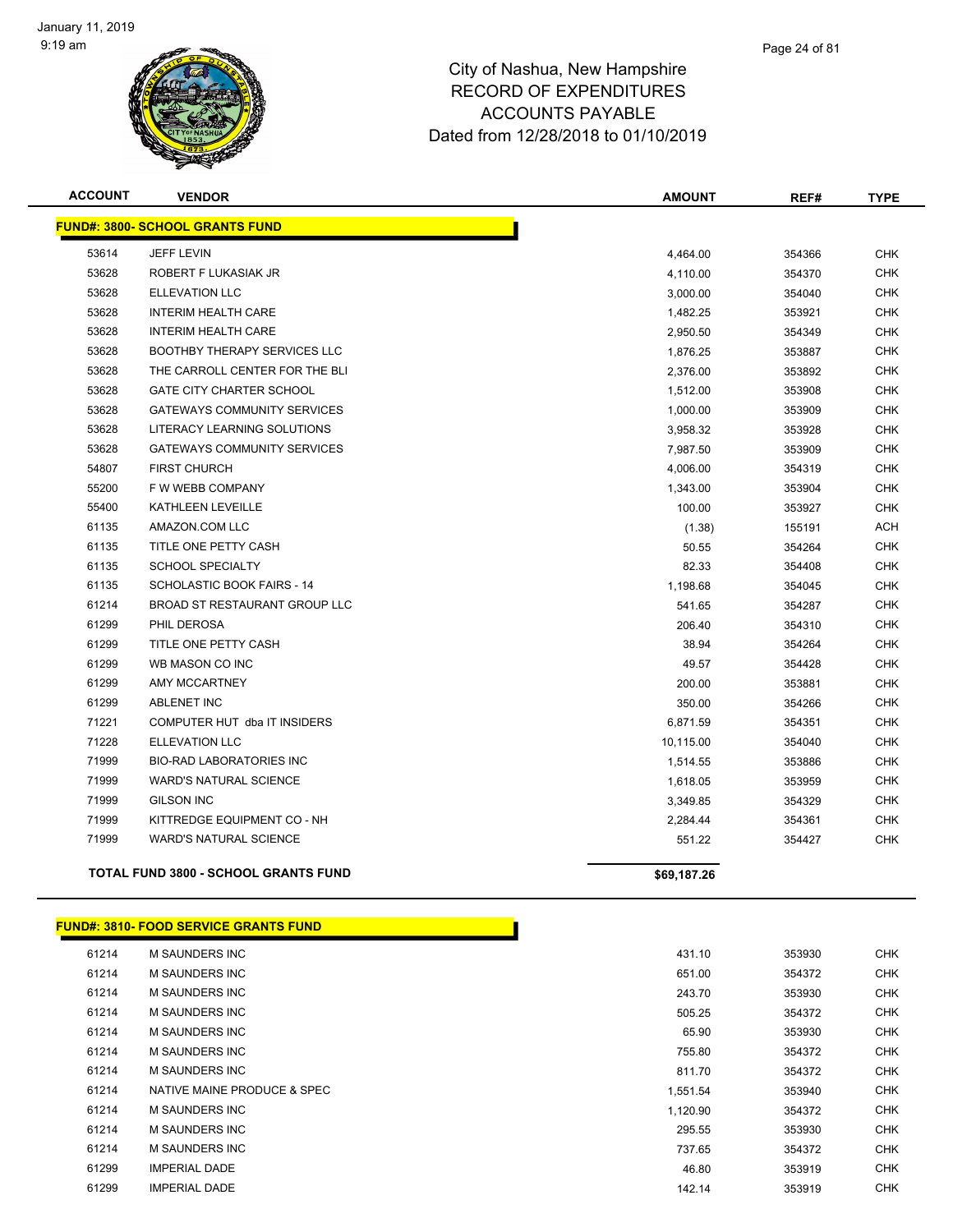

| <b>ACCOUNT</b> | <b>VENDOR</b>                               | <b>AMOUNT</b> | REF#   | <b>TYPE</b> |
|----------------|---------------------------------------------|---------------|--------|-------------|
|                | <b>FUND#: 3800- SCHOOL GRANTS FUND</b>      |               |        |             |
| 53614          | <b>JEFF LEVIN</b>                           | 4,464.00      | 354366 | <b>CHK</b>  |
| 53628          | ROBERT F LUKASIAK JR                        | 4,110.00      | 354370 | <b>CHK</b>  |
| 53628          | <b>ELLEVATION LLC</b>                       | 3,000.00      | 354040 | <b>CHK</b>  |
| 53628          | <b>INTERIM HEALTH CARE</b>                  | 1,482.25      | 353921 | <b>CHK</b>  |
| 53628          | <b>INTERIM HEALTH CARE</b>                  | 2,950.50      | 354349 | <b>CHK</b>  |
| 53628          | <b>BOOTHBY THERAPY SERVICES LLC</b>         | 1,876.25      | 353887 | <b>CHK</b>  |
| 53628          | THE CARROLL CENTER FOR THE BLI              | 2,376.00      | 353892 | <b>CHK</b>  |
| 53628          | <b>GATE CITY CHARTER SCHOOL</b>             | 1,512.00      | 353908 | <b>CHK</b>  |
| 53628          | <b>GATEWAYS COMMUNITY SERVICES</b>          | 1,000.00      | 353909 | <b>CHK</b>  |
| 53628          | LITERACY LEARNING SOLUTIONS                 | 3,958.32      | 353928 | <b>CHK</b>  |
| 53628          | <b>GATEWAYS COMMUNITY SERVICES</b>          | 7,987.50      | 353909 | <b>CHK</b>  |
| 54807          | <b>FIRST CHURCH</b>                         | 4,006.00      | 354319 | <b>CHK</b>  |
| 55200          | F W WEBB COMPANY                            | 1,343.00      | 353904 | <b>CHK</b>  |
| 55400          | KATHLEEN LEVEILLE                           | 100.00        | 353927 | <b>CHK</b>  |
| 61135          | AMAZON.COM LLC                              | (1.38)        | 155191 | <b>ACH</b>  |
| 61135          | TITLE ONE PETTY CASH                        | 50.55         | 354264 | <b>CHK</b>  |
| 61135          | <b>SCHOOL SPECIALTY</b>                     | 82.33         | 354408 | <b>CHK</b>  |
| 61135          | <b>SCHOLASTIC BOOK FAIRS - 14</b>           | 1,198.68      | 354045 | <b>CHK</b>  |
| 61214          | BROAD ST RESTAURANT GROUP LLC               | 541.65        | 354287 | <b>CHK</b>  |
| 61299          | PHIL DEROSA                                 | 206.40        | 354310 | <b>CHK</b>  |
| 61299          | TITLE ONE PETTY CASH                        | 38.94         | 354264 | <b>CHK</b>  |
| 61299          | WB MASON CO INC                             | 49.57         | 354428 | <b>CHK</b>  |
| 61299          | <b>AMY MCCARTNEY</b>                        | 200.00        | 353881 | <b>CHK</b>  |
| 61299          | <b>ABLENET INC</b>                          | 350.00        | 354266 | <b>CHK</b>  |
| 71221          | COMPUTER HUT dba IT INSIDERS                | 6,871.59      | 354351 | <b>CHK</b>  |
| 71228          | <b>ELLEVATION LLC</b>                       | 10,115.00     | 354040 | <b>CHK</b>  |
| 71999          | <b>BIO-RAD LABORATORIES INC</b>             | 1,514.55      | 353886 | <b>CHK</b>  |
| 71999          | <b>WARD'S NATURAL SCIENCE</b>               | 1,618.05      | 353959 | <b>CHK</b>  |
| 71999          | <b>GILSON INC</b>                           | 3,349.85      | 354329 | <b>CHK</b>  |
| 71999          | KITTREDGE EQUIPMENT CO - NH                 | 2,284.44      | 354361 | <b>CHK</b>  |
| 71999          | <b>WARD'S NATURAL SCIENCE</b>               | 551.22        | 354427 | <b>CHK</b>  |
|                | <b>TOTAL FUND 3800 - SCHOOL GRANTS FUND</b> | \$69,187.26   |        |             |

|       | <b>FUND#: 3810- FOOD SERVICE GRANTS FUND</b> |          |        |            |
|-------|----------------------------------------------|----------|--------|------------|
| 61214 | <b>M SAUNDERS INC</b>                        | 431.10   | 353930 | <b>CHK</b> |
| 61214 | <b>M SAUNDERS INC</b>                        | 651.00   | 354372 | <b>CHK</b> |
| 61214 | <b>M SAUNDERS INC</b>                        | 243.70   | 353930 | <b>CHK</b> |
| 61214 | <b>M SAUNDERS INC</b>                        | 505.25   | 354372 | <b>CHK</b> |
| 61214 | <b>M SAUNDERS INC</b>                        | 65.90    | 353930 | <b>CHK</b> |
| 61214 | <b>M SAUNDERS INC</b>                        | 755.80   | 354372 | <b>CHK</b> |
| 61214 | M SAUNDERS INC                               | 811.70   | 354372 | <b>CHK</b> |
| 61214 | NATIVE MAINE PRODUCE & SPEC                  | 1,551.54 | 353940 | <b>CHK</b> |
| 61214 | <b>M SAUNDERS INC</b>                        | 1,120.90 | 354372 | <b>CHK</b> |
| 61214 | <b>M SAUNDERS INC</b>                        | 295.55   | 353930 | <b>CHK</b> |
| 61214 | <b>M SAUNDERS INC</b>                        | 737.65   | 354372 | <b>CHK</b> |
| 61299 | <b>IMPERIAL DADE</b>                         | 46.80    | 353919 | <b>CHK</b> |
| 61299 | <b>IMPERIAL DADE</b>                         | 142.14   | 353919 | <b>CHK</b> |

| 31.10 | 353930 | <b>CHK</b> |
|-------|--------|------------|
| 51.00 | 354372 | <b>CHK</b> |
| 43.70 | 353930 | <b>CHK</b> |
| 05.25 | 354372 | <b>CHK</b> |
| 65.90 | 353930 | <b>CHK</b> |
| 55.80 | 354372 | CHK        |
| 11.70 | 354372 | <b>CHK</b> |
| 51.54 | 353940 | <b>CHK</b> |
| 20.90 | 354372 | <b>CHK</b> |
| 95.55 | 353930 | <b>CHK</b> |
| 37.65 | 354372 | <b>CHK</b> |
| 46.80 | 353919 | <b>CHK</b> |
|       |        |            |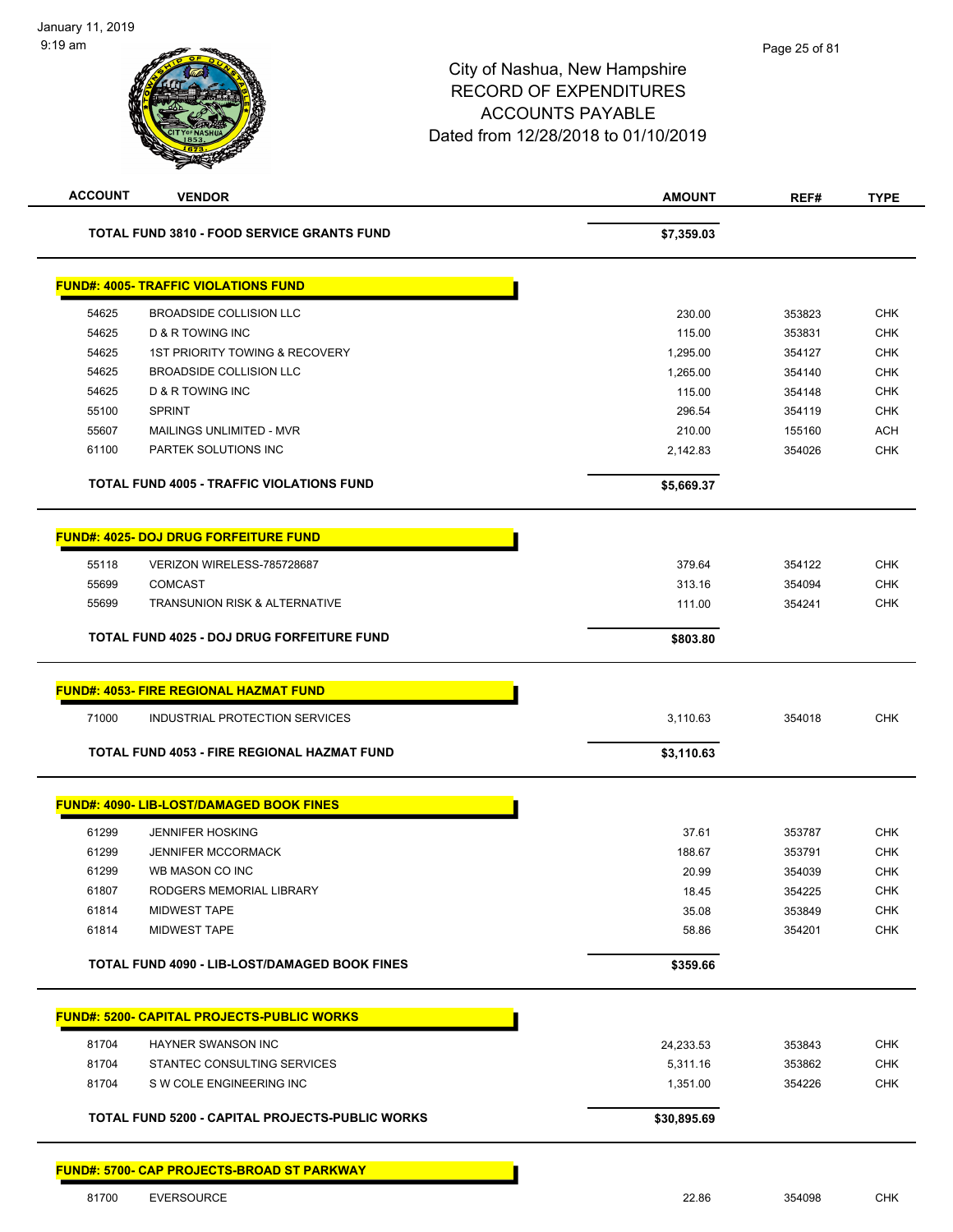| <b>ACCOUNT</b> | <b>VENDOR</b>                                        | <b>AMOUNT</b> | REF#   | <b>TYPE</b> |
|----------------|------------------------------------------------------|---------------|--------|-------------|
|                | TOTAL FUND 3810 - FOOD SERVICE GRANTS FUND           | \$7,359.03    |        |             |
|                | <b>FUND#: 4005- TRAFFIC VIOLATIONS FUND</b>          |               |        |             |
| 54625          | <b>BROADSIDE COLLISION LLC</b>                       | 230.00        | 353823 | <b>CHK</b>  |
| 54625          | D & R TOWING INC                                     | 115.00        | 353831 | <b>CHK</b>  |
| 54625          | <b>1ST PRIORITY TOWING &amp; RECOVERY</b>            | 1,295.00      | 354127 | <b>CHK</b>  |
| 54625          | BROADSIDE COLLISION LLC                              | 1,265.00      | 354140 | CHK         |
| 54625          | <b>D &amp; R TOWING INC</b>                          | 115.00        | 354148 | <b>CHK</b>  |
| 55100          | <b>SPRINT</b>                                        | 296.54        | 354119 | <b>CHK</b>  |
| 55607          | MAILINGS UNLIMITED - MVR                             | 210.00        | 155160 | <b>ACH</b>  |
| 61100          | PARTEK SOLUTIONS INC                                 | 2,142.83      | 354026 | <b>CHK</b>  |
|                | <b>TOTAL FUND 4005 - TRAFFIC VIOLATIONS FUND</b>     | \$5,669.37    |        |             |
|                | <b>FUND#: 4025- DOJ DRUG FORFEITURE FUND</b>         |               |        |             |
| 55118          | VERIZON WIRELESS-785728687                           | 379.64        | 354122 | <b>CHK</b>  |
| 55699          | <b>COMCAST</b>                                       | 313.16        | 354094 | <b>CHK</b>  |
| 55699          | TRANSUNION RISK & ALTERNATIVE                        | 111.00        | 354241 | <b>CHK</b>  |
|                | <b>TOTAL FUND 4025 - DOJ DRUG FORFEITURE FUND</b>    | \$803.80      |        |             |
|                |                                                      |               |        |             |
|                | <b>FUND#: 4053- FIRE REGIONAL HAZMAT FUND</b>        |               |        |             |
| 71000          | INDUSTRIAL PROTECTION SERVICES                       | 3,110.63      | 354018 | <b>CHK</b>  |
|                | TOTAL FUND 4053 - FIRE REGIONAL HAZMAT FUND          | \$3,110.63    |        |             |
|                | <b>FUND#: 4090- LIB-LOST/DAMAGED BOOK FINES</b>      |               |        |             |
| 61299          | <b>JENNIFER HOSKING</b>                              | 37.61         | 353787 | <b>CHK</b>  |
| 61299          | <b>JENNIFER MCCORMACK</b>                            | 188.67        | 353791 | <b>CHK</b>  |
| 61299          | WB MASON CO INC                                      | 20.99         | 354039 | <b>CHK</b>  |
| 61807          | RODGERS MEMORIAL LIBRARY                             | 18.45         | 354225 | <b>CHK</b>  |
| 61814          | <b>MIDWEST TAPE</b>                                  | 35.08         | 353849 | CHK         |
| 61814          | <b>MIDWEST TAPE</b>                                  | 58.86         | 354201 | <b>CHK</b>  |
|                | <b>TOTAL FUND 4090 - LIB-LOST/DAMAGED BOOK FINES</b> | \$359.66      |        |             |
|                | <b>FUND#: 5200- CAPITAL PROJECTS-PUBLIC WORKS</b>    |               |        |             |
| 81704          | HAYNER SWANSON INC                                   | 24,233.53     | 353843 | <b>CHK</b>  |
| 81704          | STANTEC CONSULTING SERVICES                          | 5,311.16      | 353862 | <b>CHK</b>  |
| 81704          | S W COLE ENGINEERING INC                             | 1,351.00      | 354226 | <b>CHK</b>  |
|                | TOTAL FUND 5200 - CAPITAL PROJECTS-PUBLIC WORKS      | \$30,895.69   |        |             |
|                |                                                      |               |        |             |
|                | FUND#: 5700- CAP PROJECTS-BROAD ST PARKWAY           |               |        |             |
| 81700          | EVERSOURCE                                           | 22.86         | 354098 | <b>CHK</b>  |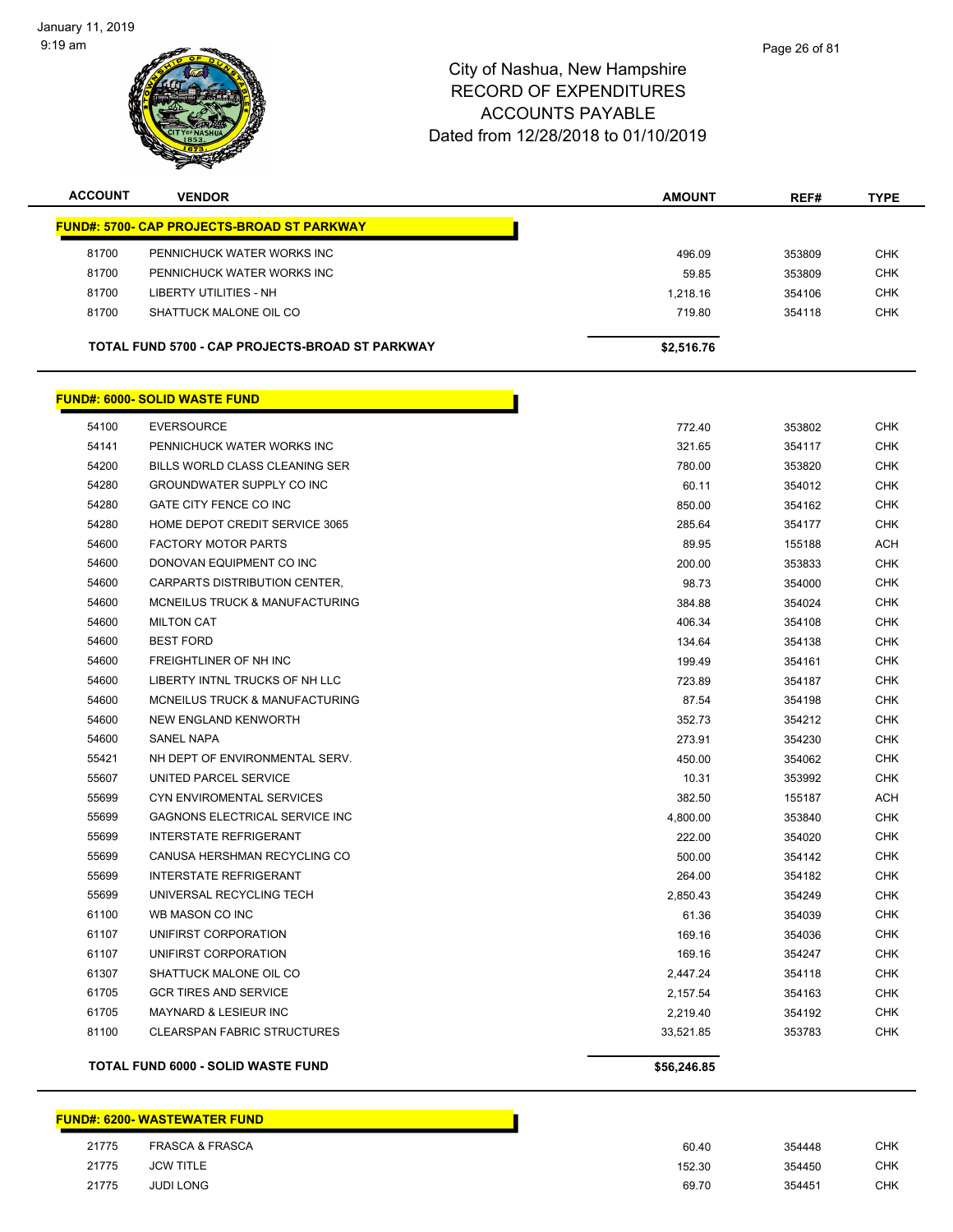January 11, 2019 9:19 am



### City of Nashua, New Hampshire RECORD OF EXPENDITURES ACCOUNTS PAYABLE Dated from 12/28/2018 to 01/10/2019

| <b>ACCOUNT</b> | <b>VENDOR</b>                                      | <b>AMOUNT</b> | REF#   | <b>TYPE</b> |
|----------------|----------------------------------------------------|---------------|--------|-------------|
|                | <u> FUND#: 5700- CAP PROJECTS-BROAD ST PARKWAY</u> |               |        |             |
| 81700          | PENNICHUCK WATER WORKS INC                         | 496.09        | 353809 | <b>CHK</b>  |
| 81700          | PENNICHUCK WATER WORKS INC                         | 59.85         | 353809 | <b>CHK</b>  |
| 81700          | <b>LIBERTY UTILITIES - NH</b>                      | 1,218.16      | 354106 | <b>CHK</b>  |
| 81700          | SHATTUCK MALONE OIL CO                             | 719.80        | 354118 | <b>CHK</b>  |
|                |                                                    |               |        |             |
|                | TOTAL FUND 5700 - CAP PROJECTS-BROAD ST PARKWAY    | \$2,516.76    |        |             |
|                | <b>FUND#: 6000- SOLID WASTE FUND</b>               |               |        |             |
| 54100          | <b>EVERSOURCE</b>                                  | 772.40        | 353802 | <b>CHK</b>  |
| 54141          | PENNICHUCK WATER WORKS INC                         | 321.65        | 354117 | <b>CHK</b>  |
| 54200          | BILLS WORLD CLASS CLEANING SER                     | 780.00        | 353820 | <b>CHK</b>  |
| 54280          | GROUNDWATER SUPPLY CO INC                          | 60.11         | 354012 | <b>CHK</b>  |
| 54280          | GATE CITY FENCE CO INC                             | 850.00        | 354162 | <b>CHK</b>  |
| 54280          | HOME DEPOT CREDIT SERVICE 3065                     | 285.64        | 354177 | <b>CHK</b>  |
| 54600          | <b>FACTORY MOTOR PARTS</b>                         | 89.95         | 155188 | ACH         |
| 54600          | DONOVAN EQUIPMENT CO INC                           | 200.00        | 353833 | <b>CHK</b>  |
| 54600          | CARPARTS DISTRIBUTION CENTER,                      | 98.73         | 354000 | <b>CHK</b>  |
| 54600          | MCNEILUS TRUCK & MANUFACTURING                     | 384.88        | 354024 | <b>CHK</b>  |
| 54600          | <b>MILTON CAT</b>                                  | 406.34        | 354108 | <b>CHK</b>  |
| 54600          | <b>BEST FORD</b>                                   | 134.64        | 354138 | <b>CHK</b>  |
| 54600          | FREIGHTLINER OF NH INC                             | 199.49        | 354161 | <b>CHK</b>  |
| 54600          | LIBERTY INTNL TRUCKS OF NH LLC                     | 723.89        | 354187 | <b>CHK</b>  |
| 54600          | MCNEILUS TRUCK & MANUFACTURING                     | 87.54         | 354198 | <b>CHK</b>  |
| 54600          | NEW ENGLAND KENWORTH                               | 352.73        | 354212 | <b>CHK</b>  |
| 54600          | <b>SANEL NAPA</b>                                  | 273.91        | 354230 | <b>CHK</b>  |
| 55421          | NH DEPT OF ENVIRONMENTAL SERV.                     | 450.00        | 354062 | <b>CHK</b>  |
| 55607          | UNITED PARCEL SERVICE                              | 10.31         | 353992 | <b>CHK</b>  |
| 55699          | <b>CYN ENVIROMENTAL SERVICES</b>                   | 382.50        | 155187 | <b>ACH</b>  |
| 55699          | GAGNONS ELECTRICAL SERVICE INC                     | 4,800.00      | 353840 | <b>CHK</b>  |
| 55699          | <b>INTERSTATE REFRIGERANT</b>                      | 222.00        | 354020 | <b>CHK</b>  |
| 55699          | CANUSA HERSHMAN RECYCLING CO                       | 500.00        | 354142 | <b>CHK</b>  |
| 55699          | <b>INTERSTATE REFRIGERANT</b>                      | 264.00        | 354182 | <b>CHK</b>  |
| 55699          | UNIVERSAL RECYCLING TECH                           | 2,850.43      | 354249 | <b>CHK</b>  |
| 61100          | WB MASON CO INC                                    | 61.36         | 354039 | CHK         |
| 61107          | UNIFIRST CORPORATION                               | 169.16        | 354036 | <b>CHK</b>  |
| 61107          | UNIFIRST CORPORATION                               | 169.16        | 354247 | <b>CHK</b>  |
| 61307          | SHATTUCK MALONE OIL CO                             | 2,447.24      | 354118 | <b>CHK</b>  |
| 61705          | <b>GCR TIRES AND SERVICE</b>                       | 2,157.54      | 354163 | <b>CHK</b>  |
| 61705          | <b>MAYNARD &amp; LESIEUR INC</b>                   | 2,219.40      | 354192 | <b>CHK</b>  |
| 81100          | <b>CLEARSPAN FABRIC STRUCTURES</b>                 | 33,521.85     | 353783 | <b>CHK</b>  |
|                | TOTAL FUND 6000 - SOLID WASTE FUND                 | \$56,246.85   |        |             |

### **FUND#: 6200- WASTEWATER FUND**

| 21775 | <b>FRASCA &amp; FRASCA</b> |
|-------|----------------------------|
| 21775 | JCW TITI F                 |
| 21775 | <b>JUDI LONG</b>           |

 FRASCA & FRASCA 60.40 354448 CHK JCW TITLE 152.30 354450 CHK JUDI LONG 69.70 354451 CHK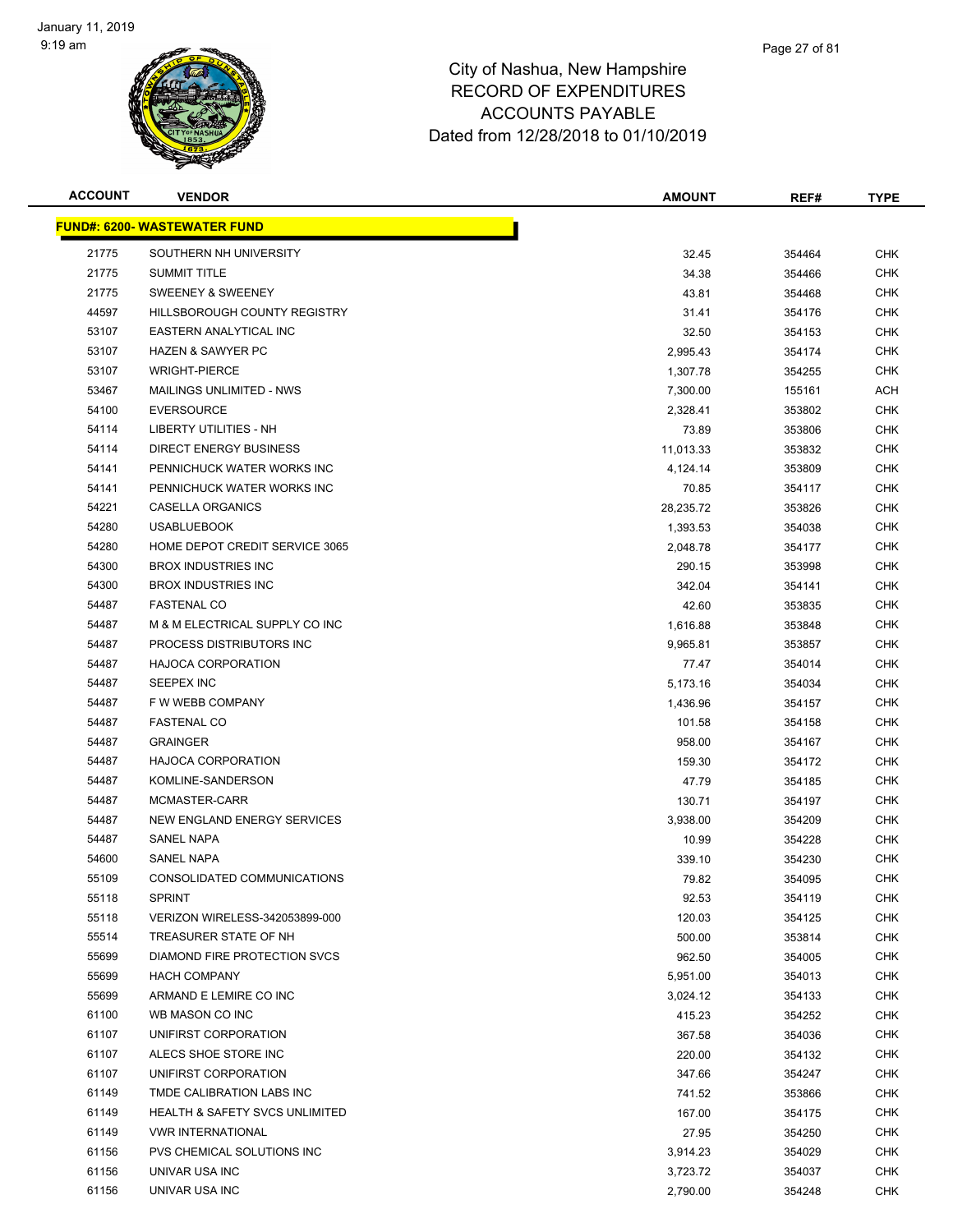

| <b>ACCOUNT</b> | <b>VENDOR</b>                             | <b>AMOUNT</b> | REF#   | <b>TYPE</b> |
|----------------|-------------------------------------------|---------------|--------|-------------|
|                | <b>FUND#: 6200- WASTEWATER FUND</b>       |               |        |             |
| 21775          | SOUTHERN NH UNIVERSITY                    | 32.45         | 354464 | <b>CHK</b>  |
| 21775          | <b>SUMMIT TITLE</b>                       | 34.38         | 354466 | <b>CHK</b>  |
| 21775          | SWEENEY & SWEENEY                         | 43.81         | 354468 | <b>CHK</b>  |
| 44597          | HILLSBOROUGH COUNTY REGISTRY              | 31.41         | 354176 | <b>CHK</b>  |
| 53107          | EASTERN ANALYTICAL INC                    | 32.50         | 354153 | <b>CHK</b>  |
| 53107          | <b>HAZEN &amp; SAWYER PC</b>              | 2,995.43      | 354174 | <b>CHK</b>  |
| 53107          | <b>WRIGHT-PIERCE</b>                      | 1,307.78      | 354255 | <b>CHK</b>  |
| 53467          | <b>MAILINGS UNLIMITED - NWS</b>           | 7,300.00      | 155161 | <b>ACH</b>  |
| 54100          | <b>EVERSOURCE</b>                         | 2,328.41      | 353802 | CHK         |
| 54114          | LIBERTY UTILITIES - NH                    | 73.89         | 353806 | <b>CHK</b>  |
| 54114          | <b>DIRECT ENERGY BUSINESS</b>             | 11,013.33     | 353832 | CHK         |
| 54141          | PENNICHUCK WATER WORKS INC                | 4,124.14      | 353809 | CHK         |
| 54141          | PENNICHUCK WATER WORKS INC                | 70.85         | 354117 | <b>CHK</b>  |
| 54221          | <b>CASELLA ORGANICS</b>                   | 28,235.72     | 353826 | <b>CHK</b>  |
| 54280          | <b>USABLUEBOOK</b>                        | 1,393.53      | 354038 | CHK         |
| 54280          | HOME DEPOT CREDIT SERVICE 3065            | 2,048.78      | 354177 | <b>CHK</b>  |
| 54300          | <b>BROX INDUSTRIES INC</b>                | 290.15        | 353998 | <b>CHK</b>  |
| 54300          | <b>BROX INDUSTRIES INC</b>                | 342.04        | 354141 | <b>CHK</b>  |
| 54487          | <b>FASTENAL CO</b>                        | 42.60         | 353835 | <b>CHK</b>  |
| 54487          | M & M ELECTRICAL SUPPLY CO INC            | 1,616.88      | 353848 | <b>CHK</b>  |
| 54487          | PROCESS DISTRIBUTORS INC                  | 9,965.81      | 353857 | <b>CHK</b>  |
| 54487          | <b>HAJOCA CORPORATION</b>                 | 77.47         | 354014 | <b>CHK</b>  |
| 54487          | SEEPEX INC                                | 5,173.16      | 354034 | <b>CHK</b>  |
| 54487          | F W WEBB COMPANY                          | 1,436.96      | 354157 | <b>CHK</b>  |
| 54487          | <b>FASTENAL CO</b>                        | 101.58        | 354158 | <b>CHK</b>  |
| 54487          | <b>GRAINGER</b>                           | 958.00        | 354167 | CHK         |
| 54487          | <b>HAJOCA CORPORATION</b>                 | 159.30        | 354172 | <b>CHK</b>  |
| 54487          | KOMLINE-SANDERSON                         | 47.79         | 354185 | <b>CHK</b>  |
| 54487          | MCMASTER-CARR                             | 130.71        | 354197 | <b>CHK</b>  |
| 54487          | NEW ENGLAND ENERGY SERVICES               | 3,938.00      | 354209 | <b>CHK</b>  |
| 54487          | <b>SANEL NAPA</b>                         | 10.99         | 354228 | <b>CHK</b>  |
| 54600          | SANEL NAPA                                | 339.10        | 354230 | <b>CHK</b>  |
| 55109          | CONSOLIDATED COMMUNICATIONS               | 79.82         | 354095 | <b>CHK</b>  |
| 55118          | <b>SPRINT</b>                             | 92.53         | 354119 | <b>CHK</b>  |
| 55118          | VERIZON WIRELESS-342053899-000            | 120.03        | 354125 | <b>CHK</b>  |
| 55514          | TREASURER STATE OF NH                     | 500.00        | 353814 | <b>CHK</b>  |
| 55699          | <b>DIAMOND FIRE PROTECTION SVCS</b>       | 962.50        | 354005 | <b>CHK</b>  |
| 55699          | <b>HACH COMPANY</b>                       | 5,951.00      | 354013 | <b>CHK</b>  |
| 55699          | ARMAND E LEMIRE CO INC                    | 3,024.12      | 354133 | <b>CHK</b>  |
| 61100          | WB MASON CO INC                           | 415.23        | 354252 | <b>CHK</b>  |
| 61107          | UNIFIRST CORPORATION                      | 367.58        | 354036 | <b>CHK</b>  |
| 61107          | ALECS SHOE STORE INC                      | 220.00        | 354132 | <b>CHK</b>  |
| 61107          | UNIFIRST CORPORATION                      | 347.66        | 354247 | <b>CHK</b>  |
| 61149          | TMDE CALIBRATION LABS INC                 | 741.52        | 353866 | CHK         |
| 61149          | <b>HEALTH &amp; SAFETY SVCS UNLIMITED</b> | 167.00        | 354175 | CHK         |
| 61149          | <b>VWR INTERNATIONAL</b>                  | 27.95         | 354250 | <b>CHK</b>  |
| 61156          | PVS CHEMICAL SOLUTIONS INC                | 3,914.23      | 354029 | <b>CHK</b>  |
| 61156          | UNIVAR USA INC                            | 3,723.72      | 354037 | <b>CHK</b>  |
| 61156          | UNIVAR USA INC                            | 2,790.00      | 354248 | <b>CHK</b>  |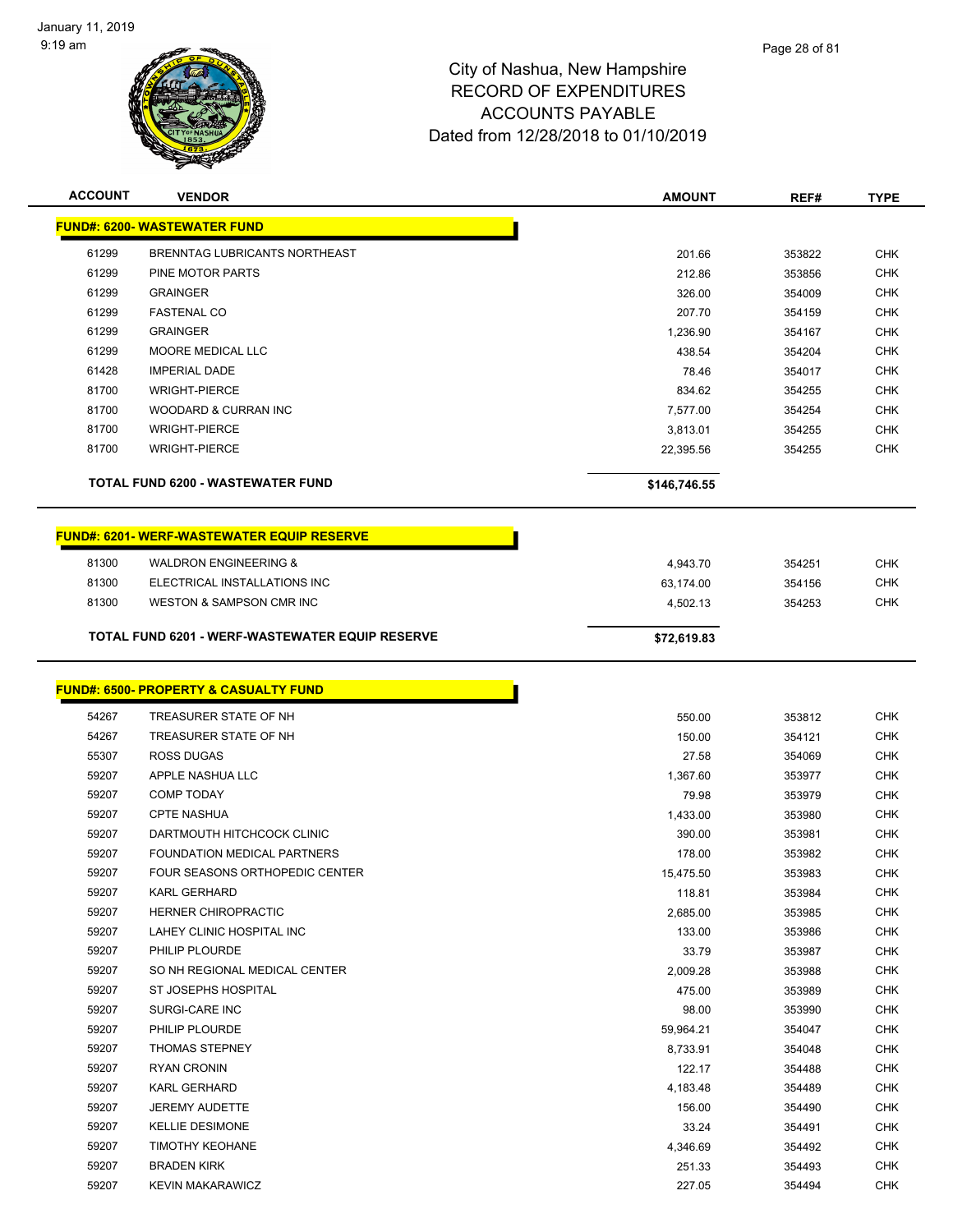÷



| <b>ACCOUNT</b> | <b>VENDOR</b>                                    | <b>AMOUNT</b> | REF#   | <b>TYPE</b> |
|----------------|--------------------------------------------------|---------------|--------|-------------|
|                | <b>FUND#: 6200- WASTEWATER FUND</b>              |               |        |             |
| 61299          | BRENNTAG LUBRICANTS NORTHEAST                    | 201.66        | 353822 | <b>CHK</b>  |
| 61299          | PINE MOTOR PARTS                                 | 212.86        | 353856 | <b>CHK</b>  |
| 61299          | <b>GRAINGER</b>                                  | 326.00        | 354009 | <b>CHK</b>  |
| 61299          | <b>FASTENAL CO</b>                               | 207.70        | 354159 | <b>CHK</b>  |
| 61299          | <b>GRAINGER</b>                                  | 1,236.90      | 354167 | <b>CHK</b>  |
| 61299          | <b>MOORE MEDICAL LLC</b>                         | 438.54        | 354204 | <b>CHK</b>  |
| 61428          | <b>IMPERIAL DADE</b>                             | 78.46         | 354017 | <b>CHK</b>  |
| 81700          | <b>WRIGHT-PIERCE</b>                             | 834.62        | 354255 | <b>CHK</b>  |
| 81700          | WOODARD & CURRAN INC                             | 7,577.00      | 354254 | <b>CHK</b>  |
| 81700          | <b>WRIGHT-PIERCE</b>                             | 3,813.01      | 354255 | <b>CHK</b>  |
| 81700          | <b>WRIGHT-PIERCE</b>                             | 22,395.56     | 354255 | <b>CHK</b>  |
|                | <b>TOTAL FUND 6200 - WASTEWATER FUND</b>         | \$146,746.55  |        |             |
|                | <b>FUND#: 6201-WERF-WASTEWATER EQUIP RESERVE</b> |               |        |             |
| 81300          | <b>WALDRON ENGINEERING &amp;</b>                 | 4,943.70      | 354251 | <b>CHK</b>  |
| 81300          | ELECTRICAL INSTALLATIONS INC                     | 63,174.00     | 354156 | <b>CHK</b>  |
| 81300          | <b>WESTON &amp; SAMPSON CMR INC</b>              | 4,502.13      | 354253 | <b>CHK</b>  |
|                | TOTAL FUND 6201 - WERF-WASTEWATER EQUIP RESERVE  | \$72,619.83   |        |             |
|                | <b>FUND#: 6500- PROPERTY &amp; CASUALTY FUND</b> |               |        |             |
| 54267          | TREASURER STATE OF NH                            | 550.00        | 353812 | <b>CHK</b>  |
| 54267          | TREASURER STATE OF NH                            | 150.00        | 354121 | <b>CHK</b>  |

| 54267 | TREASURER STATE OF NH                 | 150.00    | 354121 | <b>CHK</b> |
|-------|---------------------------------------|-----------|--------|------------|
| 55307 | <b>ROSS DUGAS</b>                     | 27.58     | 354069 | <b>CHK</b> |
| 59207 | APPLE NASHUA LLC                      | 1,367.60  | 353977 | <b>CHK</b> |
| 59207 | <b>COMP TODAY</b>                     | 79.98     | 353979 | <b>CHK</b> |
| 59207 | <b>CPTE NASHUA</b>                    | 1,433.00  | 353980 | <b>CHK</b> |
| 59207 | DARTMOUTH HITCHCOCK CLINIC            | 390.00    | 353981 | <b>CHK</b> |
| 59207 | <b>FOUNDATION MEDICAL PARTNERS</b>    | 178.00    | 353982 | <b>CHK</b> |
| 59207 | <b>FOUR SEASONS ORTHOPEDIC CENTER</b> | 15,475.50 | 353983 | <b>CHK</b> |
| 59207 | <b>KARL GERHARD</b>                   | 118.81    | 353984 | <b>CHK</b> |
| 59207 | <b>HERNER CHIROPRACTIC</b>            | 2,685.00  | 353985 | <b>CHK</b> |
| 59207 | LAHEY CLINIC HOSPITAL INC             | 133.00    | 353986 | <b>CHK</b> |
| 59207 | PHILIP PLOURDE                        | 33.79     | 353987 | <b>CHK</b> |
| 59207 | SO NH REGIONAL MEDICAL CENTER         | 2,009.28  | 353988 | <b>CHK</b> |
| 59207 | ST JOSEPHS HOSPITAL                   | 475.00    | 353989 | <b>CHK</b> |
| 59207 | <b>SURGI-CARE INC</b>                 | 98.00     | 353990 | <b>CHK</b> |
| 59207 | PHILIP PLOURDE                        | 59,964.21 | 354047 | <b>CHK</b> |
| 59207 | <b>THOMAS STEPNEY</b>                 | 8,733.91  | 354048 | <b>CHK</b> |
| 59207 | <b>RYAN CRONIN</b>                    | 122.17    | 354488 | <b>CHK</b> |
| 59207 | <b>KARL GERHARD</b>                   | 4,183.48  | 354489 | <b>CHK</b> |
| 59207 | <b>JEREMY AUDETTE</b>                 | 156.00    | 354490 | <b>CHK</b> |
| 59207 | <b>KELLIE DESIMONE</b>                | 33.24     | 354491 | <b>CHK</b> |
| 59207 | <b>TIMOTHY KEOHANE</b>                | 4,346.69  | 354492 | <b>CHK</b> |
| 59207 | <b>BRADEN KIRK</b>                    | 251.33    | 354493 | <b>CHK</b> |
| 59207 | <b>KEVIN MAKARAWICZ</b>               | 227.05    | 354494 | <b>CHK</b> |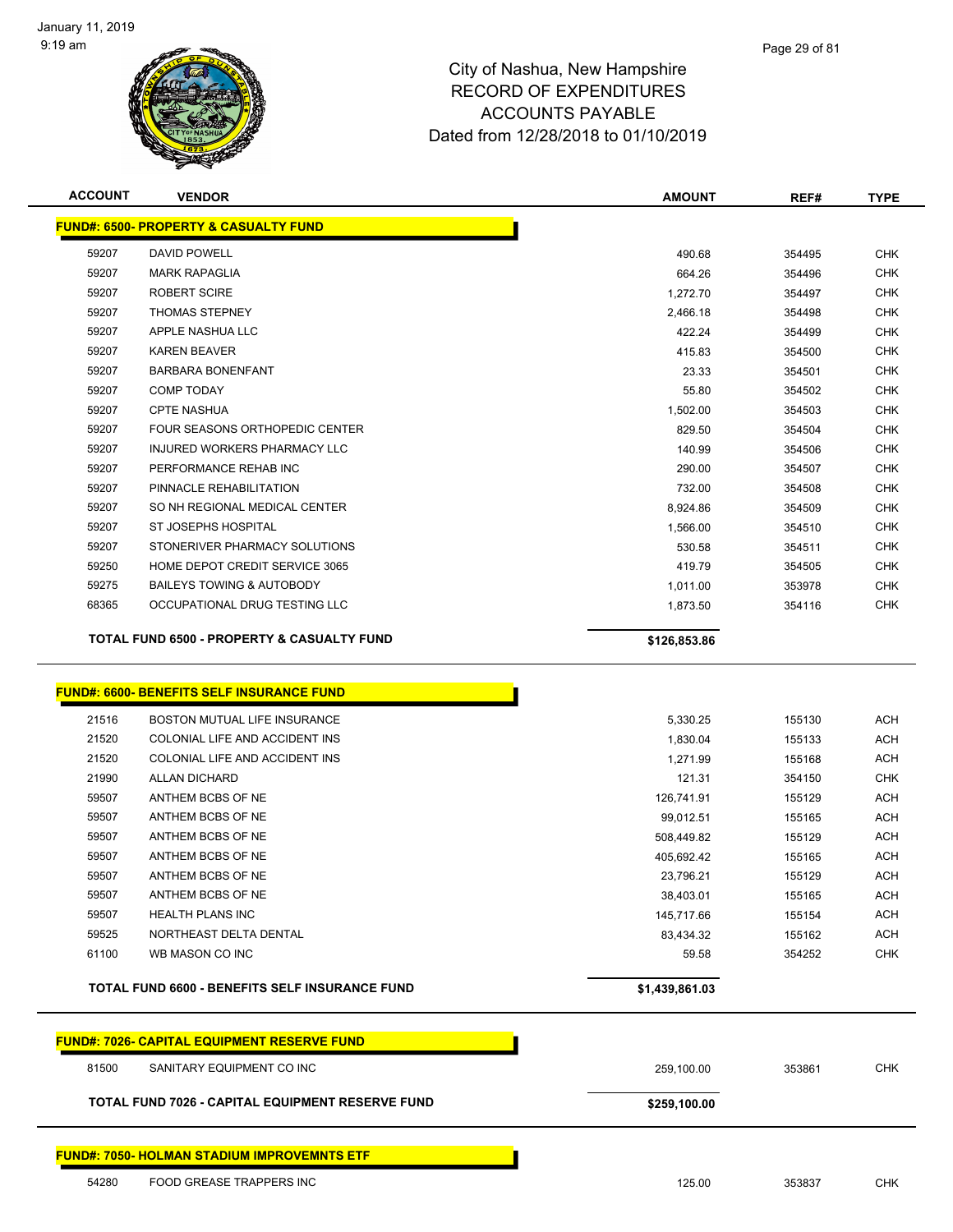

| <b>ACCOUNT</b> | <b>VENDOR</b>                                         | <b>AMOUNT</b> | REF#   | <b>TYPE</b> |
|----------------|-------------------------------------------------------|---------------|--------|-------------|
|                | <b>FUND#: 6500- PROPERTY &amp; CASUALTY FUND</b>      |               |        |             |
| 59207          | <b>DAVID POWELL</b>                                   | 490.68        | 354495 | <b>CHK</b>  |
| 59207          | <b>MARK RAPAGLIA</b>                                  | 664.26        | 354496 | <b>CHK</b>  |
| 59207          | <b>ROBERT SCIRE</b>                                   | 1,272.70      | 354497 | <b>CHK</b>  |
| 59207          | <b>THOMAS STEPNEY</b>                                 | 2,466.18      | 354498 | <b>CHK</b>  |
| 59207          | APPLE NASHUA LLC                                      | 422.24        | 354499 | <b>CHK</b>  |
| 59207          | <b>KAREN BEAVER</b>                                   | 415.83        | 354500 | <b>CHK</b>  |
| 59207          | <b>BARBARA BONENFANT</b>                              | 23.33         | 354501 | <b>CHK</b>  |
| 59207          | <b>COMP TODAY</b>                                     | 55.80         | 354502 | <b>CHK</b>  |
| 59207          | <b>CPTE NASHUA</b>                                    | 1,502.00      | 354503 | <b>CHK</b>  |
| 59207          | FOUR SEASONS ORTHOPEDIC CENTER                        | 829.50        | 354504 | <b>CHK</b>  |
| 59207          | INJURED WORKERS PHARMACY LLC                          | 140.99        | 354506 | <b>CHK</b>  |
| 59207          | PERFORMANCE REHAB INC                                 | 290.00        | 354507 | <b>CHK</b>  |
| 59207          | PINNACLE REHABILITATION                               | 732.00        | 354508 | <b>CHK</b>  |
| 59207          | SO NH REGIONAL MEDICAL CENTER                         | 8,924.86      | 354509 | <b>CHK</b>  |
| 59207          | <b>ST JOSEPHS HOSPITAL</b>                            | 1,566.00      | 354510 | <b>CHK</b>  |
| 59207          | STONERIVER PHARMACY SOLUTIONS                         | 530.58        | 354511 | <b>CHK</b>  |
| 59250          | HOME DEPOT CREDIT SERVICE 3065                        | 419.79        | 354505 | <b>CHK</b>  |
| 59275          | <b>BAILEYS TOWING &amp; AUTOBODY</b>                  | 1,011.00      | 353978 | <b>CHK</b>  |
| 68365          | OCCUPATIONAL DRUG TESTING LLC                         | 1,873.50      | 354116 | <b>CHK</b>  |
|                | <b>TOTAL FUND 6500 - PROPERTY &amp; CASUALTY FUND</b> | \$126,853.86  |        |             |
|                |                                                       |               |        |             |

#### **FUND#: 6600- BENEFITS SELF INSURANCE FUND**

| NORTHEAST DELTA DENTAL<br>WB MASON CO INC | 83,434.32<br>59.58      | 155162<br>354252 | <b>ACH</b><br><b>CHK</b> |
|-------------------------------------------|-------------------------|------------------|--------------------------|
|                                           |                         |                  |                          |
|                                           |                         |                  |                          |
|                                           | 145,717.66              | 155154           | <b>ACH</b>               |
| ANTHEM BCBS OF NE                         | 38.403.01               | 155165           | <b>ACH</b>               |
| ANTHEM BCBS OF NE                         | 23.796.21               | 155129           | <b>ACH</b>               |
| ANTHEM BCBS OF NE                         | 405,692.42              | 155165           | <b>ACH</b>               |
| ANTHEM BCBS OF NE                         | 508,449.82              | 155129           | ACH                      |
| ANTHEM BCBS OF NE                         | 99.012.51               | 155165           | <b>ACH</b>               |
| ANTHEM BCBS OF NE                         | 126,741.91              | 155129           | <b>ACH</b>               |
| ALLAN DICHARD                             | 121.31                  | 354150           | <b>CHK</b>               |
| COLONIAL LIFE AND ACCIDENT INS            | 1,271.99                | 155168           | ACH                      |
| COLONIAL LIFE AND ACCIDENT INS            | 1,830.04                | 155133           | ACH                      |
| <b>BOSTON MUTUAL LIFE INSURANCE</b>       | 5,330.25                | 155130           | <b>ACH</b>               |
|                                           | <b>HEALTH PLANS INC</b> |                  |                          |

# **FUND#: 7026- CAPITAL EQUIPMENT RESERVE FUND** SANITARY EQUIPMENT CO INC 259,100.00 353861 CHK **TOTAL FUND 7026 - CAPITAL EQUIPMENT RESERVE FUND \$259,100.00 \$259,100.00**

#### **FUND#: 7050- HOLMAN STADIUM IMPROVEMNTS ETF**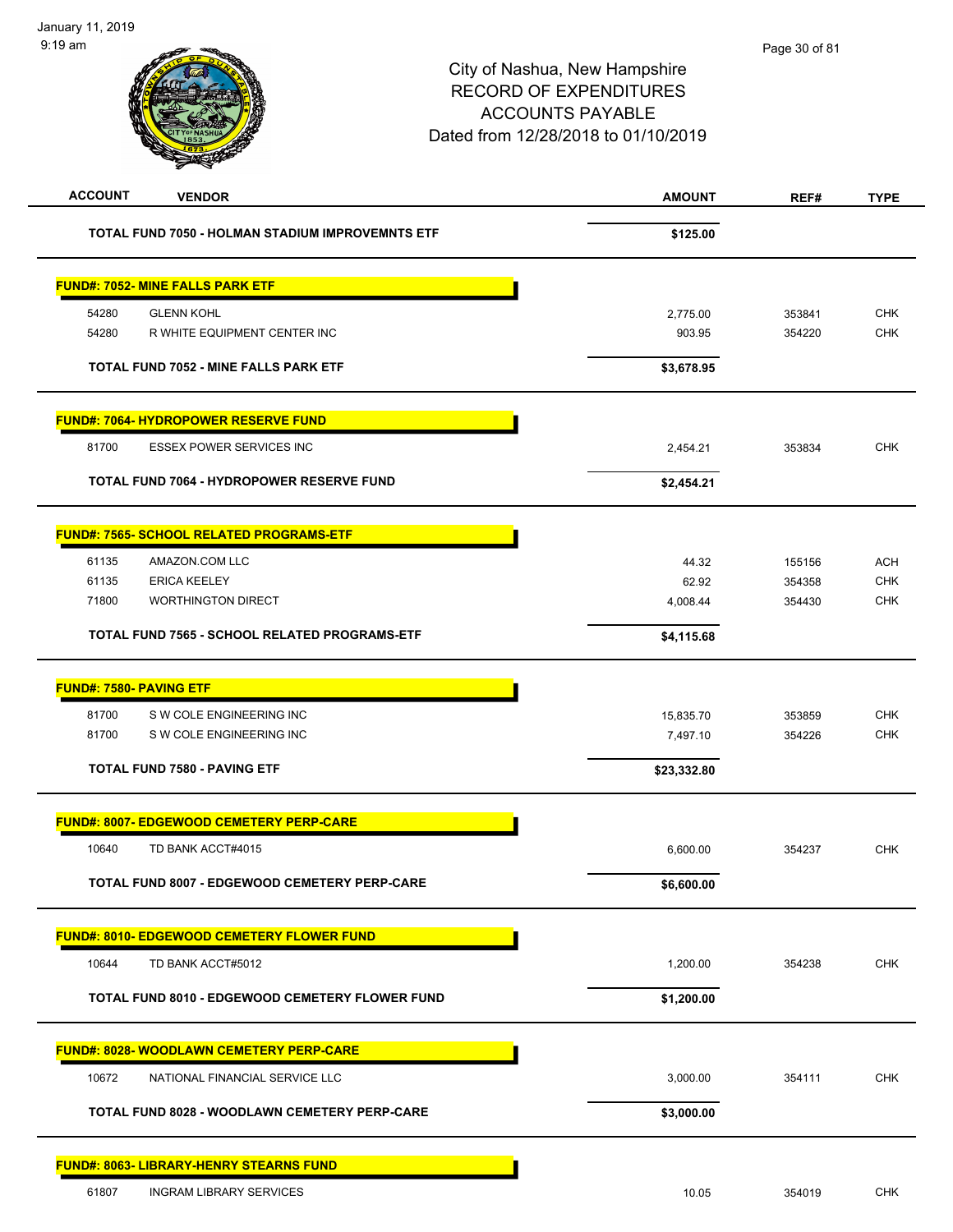| <b>ACCOUNT</b><br><b>VENDOR</b>                         | <b>AMOUNT</b> | REF#   | <b>TYPE</b> |
|---------------------------------------------------------|---------------|--------|-------------|
| <b>TOTAL FUND 7050 - HOLMAN STADIUM IMPROVEMNTS ETF</b> | \$125.00      |        |             |
| <b>FUND#: 7052- MINE FALLS PARK ETF</b>                 |               |        |             |
| 54280<br><b>GLENN KOHL</b>                              | 2,775.00      | 353841 | <b>CHK</b>  |
| 54280<br>R WHITE EQUIPMENT CENTER INC                   | 903.95        | 354220 | CHK         |
| <b>TOTAL FUND 7052 - MINE FALLS PARK ETF</b>            | \$3,678.95    |        |             |
| <b>FUND#: 7064- HYDROPOWER RESERVE FUND</b>             |               |        |             |
| 81700<br>ESSEX POWER SERVICES INC                       | 2,454.21      | 353834 | <b>CHK</b>  |
| <b>TOTAL FUND 7064 - HYDROPOWER RESERVE FUND</b>        | \$2,454.21    |        |             |
| <b>FUND#: 7565- SCHOOL RELATED PROGRAMS-ETF</b>         |               |        |             |
| 61135<br>AMAZON.COM LLC                                 | 44.32         | 155156 | <b>ACH</b>  |
| 61135<br><b>ERICA KEELEY</b>                            | 62.92         | 354358 | <b>CHK</b>  |
| 71800<br><b>WORTHINGTON DIRECT</b>                      | 4,008.44      | 354430 | <b>CHK</b>  |
| TOTAL FUND 7565 - SCHOOL RELATED PROGRAMS-ETF           | \$4,115.68    |        |             |
| <b>FUND#: 7580- PAVING ETF</b>                          |               |        |             |
| 81700<br>S W COLE ENGINEERING INC                       | 15,835.70     | 353859 | <b>CHK</b>  |
| 81700<br>S W COLE ENGINEERING INC                       | 7,497.10      | 354226 | <b>CHK</b>  |
| <b>TOTAL FUND 7580 - PAVING ETF</b>                     | \$23,332.80   |        |             |
| <b>FUND#: 8007- EDGEWOOD CEMETERY PERP-CARE</b>         |               |        |             |
| 10640<br>TD BANK ACCT#4015                              | 6,600.00      | 354237 | <b>CHK</b>  |
| TOTAL FUND 8007 - EDGEWOOD CEMETERY PERP-CARE           | \$6,600.00    |        |             |
| FUND#: 8010- EDGEWOOD CEMETERY FLOWER FUND              |               |        |             |
| 10644<br>TD BANK ACCT#5012                              | 1,200.00      | 354238 | <b>CHK</b>  |
| TOTAL FUND 8010 - EDGEWOOD CEMETERY FLOWER FUND         | \$1,200.00    |        |             |
| <b>FUND#: 8028- WOODLAWN CEMETERY PERP-CARE</b>         |               |        |             |
| 10672<br>NATIONAL FINANCIAL SERVICE LLC                 | 3,000.00      | 354111 | <b>CHK</b>  |
| TOTAL FUND 8028 - WOODLAWN CEMETERY PERP-CARE           | \$3,000.00    |        |             |
| <u> FUND#: 8063- LIBRARY-HENRY STEARNS FUND</u>         |               |        |             |
| <b>INGRAM LIBRARY SERVICES</b><br>61807                 | 10.05         | 354019 | <b>CHK</b>  |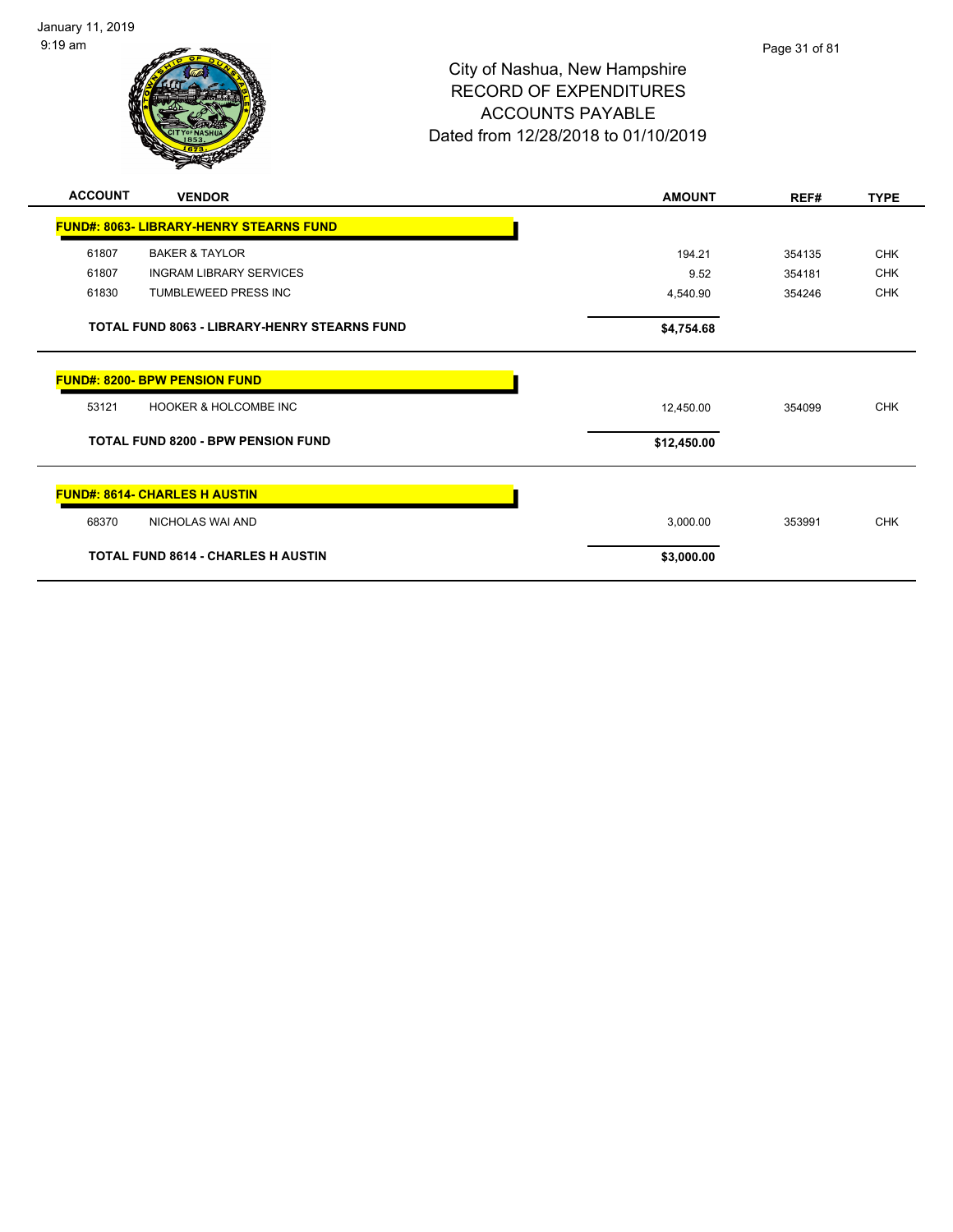

| <b>ACCOUNT</b> | <b>VENDOR</b>                                       | <b>AMOUNT</b> | REF#   | <b>TYPE</b> |
|----------------|-----------------------------------------------------|---------------|--------|-------------|
|                | <b>FUND#: 8063- LIBRARY-HENRY STEARNS FUND</b>      |               |        |             |
| 61807          | <b>BAKER &amp; TAYLOR</b>                           | 194.21        | 354135 | <b>CHK</b>  |
| 61807          | <b>INGRAM LIBRARY SERVICES</b>                      | 9.52          | 354181 | <b>CHK</b>  |
| 61830          | <b>TUMBLEWEED PRESS INC</b>                         | 4,540.90      | 354246 | <b>CHK</b>  |
|                | <b>TOTAL FUND 8063 - LIBRARY-HENRY STEARNS FUND</b> | \$4,754.68    |        |             |
|                | <b>FUND#: 8200- BPW PENSION FUND</b>                |               |        |             |
| 53121          | <b>HOOKER &amp; HOLCOMBE INC</b>                    | 12,450.00     | 354099 | <b>CHK</b>  |
|                | <b>TOTAL FUND 8200 - BPW PENSION FUND</b>           | \$12,450.00   |        |             |
|                | <b>FUND#: 8614- CHARLES H AUSTIN</b>                |               |        |             |
| 68370          | NICHOLAS WAI AND                                    | 3,000.00      | 353991 | <b>CHK</b>  |
|                | <b>TOTAL FUND 8614 - CHARLES H AUSTIN</b>           | \$3,000.00    |        |             |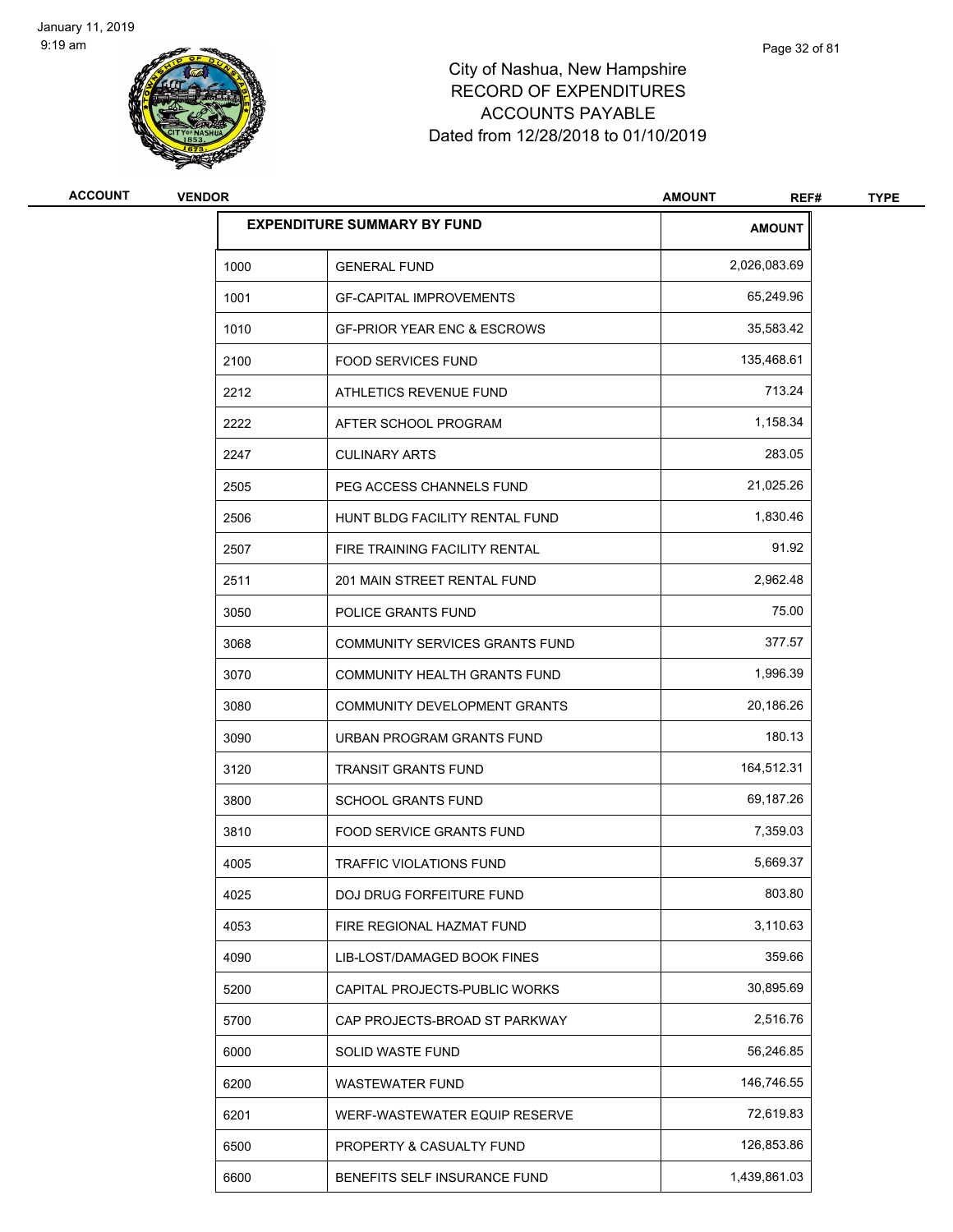

| <b>ACCOUNT</b> | <b>VENDOR</b> |                                        | <b>AMOUNT</b><br>REF# | <b>TYPE</b> |
|----------------|---------------|----------------------------------------|-----------------------|-------------|
|                |               | <b>EXPENDITURE SUMMARY BY FUND</b>     | <b>AMOUNT</b>         |             |
|                | 1000          | <b>GENERAL FUND</b>                    | 2,026,083.69          |             |
|                | 1001          | <b>GF-CAPITAL IMPROVEMENTS</b>         | 65,249.96             |             |
|                | 1010          | <b>GF-PRIOR YEAR ENC &amp; ESCROWS</b> | 35,583.42             |             |
|                | 2100          | <b>FOOD SERVICES FUND</b>              | 135,468.61            |             |
|                | 2212          | ATHLETICS REVENUE FUND                 | 713.24                |             |
|                | 2222          | AFTER SCHOOL PROGRAM                   | 1,158.34              |             |
|                | 2247          | <b>CULINARY ARTS</b>                   | 283.05                |             |
|                | 2505          | PEG ACCESS CHANNELS FUND               | 21,025.26             |             |
|                | 2506          | HUNT BLDG FACILITY RENTAL FUND         | 1,830.46              |             |
|                | 2507          | FIRE TRAINING FACILITY RENTAL          | 91.92                 |             |
|                | 2511          | 201 MAIN STREET RENTAL FUND            | 2,962.48              |             |
|                | 3050          | POLICE GRANTS FUND                     | 75.00                 |             |
|                | 3068          | COMMUNITY SERVICES GRANTS FUND         | 377.57                |             |
|                | 3070          | COMMUNITY HEALTH GRANTS FUND           | 1,996.39              |             |
|                | 3080          | COMMUNITY DEVELOPMENT GRANTS           | 20,186.26             |             |
|                | 3090          | URBAN PROGRAM GRANTS FUND              | 180.13                |             |
|                | 3120          | <b>TRANSIT GRANTS FUND</b>             | 164,512.31            |             |
|                | 3800          | <b>SCHOOL GRANTS FUND</b>              | 69,187.26             |             |
|                | 3810          | FOOD SERVICE GRANTS FUND               | 7,359.03              |             |
|                | 4005          | TRAFFIC VIOLATIONS FUND                | 5,669.37              |             |
|                | 4025          | DOJ DRUG FORFEITURE FUND               | 803.80                |             |
|                | 4053          | FIRE REGIONAL HAZMAT FUND              | 3,110.63              |             |
|                | 4090          | LIB-LOST/DAMAGED BOOK FINES            | 359.66                |             |
|                | 5200          | CAPITAL PROJECTS-PUBLIC WORKS          | 30,895.69             |             |
|                | 5700          | CAP PROJECTS-BROAD ST PARKWAY          | 2,516.76              |             |
|                | 6000          | SOLID WASTE FUND                       | 56,246.85             |             |
|                | 6200          | WASTEWATER FUND                        | 146,746.55            |             |
|                | 6201          | WERF-WASTEWATER EQUIP RESERVE          | 72,619.83             |             |
|                | 6500          | PROPERTY & CASUALTY FUND               | 126,853.86            |             |
|                | 6600          | BENEFITS SELF INSURANCE FUND           | 1,439,861.03          |             |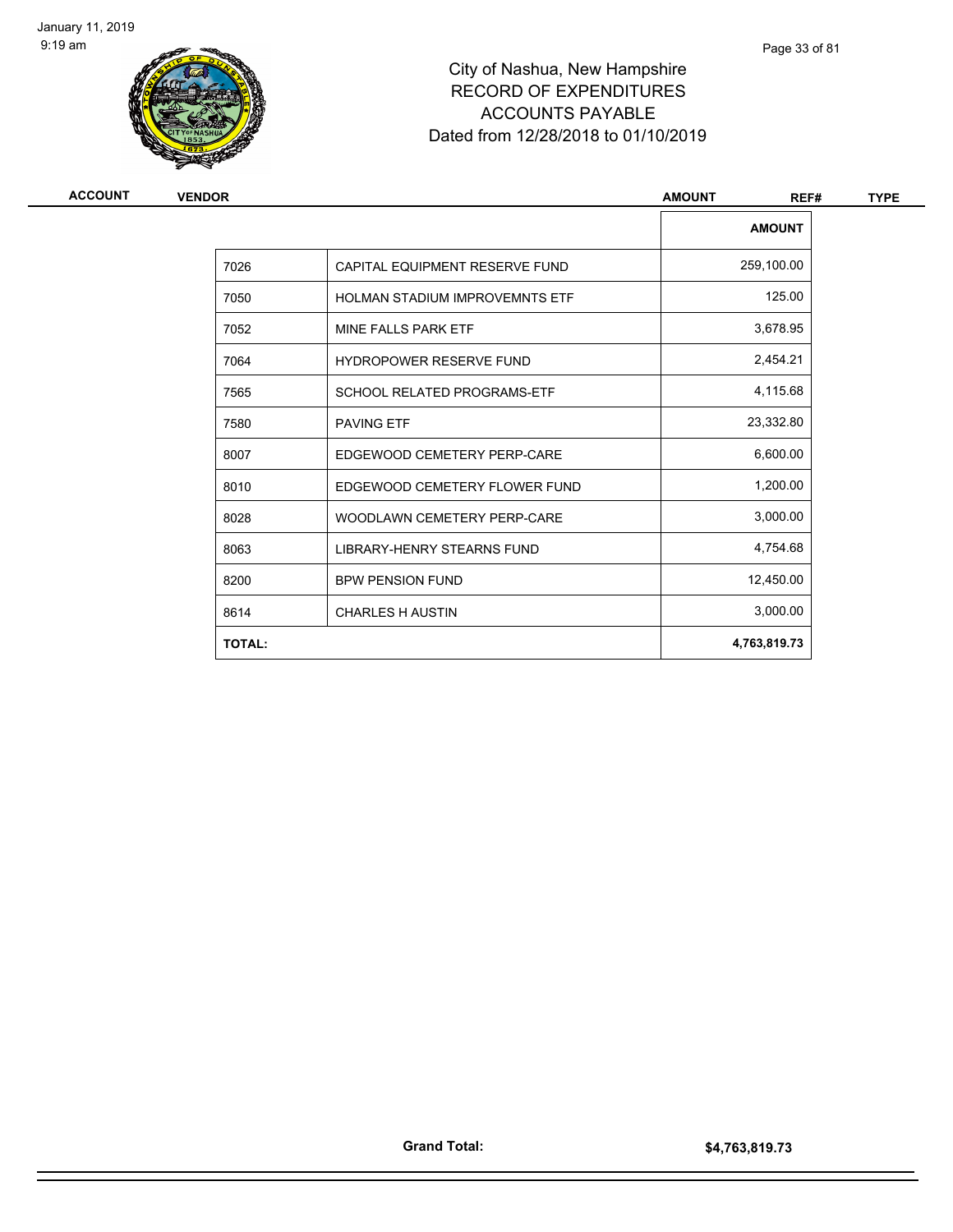

| ACCOUNT | <b>VENDOR</b> |                                       | <b>AMOUNT</b><br>REF# | <b>TYPE</b> |
|---------|---------------|---------------------------------------|-----------------------|-------------|
|         |               |                                       | <b>AMOUNT</b>         |             |
|         | 7026          | CAPITAL EQUIPMENT RESERVE FUND        | 259,100.00            |             |
|         | 7050          | <b>HOLMAN STADIUM IMPROVEMNTS ETF</b> | 125.00                |             |
|         | 7052          | MINE FALLS PARK ETF                   | 3,678.95              |             |
|         | 7064          | <b>HYDROPOWER RESERVE FUND</b>        | 2,454.21              |             |
|         | 7565          | <b>SCHOOL RELATED PROGRAMS-ETF</b>    | 4,115.68              |             |
|         | 7580          | <b>PAVING ETF</b>                     | 23,332.80             |             |
|         | 8007          | EDGEWOOD CEMETERY PERP-CARE           | 6,600.00              |             |
|         | 8010          | EDGEWOOD CEMETERY FLOWER FUND         | 1,200.00              |             |
|         | 8028          | WOODLAWN CEMETERY PERP-CARE           | 3,000.00              |             |
|         | 8063          | LIBRARY-HENRY STEARNS FUND            | 4,754.68              |             |
|         | 8200          | <b>BPW PENSION FUND</b>               | 12,450.00             |             |
|         | 8614          | <b>CHARLES H AUSTIN</b>               | 3,000.00              |             |
|         | <b>TOTAL:</b> |                                       | 4,763,819.73          |             |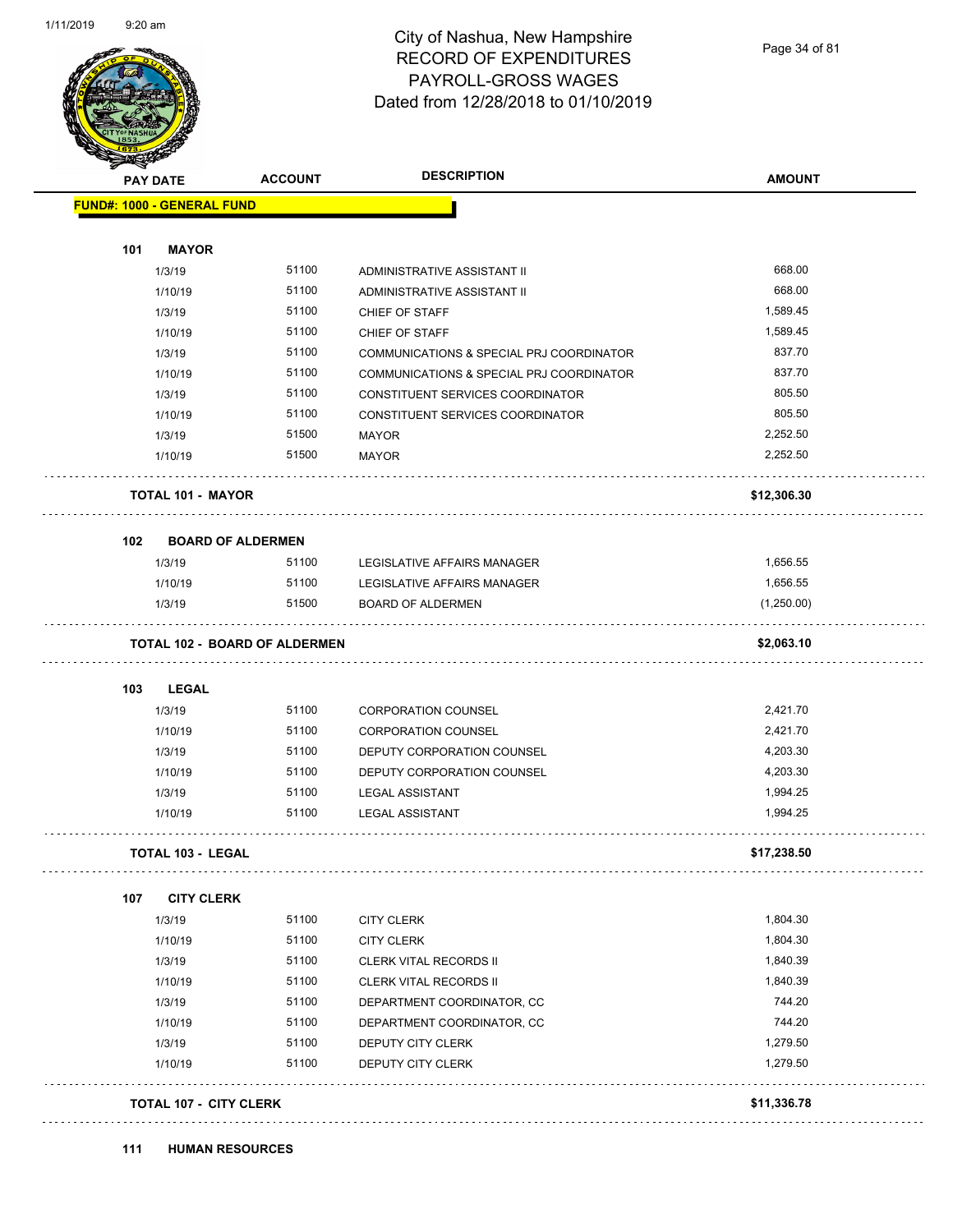

### City of Nashua, New Hampshire RECORD OF EXPENDITURES PAYROLL-GROSS WAGES Dated from 12/28/2018 to 01/10/2019

Page 34 of 81

|     | <b>PAY DATE</b>                      | <b>ACCOUNT</b> | <b>DESCRIPTION</b>                                                           | <b>AMOUNT</b> |
|-----|--------------------------------------|----------------|------------------------------------------------------------------------------|---------------|
|     | <b>FUND#: 1000 - GENERAL FUND</b>    |                |                                                                              |               |
|     |                                      |                |                                                                              |               |
| 101 | <b>MAYOR</b><br>1/3/19               | 51100          | ADMINISTRATIVE ASSISTANT II                                                  | 668.00        |
|     | 1/10/19                              | 51100          | ADMINISTRATIVE ASSISTANT II                                                  | 668.00        |
|     | 1/3/19                               | 51100          | CHIEF OF STAFF                                                               | 1,589.45      |
|     | 1/10/19                              | 51100          | CHIEF OF STAFF                                                               | 1,589.45      |
|     |                                      | 51100          |                                                                              | 837.70        |
|     | 1/3/19                               | 51100          | COMMUNICATIONS & SPECIAL PRJ COORDINATOR                                     | 837.70        |
|     | 1/10/19<br>1/3/19                    | 51100          | COMMUNICATIONS & SPECIAL PRJ COORDINATOR<br>CONSTITUENT SERVICES COORDINATOR | 805.50        |
|     | 1/10/19                              | 51100          | CONSTITUENT SERVICES COORDINATOR                                             | 805.50        |
|     | 1/3/19                               | 51500          |                                                                              | 2,252.50      |
|     | 1/10/19                              | 51500          | MAYOR<br><b>MAYOR</b>                                                        | 2,252.50      |
|     |                                      |                |                                                                              |               |
|     | <b>TOTAL 101 - MAYOR</b>             |                |                                                                              | \$12,306.30   |
| 102 | <b>BOARD OF ALDERMEN</b>             |                |                                                                              |               |
|     | 1/3/19                               | 51100          | LEGISLATIVE AFFAIRS MANAGER                                                  | 1,656.55      |
|     | 1/10/19                              | 51100          | LEGISLATIVE AFFAIRS MANAGER                                                  | 1,656.55      |
|     | 1/3/19                               | 51500          | <b>BOARD OF ALDERMEN</b>                                                     | (1,250.00)    |
|     | <b>TOTAL 102 - BOARD OF ALDERMEN</b> |                |                                                                              | \$2,063.10    |
| 103 | <b>LEGAL</b>                         |                |                                                                              |               |
|     | 1/3/19                               | 51100          | <b>CORPORATION COUNSEL</b>                                                   | 2,421.70      |
|     | 1/10/19                              | 51100          | <b>CORPORATION COUNSEL</b>                                                   | 2,421.70      |
|     | 1/3/19                               | 51100          | DEPUTY CORPORATION COUNSEL                                                   | 4,203.30      |
|     | 1/10/19                              | 51100          | DEPUTY CORPORATION COUNSEL                                                   | 4,203.30      |
|     | 1/3/19                               | 51100          | <b>LEGAL ASSISTANT</b>                                                       | 1,994.25      |
|     | 1/10/19                              | 51100          | <b>LEGAL ASSISTANT</b>                                                       | 1,994.25      |
|     | <b>TOTAL 103 - LEGAL</b>             |                |                                                                              | \$17,238.50   |
| 107 | <b>CITY CLERK</b>                    |                |                                                                              |               |
|     | 1/3/19                               | 51100          | <b>CITY CLERK</b>                                                            | 1,804.30      |
|     | 1/10/19                              | 51100          | <b>CITY CLERK</b>                                                            | 1,804.30      |
|     | 1/3/19                               | 51100          | <b>CLERK VITAL RECORDS II</b>                                                | 1,840.39      |
|     | 1/10/19                              | 51100          | CLERK VITAL RECORDS II                                                       | 1,840.39      |
|     | 1/3/19                               | 51100          | DEPARTMENT COORDINATOR, CC                                                   | 744.20        |
|     | 1/10/19                              | 51100          | DEPARTMENT COORDINATOR, CC                                                   | 744.20        |
|     | 1/3/19                               | 51100          | DEPUTY CITY CLERK                                                            | 1,279.50      |
|     | 1/10/19                              | 51100          | DEPUTY CITY CLERK                                                            | 1,279.50      |
|     | <b>TOTAL 107 - CITY CLERK</b>        |                |                                                                              | \$11,336.78   |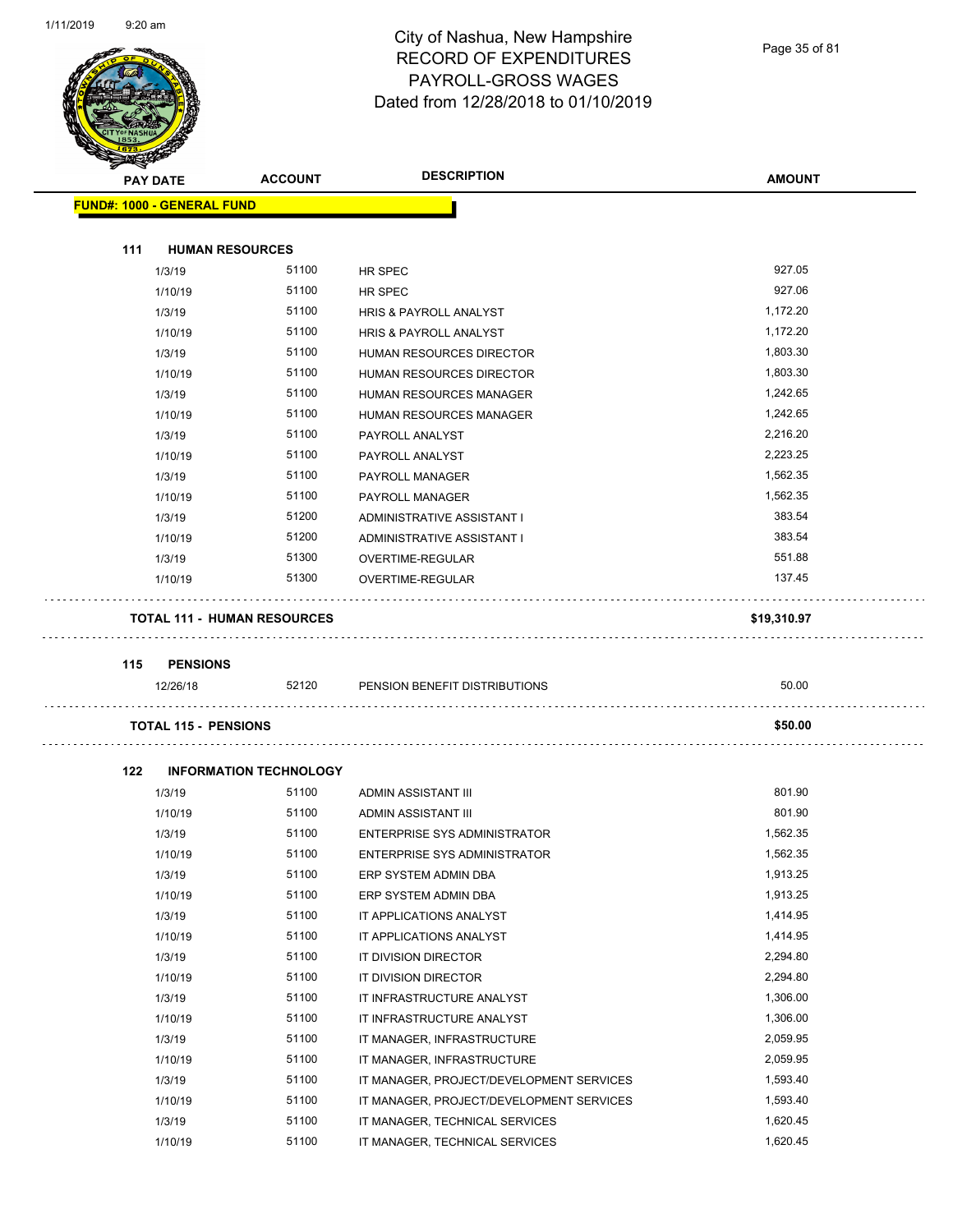

### City of Nashua, New Hampshire RECORD OF EXPENDITURES PAYROLL-GROSS WAGES Dated from 12/28/2018 to 01/10/2019

Page 35 of 81

|     | <b>PAY DATE</b>                   | <b>ACCOUNT</b>                         | <b>DESCRIPTION</b>                                 | <b>AMOUNT</b>        |
|-----|-----------------------------------|----------------------------------------|----------------------------------------------------|----------------------|
|     | <b>FUND#: 1000 - GENERAL FUND</b> |                                        |                                                    |                      |
| 111 | <b>HUMAN RESOURCES</b>            |                                        |                                                    |                      |
|     | 1/3/19                            | 51100                                  | HR SPEC                                            | 927.05               |
|     | 1/10/19                           | 51100                                  | HR SPEC                                            | 927.06               |
|     | 1/3/19                            | 51100                                  | HRIS & PAYROLL ANALYST                             | 1,172.20             |
|     | 1/10/19                           | 51100                                  | HRIS & PAYROLL ANALYST                             | 1,172.20             |
|     | 1/3/19                            | 51100                                  | HUMAN RESOURCES DIRECTOR                           | 1,803.30             |
|     | 1/10/19                           | 51100                                  | HUMAN RESOURCES DIRECTOR                           | 1,803.30             |
|     | 1/3/19                            | 51100                                  | HUMAN RESOURCES MANAGER                            | 1,242.65             |
|     | 1/10/19                           | 51100                                  | HUMAN RESOURCES MANAGER                            | 1,242.65             |
|     | 1/3/19                            | 51100                                  | PAYROLL ANALYST                                    | 2,216.20             |
|     | 1/10/19                           | 51100                                  | PAYROLL ANALYST                                    | 2,223.25             |
|     | 1/3/19                            | 51100                                  | PAYROLL MANAGER                                    | 1,562.35             |
|     | 1/10/19                           | 51100                                  | PAYROLL MANAGER                                    | 1,562.35             |
|     | 1/3/19                            | 51200                                  | ADMINISTRATIVE ASSISTANT I                         | 383.54               |
|     | 1/10/19                           | 51200                                  | ADMINISTRATIVE ASSISTANT I                         | 383.54               |
|     | 1/3/19                            | 51300                                  | OVERTIME-REGULAR                                   | 551.88               |
|     | 1/10/19                           | 51300                                  | <b>OVERTIME-REGULAR</b>                            | 137.45               |
|     |                                   |                                        |                                                    |                      |
|     |                                   |                                        |                                                    |                      |
|     |                                   | <b>TOTAL 111 - HUMAN RESOURCES</b>     |                                                    | \$19,310.97          |
| 115 | <b>PENSIONS</b>                   |                                        |                                                    |                      |
|     | 12/26/18                          | 52120                                  | PENSION BENEFIT DISTRIBUTIONS                      | 50.00                |
|     | <b>TOTAL 115 - PENSIONS</b>       |                                        |                                                    | \$50.00              |
| 122 |                                   |                                        |                                                    |                      |
|     |                                   | <b>INFORMATION TECHNOLOGY</b><br>51100 | ADMIN ASSISTANT III                                | 801.90               |
|     | 1/3/19                            | 51100                                  | ADMIN ASSISTANT III                                | 801.90               |
|     | 1/10/19<br>1/3/19                 | 51100                                  | <b>ENTERPRISE SYS ADMINISTRATOR</b>                | 1,562.35             |
|     |                                   | 51100                                  |                                                    | 1,562.35             |
|     | 1/10/19                           | 51100                                  | <b>ENTERPRISE SYS ADMINISTRATOR</b>                | 1,913.25             |
|     | 1/3/19                            | 51100                                  | ERP SYSTEM ADMIN DBA                               | 1,913.25             |
|     | 1/10/19                           | 51100                                  | ERP SYSTEM ADMIN DBA                               |                      |
|     | 1/3/19<br>1/10/19                 | 51100                                  | IT APPLICATIONS ANALYST<br>IT APPLICATIONS ANALYST | 1,414.95<br>1,414.95 |
|     |                                   | 51100                                  | IT DIVISION DIRECTOR                               | 2,294.80             |
|     | 1/3/19<br>1/10/19                 | 51100                                  | IT DIVISION DIRECTOR                               | 2,294.80             |
|     | 1/3/19                            | 51100                                  | IT INFRASTRUCTURE ANALYST                          | 1,306.00             |
|     | 1/10/19                           | 51100                                  | IT INFRASTRUCTURE ANALYST                          | 1,306.00             |
|     | 1/3/19                            | 51100                                  | IT MANAGER, INFRASTRUCTURE                         | 2,059.95             |
|     | 1/10/19                           | 51100                                  | IT MANAGER, INFRASTRUCTURE                         | 2,059.95             |
|     | 1/3/19                            | 51100                                  | IT MANAGER, PROJECT/DEVELOPMENT SERVICES           | 1,593.40             |
|     | 1/10/19                           | 51100                                  | IT MANAGER, PROJECT/DEVELOPMENT SERVICES           | 1,593.40             |
|     | 1/3/19                            | 51100                                  | IT MANAGER, TECHNICAL SERVICES                     | 1,620.45             |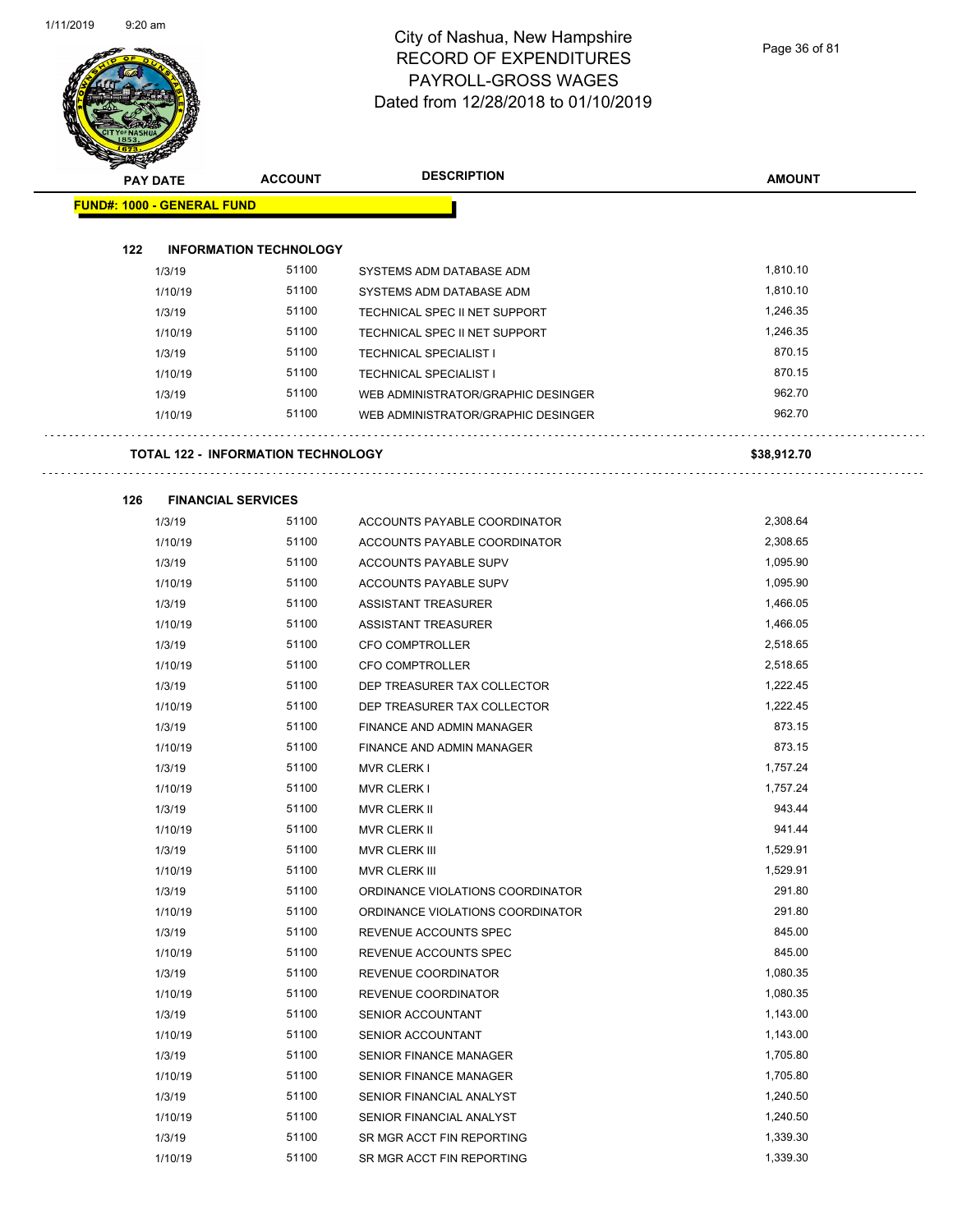$\overline{\phantom{0}}$ 

### City of Nashua, New Hampshire RECORD OF EXPENDITURES PAYROLL-GROSS WAGES Dated from 12/28/2018 to 01/10/2019

Page 36 of 81

| PART                              |          |                                           |                                    |               |
|-----------------------------------|----------|-------------------------------------------|------------------------------------|---------------|
|                                   | PAY DATE | <b>ACCOUNT</b>                            | <b>DESCRIPTION</b>                 | <b>AMOUNT</b> |
| <b>FUND#: 1000 - GENERAL FUND</b> |          |                                           |                                    |               |
|                                   |          |                                           |                                    |               |
| 122                               |          | <b>INFORMATION TECHNOLOGY</b>             |                                    |               |
|                                   | 1/3/19   | 51100                                     | SYSTEMS ADM DATABASE ADM           | 1,810.10      |
|                                   | 1/10/19  | 51100                                     | SYSTEMS ADM DATABASE ADM           | 1,810.10      |
|                                   | 1/3/19   | 51100                                     | TECHNICAL SPEC II NET SUPPORT      | 1,246.35      |
|                                   | 1/10/19  | 51100                                     | TECHNICAL SPEC II NET SUPPORT      | 1,246.35      |
|                                   | 1/3/19   | 51100                                     | <b>TECHNICAL SPECIALIST I</b>      | 870.15        |
|                                   | 1/10/19  | 51100                                     | <b>TECHNICAL SPECIALIST I</b>      | 870.15        |
|                                   | 1/3/19   | 51100                                     | WEB ADMINISTRATOR/GRAPHIC DESINGER | 962.70        |
|                                   | 1/10/19  | 51100                                     | WEB ADMINISTRATOR/GRAPHIC DESINGER | 962.70        |
|                                   |          | <b>TOTAL 122 - INFORMATION TECHNOLOGY</b> |                                    | \$38,912.70   |
|                                   |          |                                           |                                    |               |
| 126                               | 1/3/19   | <b>FINANCIAL SERVICES</b><br>51100        | ACCOUNTS PAYABLE COORDINATOR       | 2,308.64      |
|                                   | 1/10/19  | 51100                                     | ACCOUNTS PAYABLE COORDINATOR       | 2,308.65      |
|                                   | 1/3/19   | 51100                                     | ACCOUNTS PAYABLE SUPV              | 1,095.90      |
|                                   | 1/10/19  | 51100                                     | ACCOUNTS PAYABLE SUPV              | 1,095.90      |
|                                   | 1/3/19   | 51100                                     | <b>ASSISTANT TREASURER</b>         | 1,466.05      |
|                                   | 1/10/19  | 51100                                     | <b>ASSISTANT TREASURER</b>         | 1,466.05      |
|                                   | 1/3/19   | 51100                                     | <b>CFO COMPTROLLER</b>             | 2,518.65      |
|                                   | 1/10/19  | 51100                                     | CFO COMPTROLLER                    | 2,518.65      |
|                                   | 1/3/19   | 51100                                     | DEP TREASURER TAX COLLECTOR        | 1,222.45      |
|                                   | 1/10/19  | 51100                                     | DEP TREASURER TAX COLLECTOR        | 1,222.45      |
|                                   | 1/3/19   | 51100                                     | FINANCE AND ADMIN MANAGER          | 873.15        |
|                                   | 1/10/19  | 51100                                     | FINANCE AND ADMIN MANAGER          | 873.15        |
|                                   | 1/3/19   | 51100                                     | <b>MVR CLERK I</b>                 | 1,757.24      |
|                                   | 1/10/19  | 51100                                     | <b>MVR CLERK I</b>                 | 1,757.24      |
|                                   | 1/3/19   | 51100                                     | <b>MVR CLERK II</b>                | 943.44        |
|                                   | 1/10/19  | 51100                                     | <b>MVR CLERK II</b>                | 941.44        |
|                                   | 1/3/19   | 51100                                     | MVR CLERK III                      | 1,529.91      |
|                                   | 1/10/19  | 51100                                     | MVR CLERK III                      | 1,529.91      |
|                                   | 1/3/19   | 51100                                     | ORDINANCE VIOLATIONS COORDINATOR   | 291.80        |
|                                   | 1/10/19  | 51100                                     | ORDINANCE VIOLATIONS COORDINATOR   | 291.80        |
|                                   | 1/3/19   | 51100                                     | REVENUE ACCOUNTS SPEC              | 845.00        |
|                                   | 1/10/19  | 51100                                     | REVENUE ACCOUNTS SPEC              | 845.00        |
|                                   | 1/3/19   | 51100                                     | REVENUE COORDINATOR                | 1,080.35      |
|                                   | 1/10/19  | 51100                                     | REVENUE COORDINATOR                | 1,080.35      |
|                                   | 1/3/19   | 51100                                     | SENIOR ACCOUNTANT                  | 1,143.00      |
|                                   | 1/10/19  | 51100                                     | SENIOR ACCOUNTANT                  | 1,143.00      |
|                                   | 1/3/19   | 51100                                     | <b>SENIOR FINANCE MANAGER</b>      | 1,705.80      |
|                                   | 1/10/19  | 51100                                     | SENIOR FINANCE MANAGER             | 1,705.80      |
|                                   | 1/3/19   | 51100                                     | SENIOR FINANCIAL ANALYST           | 1,240.50      |
|                                   | 1/10/19  | 51100                                     | SENIOR FINANCIAL ANALYST           | 1,240.50      |
|                                   | 1/3/19   | 51100                                     | SR MGR ACCT FIN REPORTING          | 1,339.30      |

1/10/19 51100 SR MGR ACCT FIN REPORTING 1,339.30 51,339.30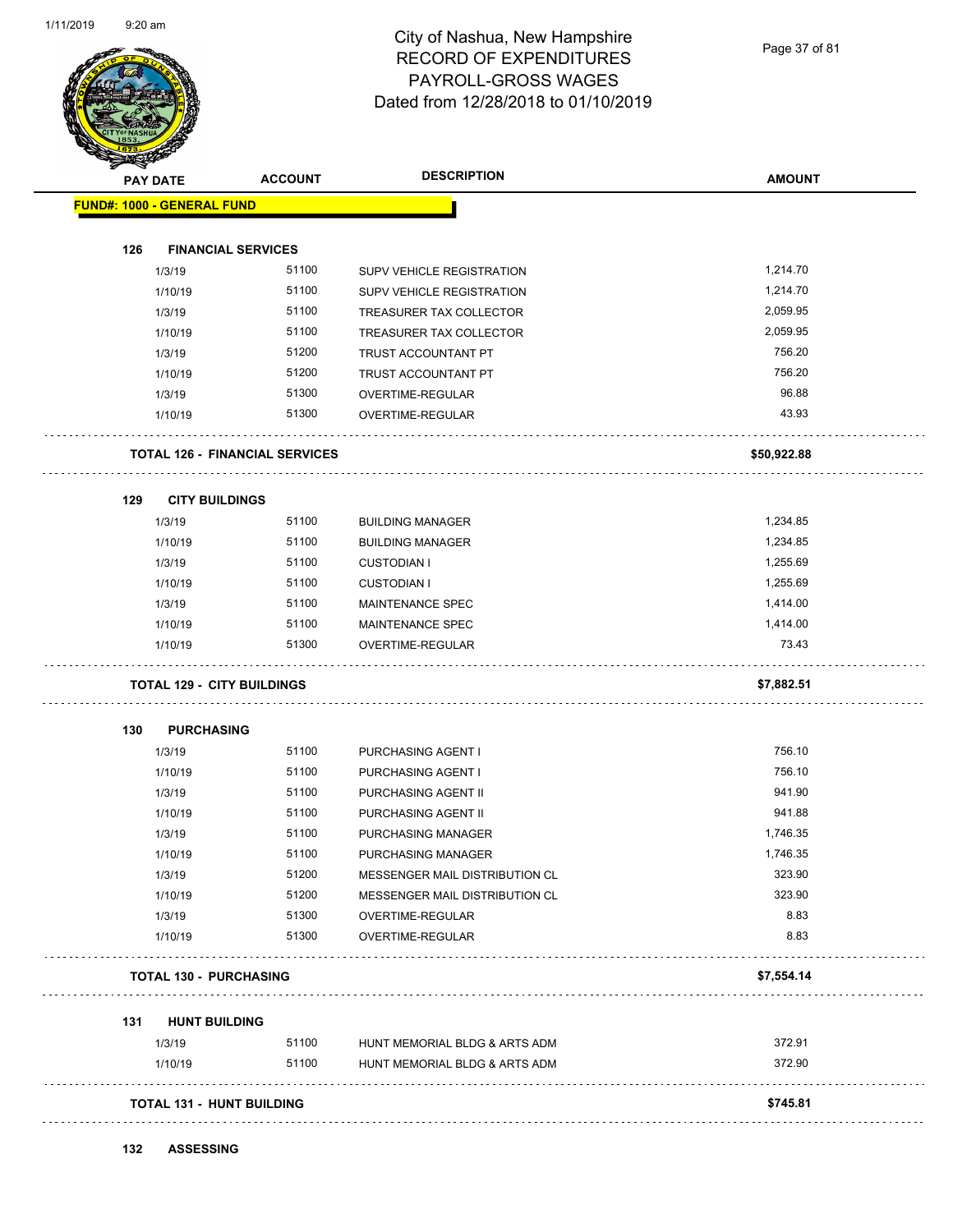

Page 37 of 81

| <b>PAY DATE</b> |                                   | <b>ACCOUNT</b>                        | <b>DESCRIPTION</b>             | <b>AMOUNT</b> |
|-----------------|-----------------------------------|---------------------------------------|--------------------------------|---------------|
|                 | <b>FUND#: 1000 - GENERAL FUND</b> |                                       |                                |               |
| 126             | <b>FINANCIAL SERVICES</b>         |                                       |                                |               |
|                 | 1/3/19                            | 51100                                 | SUPV VEHICLE REGISTRATION      | 1,214.70      |
|                 | 1/10/19                           | 51100                                 | SUPV VEHICLE REGISTRATION      | 1,214.70      |
|                 | 1/3/19                            | 51100                                 | TREASURER TAX COLLECTOR        | 2,059.95      |
|                 | 1/10/19                           | 51100                                 | TREASURER TAX COLLECTOR        | 2,059.95      |
|                 | 1/3/19                            | 51200                                 | TRUST ACCOUNTANT PT            | 756.20        |
|                 | 1/10/19                           | 51200                                 | TRUST ACCOUNTANT PT            | 756.20        |
|                 | 1/3/19                            | 51300                                 | OVERTIME-REGULAR               | 96.88         |
|                 | 1/10/19                           | 51300                                 | OVERTIME-REGULAR               | 43.93         |
|                 |                                   | <b>TOTAL 126 - FINANCIAL SERVICES</b> |                                | \$50,922.88   |
| 129             | <b>CITY BUILDINGS</b>             |                                       |                                |               |
|                 | 1/3/19                            | 51100                                 | <b>BUILDING MANAGER</b>        | 1,234.85      |
|                 | 1/10/19                           | 51100                                 | <b>BUILDING MANAGER</b>        | 1,234.85      |
|                 | 1/3/19                            | 51100                                 | <b>CUSTODIAN I</b>             | 1,255.69      |
|                 | 1/10/19                           | 51100                                 | <b>CUSTODIAN I</b>             | 1,255.69      |
|                 | 1/3/19                            | 51100                                 | MAINTENANCE SPEC               | 1,414.00      |
|                 | 1/10/19                           | 51100                                 | MAINTENANCE SPEC               | 1,414.00      |
|                 | 1/10/19                           | 51300                                 | OVERTIME-REGULAR               | 73.43         |
|                 | <b>TOTAL 129 - CITY BUILDINGS</b> |                                       |                                | \$7,882.51    |
| 130             | <b>PURCHASING</b>                 |                                       |                                |               |
|                 | 1/3/19                            | 51100                                 | PURCHASING AGENT I             | 756.10        |
|                 | 1/10/19                           | 51100                                 | PURCHASING AGENT I             | 756.10        |
|                 | 1/3/19                            | 51100                                 | PURCHASING AGENT II            | 941.90        |
|                 | 1/10/19                           | 51100                                 | PURCHASING AGENT II            | 941.88        |
|                 | 1/3/19                            | 51100                                 | PURCHASING MANAGER             | 1,746.35      |
|                 | 1/10/19                           | 51100                                 | PURCHASING MANAGER             | 1,746.35      |
|                 | 1/3/19                            | 51200                                 | MESSENGER MAIL DISTRIBUTION CL | 323.90        |
|                 | 1/10/19                           | 51200                                 | MESSENGER MAIL DISTRIBUTION CL | 323.90        |
|                 | 1/3/19                            | 51300                                 | OVERTIME-REGULAR               | 8.83          |
|                 | 1/10/19                           | 51300                                 | OVERTIME-REGULAR               | 8.83          |
|                 | <b>TOTAL 130 - PURCHASING</b>     |                                       |                                | \$7,554.14    |
| 131             | <b>HUNT BUILDING</b>              |                                       |                                |               |
|                 | 1/3/19                            | 51100                                 | HUNT MEMORIAL BLDG & ARTS ADM  | 372.91        |
|                 | 1/10/19                           | 51100                                 | HUNT MEMORIAL BLDG & ARTS ADM  | 372.90        |
|                 | <b>TOTAL 131 - HUNT BUILDING</b>  |                                       |                                | \$745.81      |

**132 ASSESSING**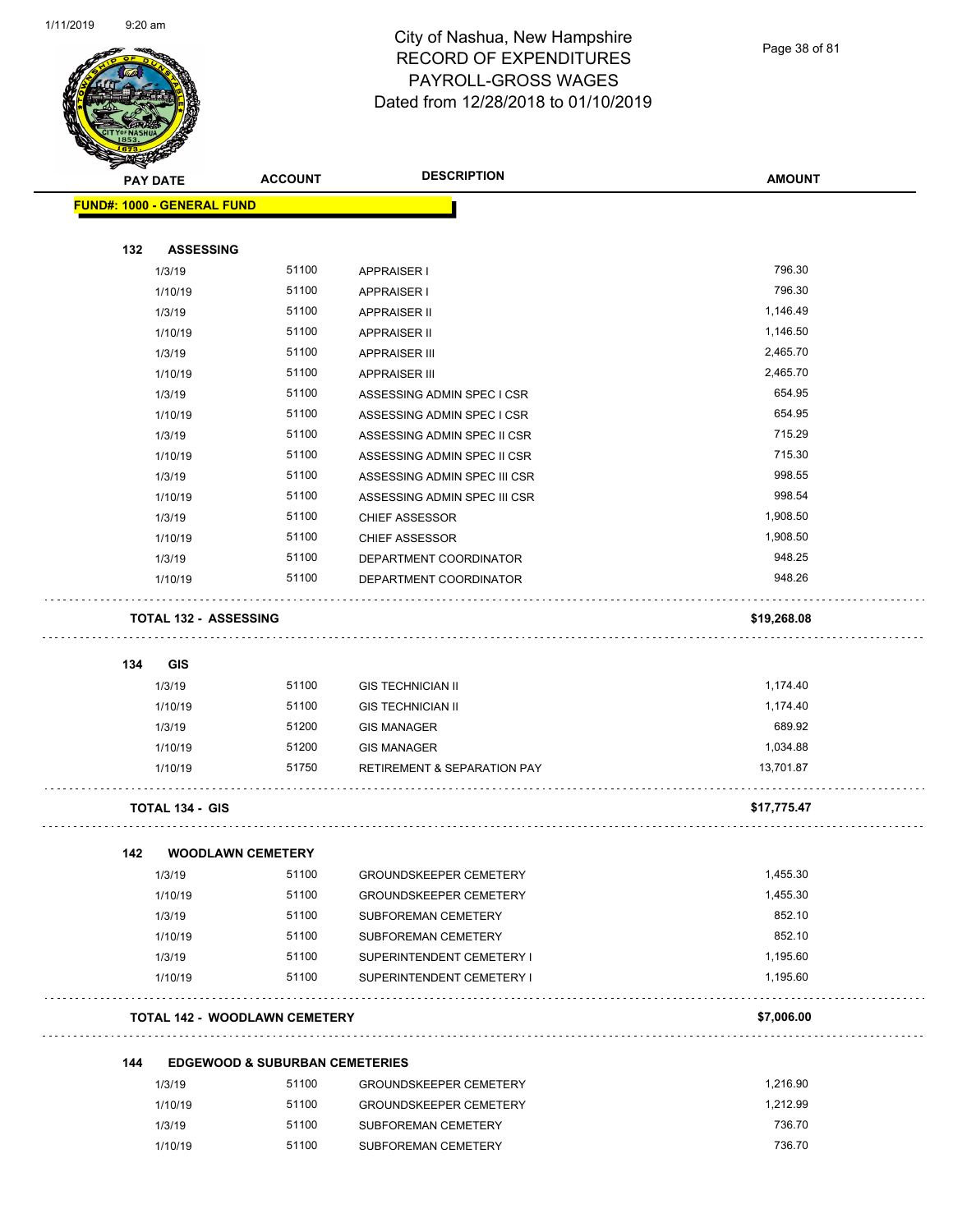

Page 38 of 81

| <b>PAY DATE</b>                   | <b>ACCOUNT</b>                            | <b>DESCRIPTION</b>                     | <b>AMOUNT</b> |
|-----------------------------------|-------------------------------------------|----------------------------------------|---------------|
| <b>FUND#: 1000 - GENERAL FUND</b> |                                           |                                        |               |
|                                   |                                           |                                        |               |
| 132<br><b>ASSESSING</b>           |                                           |                                        |               |
| 1/3/19                            | 51100                                     | APPRAISER I                            | 796.30        |
| 1/10/19                           | 51100                                     | <b>APPRAISER I</b>                     | 796.30        |
| 1/3/19                            | 51100                                     | <b>APPRAISER II</b>                    | 1,146.49      |
| 1/10/19                           | 51100                                     | <b>APPRAISER II</b>                    | 1,146.50      |
| 1/3/19                            | 51100                                     | <b>APPRAISER III</b>                   | 2,465.70      |
| 1/10/19                           | 51100                                     | <b>APPRAISER III</b>                   | 2,465.70      |
| 1/3/19                            | 51100                                     | ASSESSING ADMIN SPEC I CSR             | 654.95        |
| 1/10/19                           | 51100                                     | ASSESSING ADMIN SPEC I CSR             | 654.95        |
| 1/3/19                            | 51100                                     | ASSESSING ADMIN SPEC II CSR            | 715.29        |
| 1/10/19                           | 51100                                     | ASSESSING ADMIN SPEC II CSR            | 715.30        |
| 1/3/19                            | 51100                                     | ASSESSING ADMIN SPEC III CSR           | 998.55        |
| 1/10/19                           | 51100                                     | ASSESSING ADMIN SPEC III CSR           | 998.54        |
| 1/3/19                            | 51100                                     | <b>CHIEF ASSESSOR</b>                  | 1,908.50      |
| 1/10/19                           | 51100                                     | <b>CHIEF ASSESSOR</b>                  | 1,908.50      |
| 1/3/19                            | 51100                                     | DEPARTMENT COORDINATOR                 | 948.25        |
| 1/10/19                           | 51100                                     | DEPARTMENT COORDINATOR                 | 948.26        |
| <b>TOTAL 132 - ASSESSING</b>      |                                           |                                        | \$19,268.08   |
|                                   |                                           |                                        |               |
| 134<br>GIS                        |                                           |                                        |               |
| 1/3/19                            | 51100                                     | <b>GIS TECHNICIAN II</b>               | 1,174.40      |
| 1/10/19                           | 51100                                     | <b>GIS TECHNICIAN II</b>               | 1,174.40      |
| 1/3/19                            | 51200                                     | <b>GIS MANAGER</b>                     | 689.92        |
| 1/10/19                           | 51200                                     | <b>GIS MANAGER</b>                     | 1,034.88      |
| 1/10/19                           | 51750                                     | <b>RETIREMENT &amp; SEPARATION PAY</b> | 13,701.87     |
| <b>TOTAL 134 - GIS</b>            |                                           |                                        | \$17,775.47   |
| 142                               | <b>WOODLAWN CEMETERY</b>                  |                                        |               |
| 1/3/19                            | 51100                                     | <b>GROUNDSKEEPER CEMETERY</b>          | 1,455.30      |
| 1/10/19                           | 51100                                     | <b>GROUNDSKEEPER CEMETERY</b>          | 1,455.30      |
| 1/3/19                            | 51100                                     | SUBFOREMAN CEMETERY                    | 852.10        |
| 1/10/19                           | 51100                                     | SUBFOREMAN CEMETERY                    | 852.10        |
| 1/3/19                            | 51100                                     | SUPERINTENDENT CEMETERY I              | 1,195.60      |
| 1/10/19                           | 51100                                     | SUPERINTENDENT CEMETERY I              | 1,195.60      |
|                                   | <b>TOTAL 142 - WOODLAWN CEMETERY</b>      |                                        | \$7,006.00    |
| 144                               | <b>EDGEWOOD &amp; SUBURBAN CEMETERIES</b> |                                        |               |
| 1/3/19                            | 51100                                     | <b>GROUNDSKEEPER CEMETERY</b>          | 1,216.90      |
| 1/10/19                           | 51100                                     | <b>GROUNDSKEEPER CEMETERY</b>          | 1,212.99      |
| 1/3/19                            | 51100                                     | SUBFOREMAN CEMETERY                    | 736.70        |
|                                   |                                           |                                        |               |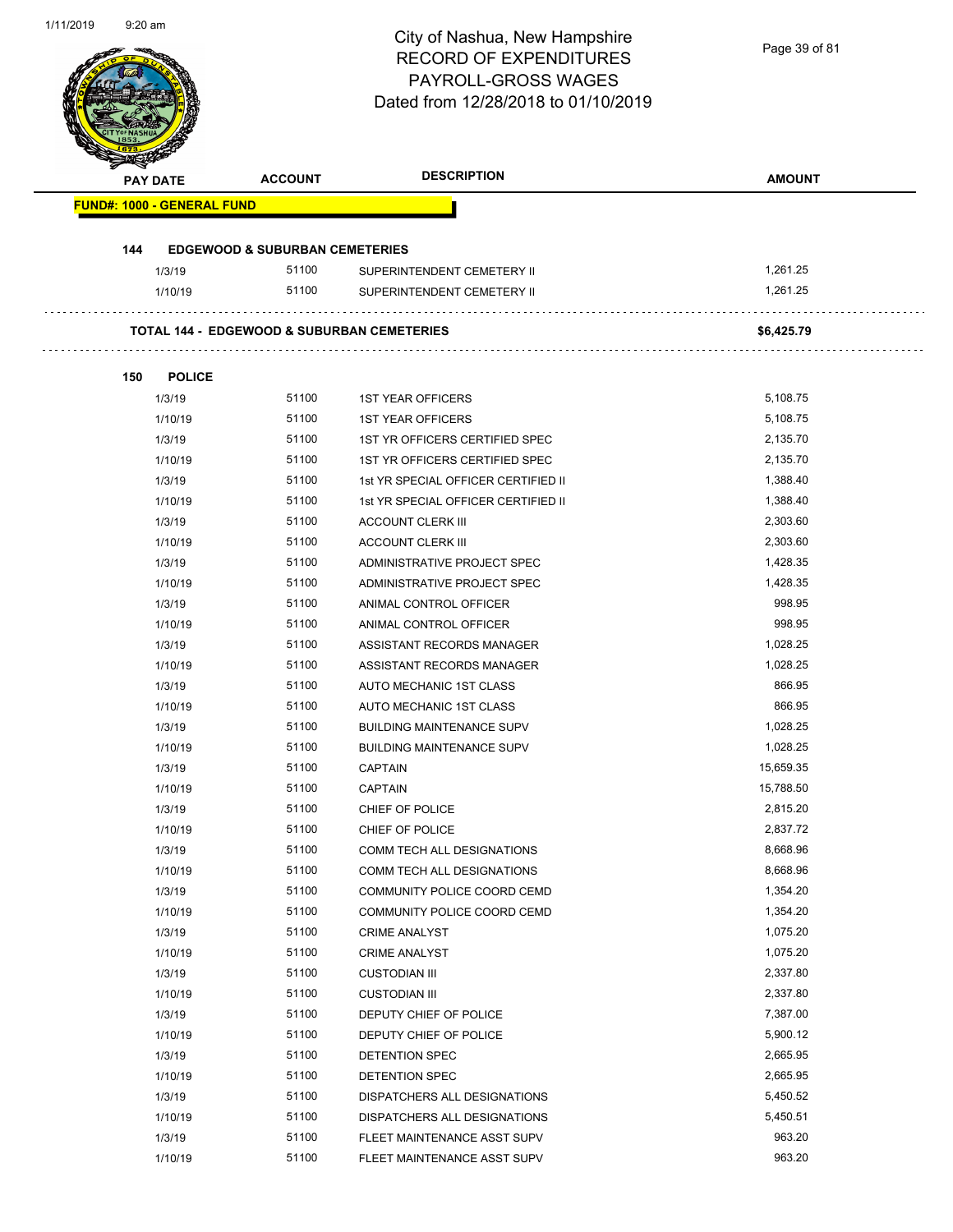Page 39 of 81

| <b>PAY DATE</b>                   | <b>ACCOUNT</b>                            | <b>DESCRIPTION</b>                                         | <b>AMOUNT</b> |
|-----------------------------------|-------------------------------------------|------------------------------------------------------------|---------------|
| <b>FUND#: 1000 - GENERAL FUND</b> |                                           |                                                            |               |
| 144                               | <b>EDGEWOOD &amp; SUBURBAN CEMETERIES</b> |                                                            |               |
| 1/3/19                            | 51100                                     | SUPERINTENDENT CEMETERY II                                 | 1,261.25      |
| 1/10/19                           | 51100                                     | SUPERINTENDENT CEMETERY II                                 | 1,261.25      |
|                                   |                                           | <b>TOTAL 144 - EDGEWOOD &amp; SUBURBAN CEMETERIES</b>      | \$6,425.79    |
|                                   |                                           |                                                            |               |
| <b>POLICE</b><br>150<br>1/3/19    | 51100                                     | <b>1ST YEAR OFFICERS</b>                                   | 5,108.75      |
| 1/10/19                           | 51100                                     |                                                            | 5,108.75      |
| 1/3/19                            | 51100                                     | <b>1ST YEAR OFFICERS</b><br>1ST YR OFFICERS CERTIFIED SPEC | 2,135.70      |
| 1/10/19                           | 51100                                     | 1ST YR OFFICERS CERTIFIED SPEC                             | 2,135.70      |
| 1/3/19                            | 51100                                     | 1st YR SPECIAL OFFICER CERTIFIED II                        | 1,388.40      |
| 1/10/19                           | 51100                                     | 1st YR SPECIAL OFFICER CERTIFIED II                        | 1,388.40      |
| 1/3/19                            | 51100                                     | <b>ACCOUNT CLERK III</b>                                   | 2,303.60      |
| 1/10/19                           | 51100                                     | <b>ACCOUNT CLERK III</b>                                   | 2,303.60      |
| 1/3/19                            | 51100                                     | ADMINISTRATIVE PROJECT SPEC                                | 1,428.35      |
| 1/10/19                           | 51100                                     | ADMINISTRATIVE PROJECT SPEC                                | 1,428.35      |
| 1/3/19                            | 51100                                     | ANIMAL CONTROL OFFICER                                     | 998.95        |
| 1/10/19                           | 51100                                     | ANIMAL CONTROL OFFICER                                     | 998.95        |
| 1/3/19                            | 51100                                     | ASSISTANT RECORDS MANAGER                                  | 1,028.25      |
| 1/10/19                           | 51100                                     | ASSISTANT RECORDS MANAGER                                  | 1,028.25      |
| 1/3/19                            | 51100                                     | AUTO MECHANIC 1ST CLASS                                    | 866.95        |
| 1/10/19                           | 51100                                     | AUTO MECHANIC 1ST CLASS                                    | 866.95        |
| 1/3/19                            | 51100                                     | <b>BUILDING MAINTENANCE SUPV</b>                           | 1,028.25      |
| 1/10/19                           | 51100                                     | <b>BUILDING MAINTENANCE SUPV</b>                           | 1,028.25      |
| 1/3/19                            | 51100                                     | <b>CAPTAIN</b>                                             | 15,659.35     |
| 1/10/19                           | 51100                                     | <b>CAPTAIN</b>                                             | 15,788.50     |
| 1/3/19                            | 51100                                     | CHIEF OF POLICE                                            | 2,815.20      |
| 1/10/19                           | 51100                                     | CHIEF OF POLICE                                            | 2,837.72      |
| 1/3/19                            | 51100                                     | COMM TECH ALL DESIGNATIONS                                 | 8,668.96      |
| 1/10/19                           | 51100                                     | COMM TECH ALL DESIGNATIONS                                 | 8,668.96      |
| 1/3/19                            | 51100                                     | COMMUNITY POLICE COORD CEMD                                | 1,354.20      |
| 1/10/19                           | 51100                                     | COMMUNITY POLICE COORD CEMD                                | 1,354.20      |
| 1/3/19                            | 51100                                     | <b>CRIME ANALYST</b>                                       | 1,075.20      |
| 1/10/19                           | 51100                                     | <b>CRIME ANALYST</b>                                       | 1,075.20      |
| 1/3/19                            | 51100                                     | <b>CUSTODIAN III</b>                                       | 2,337.80      |
| 1/10/19                           | 51100                                     | <b>CUSTODIAN III</b>                                       | 2,337.80      |
| 1/3/19                            | 51100                                     | DEPUTY CHIEF OF POLICE                                     | 7,387.00      |
| 1/10/19                           | 51100                                     | DEPUTY CHIEF OF POLICE                                     | 5,900.12      |
| 1/3/19                            | 51100                                     | DETENTION SPEC                                             | 2,665.95      |
| 1/10/19                           | 51100                                     | DETENTION SPEC                                             | 2,665.95      |
| 1/3/19                            | 51100                                     | DISPATCHERS ALL DESIGNATIONS                               | 5,450.52      |
| 1/10/19                           | 51100                                     | DISPATCHERS ALL DESIGNATIONS                               | 5,450.51      |
| 1/3/19                            | 51100                                     | FLEET MAINTENANCE ASST SUPV                                | 963.20        |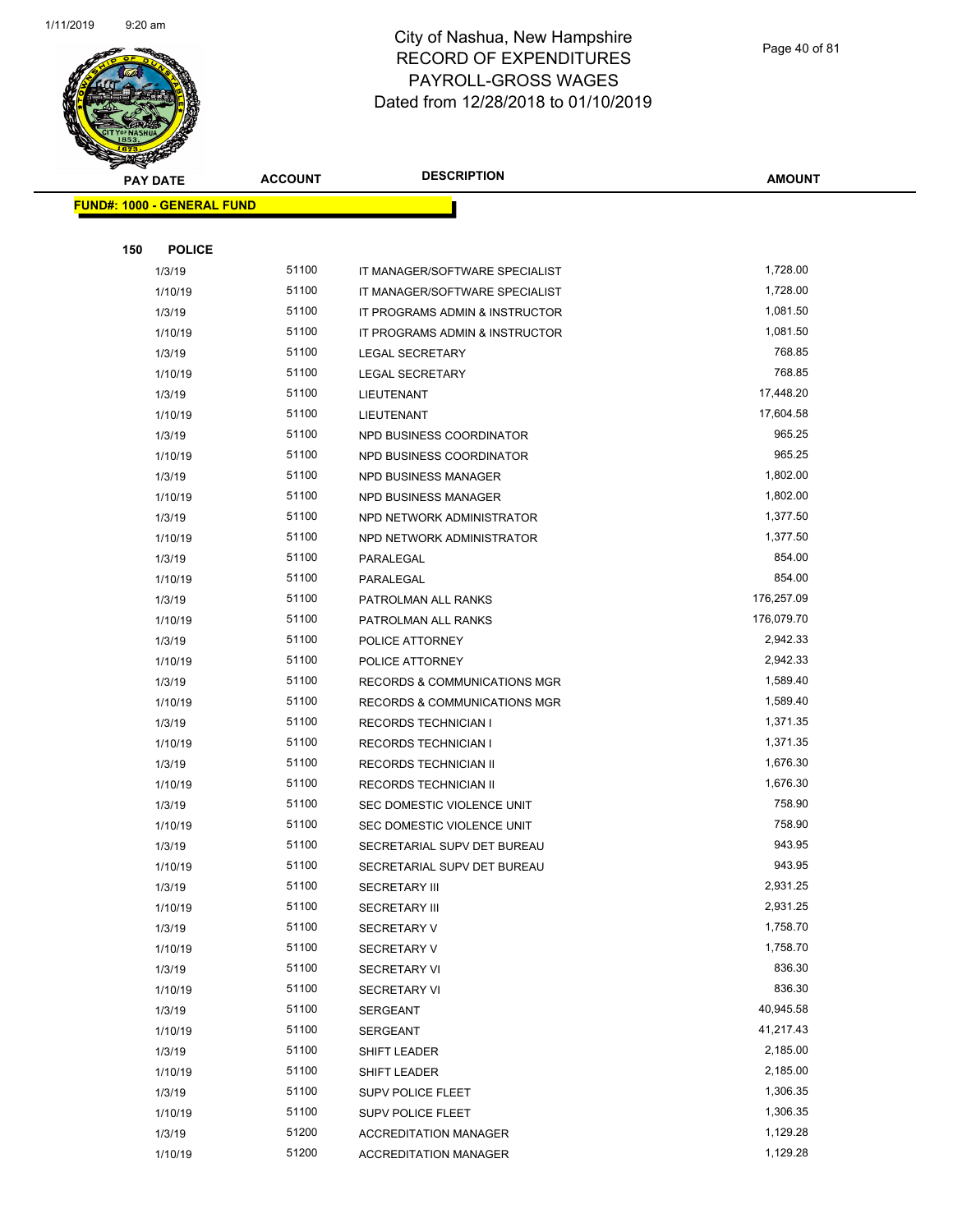

Page 40 of 81

| S<br>$\tilde{\phantom{a}}$<br><b>PAY DATE</b> | <b>ACCOUNT</b> | <b>DESCRIPTION</b>             | <b>AMOUNT</b> |
|-----------------------------------------------|----------------|--------------------------------|---------------|
| <b>FUND#: 1000 - GENERAL FUND</b>             |                |                                |               |
|                                               |                |                                |               |
| 150<br><b>POLICE</b>                          |                |                                |               |
| 1/3/19                                        | 51100          | IT MANAGER/SOFTWARE SPECIALIST | 1,728.00      |
| 1/10/19                                       | 51100          | IT MANAGER/SOFTWARE SPECIALIST | 1,728.00      |
| 1/3/19                                        | 51100          | IT PROGRAMS ADMIN & INSTRUCTOR | 1,081.50      |
| 1/10/19                                       | 51100          | IT PROGRAMS ADMIN & INSTRUCTOR | 1,081.50      |
| 1/3/19                                        | 51100          | <b>LEGAL SECRETARY</b>         | 768.85        |
| 1/10/19                                       | 51100          | <b>LEGAL SECRETARY</b>         | 768.85        |
| 1/3/19                                        | 51100          | LIEUTENANT                     | 17,448.20     |
| 1/10/19                                       | 51100          | LIEUTENANT                     | 17,604.58     |
| 1/3/19                                        | 51100          | NPD BUSINESS COORDINATOR       | 965.25        |
| 1/10/19                                       | 51100          | NPD BUSINESS COORDINATOR       | 965.25        |
| 1/3/19                                        | 51100          | NPD BUSINESS MANAGER           | 1,802.00      |
| 1/10/19                                       | 51100          | NPD BUSINESS MANAGER           | 1,802.00      |
| 1/3/19                                        | 51100          | NPD NETWORK ADMINISTRATOR      | 1,377.50      |
| 1/10/19                                       | 51100          | NPD NETWORK ADMINISTRATOR      | 1,377.50      |
| 1/3/19                                        | 51100          | PARALEGAL                      | 854.00        |
| 1/10/19                                       | 51100          | PARALEGAL                      | 854.00        |
| 1/3/19                                        | 51100          | PATROLMAN ALL RANKS            | 176,257.09    |
| 1/10/19                                       | 51100          | PATROLMAN ALL RANKS            | 176,079.70    |
| 1/3/19                                        | 51100          | POLICE ATTORNEY                | 2,942.33      |
| 1/10/19                                       | 51100          | POLICE ATTORNEY                | 2,942.33      |
| 1/3/19                                        | 51100          | RECORDS & COMMUNICATIONS MGR   | 1,589.40      |
| 1/10/19                                       | 51100          | RECORDS & COMMUNICATIONS MGR   | 1,589.40      |
| 1/3/19                                        | 51100          | <b>RECORDS TECHNICIAN I</b>    | 1,371.35      |
| 1/10/19                                       | 51100          | <b>RECORDS TECHNICIAN I</b>    | 1,371.35      |
| 1/3/19                                        | 51100          | RECORDS TECHNICIAN II          | 1,676.30      |
| 1/10/19                                       | 51100          | RECORDS TECHNICIAN II          | 1,676.30      |
| 1/3/19                                        | 51100          | SEC DOMESTIC VIOLENCE UNIT     | 758.90        |
| 1/10/19                                       | 51100          | SEC DOMESTIC VIOLENCE UNIT     | 758.90        |
| 1/3/19                                        | 51100          | SECRETARIAL SUPV DET BUREAU    | 943.95        |
| 1/10/19                                       | 51100          | SECRETARIAL SUPV DET BUREAU    | 943.95        |
| 1/3/19                                        | 51100          | <b>SECRETARY III</b>           | 2,931.25      |
| 1/10/19                                       | 51100          | <b>SECRETARY III</b>           | 2,931.25      |
| 1/3/19                                        | 51100          | <b>SECRETARY V</b>             | 1,758.70      |
| 1/10/19                                       | 51100          | <b>SECRETARY V</b>             | 1,758.70      |
| 1/3/19                                        | 51100          | <b>SECRETARY VI</b>            | 836.30        |
| 1/10/19                                       | 51100          | <b>SECRETARY VI</b>            | 836.30        |
| 1/3/19                                        | 51100          | SERGEANT                       | 40,945.58     |
| 1/10/19                                       | 51100          | <b>SERGEANT</b>                | 41,217.43     |
| 1/3/19                                        | 51100          | SHIFT LEADER                   | 2,185.00      |
| 1/10/19                                       | 51100          | SHIFT LEADER                   | 2,185.00      |
| 1/3/19                                        | 51100          | SUPV POLICE FLEET              | 1,306.35      |
| 1/10/19                                       | 51100          | SUPV POLICE FLEET              | 1,306.35      |
| 1/3/19                                        | 51200          | <b>ACCREDITATION MANAGER</b>   | 1,129.28      |
| 1/10/19                                       | 51200          | <b>ACCREDITATION MANAGER</b>   | 1,129.28      |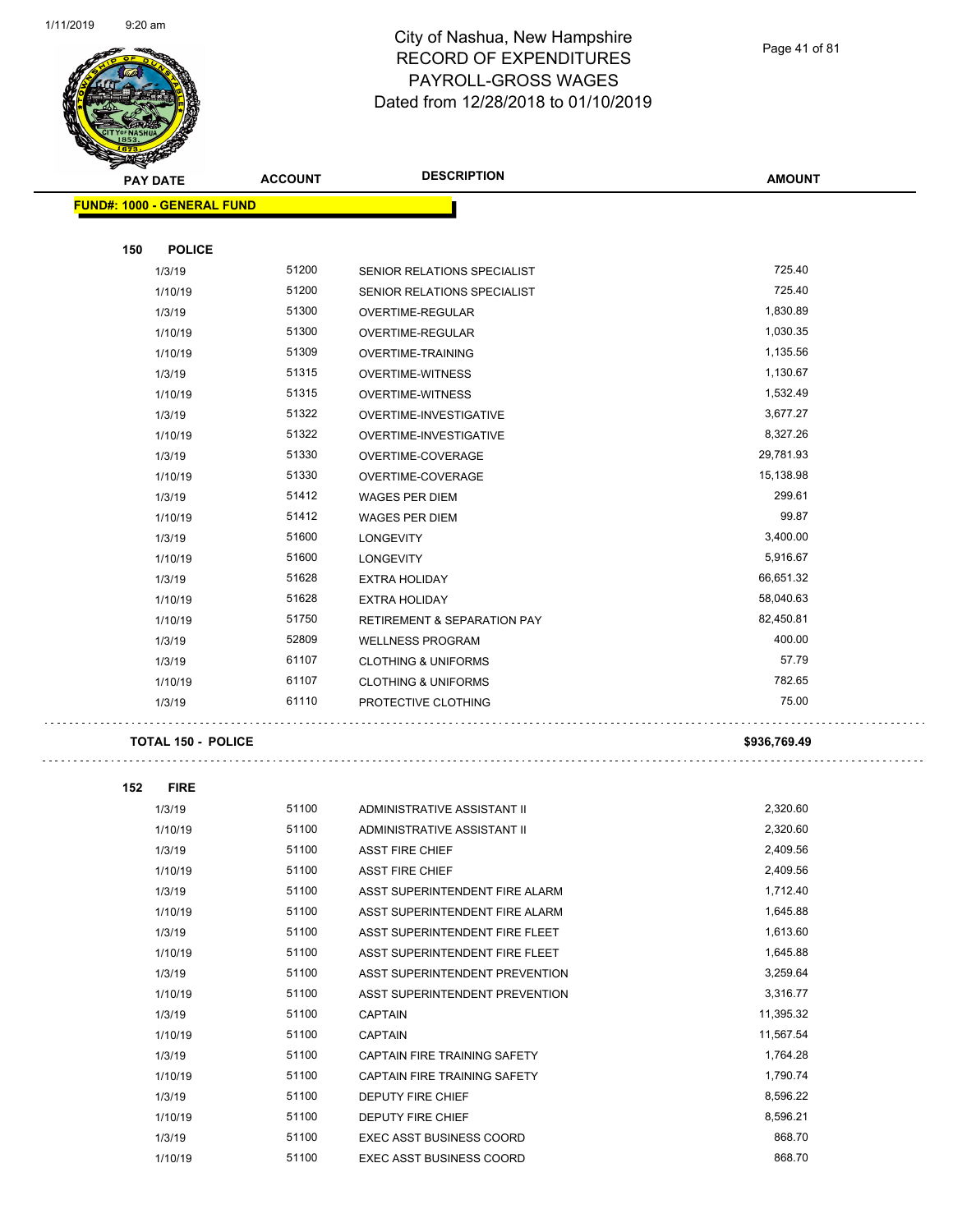

Page 41 of 81

| <b>START AND START</b>            |                |                                        |               |
|-----------------------------------|----------------|----------------------------------------|---------------|
| <b>PAY DATE</b>                   | <b>ACCOUNT</b> | <b>DESCRIPTION</b>                     | <b>AMOUNT</b> |
| <b>FUND#: 1000 - GENERAL FUND</b> |                |                                        |               |
|                                   |                |                                        |               |
| 150<br><b>POLICE</b>              |                |                                        |               |
| 1/3/19                            | 51200          | SENIOR RELATIONS SPECIALIST            | 725.40        |
| 1/10/19                           | 51200          | SENIOR RELATIONS SPECIALIST            | 725.40        |
| 1/3/19                            | 51300          | <b>OVERTIME-REGULAR</b>                | 1,830.89      |
| 1/10/19                           | 51300          | OVERTIME-REGULAR                       | 1,030.35      |
| 1/10/19                           | 51309          | OVERTIME-TRAINING                      | 1,135.56      |
| 1/3/19                            | 51315          | <b>OVERTIME-WITNESS</b>                | 1,130.67      |
| 1/10/19                           | 51315          | <b>OVERTIME-WITNESS</b>                | 1,532.49      |
| 1/3/19                            | 51322          | OVERTIME-INVESTIGATIVE                 | 3,677.27      |
| 1/10/19                           | 51322          | OVERTIME-INVESTIGATIVE                 | 8,327.26      |
| 1/3/19                            | 51330          | OVERTIME-COVERAGE                      | 29,781.93     |
| 1/10/19                           | 51330          | OVERTIME-COVERAGE                      | 15,138.98     |
| 1/3/19                            | 51412          | <b>WAGES PER DIEM</b>                  | 299.61        |
| 1/10/19                           | 51412          | <b>WAGES PER DIEM</b>                  | 99.87         |
| 1/3/19                            | 51600          | <b>LONGEVITY</b>                       | 3,400.00      |
| 1/10/19                           | 51600          | <b>LONGEVITY</b>                       | 5,916.67      |
| 1/3/19                            | 51628          | <b>EXTRA HOLIDAY</b>                   | 66,651.32     |
| 1/10/19                           | 51628          | <b>EXTRA HOLIDAY</b>                   | 58,040.63     |
| 1/10/19                           | 51750          | <b>RETIREMENT &amp; SEPARATION PAY</b> | 82,450.81     |
| 1/3/19                            | 52809          | <b>WELLNESS PROGRAM</b>                | 400.00        |
| 1/3/19                            | 61107          | <b>CLOTHING &amp; UNIFORMS</b>         | 57.79         |
| 1/10/19                           | 61107          | <b>CLOTHING &amp; UNIFORMS</b>         | 782.65        |
| 1/3/19                            | 61110          | PROTECTIVE CLOTHING                    | 75.00         |
|                                   |                |                                        |               |
| <b>TOTAL 150 - POLICE</b>         |                |                                        | \$936,769.49  |
|                                   |                |                                        |               |
| 152<br><b>FIRE</b>                |                |                                        |               |
| 1/3/19                            | 51100          | ADMINISTRATIVE ASSISTANT II            | 2,320.60      |
| 1/10/19                           | 51100          | ADMINISTRATIVE ASSISTANT II            | 2,320.60      |
| 1/3/19                            | 51100          | ASST FIRE CHIEF                        | 2,409.56      |
| 1/10/19                           | 51100          | <b>ASST FIRE CHIEF</b>                 | 2,409.56      |
| 1/3/19                            | 51100          | ASST SUPERINTENDENT FIRE ALARM         | 1,712.40      |
| 1/10/19                           | 51100          | ASST SUPERINTENDENT FIRE ALARM         | 1,645.88      |
| 1/3/19                            | 51100          | ASST SUPERINTENDENT FIRE FLEET         | 1,613.60      |
| 1/10/19                           | 51100          | ASST SUPERINTENDENT FIRE FLEET         | 1,645.88      |
| 1/3/19                            | 51100          | ASST SUPERINTENDENT PREVENTION         | 3,259.64      |
| 1/10/19                           | 51100          | ASST SUPERINTENDENT PREVENTION         | 3,316.77      |
| 1/3/19                            | 51100          | <b>CAPTAIN</b>                         | 11,395.32     |
| 1/10/19                           | 51100          | <b>CAPTAIN</b>                         | 11,567.54     |
| 1/3/19                            | 51100          | CAPTAIN FIRE TRAINING SAFETY           | 1,764.28      |
| 1/10/19                           | 51100          | CAPTAIN FIRE TRAINING SAFETY           | 1,790.74      |
| 1/3/19                            | 51100          | DEPUTY FIRE CHIEF                      | 8,596.22      |
| 1/10/19                           | 51100          | DEPUTY FIRE CHIEF                      | 8,596.21      |
| 1/3/19                            | 51100          | EXEC ASST BUSINESS COORD               | 868.70        |
| 1/10/19                           | 51100          | EXEC ASST BUSINESS COORD               | 868.70        |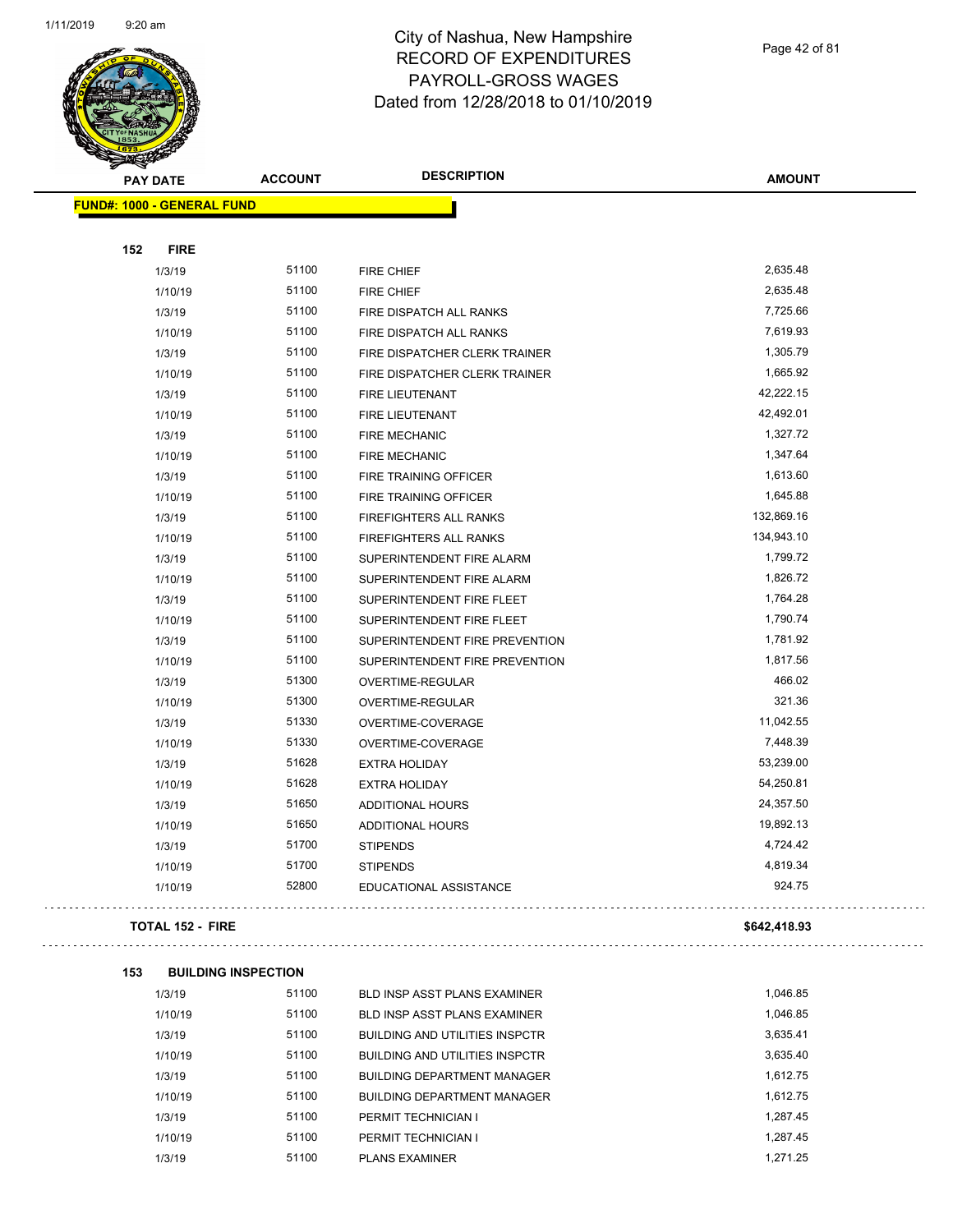

**153 BUILDING INSPECTION**

 $\Box$ 

 $\Box$ 

# City of Nashua, New Hampshire RECORD OF EXPENDITURES PAYROLL-GROSS WAGES Dated from 12/28/2018 to 01/10/2019

Page 42 of 81

 $\sim$  .

 $\mathbb{Z}^{\mathbb{Z}}$ 

| <b>PAY DATE</b>                   | <b>ACCOUNT</b> | <b>DESCRIPTION</b>             | <b>AMOUNT</b> |
|-----------------------------------|----------------|--------------------------------|---------------|
| <b>FUND#: 1000 - GENERAL FUND</b> |                |                                |               |
|                                   |                |                                |               |
| 152<br><b>FIRE</b>                |                |                                |               |
| 1/3/19                            | 51100          | <b>FIRE CHIEF</b>              | 2,635.48      |
| 1/10/19                           | 51100          | <b>FIRE CHIEF</b>              | 2,635.48      |
| 1/3/19                            | 51100          | FIRE DISPATCH ALL RANKS        | 7,725.66      |
| 1/10/19                           | 51100          | FIRE DISPATCH ALL RANKS        | 7,619.93      |
| 1/3/19                            | 51100          | FIRE DISPATCHER CLERK TRAINER  | 1,305.79      |
| 1/10/19                           | 51100          | FIRE DISPATCHER CLERK TRAINER  | 1,665.92      |
| 1/3/19                            | 51100          | <b>FIRE LIEUTENANT</b>         | 42,222.15     |
| 1/10/19                           | 51100          | <b>FIRE LIEUTENANT</b>         | 42,492.01     |
| 1/3/19                            | 51100          | <b>FIRE MECHANIC</b>           | 1,327.72      |
| 1/10/19                           | 51100          | <b>FIRE MECHANIC</b>           | 1,347.64      |
| 1/3/19                            | 51100          | FIRE TRAINING OFFICER          | 1,613.60      |
| 1/10/19                           | 51100          | FIRE TRAINING OFFICER          | 1,645.88      |
| 1/3/19                            | 51100          | FIREFIGHTERS ALL RANKS         | 132,869.16    |
| 1/10/19                           | 51100          | FIREFIGHTERS ALL RANKS         | 134,943.10    |
| 1/3/19                            | 51100          | SUPERINTENDENT FIRE ALARM      | 1,799.72      |
| 1/10/19                           | 51100          | SUPERINTENDENT FIRE ALARM      | 1,826.72      |
| 1/3/19                            | 51100          | SUPERINTENDENT FIRE FLEET      | 1,764.28      |
| 1/10/19                           | 51100          | SUPERINTENDENT FIRE FLEET      | 1,790.74      |
| 1/3/19                            | 51100          | SUPERINTENDENT FIRE PREVENTION | 1,781.92      |
| 1/10/19                           | 51100          | SUPERINTENDENT FIRE PREVENTION | 1,817.56      |
| 1/3/19                            | 51300          | OVERTIME-REGULAR               | 466.02        |
| 1/10/19                           | 51300          | OVERTIME-REGULAR               | 321.36        |
| 1/3/19                            | 51330          | OVERTIME-COVERAGE              | 11,042.55     |
| 1/10/19                           | 51330          | OVERTIME-COVERAGE              | 7,448.39      |
| 1/3/19                            | 51628          | <b>EXTRA HOLIDAY</b>           | 53,239.00     |
| 1/10/19                           | 51628          | <b>EXTRA HOLIDAY</b>           | 54,250.81     |
| 1/3/19                            | 51650          | <b>ADDITIONAL HOURS</b>        | 24,357.50     |
| 1/10/19                           | 51650          | <b>ADDITIONAL HOURS</b>        | 19,892.13     |
| 1/3/19                            | 51700          | <b>STIPENDS</b>                | 4,724.42      |
| 1/10/19                           | 51700          | <b>STIPENDS</b>                | 4,819.34      |
| 1/10/19                           | 52800          | EDUCATIONAL ASSISTANCE         | 924.75        |
| <b>TOTAL 152 - FIRE</b>           |                |                                | \$642,418.93  |
|                                   |                |                                |               |

| 1/3/19  | 51100 | BLD INSP ASST PLANS EXAMINER          | 1,046.85 |
|---------|-------|---------------------------------------|----------|
| 1/10/19 | 51100 | <b>BLD INSP ASST PLANS EXAMINER</b>   | 1,046.85 |
| 1/3/19  | 51100 | <b>BUILDING AND UTILITIES INSPCTR</b> | 3,635.41 |
| 1/10/19 | 51100 | <b>BUILDING AND UTILITIES INSPCTR</b> | 3,635.40 |
| 1/3/19  | 51100 | <b>BUILDING DEPARTMENT MANAGER</b>    | 1.612.75 |
| 1/10/19 | 51100 | <b>BUILDING DEPARTMENT MANAGER</b>    | 1.612.75 |
| 1/3/19  | 51100 | PERMIT TECHNICIAN I                   | 1.287.45 |
| 1/10/19 | 51100 | PERMIT TECHNICIAN I                   | 1.287.45 |
| 1/3/19  | 51100 | <b>PLANS EXAMINER</b>                 | 1.271.25 |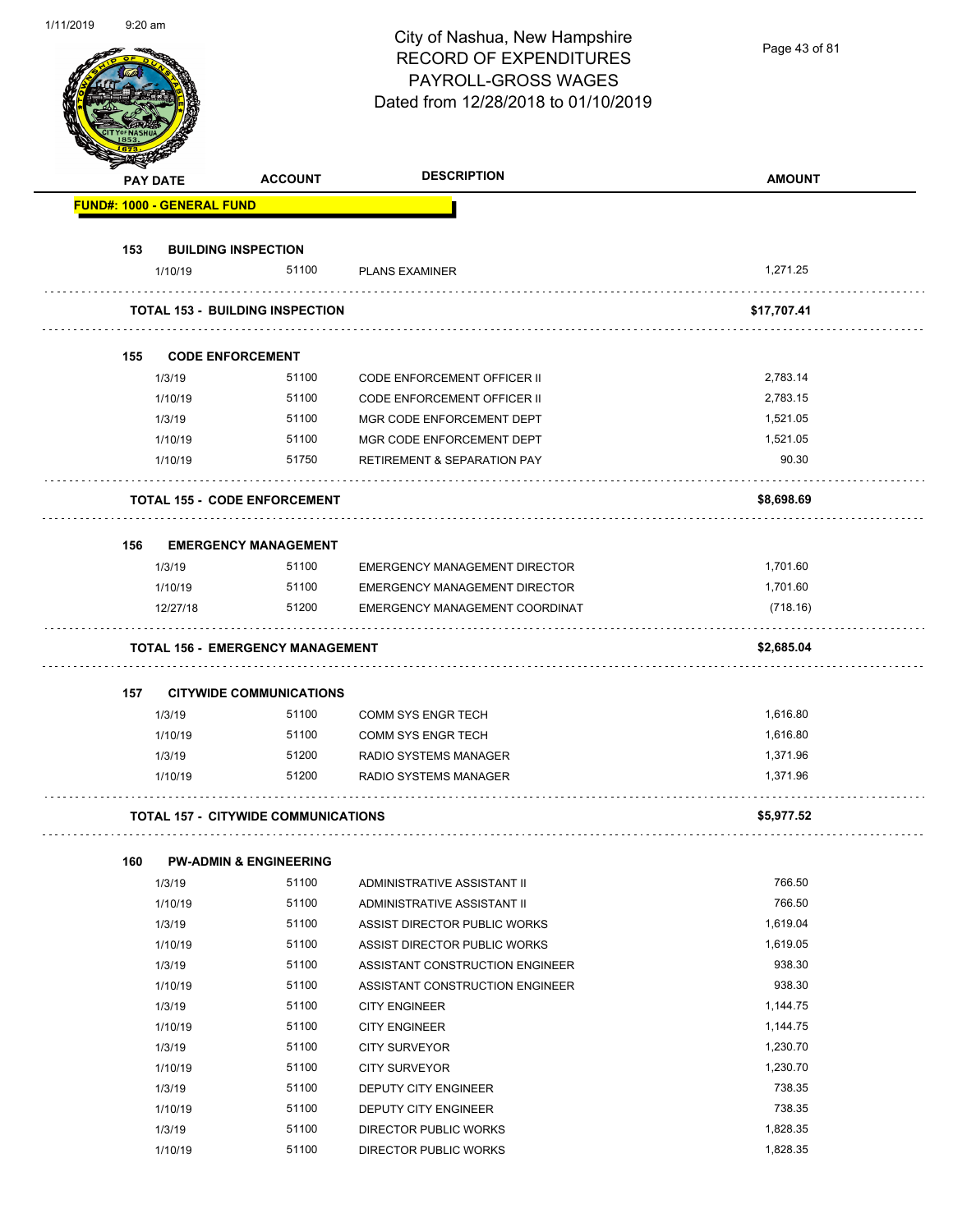| 1/11/2019 | $9:20$ am |                                   |                                            | City of Nashua, New Hampshire<br><b>RECORD OF EXPENDITURES</b><br>PAYROLL-GROSS WAGES<br>Dated from 12/28/2018 to 01/10/2019 | Page 43 of 81    |
|-----------|-----------|-----------------------------------|--------------------------------------------|------------------------------------------------------------------------------------------------------------------------------|------------------|
|           |           | <b>PAY DATE</b>                   | <b>ACCOUNT</b>                             | <b>DESCRIPTION</b>                                                                                                           | <b>AMOUNT</b>    |
|           |           | <b>FUND#: 1000 - GENERAL FUND</b> |                                            |                                                                                                                              |                  |
|           |           |                                   |                                            |                                                                                                                              |                  |
|           | 153       |                                   | <b>BUILDING INSPECTION</b>                 |                                                                                                                              |                  |
|           |           | 1/10/19                           | 51100                                      | <b>PLANS EXAMINER</b>                                                                                                        | 1,271.25         |
|           |           |                                   | <b>TOTAL 153 - BUILDING INSPECTION</b>     |                                                                                                                              | \$17,707.41      |
|           |           |                                   |                                            |                                                                                                                              |                  |
|           | 155       |                                   | <b>CODE ENFORCEMENT</b><br>51100           |                                                                                                                              | 2,783.14         |
|           |           | 1/3/19                            | 51100                                      | <b>CODE ENFORCEMENT OFFICER II</b>                                                                                           | 2,783.15         |
|           |           | 1/10/19<br>1/3/19                 | 51100                                      | <b>CODE ENFORCEMENT OFFICER II</b><br>MGR CODE ENFORCEMENT DEPT                                                              | 1,521.05         |
|           |           | 1/10/19                           | 51100                                      | MGR CODE ENFORCEMENT DEPT                                                                                                    | 1,521.05         |
|           |           | 1/10/19                           | 51750                                      | <b>RETIREMENT &amp; SEPARATION PAY</b>                                                                                       | 90.30            |
|           |           |                                   |                                            |                                                                                                                              |                  |
|           |           |                                   | <b>TOTAL 155 - CODE ENFORCEMENT</b>        |                                                                                                                              | \$8,698.69       |
|           | 156       |                                   | <b>EMERGENCY MANAGEMENT</b>                |                                                                                                                              |                  |
|           |           | 1/3/19                            | 51100                                      | EMERGENCY MANAGEMENT DIRECTOR                                                                                                | 1,701.60         |
|           |           | 1/10/19                           | 51100                                      | EMERGENCY MANAGEMENT DIRECTOR                                                                                                | 1,701.60         |
|           |           | 12/27/18                          | 51200                                      | EMERGENCY MANAGEMENT COORDINAT                                                                                               | (718.16)         |
|           |           |                                   | <b>TOTAL 156 - EMERGENCY MANAGEMENT</b>    |                                                                                                                              | \$2,685.04       |
|           |           |                                   |                                            |                                                                                                                              |                  |
|           | 157       |                                   | <b>CITYWIDE COMMUNICATIONS</b>             |                                                                                                                              |                  |
|           |           | 1/3/19                            | 51100                                      | COMM SYS ENGR TECH                                                                                                           | 1,616.80         |
|           |           | 1/10/19                           | 51100                                      | COMM SYS ENGR TECH                                                                                                           | 1,616.80         |
|           |           | 1/3/19                            | 51200                                      | RADIO SYSTEMS MANAGER                                                                                                        | 1,371.96         |
|           |           | 1/10/19                           | 51200                                      | RADIO SYSTEMS MANAGER                                                                                                        | 1,371.96         |
|           |           |                                   | <b>TOTAL 157 - CITYWIDE COMMUNICATIONS</b> |                                                                                                                              | \$5,977.52       |
|           |           |                                   |                                            |                                                                                                                              |                  |
|           | 160       |                                   | <b>PW-ADMIN &amp; ENGINEERING</b>          |                                                                                                                              |                  |
|           |           | 1/3/19                            | 51100                                      | ADMINISTRATIVE ASSISTANT II                                                                                                  | 766.50           |
|           |           | 1/10/19                           | 51100                                      | ADMINISTRATIVE ASSISTANT II                                                                                                  | 766.50           |
|           |           | 1/3/19                            | 51100                                      | ASSIST DIRECTOR PUBLIC WORKS                                                                                                 | 1,619.04         |
|           |           | 1/10/19                           | 51100                                      | ASSIST DIRECTOR PUBLIC WORKS                                                                                                 | 1,619.05         |
|           |           | 1/3/19                            | 51100<br>51100                             | ASSISTANT CONSTRUCTION ENGINEER                                                                                              | 938.30<br>938.30 |
|           |           | 1/10/19<br>1/3/19                 | 51100                                      | ASSISTANT CONSTRUCTION ENGINEER                                                                                              | 1,144.75         |
|           |           | 1/10/19                           | 51100                                      | <b>CITY ENGINEER</b><br><b>CITY ENGINEER</b>                                                                                 | 1,144.75         |
|           |           | 1/3/19                            | 51100                                      | <b>CITY SURVEYOR</b>                                                                                                         | 1,230.70         |
|           |           | 1/10/19                           | 51100                                      | <b>CITY SURVEYOR</b>                                                                                                         | 1,230.70         |
|           |           | 1/3/19                            | 51100                                      | DEPUTY CITY ENGINEER                                                                                                         | 738.35           |
|           |           | 1/10/19                           | 51100                                      | DEPUTY CITY ENGINEER                                                                                                         | 738.35           |
|           |           | 1/3/19                            | 51100                                      | DIRECTOR PUBLIC WORKS                                                                                                        | 1,828.35         |

1/10/19 51100 DIRECTOR PUBLIC WORKS 1/10/19 1,828.35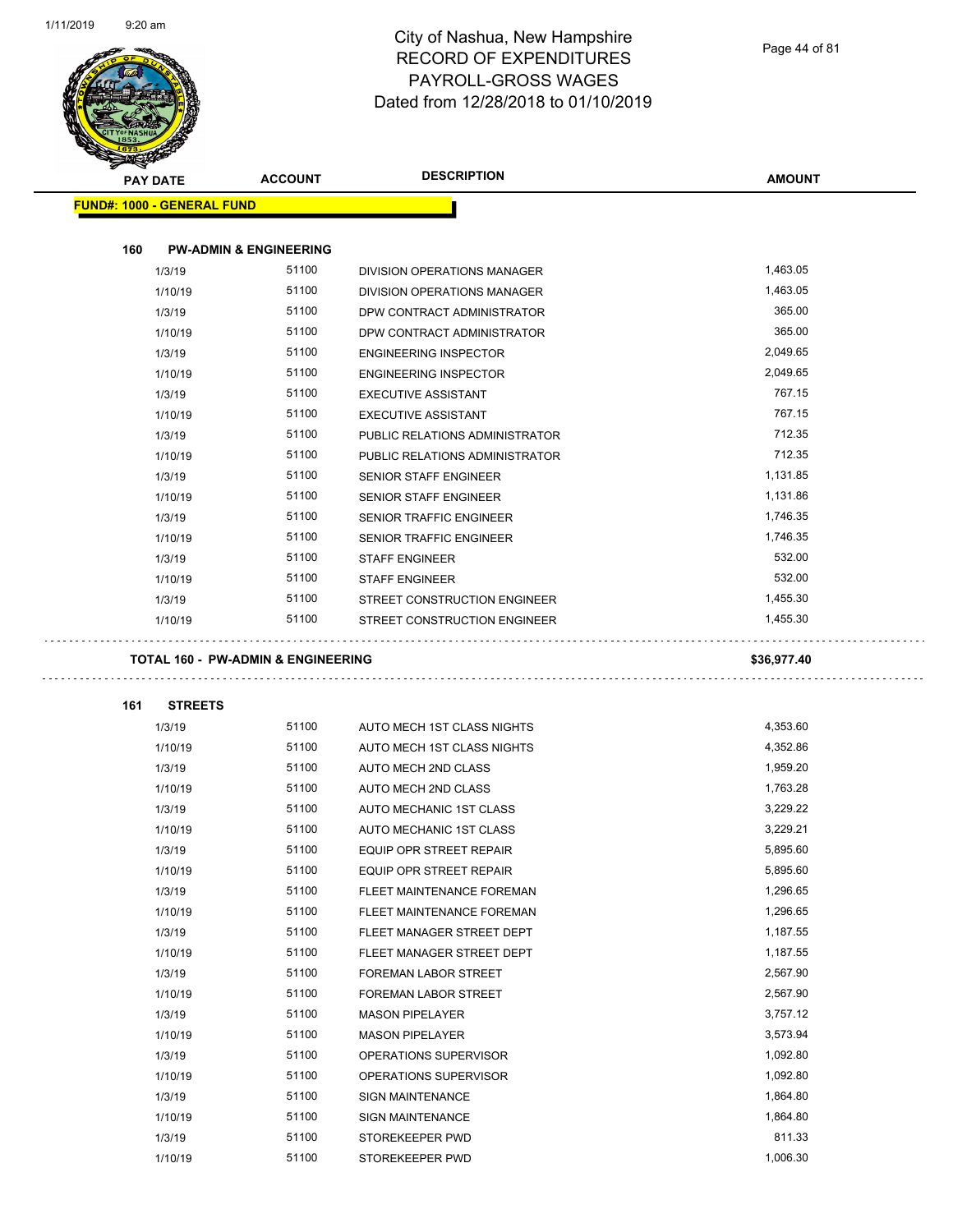$\overline{a}$ 



| <b>PAY DATE</b>                               | <b>ACCOUNT</b>                    | <b>DESCRIPTION</b>                                       | <b>AMOUNT</b>        |
|-----------------------------------------------|-----------------------------------|----------------------------------------------------------|----------------------|
| <b>FUND#: 1000 - GENERAL FUND</b>             |                                   |                                                          |                      |
|                                               |                                   |                                                          |                      |
| 160                                           | <b>PW-ADMIN &amp; ENGINEERING</b> |                                                          |                      |
| 1/3/19                                        | 51100                             | DIVISION OPERATIONS MANAGER                              | 1,463.05             |
| 1/10/19                                       | 51100                             | <b>DIVISION OPERATIONS MANAGER</b>                       | 1,463.05             |
| 1/3/19                                        | 51100                             | DPW CONTRACT ADMINISTRATOR                               | 365.00               |
| 1/10/19                                       | 51100                             | DPW CONTRACT ADMINISTRATOR                               | 365.00               |
| 1/3/19                                        | 51100                             | <b>ENGINEERING INSPECTOR</b>                             | 2,049.65             |
| 1/10/19                                       | 51100                             | <b>ENGINEERING INSPECTOR</b>                             | 2,049.65             |
| 1/3/19                                        | 51100                             | <b>EXECUTIVE ASSISTANT</b>                               | 767.15               |
| 1/10/19                                       | 51100                             | <b>EXECUTIVE ASSISTANT</b>                               | 767.15               |
| 1/3/19                                        | 51100                             | PUBLIC RELATIONS ADMINISTRATOR                           | 712.35               |
| 1/10/19                                       | 51100                             | PUBLIC RELATIONS ADMINISTRATOR                           | 712.35               |
| 1/3/19                                        | 51100                             | <b>SENIOR STAFF ENGINEER</b>                             | 1,131.85             |
| 1/10/19                                       | 51100                             | <b>SENIOR STAFF ENGINEER</b>                             | 1,131.86             |
| 1/3/19                                        | 51100                             | <b>SENIOR TRAFFIC ENGINEER</b>                           | 1,746.35             |
| 1/10/19                                       | 51100                             | <b>SENIOR TRAFFIC ENGINEER</b>                           | 1,746.35             |
| 1/3/19                                        | 51100                             | <b>STAFF ENGINEER</b>                                    | 532.00               |
| 1/10/19                                       | 51100                             | <b>STAFF ENGINEER</b>                                    | 532.00               |
| 1/3/19                                        | 51100                             | STREET CONSTRUCTION ENGINEER                             | 1,455.30             |
| 1/10/19                                       | 51100                             | STREET CONSTRUCTION ENGINEER                             | 1,455.30             |
|                                               |                                   |                                                          |                      |
| <b>TOTAL 160 - PW-ADMIN &amp; ENGINEERING</b> |                                   |                                                          | \$36,977.40          |
|                                               |                                   |                                                          |                      |
| 161<br><b>STREETS</b>                         | 51100                             |                                                          |                      |
| 1/3/19                                        | 51100                             | AUTO MECH 1ST CLASS NIGHTS<br>AUTO MECH 1ST CLASS NIGHTS | 4,353.60<br>4,352.86 |
| 1/10/19                                       | 51100                             | AUTO MECH 2ND CLASS                                      | 1,959.20             |
| 1/3/19<br>1/10/19                             | 51100                             | AUTO MECH 2ND CLASS                                      | 1,763.28             |
| 1/3/19                                        | 51100                             | AUTO MECHANIC 1ST CLASS                                  | 3,229.22             |
| 1/10/19                                       | 51100                             | AUTO MECHANIC 1ST CLASS                                  | 3,229.21             |
| 1/3/19                                        | 51100                             |                                                          | 5,895.60             |
| 1/10/19                                       | 51100                             | EQUIP OPR STREET REPAIR<br>EQUIP OPR STREET REPAIR       | 5,895.60             |
| 1/3/19                                        | 51100                             | FLEET MAINTENANCE FOREMAN                                | 1,296.65             |
| 1/10/19                                       | 51100                             | FLEET MAINTENANCE FOREMAN                                | 1,296.65             |
| 1/3/19                                        | 51100                             | FLEET MANAGER STREET DEPT                                | 1,187.55             |
| 1/10/19                                       | 51100                             | FLEET MANAGER STREET DEPT                                | 1,187.55             |
| 1/3/19                                        | 51100                             | FOREMAN LABOR STREET                                     | 2,567.90             |
| 1/10/19                                       | 51100                             | FOREMAN LABOR STREET                                     | 2,567.90             |
| 1/3/19                                        | 51100                             | <b>MASON PIPELAYER</b>                                   | 3,757.12             |
| 1/10/19                                       | 51100                             | <b>MASON PIPELAYER</b>                                   | 3,573.94             |
| 1/3/19                                        | 51100                             | OPERATIONS SUPERVISOR                                    | 1,092.80             |
| 1/10/19                                       | 51100                             | OPERATIONS SUPERVISOR                                    | 1,092.80             |
| 1/3/19                                        | 51100                             | <b>SIGN MAINTENANCE</b>                                  | 1,864.80             |
| 1/10/19                                       | 51100                             | SIGN MAINTENANCE                                         | 1,864.80             |
| 1/3/19                                        | 51100                             | STOREKEEPER PWD                                          | 811.33               |
| 1/10/19                                       | 51100                             | STOREKEEPER PWD                                          | 1,006.30             |
|                                               |                                   |                                                          |                      |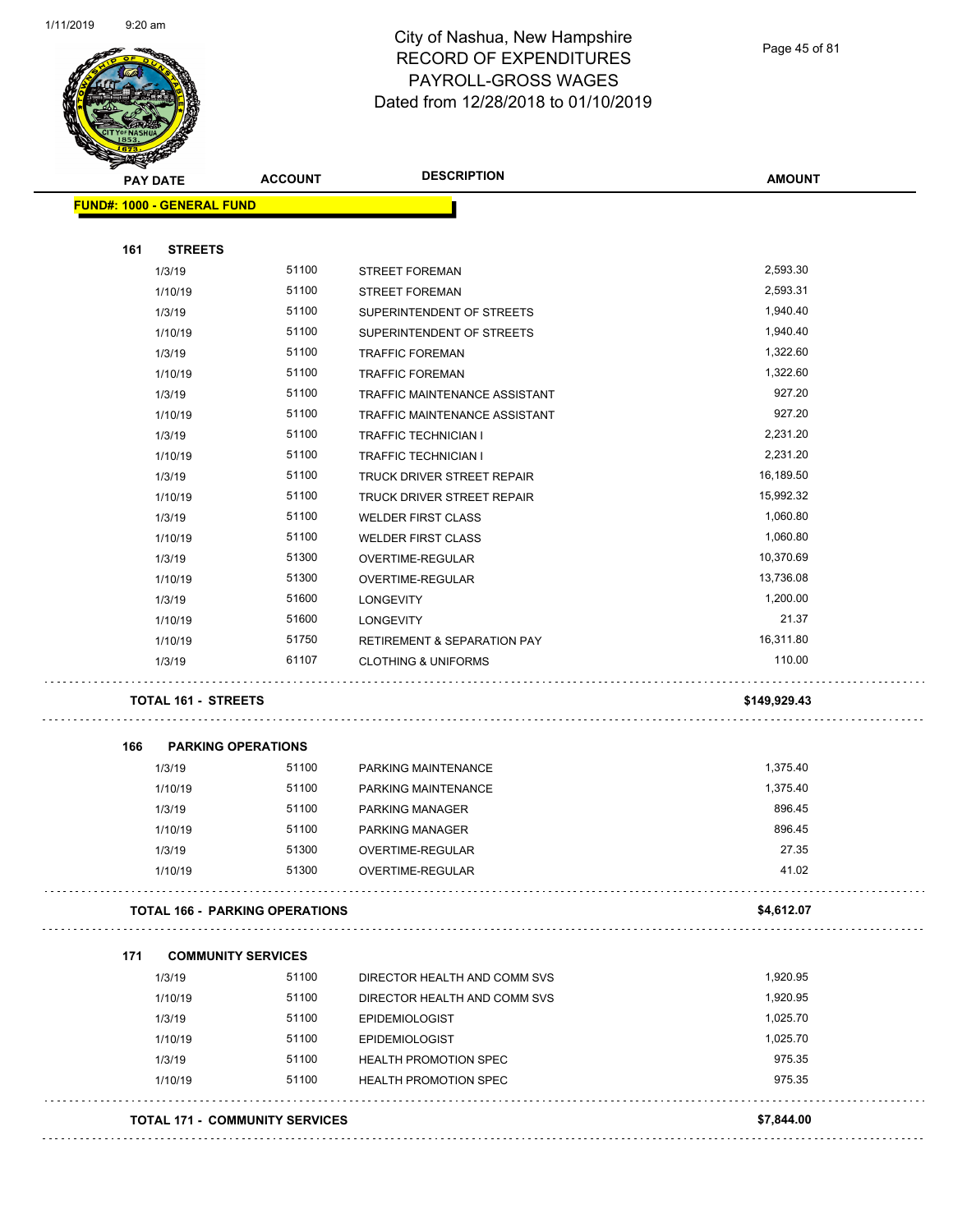

| <b>PAY DATE</b> |                                       | <b>ACCOUNT</b> | <b>DESCRIPTION</b>                     | <b>AMOUNT</b> |
|-----------------|---------------------------------------|----------------|----------------------------------------|---------------|
|                 | <b>FUND#: 1000 - GENERAL FUND</b>     |                |                                        |               |
|                 |                                       |                |                                        |               |
| 161             | <b>STREETS</b>                        |                |                                        |               |
|                 | 1/3/19                                | 51100          | <b>STREET FOREMAN</b>                  | 2,593.30      |
|                 | 1/10/19                               | 51100          | STREET FOREMAN                         | 2,593.31      |
|                 | 1/3/19                                | 51100          | SUPERINTENDENT OF STREETS              | 1,940.40      |
|                 | 1/10/19                               | 51100          | SUPERINTENDENT OF STREETS              | 1,940.40      |
|                 | 1/3/19                                | 51100          | <b>TRAFFIC FOREMAN</b>                 | 1,322.60      |
|                 | 1/10/19                               | 51100          | <b>TRAFFIC FOREMAN</b>                 | 1,322.60      |
|                 | 1/3/19                                | 51100          | TRAFFIC MAINTENANCE ASSISTANT          | 927.20        |
|                 | 1/10/19                               | 51100          | TRAFFIC MAINTENANCE ASSISTANT          | 927.20        |
|                 | 1/3/19                                | 51100          | <b>TRAFFIC TECHNICIAN I</b>            | 2,231.20      |
|                 | 1/10/19                               | 51100          | <b>TRAFFIC TECHNICIAN I</b>            | 2,231.20      |
|                 | 1/3/19                                | 51100          | TRUCK DRIVER STREET REPAIR             | 16,189.50     |
|                 | 1/10/19                               | 51100          | TRUCK DRIVER STREET REPAIR             | 15,992.32     |
|                 | 1/3/19                                | 51100          | <b>WELDER FIRST CLASS</b>              | 1,060.80      |
|                 | 1/10/19                               | 51100          | <b>WELDER FIRST CLASS</b>              | 1,060.80      |
|                 | 1/3/19                                | 51300          | OVERTIME-REGULAR                       | 10,370.69     |
|                 | 1/10/19                               | 51300          | OVERTIME-REGULAR                       | 13,736.08     |
|                 | 1/3/19                                | 51600          | <b>LONGEVITY</b>                       | 1,200.00      |
|                 | 1/10/19                               | 51600          | <b>LONGEVITY</b>                       | 21.37         |
|                 | 1/10/19                               | 51750          | <b>RETIREMENT &amp; SEPARATION PAY</b> | 16,311.80     |
|                 | 1/3/19                                | 61107          | <b>CLOTHING &amp; UNIFORMS</b>         | 110.00        |
|                 | <b>TOTAL 161 - STREETS</b>            |                |                                        | \$149,929.43  |
| 166             | <b>PARKING OPERATIONS</b>             |                |                                        |               |
|                 | 1/3/19                                | 51100          | PARKING MAINTENANCE                    | 1,375.40      |
|                 | 1/10/19                               | 51100          | PARKING MAINTENANCE                    | 1,375.40      |
|                 | 1/3/19                                | 51100          | PARKING MANAGER                        | 896.45        |
|                 | 1/10/19                               | 51100          | PARKING MANAGER                        | 896.45        |
|                 | 1/3/19                                | 51300          | OVERTIME-REGULAR                       | 27.35         |
|                 | 1/10/19                               | 51300          | OVERTIME-REGULAR                       | 41.02         |
|                 | <b>TOTAL 166 - PARKING OPERATIONS</b> |                |                                        | \$4,612.07    |
| 171             | <b>COMMUNITY SERVICES</b>             |                |                                        |               |
|                 | 1/3/19                                | 51100          | DIRECTOR HEALTH AND COMM SVS           | 1,920.95      |
|                 | 1/10/19                               | 51100          | DIRECTOR HEALTH AND COMM SVS           | 1,920.95      |
|                 | 1/3/19                                | 51100          | <b>EPIDEMIOLOGIST</b>                  | 1,025.70      |
|                 | 1/10/19                               | 51100          | <b>EPIDEMIOLOGIST</b>                  | 1,025.70      |
|                 | 1/3/19                                | 51100          | <b>HEALTH PROMOTION SPEC</b>           | 975.35        |
|                 | 1/10/19                               | 51100          | HEALTH PROMOTION SPEC                  | 975.35        |
|                 | <b>TOTAL 171 - COMMUNITY SERVICES</b> |                |                                        | \$7,844.00    |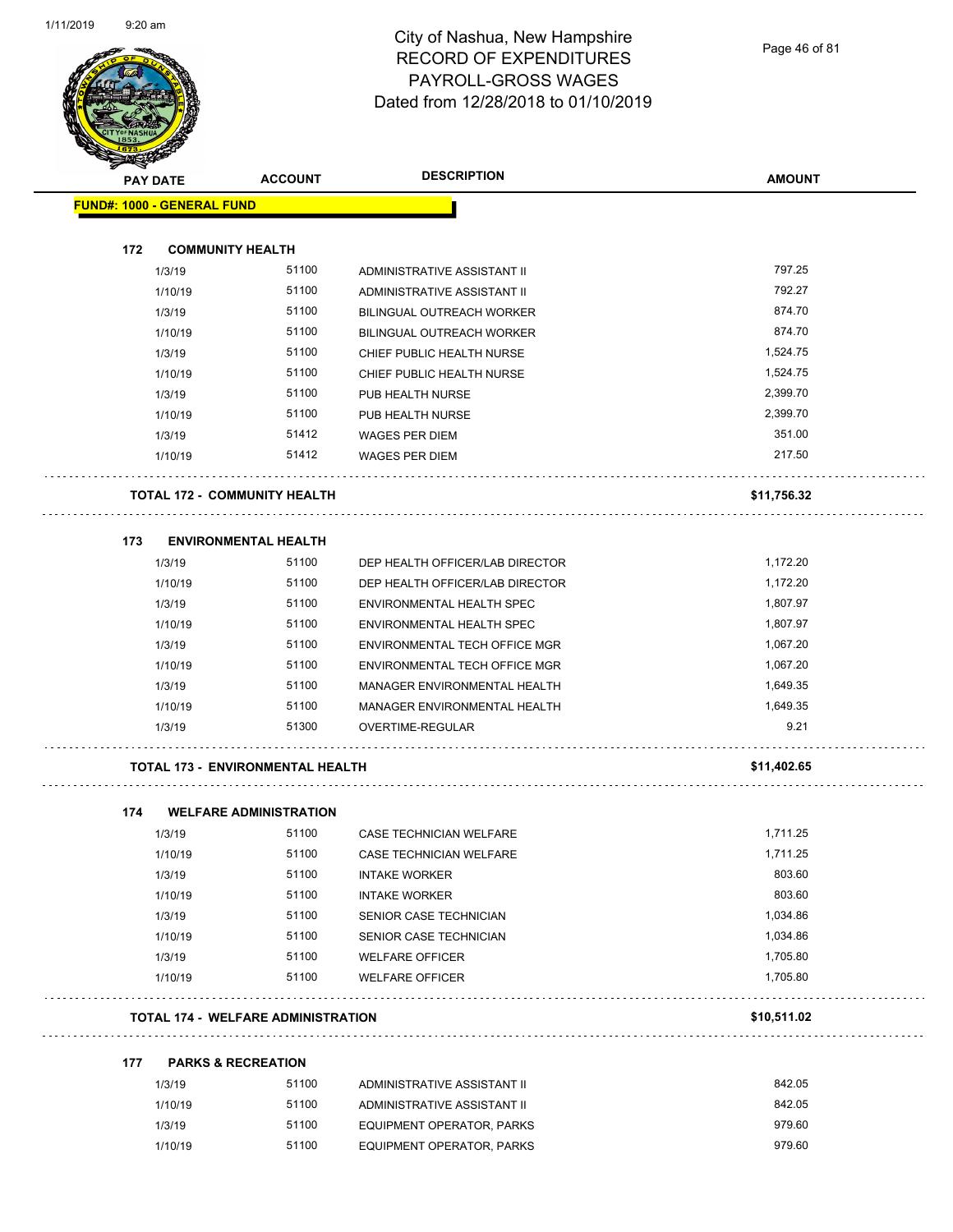

Page 46 of 81

| <b>PAY DATE</b>                   | <b>ACCOUNT</b>                            | <b>DESCRIPTION</b>               | <b>AMOUNT</b> |
|-----------------------------------|-------------------------------------------|----------------------------------|---------------|
| <b>FUND#: 1000 - GENERAL FUND</b> |                                           |                                  |               |
|                                   |                                           |                                  |               |
| 172                               | <b>COMMUNITY HEALTH</b>                   |                                  |               |
| 1/3/19                            | 51100                                     | ADMINISTRATIVE ASSISTANT II      | 797.25        |
| 1/10/19                           | 51100                                     | ADMINISTRATIVE ASSISTANT II      | 792.27        |
| 1/3/19                            | 51100                                     | BILINGUAL OUTREACH WORKER        | 874.70        |
| 1/10/19                           | 51100                                     | BILINGUAL OUTREACH WORKER        | 874.70        |
| 1/3/19                            | 51100                                     | CHIEF PUBLIC HEALTH NURSE        | 1,524.75      |
| 1/10/19                           | 51100                                     | CHIEF PUBLIC HEALTH NURSE        | 1,524.75      |
| 1/3/19                            | 51100                                     | PUB HEALTH NURSE                 | 2,399.70      |
| 1/10/19                           | 51100                                     | PUB HEALTH NURSE                 | 2,399.70      |
| 1/3/19                            | 51412                                     | <b>WAGES PER DIEM</b>            | 351.00        |
| 1/10/19                           | 51412                                     | <b>WAGES PER DIEM</b>            | 217.50        |
|                                   | <b>TOTAL 172 - COMMUNITY HEALTH</b>       |                                  | \$11,756.32   |
| 173                               | <b>ENVIRONMENTAL HEALTH</b>               |                                  |               |
| 1/3/19                            | 51100                                     | DEP HEALTH OFFICER/LAB DIRECTOR  | 1,172.20      |
| 1/10/19                           | 51100                                     | DEP HEALTH OFFICER/LAB DIRECTOR  | 1,172.20      |
| 1/3/19                            | 51100                                     | ENVIRONMENTAL HEALTH SPEC        | 1,807.97      |
| 1/10/19                           | 51100                                     | ENVIRONMENTAL HEALTH SPEC        | 1,807.97      |
| 1/3/19                            | 51100                                     | ENVIRONMENTAL TECH OFFICE MGR    | 1,067.20      |
| 1/10/19                           | 51100                                     | ENVIRONMENTAL TECH OFFICE MGR    | 1,067.20      |
| 1/3/19                            | 51100                                     | MANAGER ENVIRONMENTAL HEALTH     | 1,649.35      |
| 1/10/19                           | 51100                                     | MANAGER ENVIRONMENTAL HEALTH     | 1,649.35      |
| 1/3/19                            | 51300                                     | OVERTIME-REGULAR                 | 9.21          |
|                                   | <b>TOTAL 173 - ENVIRONMENTAL HEALTH</b>   |                                  | \$11,402.65   |
| 174                               | <b>WELFARE ADMINISTRATION</b>             |                                  |               |
| 1/3/19                            | 51100                                     | CASE TECHNICIAN WELFARE          | 1,711.25      |
| 1/10/19                           | 51100                                     | CASE TECHNICIAN WELFARE          | 1,711.25      |
| 1/3/19                            | 51100                                     | <b>INTAKE WORKER</b>             | 803.60        |
| 1/10/19                           | 51100                                     | <b>INTAKE WORKER</b>             | 803.60        |
| 1/3/19                            | 51100                                     | SENIOR CASE TECHNICIAN           | 1,034.86      |
| 1/10/19                           | 51100                                     | SENIOR CASE TECHNICIAN           | 1,034.86      |
| 1/3/19                            | 51100                                     | <b>WELFARE OFFICER</b>           | 1,705.80      |
| 1/10/19                           | 51100                                     | <b>WELFARE OFFICER</b>           | 1,705.80      |
|                                   | <b>TOTAL 174 - WELFARE ADMINISTRATION</b> |                                  | \$10,511.02   |
| 177                               | <b>PARKS &amp; RECREATION</b>             |                                  |               |
| 1/3/19                            | 51100                                     | ADMINISTRATIVE ASSISTANT II      | 842.05        |
| 1/10/19                           | 51100                                     | ADMINISTRATIVE ASSISTANT II      | 842.05        |
| 1/3/19                            | 51100                                     | <b>EQUIPMENT OPERATOR, PARKS</b> | 979.60        |
| 1/10/19                           | 51100                                     | EQUIPMENT OPERATOR, PARKS        | 979.60        |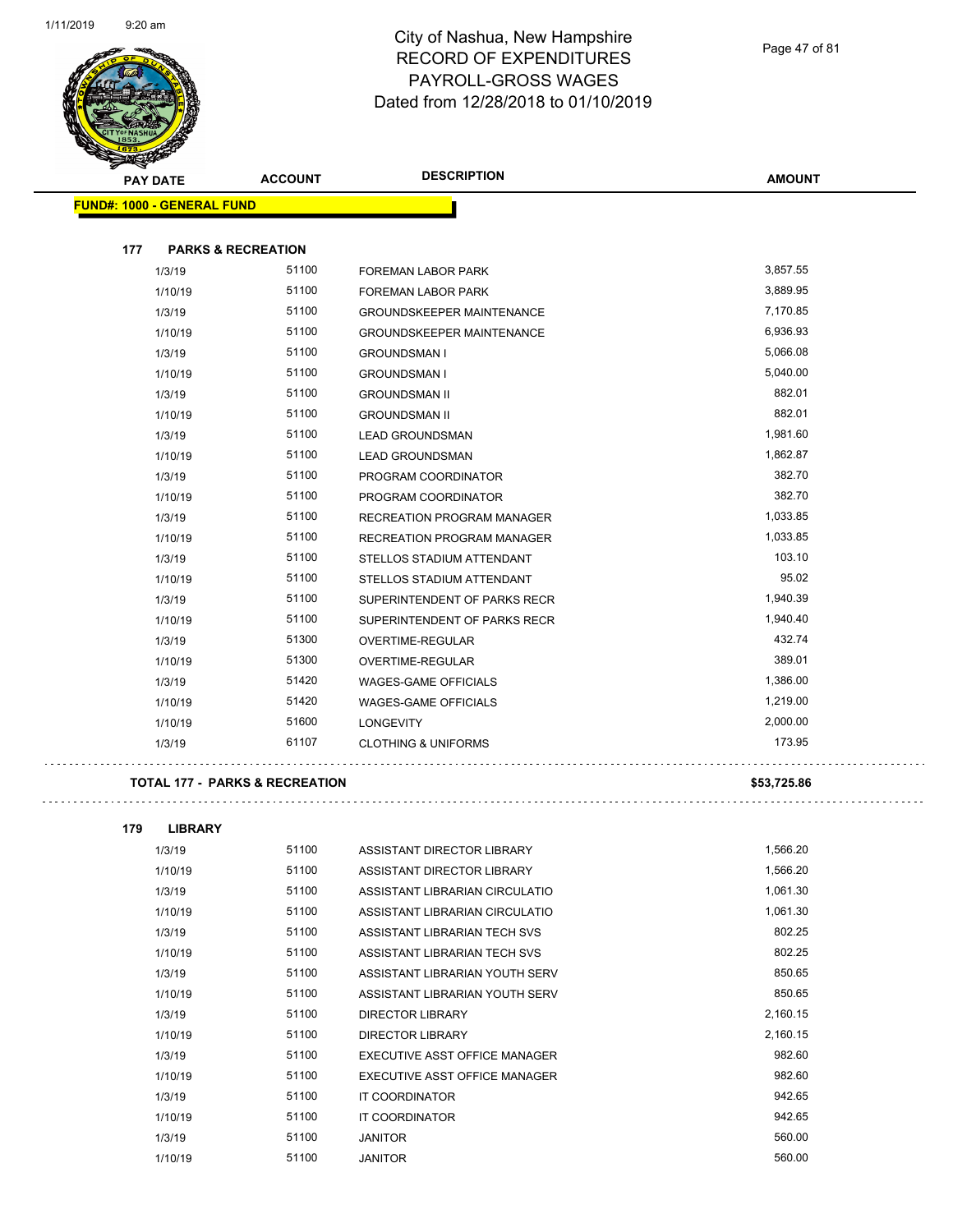

**AMOUNT PAY DATE ACCOUNT DESCRIPTION FUND#: 1000 - GENERAL FUND 177 PARKS & RECREATION** 1/3/19 51100 FOREMAN LABOR PARK 3,857.55 1/10/19 51100 FOREMAN LABOR PARK 3,889.95 1/3/19 51100 GROUNDSKEEPER MAINTENANCE 6 67170.85 1/10/19 51100 GROUNDSKEEPER MAINTENANCE 6,936.93 1/3/19 51100 GROUNDSMAN I 5,066.08 1/10/19 5,040.00 5 51100 GROUNDSMAN I 5,040.00 1/3/19 51100 GROUNDSMAN II 882.01 1/10/19 51100 GROUNDSMAN II 882.01 1/3/19 51100 LEAD GROUNDSMAN 1,981.60 1/10/19 51100 LEAD GROUNDSMAN 1,862.87 1/3/19 51100 PROGRAM COORDINATOR 382.70 1/10/19 51100 PROGRAM COORDINATOR 382.70 1/3/19 51100 RECREATION PROGRAM MANAGER 1,033.85 1/10/19 51100 RECREATION PROGRAM MANAGER 1,033.85 1/3/19 51100 STELLOS STADIUM ATTENDANT 50110 51100 103.10 1/10/19 51100 STELLOS STADIUM ATTENDANT 95.02 1/3/19 51100 SUPERINTENDENT OF PARKS RECR 1,940.39 1/10/19 51100 SUPERINTENDENT OF PARKS RECR 1,940.40 1/3/19 51300 OVERTIME-REGULAR 432.74 1/10/19 51300 OVERTIME-REGULAR 389.01 1/3/19 51420 WAGES-GAME OFFICIALS 1,386.00 1/10/19 51420 WAGES-GAME OFFICIALS 1,219.00

#### **TOTAL 177 - PARKS & RECREATION \$53,725.86**

. . . . . . . . . . . . . . . . . .

. . . . . . . . . . . . . . . . . .

| 179 | <b>LIBRARY</b> |       |                                |          |
|-----|----------------|-------|--------------------------------|----------|
|     | 1/3/19         | 51100 | ASSISTANT DIRECTOR LIBRARY     | 1,566.20 |
|     | 1/10/19        | 51100 | ASSISTANT DIRECTOR LIBRARY     | 1,566.20 |
|     | 1/3/19         | 51100 | ASSISTANT LIBRARIAN CIRCULATIO | 1,061.30 |
|     | 1/10/19        | 51100 | ASSISTANT LIBRARIAN CIRCULATIO | 1,061.30 |
|     | 1/3/19         | 51100 | ASSISTANT LIBRARIAN TECH SVS   | 802.25   |
|     | 1/10/19        | 51100 | ASSISTANT LIBRARIAN TECH SVS   | 802.25   |
|     | 1/3/19         | 51100 | ASSISTANT LIBRARIAN YOUTH SERV | 850.65   |
|     | 1/10/19        | 51100 | ASSISTANT LIBRARIAN YOUTH SERV | 850.65   |
|     | 1/3/19         | 51100 | <b>DIRECTOR LIBRARY</b>        | 2,160.15 |
|     | 1/10/19        | 51100 | DIRECTOR LIBRARY               | 2,160.15 |
|     | 1/3/19         | 51100 | EXECUTIVE ASST OFFICE MANAGER  | 982.60   |
|     | 1/10/19        | 51100 | EXECUTIVE ASST OFFICE MANAGER  | 982.60   |
|     | 1/3/19         | 51100 | <b>IT COORDINATOR</b>          | 942.65   |
|     | 1/10/19        | 51100 | <b>IT COORDINATOR</b>          | 942.65   |
|     | 1/3/19         | 51100 | <b>JANITOR</b>                 | 560.00   |
|     | 1/10/19        | 51100 | <b>JANITOR</b>                 | 560.00   |

1/10/19 51600 LONGEVITY 2,000.00 1/3/19 61107 CLOTHING & UNIFORMS 173.95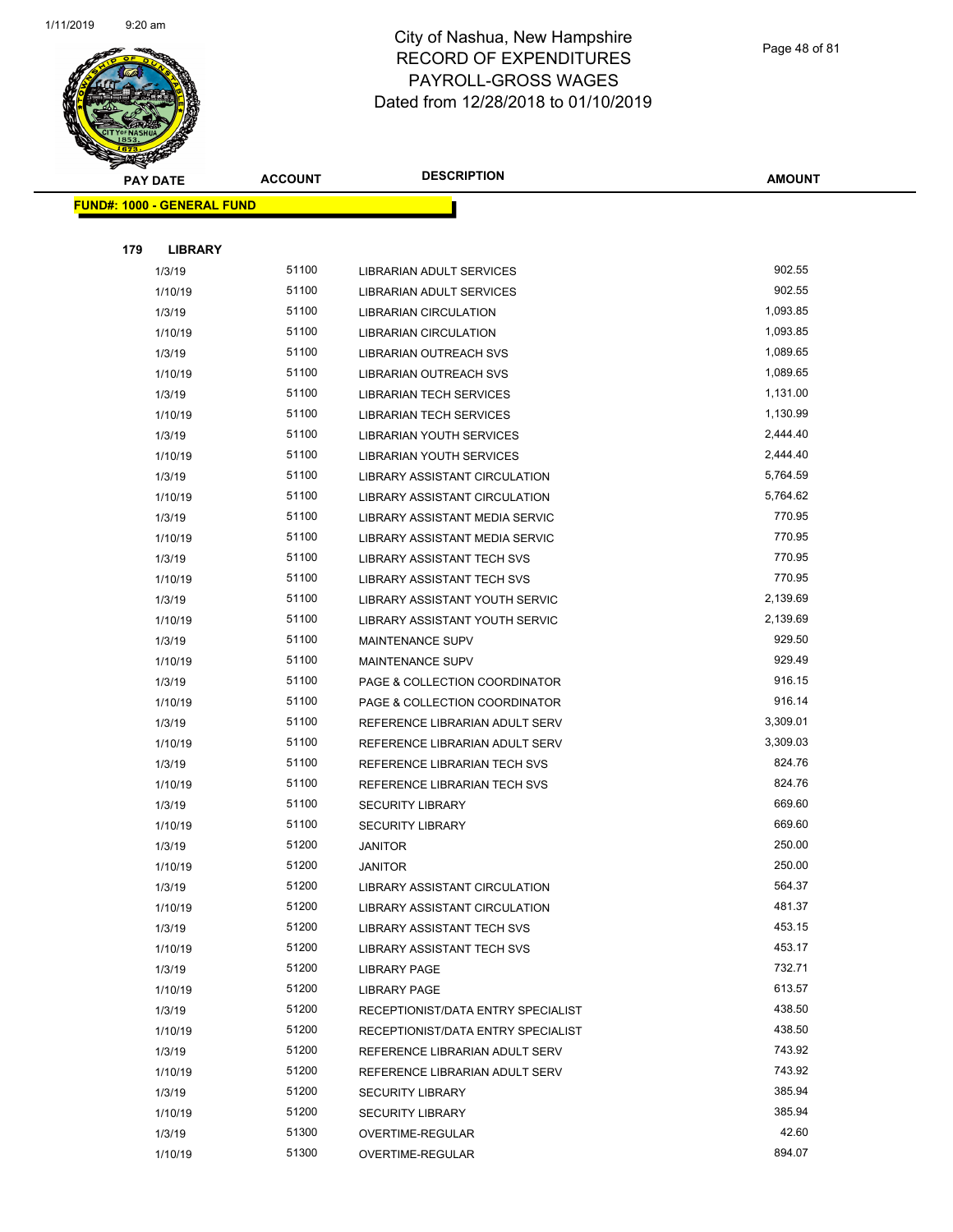

Page 48 of 81

| <b>PAY DATE</b>                   | <b>ACCOUNT</b> | <b>DESCRIPTION</b>                   | <b>AMOUNT</b> |
|-----------------------------------|----------------|--------------------------------------|---------------|
| <b>FUND#: 1000 - GENERAL FUND</b> |                |                                      |               |
|                                   |                |                                      |               |
| 179<br><b>LIBRARY</b>             |                |                                      |               |
| 1/3/19                            | 51100          | LIBRARIAN ADULT SERVICES             | 902.55        |
| 1/10/19                           | 51100          | LIBRARIAN ADULT SERVICES             | 902.55        |
| 1/3/19                            | 51100          | <b>LIBRARIAN CIRCULATION</b>         | 1,093.85      |
| 1/10/19                           | 51100          | LIBRARIAN CIRCULATION                | 1,093.85      |
| 1/3/19                            | 51100          | LIBRARIAN OUTREACH SVS               | 1,089.65      |
| 1/10/19                           | 51100          | LIBRARIAN OUTREACH SVS               | 1,089.65      |
| 1/3/19                            | 51100          | <b>LIBRARIAN TECH SERVICES</b>       | 1,131.00      |
| 1/10/19                           | 51100          | <b>LIBRARIAN TECH SERVICES</b>       | 1,130.99      |
| 1/3/19                            | 51100          | <b>LIBRARIAN YOUTH SERVICES</b>      | 2,444.40      |
| 1/10/19                           | 51100          | LIBRARIAN YOUTH SERVICES             | 2,444.40      |
| 1/3/19                            | 51100          | LIBRARY ASSISTANT CIRCULATION        | 5,764.59      |
| 1/10/19                           | 51100          | LIBRARY ASSISTANT CIRCULATION        | 5,764.62      |
| 1/3/19                            | 51100          | LIBRARY ASSISTANT MEDIA SERVIC       | 770.95        |
| 1/10/19                           | 51100          | LIBRARY ASSISTANT MEDIA SERVIC       | 770.95        |
| 1/3/19                            | 51100          | LIBRARY ASSISTANT TECH SVS           | 770.95        |
| 1/10/19                           | 51100          | LIBRARY ASSISTANT TECH SVS           | 770.95        |
| 1/3/19                            | 51100          | LIBRARY ASSISTANT YOUTH SERVIC       | 2,139.69      |
| 1/10/19                           | 51100          | LIBRARY ASSISTANT YOUTH SERVIC       | 2,139.69      |
| 1/3/19                            | 51100          | MAINTENANCE SUPV                     | 929.50        |
| 1/10/19                           | 51100          | <b>MAINTENANCE SUPV</b>              | 929.49        |
| 1/3/19                            | 51100          | PAGE & COLLECTION COORDINATOR        | 916.15        |
| 1/10/19                           | 51100          | PAGE & COLLECTION COORDINATOR        | 916.14        |
| 1/3/19                            | 51100          | REFERENCE LIBRARIAN ADULT SERV       | 3,309.01      |
| 1/10/19                           | 51100          | REFERENCE LIBRARIAN ADULT SERV       | 3,309.03      |
| 1/3/19                            | 51100          | REFERENCE LIBRARIAN TECH SVS         | 824.76        |
| 1/10/19                           | 51100          | REFERENCE LIBRARIAN TECH SVS         | 824.76        |
| 1/3/19                            | 51100          | <b>SECURITY LIBRARY</b>              | 669.60        |
| 1/10/19                           | 51100          | <b>SECURITY LIBRARY</b>              | 669.60        |
| 1/3/19                            | 51200          | <b>JANITOR</b>                       | 250.00        |
| 1/10/19                           | 51200          | JANITOR                              | 250.00        |
| 1/3/19                            | 51200          | LIBRARY ASSISTANT CIRCULATION        | 564.37        |
| 1/10/19                           | 51200          | <b>LIBRARY ASSISTANT CIRCULATION</b> | 481.37        |
| 1/3/19                            | 51200          | LIBRARY ASSISTANT TECH SVS           | 453.15        |
| 1/10/19                           | 51200          | LIBRARY ASSISTANT TECH SVS           | 453.17        |
| 1/3/19                            | 51200          | <b>LIBRARY PAGE</b>                  | 732.71        |
| 1/10/19                           | 51200          | <b>LIBRARY PAGE</b>                  | 613.57        |
| 1/3/19                            | 51200          | RECEPTIONIST/DATA ENTRY SPECIALIST   | 438.50        |
| 1/10/19                           | 51200          | RECEPTIONIST/DATA ENTRY SPECIALIST   | 438.50        |
| 1/3/19                            | 51200          | REFERENCE LIBRARIAN ADULT SERV       | 743.92        |
| 1/10/19                           | 51200          | REFERENCE LIBRARIAN ADULT SERV       | 743.92        |
| 1/3/19                            | 51200          | <b>SECURITY LIBRARY</b>              | 385.94        |
| 1/10/19                           | 51200          | <b>SECURITY LIBRARY</b>              | 385.94        |
| 1/3/19                            | 51300          | OVERTIME-REGULAR                     | 42.60         |
| 1/10/19                           | 51300          | OVERTIME-REGULAR                     | 894.07        |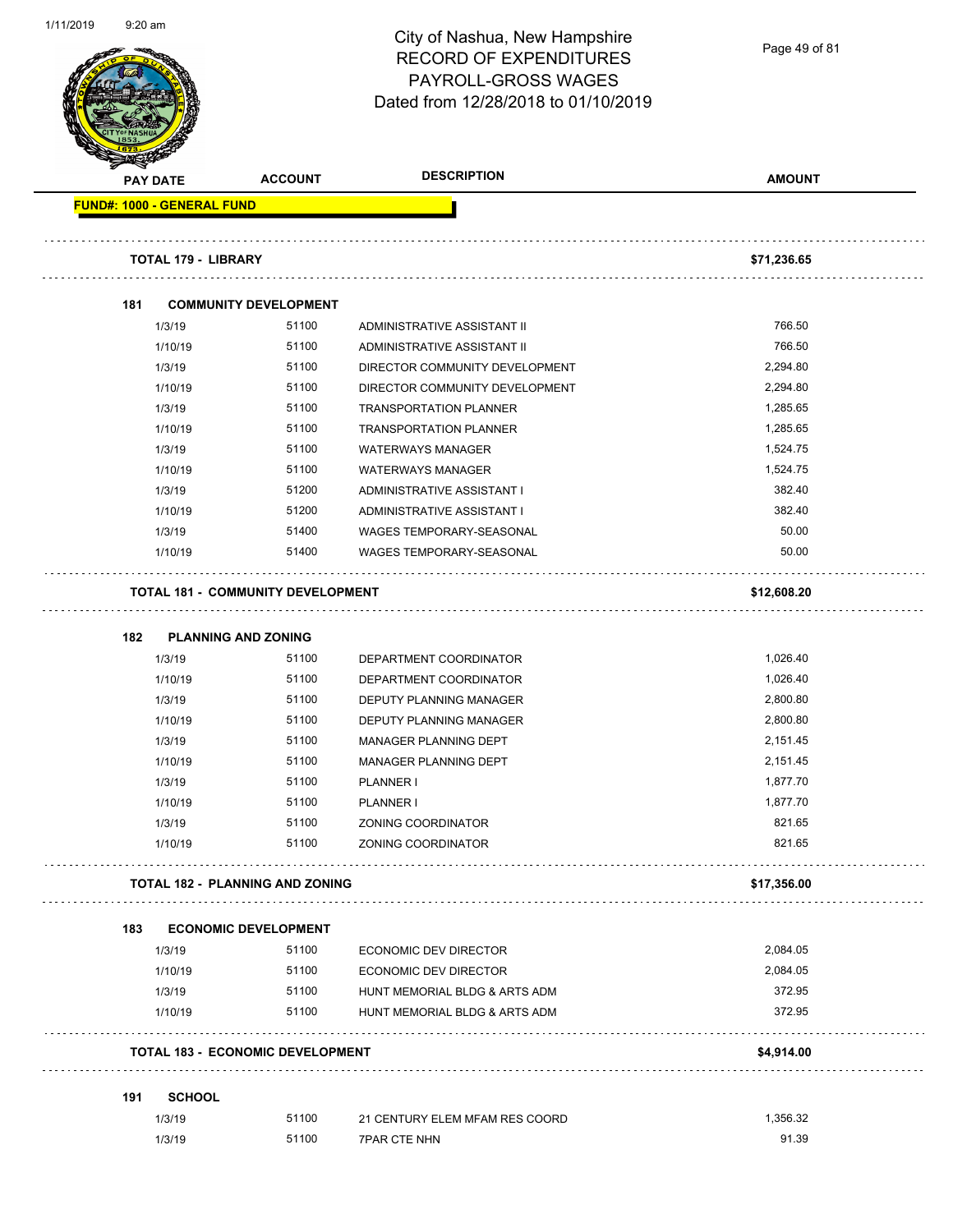| $9:20$ am                                |                              | City of Nashua, New Hampshire<br><b>RECORD OF EXPENDITURES</b><br>PAYROLL-GROSS WAGES<br>Dated from 12/28/2018 to 01/10/2019 | Page 49 of 81 |
|------------------------------------------|------------------------------|------------------------------------------------------------------------------------------------------------------------------|---------------|
| <b>PAY DATE</b>                          | <b>ACCOUNT</b>               | <b>DESCRIPTION</b>                                                                                                           | <b>AMOUNT</b> |
| FUND#: 1000 - GENERAL FUND               |                              |                                                                                                                              |               |
| <b>TOTAL 179 - LIBRARY</b>               |                              |                                                                                                                              | \$71,236.65   |
|                                          |                              |                                                                                                                              |               |
| 181                                      | <b>COMMUNITY DEVELOPMENT</b> |                                                                                                                              |               |
| 1/3/19                                   | 51100                        | ADMINISTRATIVE ASSISTANT II                                                                                                  | 766.50        |
| 1/10/19                                  | 51100                        | ADMINISTRATIVE ASSISTANT II                                                                                                  | 766.50        |
| 1/3/19                                   | 51100                        | DIRECTOR COMMUNITY DEVELOPMENT                                                                                               | 2,294.80      |
| 1/10/19                                  | 51100                        | DIRECTOR COMMUNITY DEVELOPMENT                                                                                               | 2,294.80      |
| 1/3/19                                   | 51100                        | <b>TRANSPORTATION PLANNER</b>                                                                                                | 1,285.65      |
| 1/10/19                                  | 51100                        | <b>TRANSPORTATION PLANNER</b>                                                                                                | 1,285.65      |
| 1/3/19                                   | 51100                        | <b>WATERWAYS MANAGER</b>                                                                                                     | 1,524.75      |
| 1/10/19                                  | 51100                        | <b>WATERWAYS MANAGER</b>                                                                                                     | 1,524.75      |
| 1/3/19                                   | 51200                        | ADMINISTRATIVE ASSISTANT I                                                                                                   | 382.40        |
| 1/10/19                                  | 51200                        | ADMINISTRATIVE ASSISTANT I                                                                                                   | 382.40        |
| 1/3/19                                   | 51400                        | WAGES TEMPORARY-SEASONAL                                                                                                     | 50.00         |
| 1/10/19                                  | 51400                        | WAGES TEMPORARY-SEASONAL                                                                                                     | 50.00         |
| <b>TOTAL 181 - COMMUNITY DEVELOPMENT</b> |                              |                                                                                                                              | \$12,608.20   |
| 182                                      | <b>PLANNING AND ZONING</b>   |                                                                                                                              |               |
| 1/3/19                                   | 51100                        | DEPARTMENT COORDINATOR                                                                                                       | 1,026.40      |
| 1/10/19                                  | 51100                        | DEPARTMENT COORDINATOR                                                                                                       | 1,026.40      |
| 1/3/19                                   | 51100                        | DEPUTY PLANNING MANAGER                                                                                                      | 2,800.80      |
| 1/10/19                                  | 51100                        | DEPUTY PLANNING MANAGER                                                                                                      | 2,800.80      |
| 1/3/19                                   | 51100                        | MANAGER PLANNING DEPT                                                                                                        |               |
| 1/10/19                                  |                              |                                                                                                                              | 2,151.45      |
|                                          | 51100                        | MANAGER PLANNING DEPT                                                                                                        | 2,151.45      |
| 1/3/19                                   | 51100                        | PLANNER I                                                                                                                    | 1,877.70      |
| 1/10/19                                  | 51100                        | PLANNER I                                                                                                                    | 1,877.70      |
| 1/3/19                                   | 51100                        | ZONING COORDINATOR                                                                                                           | 821.65        |
| 1/10/19                                  | 51100                        | ZONING COORDINATOR                                                                                                           | 821.65        |
| <b>TOTAL 182 - PLANNING AND ZONING</b>   |                              |                                                                                                                              | \$17,356.00   |
|                                          |                              |                                                                                                                              |               |
| 183                                      | <b>ECONOMIC DEVELOPMENT</b>  |                                                                                                                              |               |
| 1/3/19                                   | 51100                        | ECONOMIC DEV DIRECTOR                                                                                                        | 2,084.05      |
| 1/10/19                                  | 51100                        | ECONOMIC DEV DIRECTOR                                                                                                        | 2,084.05      |
| 1/3/19                                   | 51100                        | HUNT MEMORIAL BLDG & ARTS ADM                                                                                                | 372.95        |
| 1/10/19                                  | 51100                        | HUNT MEMORIAL BLDG & ARTS ADM                                                                                                | 372.95        |
| <b>TOTAL 183 - ECONOMIC DEVELOPMENT</b>  |                              |                                                                                                                              | \$4,914.00    |
| <b>SCHOOL</b><br>191                     |                              |                                                                                                                              |               |
| 1/3/19                                   | 51100                        | 21 CENTURY ELEM MFAM RES COORD                                                                                               | 1,356.32      |

1/11/2019 9:20 am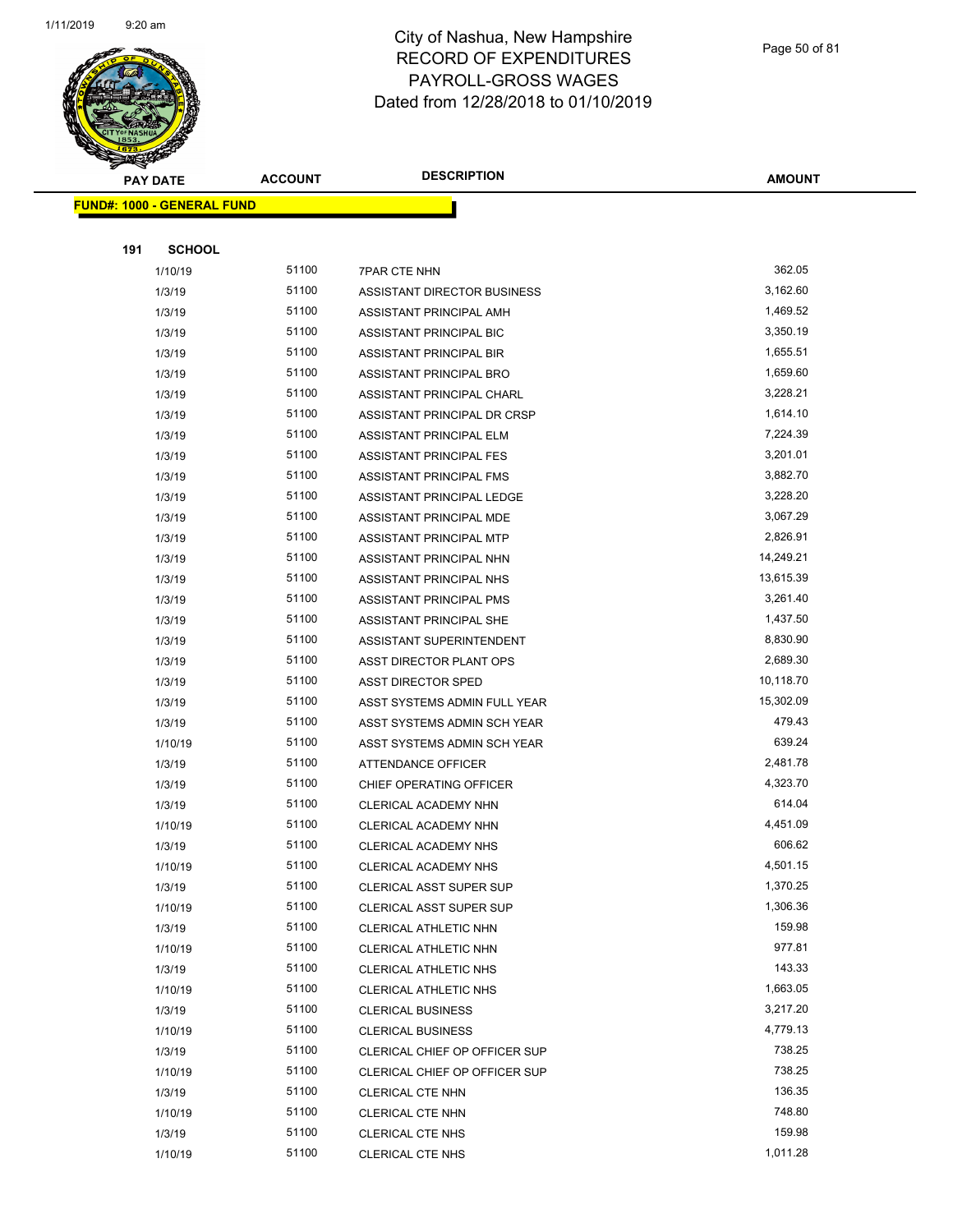

|     | <b>FUND#: 1000 - GENERAL FUND</b> |                |                                                     |                       |
|-----|-----------------------------------|----------------|-----------------------------------------------------|-----------------------|
|     |                                   |                |                                                     |                       |
| 191 | <b>SCHOOL</b>                     |                |                                                     |                       |
|     | 1/10/19                           | 51100          | <b>7PAR CTE NHN</b>                                 | 362.05                |
|     | 1/3/19                            | 51100          | ASSISTANT DIRECTOR BUSINESS                         | 3,162.60              |
|     | 1/3/19                            | 51100          | ASSISTANT PRINCIPAL AMH                             | 1,469.52              |
|     | 1/3/19                            | 51100          | ASSISTANT PRINCIPAL BIC                             | 3,350.19              |
|     | 1/3/19                            | 51100          | ASSISTANT PRINCIPAL BIR                             | 1,655.51              |
|     | 1/3/19                            | 51100          | ASSISTANT PRINCIPAL BRO                             | 1,659.60              |
|     | 1/3/19                            | 51100          | ASSISTANT PRINCIPAL CHARL                           | 3,228.21              |
|     | 1/3/19                            | 51100          | ASSISTANT PRINCIPAL DR CRSP                         | 1,614.10              |
|     | 1/3/19                            | 51100          | ASSISTANT PRINCIPAL ELM                             | 7,224.39              |
|     | 1/3/19                            | 51100          | ASSISTANT PRINCIPAL FES                             | 3,201.01              |
|     | 1/3/19                            | 51100          | ASSISTANT PRINCIPAL FMS                             | 3,882.70              |
|     | 1/3/19                            | 51100          | ASSISTANT PRINCIPAL LEDGE                           | 3,228.20              |
|     | 1/3/19                            | 51100          | ASSISTANT PRINCIPAL MDE                             | 3,067.29              |
|     | 1/3/19                            | 51100          | ASSISTANT PRINCIPAL MTP                             | 2,826.91              |
|     | 1/3/19                            | 51100          | ASSISTANT PRINCIPAL NHN                             | 14,249.21             |
|     | 1/3/19                            | 51100<br>51100 | ASSISTANT PRINCIPAL NHS                             | 13,615.39<br>3,261.40 |
|     | 1/3/19                            |                | ASSISTANT PRINCIPAL PMS                             |                       |
|     | 1/3/19<br>1/3/19                  | 51100<br>51100 | ASSISTANT PRINCIPAL SHE                             | 1,437.50<br>8,830.90  |
|     |                                   | 51100          | ASSISTANT SUPERINTENDENT<br>ASST DIRECTOR PLANT OPS | 2,689.30              |
|     | 1/3/19<br>1/3/19                  | 51100          | <b>ASST DIRECTOR SPED</b>                           | 10,118.70             |
|     | 1/3/19                            | 51100          | ASST SYSTEMS ADMIN FULL YEAR                        | 15,302.09             |
|     | 1/3/19                            | 51100          | ASST SYSTEMS ADMIN SCH YEAR                         | 479.43                |
|     | 1/10/19                           | 51100          | ASST SYSTEMS ADMIN SCH YEAR                         | 639.24                |
|     | 1/3/19                            | 51100          | ATTENDANCE OFFICER                                  | 2,481.78              |
|     | 1/3/19                            | 51100          | CHIEF OPERATING OFFICER                             | 4,323.70              |
|     | 1/3/19                            | 51100          | CLERICAL ACADEMY NHN                                | 614.04                |
|     | 1/10/19                           | 51100          | CLERICAL ACADEMY NHN                                | 4,451.09              |
|     | 1/3/19                            | 51100          | CLERICAL ACADEMY NHS                                | 606.62                |
|     | 1/10/19                           | 51100          | CLERICAL ACADEMY NHS                                | 4,501.15              |
|     | 1/3/19                            | 51100          | CLERICAL ASST SUPER SUP                             | 1,370.25              |
|     | 1/10/19                           | 51100          | CLERICAL ASST SUPER SUP                             | 1,306.36              |
|     | 1/3/19                            | 51100          | CLERICAL ATHLETIC NHN                               | 159.98                |
|     | 1/10/19                           | 51100          | CLERICAL ATHLETIC NHN                               | 977.81                |
|     | 1/3/19                            | 51100          | CLERICAL ATHLETIC NHS                               | 143.33                |
|     | 1/10/19                           | 51100          | CLERICAL ATHLETIC NHS                               | 1,663.05              |
|     | 1/3/19                            | 51100          | <b>CLERICAL BUSINESS</b>                            | 3,217.20              |
|     | 1/10/19                           | 51100          | <b>CLERICAL BUSINESS</b>                            | 4,779.13              |
|     | 1/3/19                            | 51100          | CLERICAL CHIEF OP OFFICER SUP                       | 738.25                |
|     | 1/10/19                           | 51100          | CLERICAL CHIEF OP OFFICER SUP                       | 738.25                |
|     | 1/3/19                            | 51100          | CLERICAL CTE NHN                                    | 136.35                |
|     | 1/10/19                           | 51100          | CLERICAL CTE NHN                                    | 748.80                |
|     | 1/3/19                            | 51100          | <b>CLERICAL CTE NHS</b>                             | 159.98                |
|     | 1/10/19                           | 51100          | <b>CLERICAL CTE NHS</b>                             | 1,011.28              |

**AMOUNT**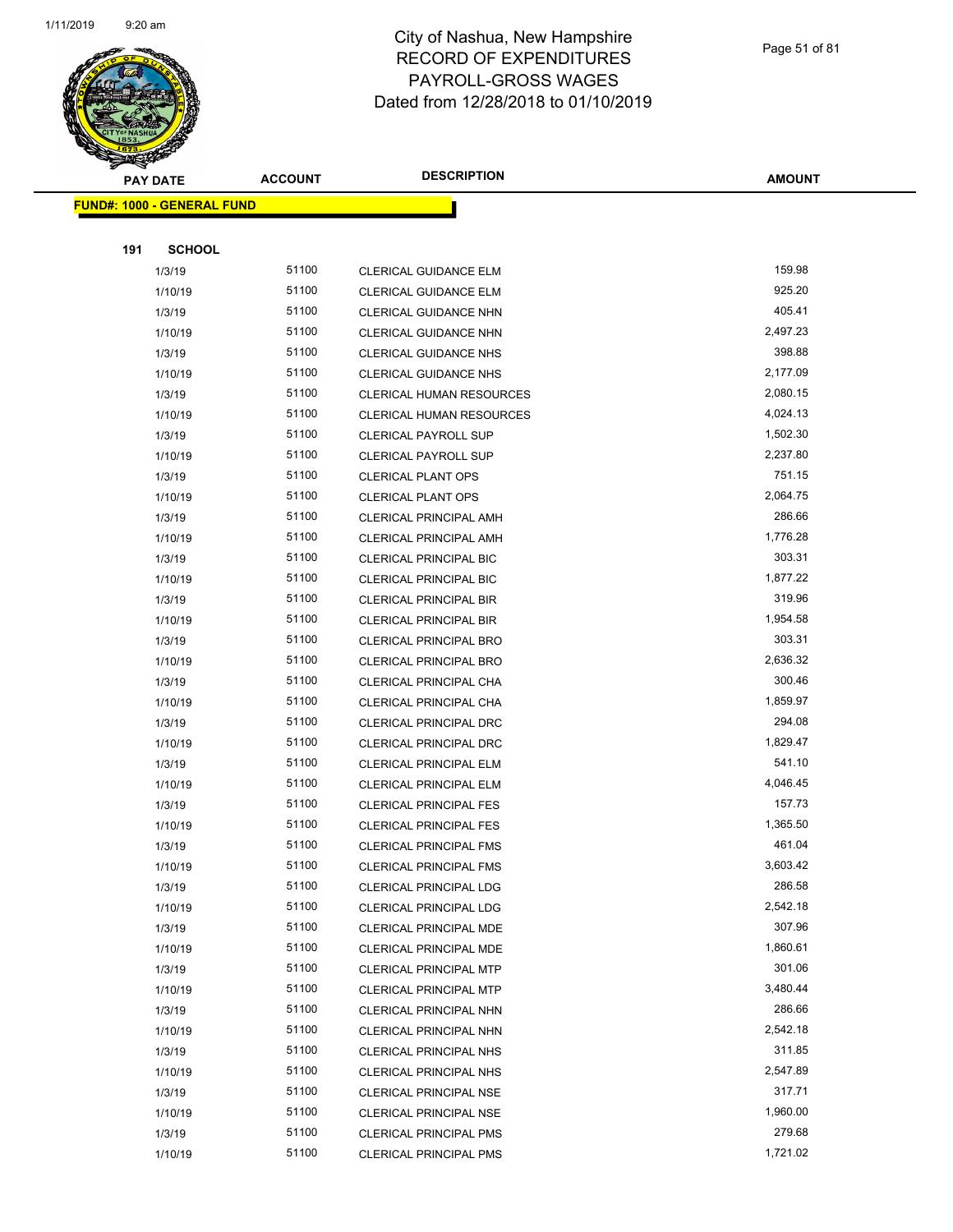

Page 51 of 81

| <b>PAY DATE</b>                   | <b>ACCOUNT</b> | <b>DESCRIPTION</b>              | <b>AMOUNT</b> |
|-----------------------------------|----------------|---------------------------------|---------------|
| <b>FUND#: 1000 - GENERAL FUND</b> |                |                                 |               |
|                                   |                |                                 |               |
| 191<br><b>SCHOOL</b>              |                |                                 |               |
| 1/3/19                            | 51100          | CLERICAL GUIDANCE ELM           | 159.98        |
| 1/10/19                           | 51100          | CLERICAL GUIDANCE ELM           | 925.20        |
| 1/3/19                            | 51100          | CLERICAL GUIDANCE NHN           | 405.41        |
| 1/10/19                           | 51100          | CLERICAL GUIDANCE NHN           | 2,497.23      |
| 1/3/19                            | 51100          | <b>CLERICAL GUIDANCE NHS</b>    | 398.88        |
| 1/10/19                           | 51100          | <b>CLERICAL GUIDANCE NHS</b>    | 2,177.09      |
| 1/3/19                            | 51100          | CLERICAL HUMAN RESOURCES        | 2,080.15      |
| 1/10/19                           | 51100          | <b>CLERICAL HUMAN RESOURCES</b> | 4,024.13      |
| 1/3/19                            | 51100          | <b>CLERICAL PAYROLL SUP</b>     | 1,502.30      |
| 1/10/19                           | 51100          | <b>CLERICAL PAYROLL SUP</b>     | 2,237.80      |
| 1/3/19                            | 51100          | <b>CLERICAL PLANT OPS</b>       | 751.15        |
| 1/10/19                           | 51100          | <b>CLERICAL PLANT OPS</b>       | 2,064.75      |
| 1/3/19                            | 51100          | <b>CLERICAL PRINCIPAL AMH</b>   | 286.66        |
| 1/10/19                           | 51100          | <b>CLERICAL PRINCIPAL AMH</b>   | 1,776.28      |
| 1/3/19                            | 51100          | <b>CLERICAL PRINCIPAL BIC</b>   | 303.31        |
| 1/10/19                           | 51100          | <b>CLERICAL PRINCIPAL BIC</b>   | 1,877.22      |
| 1/3/19                            | 51100          | <b>CLERICAL PRINCIPAL BIR</b>   | 319.96        |
| 1/10/19                           | 51100          | <b>CLERICAL PRINCIPAL BIR</b>   | 1,954.58      |
| 1/3/19                            | 51100          | <b>CLERICAL PRINCIPAL BRO</b>   | 303.31        |
| 1/10/19                           | 51100          | <b>CLERICAL PRINCIPAL BRO</b>   | 2,636.32      |
| 1/3/19                            | 51100          | CLERICAL PRINCIPAL CHA          | 300.46        |
| 1/10/19                           | 51100          | CLERICAL PRINCIPAL CHA          | 1,859.97      |
| 1/3/19                            | 51100          | CLERICAL PRINCIPAL DRC          | 294.08        |
| 1/10/19                           | 51100          | <b>CLERICAL PRINCIPAL DRC</b>   | 1,829.47      |
| 1/3/19                            | 51100          | <b>CLERICAL PRINCIPAL ELM</b>   | 541.10        |
| 1/10/19                           | 51100          | <b>CLERICAL PRINCIPAL ELM</b>   | 4,046.45      |
| 1/3/19                            | 51100          | <b>CLERICAL PRINCIPAL FES</b>   | 157.73        |
| 1/10/19                           | 51100          | <b>CLERICAL PRINCIPAL FES</b>   | 1,365.50      |
| 1/3/19                            | 51100          | <b>CLERICAL PRINCIPAL FMS</b>   | 461.04        |
| 1/10/19                           | 51100          | CLERICAL PRINCIPAL FMS          | 3,603.42      |
| 1/3/19                            | 51100          | <b>CLERICAL PRINCIPAL LDG</b>   | 286.58        |
| 1/10/19                           | 51100          | <b>CLERICAL PRINCIPAL LDG</b>   | 2,542.18      |
| 1/3/19                            | 51100          | CLERICAL PRINCIPAL MDE          | 307.96        |
| 1/10/19                           | 51100          | <b>CLERICAL PRINCIPAL MDE</b>   | 1,860.61      |
| 1/3/19                            | 51100          | <b>CLERICAL PRINCIPAL MTP</b>   | 301.06        |
| 1/10/19                           | 51100          | <b>CLERICAL PRINCIPAL MTP</b>   | 3,480.44      |
| 1/3/19                            | 51100          | CLERICAL PRINCIPAL NHN          | 286.66        |
| 1/10/19                           | 51100          | CLERICAL PRINCIPAL NHN          | 2,542.18      |
| 1/3/19                            | 51100          | <b>CLERICAL PRINCIPAL NHS</b>   | 311.85        |
| 1/10/19                           | 51100          | <b>CLERICAL PRINCIPAL NHS</b>   | 2,547.89      |
| 1/3/19                            | 51100          | <b>CLERICAL PRINCIPAL NSE</b>   | 317.71        |
| 1/10/19                           | 51100          | <b>CLERICAL PRINCIPAL NSE</b>   | 1,960.00      |
| 1/3/19                            | 51100          | <b>CLERICAL PRINCIPAL PMS</b>   | 279.68        |
| 1/10/19                           | 51100          | <b>CLERICAL PRINCIPAL PMS</b>   | 1,721.02      |
|                                   |                |                                 |               |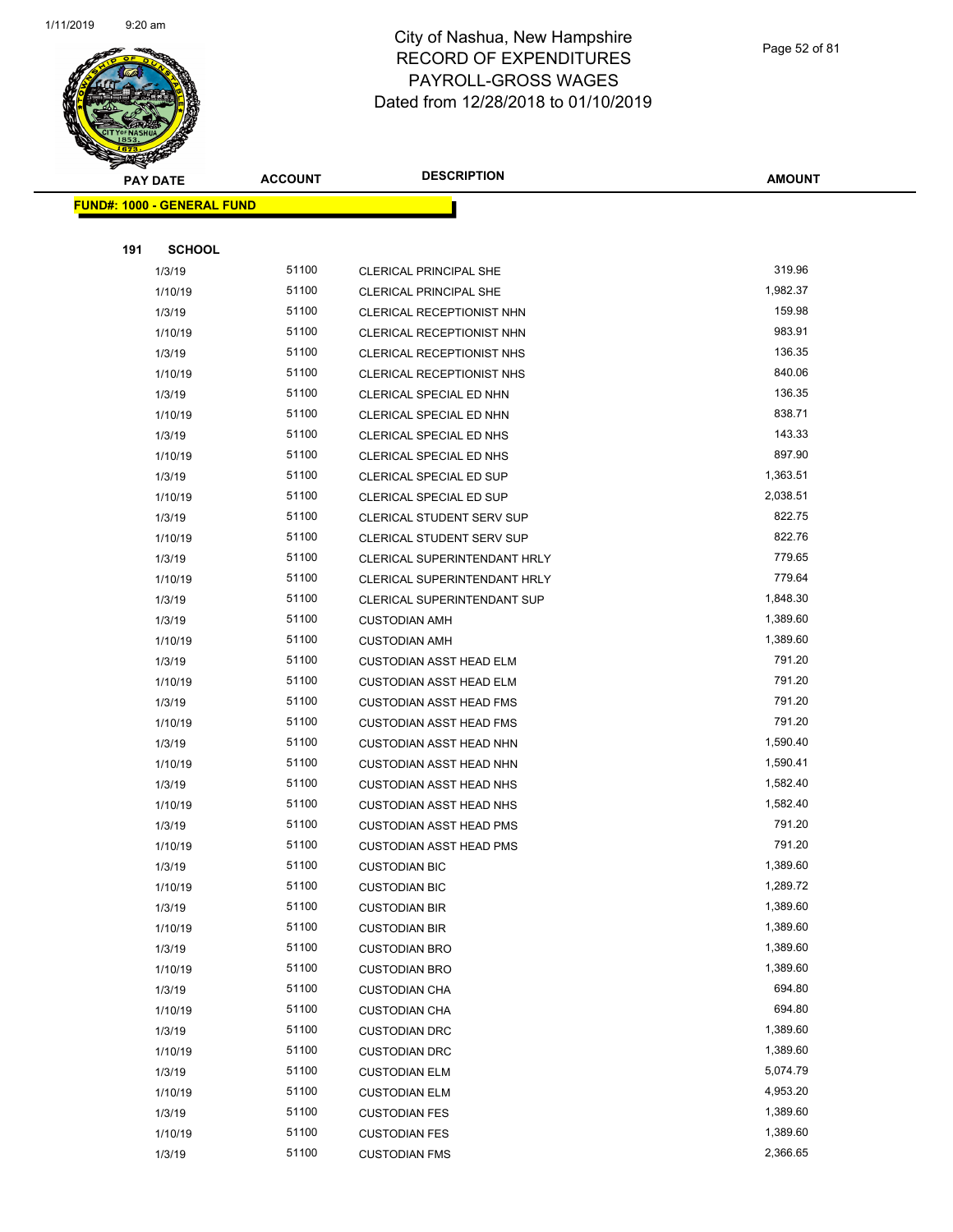

Page 52 of 81

| $\tilde{\phantom{a}}$<br><b>PAY DATE</b> | <b>ACCOUNT</b> | <b>DESCRIPTION</b>                 | <b>AMOUNT</b> |
|------------------------------------------|----------------|------------------------------------|---------------|
| <b>FUND#: 1000 - GENERAL FUND</b>        |                |                                    |               |
|                                          |                |                                    |               |
| 191<br><b>SCHOOL</b>                     |                |                                    |               |
| 1/3/19                                   | 51100          | <b>CLERICAL PRINCIPAL SHE</b>      | 319.96        |
| 1/10/19                                  | 51100          | <b>CLERICAL PRINCIPAL SHE</b>      | 1,982.37      |
| 1/3/19                                   | 51100          | CLERICAL RECEPTIONIST NHN          | 159.98        |
| 1/10/19                                  | 51100          | CLERICAL RECEPTIONIST NHN          | 983.91        |
| 1/3/19                                   | 51100          | CLERICAL RECEPTIONIST NHS          | 136.35        |
| 1/10/19                                  | 51100          | CLERICAL RECEPTIONIST NHS          | 840.06        |
| 1/3/19                                   | 51100          | CLERICAL SPECIAL ED NHN            | 136.35        |
| 1/10/19                                  | 51100          | CLERICAL SPECIAL ED NHN            | 838.71        |
| 1/3/19                                   | 51100          | CLERICAL SPECIAL ED NHS            | 143.33        |
| 1/10/19                                  | 51100          | CLERICAL SPECIAL ED NHS            | 897.90        |
| 1/3/19                                   | 51100          | CLERICAL SPECIAL ED SUP            | 1,363.51      |
| 1/10/19                                  | 51100          | CLERICAL SPECIAL ED SUP            | 2,038.51      |
| 1/3/19                                   | 51100          | <b>CLERICAL STUDENT SERV SUP</b>   | 822.75        |
| 1/10/19                                  | 51100          | CLERICAL STUDENT SERV SUP          | 822.76        |
| 1/3/19                                   | 51100          | CLERICAL SUPERINTENDANT HRLY       | 779.65        |
| 1/10/19                                  | 51100          | CLERICAL SUPERINTENDANT HRLY       | 779.64        |
| 1/3/19                                   | 51100          | <b>CLERICAL SUPERINTENDANT SUP</b> | 1,848.30      |
| 1/3/19                                   | 51100          | <b>CUSTODIAN AMH</b>               | 1,389.60      |
| 1/10/19                                  | 51100          | <b>CUSTODIAN AMH</b>               | 1,389.60      |
| 1/3/19                                   | 51100          | <b>CUSTODIAN ASST HEAD ELM</b>     | 791.20        |
| 1/10/19                                  | 51100          | <b>CUSTODIAN ASST HEAD ELM</b>     | 791.20        |
| 1/3/19                                   | 51100          | <b>CUSTODIAN ASST HEAD FMS</b>     | 791.20        |
| 1/10/19                                  | 51100          | <b>CUSTODIAN ASST HEAD FMS</b>     | 791.20        |
| 1/3/19                                   | 51100          | <b>CUSTODIAN ASST HEAD NHN</b>     | 1,590.40      |
| 1/10/19                                  | 51100          | <b>CUSTODIAN ASST HEAD NHN</b>     | 1,590.41      |
| 1/3/19                                   | 51100          | <b>CUSTODIAN ASST HEAD NHS</b>     | 1,582.40      |
| 1/10/19                                  | 51100          | <b>CUSTODIAN ASST HEAD NHS</b>     | 1,582.40      |
| 1/3/19                                   | 51100          | <b>CUSTODIAN ASST HEAD PMS</b>     | 791.20        |
| 1/10/19                                  | 51100          | <b>CUSTODIAN ASST HEAD PMS</b>     | 791.20        |
| 1/3/19                                   | 51100          | <b>CUSTODIAN BIC</b>               | 1,389.60      |
| 1/10/19                                  | 51100          | <b>CUSTODIAN BIC</b>               | 1,289.72      |
| 1/3/19                                   | 51100          | <b>CUSTODIAN BIR</b>               | 1,389.60      |
| 1/10/19                                  | 51100          | <b>CUSTODIAN BIR</b>               | 1,389.60      |
| 1/3/19                                   | 51100          | <b>CUSTODIAN BRO</b>               | 1,389.60      |
| 1/10/19                                  | 51100          | <b>CUSTODIAN BRO</b>               | 1,389.60      |
| 1/3/19                                   | 51100          | <b>CUSTODIAN CHA</b>               | 694.80        |
| 1/10/19                                  | 51100          | <b>CUSTODIAN CHA</b>               | 694.80        |
| 1/3/19                                   | 51100          | <b>CUSTODIAN DRC</b>               | 1,389.60      |
| 1/10/19                                  | 51100          | <b>CUSTODIAN DRC</b>               | 1,389.60      |
| 1/3/19                                   | 51100          | <b>CUSTODIAN ELM</b>               | 5,074.79      |
| 1/10/19                                  | 51100          | <b>CUSTODIAN ELM</b>               | 4,953.20      |
| 1/3/19                                   | 51100          | <b>CUSTODIAN FES</b>               | 1,389.60      |
| 1/10/19                                  | 51100          | <b>CUSTODIAN FES</b>               | 1,389.60      |
| 1/3/19                                   | 51100          | <b>CUSTODIAN FMS</b>               | 2,366.65      |
|                                          |                |                                    |               |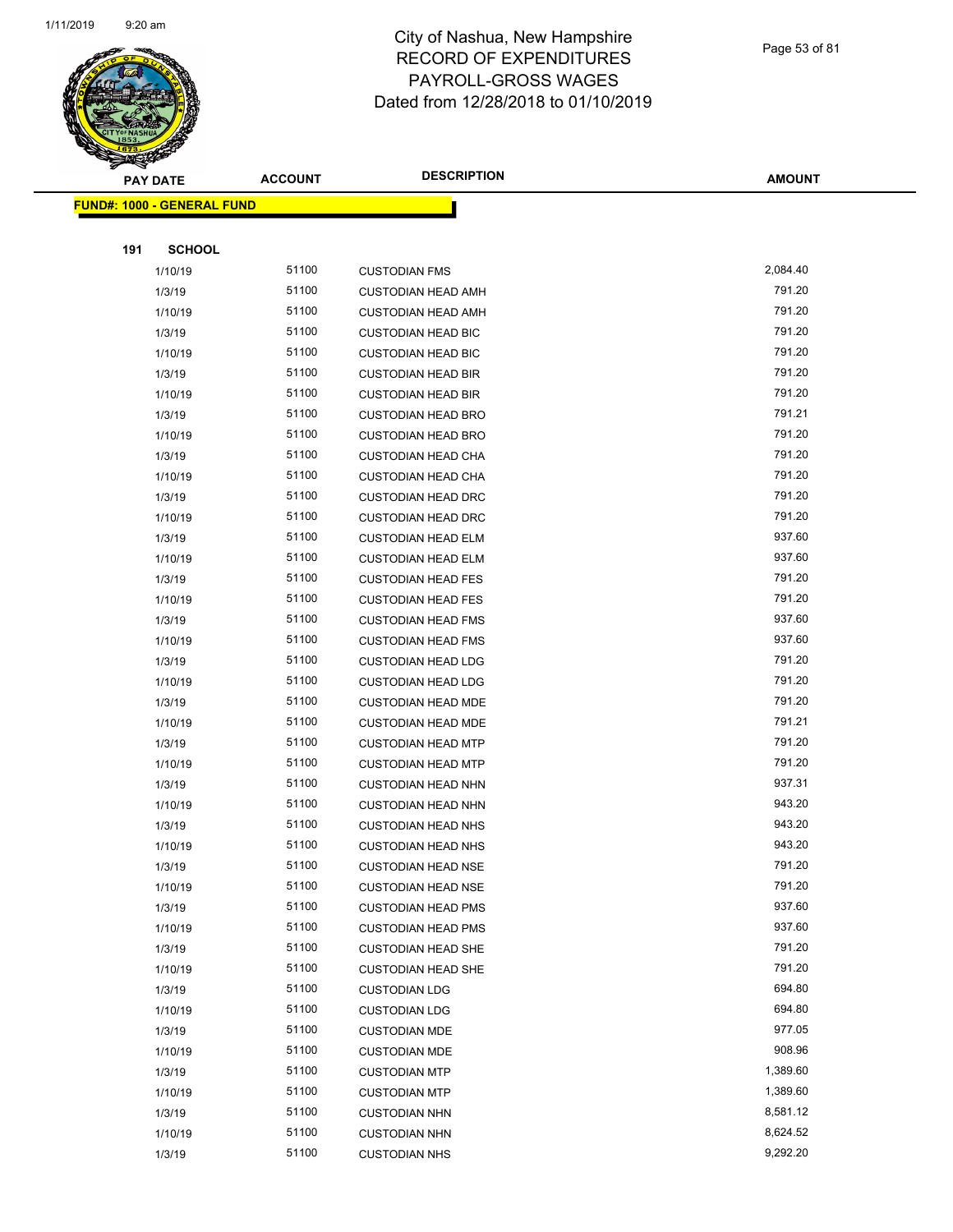

|     | <b>PAY DATE</b>                   | <b>ACCOUNT</b> | <b>DESCRIPTION</b>        | <b>AMOUNT</b> |
|-----|-----------------------------------|----------------|---------------------------|---------------|
|     | <b>FUND#: 1000 - GENERAL FUND</b> |                |                           |               |
|     |                                   |                |                           |               |
| 191 | <b>SCHOOL</b>                     |                |                           |               |
|     | 1/10/19                           | 51100          | <b>CUSTODIAN FMS</b>      | 2,084.40      |
|     | 1/3/19                            | 51100          | <b>CUSTODIAN HEAD AMH</b> | 791.20        |
|     | 1/10/19                           | 51100          | <b>CUSTODIAN HEAD AMH</b> | 791.20        |
|     | 1/3/19                            | 51100          | <b>CUSTODIAN HEAD BIC</b> | 791.20        |
|     | 1/10/19                           | 51100          | <b>CUSTODIAN HEAD BIC</b> | 791.20        |
|     | 1/3/19                            | 51100          | <b>CUSTODIAN HEAD BIR</b> | 791.20        |
|     | 1/10/19                           | 51100          | <b>CUSTODIAN HEAD BIR</b> | 791.20        |
|     | 1/3/19                            | 51100          | <b>CUSTODIAN HEAD BRO</b> | 791.21        |
|     | 1/10/19                           | 51100          | <b>CUSTODIAN HEAD BRO</b> | 791.20        |
|     | 1/3/19                            | 51100          | <b>CUSTODIAN HEAD CHA</b> | 791.20        |
|     | 1/10/19                           | 51100          | <b>CUSTODIAN HEAD CHA</b> | 791.20        |
|     | 1/3/19                            | 51100          | <b>CUSTODIAN HEAD DRC</b> | 791.20        |
|     | 1/10/19                           | 51100          | <b>CUSTODIAN HEAD DRC</b> | 791.20        |
|     | 1/3/19                            | 51100          | <b>CUSTODIAN HEAD ELM</b> | 937.60        |
|     | 1/10/19                           | 51100          | <b>CUSTODIAN HEAD ELM</b> | 937.60        |
|     | 1/3/19                            | 51100          | <b>CUSTODIAN HEAD FES</b> | 791.20        |
|     | 1/10/19                           | 51100          | <b>CUSTODIAN HEAD FES</b> | 791.20        |
|     | 1/3/19                            | 51100          | <b>CUSTODIAN HEAD FMS</b> | 937.60        |
|     | 1/10/19                           | 51100          | <b>CUSTODIAN HEAD FMS</b> | 937.60        |
|     | 1/3/19                            | 51100          | <b>CUSTODIAN HEAD LDG</b> | 791.20        |
|     | 1/10/19                           | 51100          | <b>CUSTODIAN HEAD LDG</b> | 791.20        |
|     | 1/3/19                            | 51100          | <b>CUSTODIAN HEAD MDE</b> | 791.20        |
|     | 1/10/19                           | 51100          | <b>CUSTODIAN HEAD MDE</b> | 791.21        |
|     | 1/3/19                            | 51100          | <b>CUSTODIAN HEAD MTP</b> | 791.20        |
|     | 1/10/19                           | 51100          | <b>CUSTODIAN HEAD MTP</b> | 791.20        |
|     | 1/3/19                            | 51100          | <b>CUSTODIAN HEAD NHN</b> | 937.31        |
|     | 1/10/19                           | 51100          | <b>CUSTODIAN HEAD NHN</b> | 943.20        |
|     | 1/3/19                            | 51100          | <b>CUSTODIAN HEAD NHS</b> | 943.20        |
|     | 1/10/19                           | 51100          | <b>CUSTODIAN HEAD NHS</b> | 943.20        |
|     | 1/3/19                            | 51100          | <b>CUSTODIAN HEAD NSE</b> | 791.20        |
|     | 1/10/19                           | 51100          | <b>CUSTODIAN HEAD NSE</b> | 791.20        |
|     | 1/3/19                            | 51100          | <b>CUSTODIAN HEAD PMS</b> | 937.60        |
|     | 1/10/19                           | 51100          | <b>CUSTODIAN HEAD PMS</b> | 937.60        |
|     | 1/3/19                            | 51100          | <b>CUSTODIAN HEAD SHE</b> | 791.20        |
|     | 1/10/19                           | 51100          | <b>CUSTODIAN HEAD SHE</b> | 791.20        |
|     | 1/3/19                            | 51100          | <b>CUSTODIAN LDG</b>      | 694.80        |
|     | 1/10/19                           | 51100          | <b>CUSTODIAN LDG</b>      | 694.80        |
|     | 1/3/19                            | 51100          | <b>CUSTODIAN MDE</b>      | 977.05        |
|     | 1/10/19                           | 51100          | <b>CUSTODIAN MDE</b>      | 908.96        |
|     | 1/3/19                            | 51100          | <b>CUSTODIAN MTP</b>      | 1,389.60      |
|     | 1/10/19                           | 51100          | <b>CUSTODIAN MTP</b>      | 1,389.60      |
|     | 1/3/19                            | 51100          | <b>CUSTODIAN NHN</b>      | 8,581.12      |
|     | 1/10/19                           | 51100          | <b>CUSTODIAN NHN</b>      | 8,624.52      |
|     | 1/3/19                            | 51100          | <b>CUSTODIAN NHS</b>      | 9,292.20      |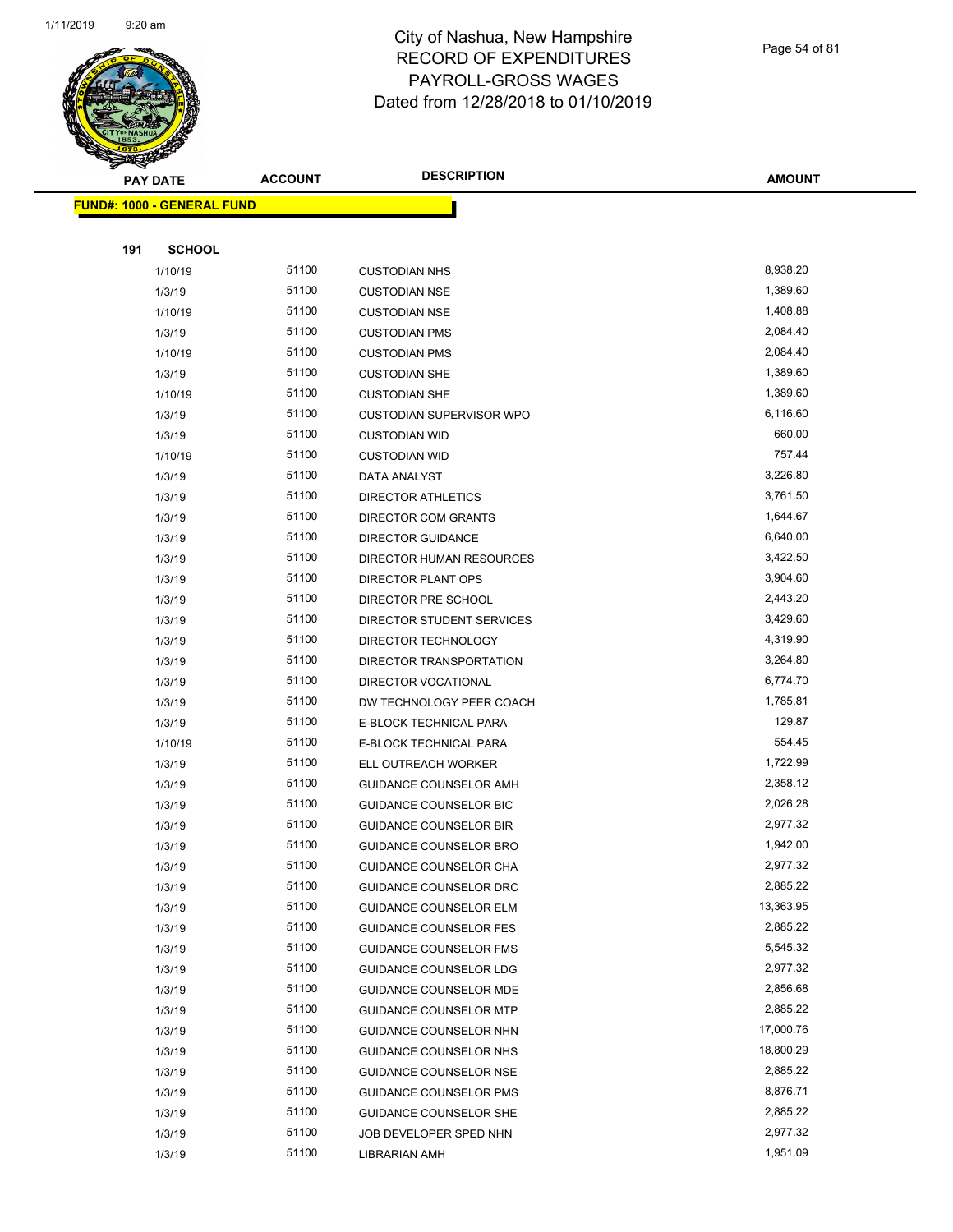**FUND#: 1000 - GENERAL FUND**



#### City of Nashua, New Hampshire RECORD OF EXPENDITURES PAYROLL-GROSS WAGES Dated from 12/28/2018 to 01/10/2019

|     | <b>PAY DATE</b>               |       | <b>DESCRIPTION</b><br><b>ACCOUNT</b> |           |
|-----|-------------------------------|-------|--------------------------------------|-----------|
|     | <u>l: 1000 - GENERAL FUND</u> |       |                                      |           |
|     |                               |       |                                      |           |
| 191 | <b>SCHOOL</b>                 |       |                                      |           |
|     | 1/10/19                       | 51100 | <b>CUSTODIAN NHS</b>                 | 8,938.20  |
|     | 1/3/19                        | 51100 | <b>CUSTODIAN NSE</b>                 | 1,389.60  |
|     | 1/10/19                       | 51100 | <b>CUSTODIAN NSE</b>                 | 1,408.88  |
|     | 1/3/19                        | 51100 | <b>CUSTODIAN PMS</b>                 | 2,084.40  |
|     | 1/10/19                       | 51100 | <b>CUSTODIAN PMS</b>                 | 2,084.40  |
|     | 1/3/19                        | 51100 | <b>CUSTODIAN SHE</b>                 | 1,389.60  |
|     | 1/10/19                       | 51100 | <b>CUSTODIAN SHE</b>                 | 1,389.60  |
|     | 1/3/19                        | 51100 | <b>CUSTODIAN SUPERVISOR WPO</b>      | 6,116.60  |
|     | 1/3/19                        | 51100 | <b>CUSTODIAN WID</b>                 | 660.00    |
|     | 1/10/19                       | 51100 | <b>CUSTODIAN WID</b>                 | 757.44    |
|     | 1/3/19                        | 51100 | DATA ANALYST                         | 3,226.80  |
|     | 1/3/19                        | 51100 | <b>DIRECTOR ATHLETICS</b>            | 3,761.50  |
|     | 1/3/19                        | 51100 | DIRECTOR COM GRANTS                  | 1,644.67  |
|     | 1/3/19                        | 51100 | <b>DIRECTOR GUIDANCE</b>             | 6,640.00  |
|     | 1/3/19                        | 51100 | DIRECTOR HUMAN RESOURCES             | 3,422.50  |
|     | 1/3/19                        | 51100 | DIRECTOR PLANT OPS                   | 3,904.60  |
|     | 1/3/19                        | 51100 | DIRECTOR PRE SCHOOL                  | 2,443.20  |
|     | 1/3/19                        | 51100 | DIRECTOR STUDENT SERVICES            | 3,429.60  |
|     | 1/3/19                        | 51100 | DIRECTOR TECHNOLOGY                  | 4,319.90  |
|     | 1/3/19                        | 51100 | DIRECTOR TRANSPORTATION              | 3,264.80  |
|     | 1/3/19                        | 51100 | DIRECTOR VOCATIONAL                  | 6,774.70  |
|     | 1/3/19                        | 51100 | DW TECHNOLOGY PEER COACH             | 1,785.81  |
|     | 1/3/19                        | 51100 | E-BLOCK TECHNICAL PARA               | 129.87    |
|     | 1/10/19                       | 51100 | E-BLOCK TECHNICAL PARA               | 554.45    |
|     | 1/3/19                        | 51100 | ELL OUTREACH WORKER                  | 1,722.99  |
|     | 1/3/19                        | 51100 | <b>GUIDANCE COUNSELOR AMH</b>        | 2,358.12  |
|     | 1/3/19                        | 51100 | <b>GUIDANCE COUNSELOR BIC</b>        | 2,026.28  |
|     | 1/3/19                        | 51100 | <b>GUIDANCE COUNSELOR BIR</b>        | 2,977.32  |
|     | 1/3/19                        | 51100 | <b>GUIDANCE COUNSELOR BRO</b>        | 1,942.00  |
|     | 1/3/19                        | 51100 | GUIDANCE COUNSELOR CHA               | 2,977.32  |
|     | 1/3/19                        | 51100 | <b>GUIDANCE COUNSELOR DRC</b>        | 2,885.22  |
|     | 1/3/19                        | 51100 | <b>GUIDANCE COUNSELOR ELM</b>        | 13,363.95 |
|     | 1/3/19                        | 51100 | <b>GUIDANCE COUNSELOR FES</b>        | 2,885.22  |
|     | 1/3/19                        | 51100 | <b>GUIDANCE COUNSELOR FMS</b>        | 5,545.32  |
|     | 1/3/19                        | 51100 | <b>GUIDANCE COUNSELOR LDG</b>        | 2,977.32  |
|     | 1/3/19                        | 51100 | <b>GUIDANCE COUNSELOR MDE</b>        | 2,856.68  |
|     | 1/3/19                        | 51100 | <b>GUIDANCE COUNSELOR MTP</b>        | 2,885.22  |
|     | 1/3/19                        | 51100 | <b>GUIDANCE COUNSELOR NHN</b>        | 17,000.76 |
|     | 1/3/19                        | 51100 | GUIDANCE COUNSELOR NHS               | 18,800.29 |
|     | 1/3/19                        | 51100 | <b>GUIDANCE COUNSELOR NSE</b>        | 2,885.22  |
|     | 1/3/19                        | 51100 | GUIDANCE COUNSELOR PMS               | 8,876.71  |

1/3/19 51100 GUIDANCE COUNSELOR SHE 2,885.22 1/3/19 51100 JOB DEVELOPER SPED NHN 2,977.32 1/3/19 51100 LIBRARIAN AMH 1,951.09 1,951.09

Page 54 of 81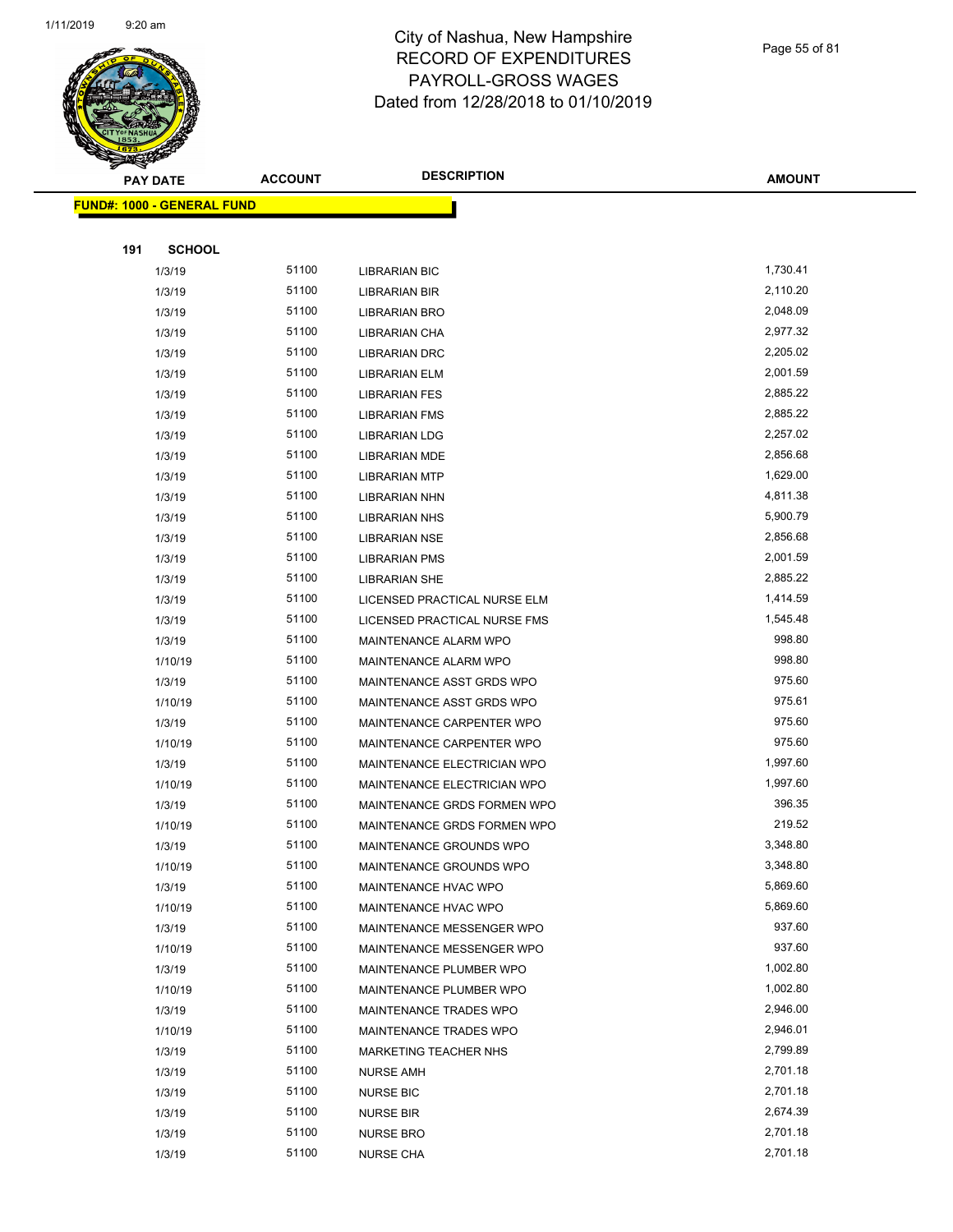

|     | <b>PAY DATE</b>                   | <b>ACCOUNT</b> | <b>DESCRIPTION</b>                   | <b>AMOUNT</b>        |
|-----|-----------------------------------|----------------|--------------------------------------|----------------------|
|     | <b>FUND#: 1000 - GENERAL FUND</b> |                |                                      |                      |
|     |                                   |                |                                      |                      |
| 191 | <b>SCHOOL</b>                     |                |                                      |                      |
|     | 1/3/19                            | 51100          | LIBRARIAN BIC                        | 1,730.41             |
|     | 1/3/19                            | 51100          | LIBRARIAN BIR                        | 2,110.20             |
|     | 1/3/19                            | 51100          | LIBRARIAN BRO                        | 2,048.09             |
|     | 1/3/19                            | 51100          | LIBRARIAN CHA                        | 2,977.32             |
|     | 1/3/19                            | 51100          | <b>LIBRARIAN DRC</b>                 | 2,205.02             |
|     | 1/3/19                            | 51100          | <b>LIBRARIAN ELM</b>                 | 2,001.59             |
|     | 1/3/19                            | 51100          | <b>LIBRARIAN FES</b>                 | 2,885.22             |
|     | 1/3/19                            | 51100          | <b>LIBRARIAN FMS</b>                 | 2,885.22             |
|     | 1/3/19                            | 51100          | <b>LIBRARIAN LDG</b>                 | 2,257.02             |
|     | 1/3/19                            | 51100          | <b>LIBRARIAN MDE</b>                 | 2,856.68             |
|     | 1/3/19                            | 51100          | <b>LIBRARIAN MTP</b>                 | 1,629.00             |
|     | 1/3/19                            | 51100          | LIBRARIAN NHN                        | 4,811.38             |
|     | 1/3/19                            | 51100          | LIBRARIAN NHS                        | 5,900.79             |
|     | 1/3/19                            | 51100          | LIBRARIAN NSE                        | 2,856.68             |
|     | 1/3/19                            | 51100          | <b>LIBRARIAN PMS</b>                 | 2,001.59             |
|     | 1/3/19                            | 51100          | <b>LIBRARIAN SHE</b>                 | 2,885.22             |
|     | 1/3/19                            | 51100          | LICENSED PRACTICAL NURSE ELM         | 1,414.59             |
|     | 1/3/19                            | 51100          | LICENSED PRACTICAL NURSE FMS         | 1,545.48             |
|     | 1/3/19                            | 51100          | MAINTENANCE ALARM WPO                | 998.80               |
|     | 1/10/19                           | 51100          | MAINTENANCE ALARM WPO                | 998.80               |
|     | 1/3/19                            | 51100          | MAINTENANCE ASST GRDS WPO            | 975.60               |
|     | 1/10/19                           | 51100          | MAINTENANCE ASST GRDS WPO            | 975.61               |
|     | 1/3/19                            | 51100          | MAINTENANCE CARPENTER WPO            | 975.60               |
|     | 1/10/19                           | 51100          | MAINTENANCE CARPENTER WPO            | 975.60               |
|     | 1/3/19                            | 51100          | MAINTENANCE ELECTRICIAN WPO          | 1,997.60             |
|     | 1/10/19                           | 51100          | MAINTENANCE ELECTRICIAN WPO          | 1,997.60             |
|     | 1/3/19                            | 51100          | MAINTENANCE GRDS FORMEN WPO          | 396.35               |
|     | 1/10/19                           | 51100          | MAINTENANCE GRDS FORMEN WPO          | 219.52               |
|     | 1/3/19                            | 51100          | MAINTENANCE GROUNDS WPO              | 3,348.80             |
|     | 1/10/19                           | 51100          | MAINTENANCE GROUNDS WPO              | 3,348.80             |
|     | 1/3/19                            | 51100          | MAINTENANCE HVAC WPO                 | 5,869.60             |
|     | 1/10/19                           | 51100          | MAINTENANCE HVAC WPO                 | 5,869.60             |
|     | 1/3/19                            | 51100          | MAINTENANCE MESSENGER WPO            | 937.60               |
|     | 1/10/19                           | 51100          | MAINTENANCE MESSENGER WPO            | 937.60               |
|     | 1/3/19                            | 51100          | MAINTENANCE PLUMBER WPO              | 1,002.80             |
|     | 1/10/19                           | 51100          | MAINTENANCE PLUMBER WPO              | 1,002.80             |
|     | 1/3/19                            | 51100          | MAINTENANCE TRADES WPO               | 2,946.00             |
|     | 1/10/19                           | 51100          | MAINTENANCE TRADES WPO               | 2,946.01             |
|     | 1/3/19                            | 51100          | <b>MARKETING TEACHER NHS</b>         | 2,799.89<br>2,701.18 |
|     | 1/3/19                            | 51100<br>51100 | <b>NURSE AMH</b>                     | 2,701.18             |
|     | 1/3/19                            | 51100          | <b>NURSE BIC</b>                     | 2,674.39             |
|     | 1/3/19<br>1/3/19                  | 51100          | <b>NURSE BIR</b><br><b>NURSE BRO</b> | 2,701.18             |
|     | 1/3/19                            | 51100          | <b>NURSE CHA</b>                     | 2,701.18             |
|     |                                   |                |                                      |                      |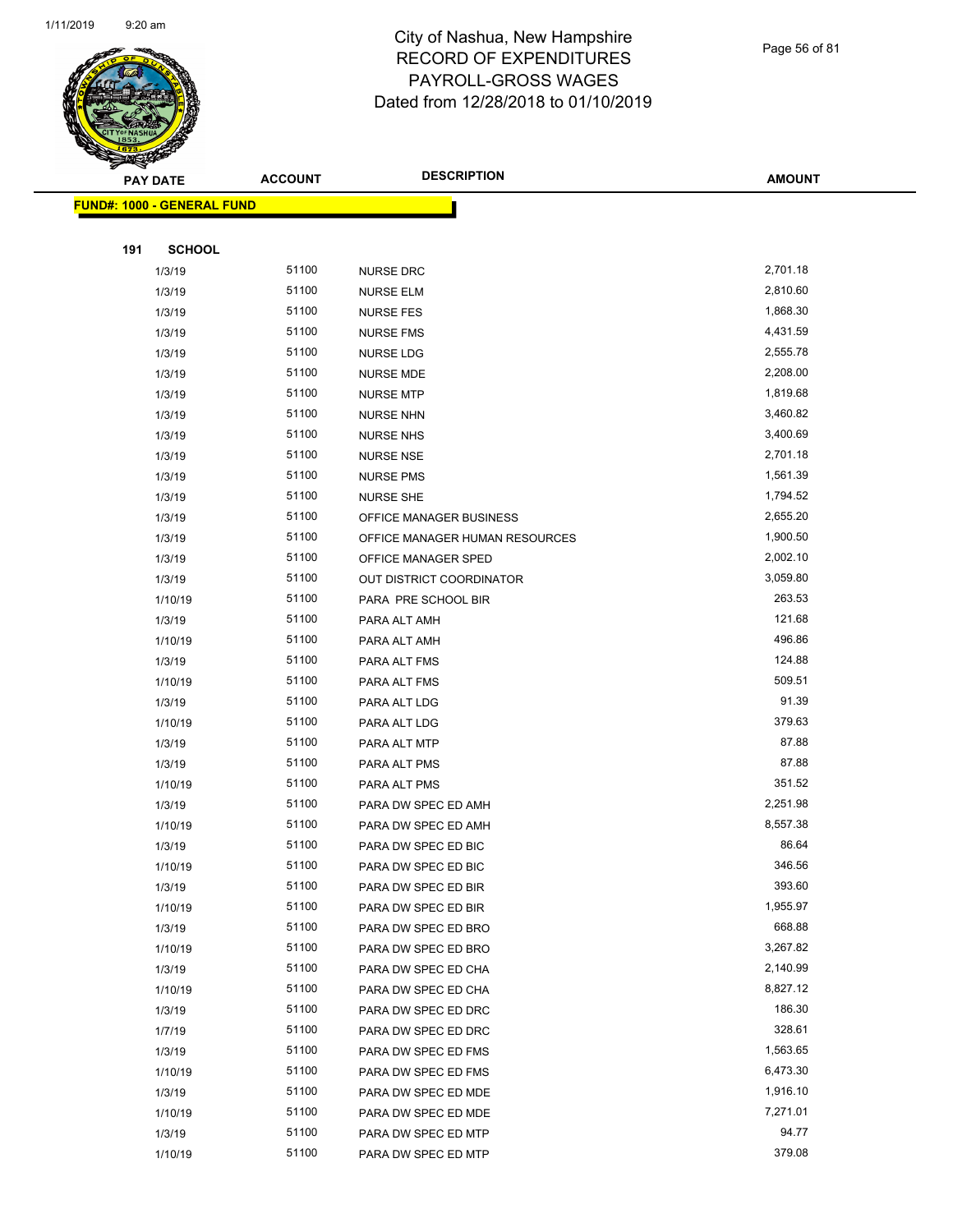

Page 56 of 81

**AMOUNT**

| <b>FUND#: 1000 - GENERAL FUND</b> |                |                                |                      |  |
|-----------------------------------|----------------|--------------------------------|----------------------|--|
| 191<br><b>SCHOOL</b>              |                |                                |                      |  |
| 1/3/19                            | 51100          | <b>NURSE DRC</b>               | 2,701.18             |  |
| 1/3/19                            | 51100          | <b>NURSE ELM</b>               | 2,810.60             |  |
| 1/3/19                            | 51100          | <b>NURSE FES</b>               | 1,868.30             |  |
| 1/3/19                            | 51100          | <b>NURSE FMS</b>               | 4,431.59             |  |
| 1/3/19                            | 51100          | <b>NURSE LDG</b>               | 2,555.78             |  |
| 1/3/19                            | 51100          | <b>NURSE MDE</b>               | 2,208.00             |  |
| 1/3/19                            | 51100          | <b>NURSE MTP</b>               | 1,819.68             |  |
| 1/3/19                            | 51100          | <b>NURSE NHN</b>               | 3,460.82             |  |
| 1/3/19                            | 51100          | <b>NURSE NHS</b>               | 3,400.69             |  |
| 1/3/19                            | 51100          | <b>NURSE NSE</b>               | 2,701.18             |  |
| 1/3/19                            | 51100          | <b>NURSE PMS</b>               | 1,561.39             |  |
| 1/3/19                            | 51100          | <b>NURSE SHE</b>               | 1,794.52             |  |
| 1/3/19                            | 51100          | OFFICE MANAGER BUSINESS        | 2,655.20             |  |
| 1/3/19                            | 51100          | OFFICE MANAGER HUMAN RESOURCES | 1,900.50             |  |
| 1/3/19                            | 51100          | OFFICE MANAGER SPED            | 2,002.10             |  |
| 1/3/19                            | 51100          | OUT DISTRICT COORDINATOR       | 3,059.80             |  |
| 1/10/19                           | 51100          | PARA PRE SCHOOL BIR            | 263.53               |  |
| 1/3/19                            | 51100          | PARA ALT AMH                   | 121.68               |  |
| 1/10/19                           | 51100          | PARA ALT AMH                   | 496.86               |  |
| 1/3/19                            | 51100          | PARA ALT FMS                   | 124.88               |  |
| 1/10/19                           | 51100          | PARA ALT FMS                   | 509.51               |  |
| 1/3/19                            | 51100          | PARA ALT LDG                   | 91.39                |  |
| 1/10/19                           | 51100          | PARA ALT LDG                   | 379.63               |  |
| 1/3/19                            | 51100          | PARA ALT MTP                   | 87.88                |  |
| 1/3/19                            | 51100          | PARA ALT PMS                   | 87.88                |  |
| 1/10/19                           | 51100          | PARA ALT PMS                   | 351.52               |  |
| 1/3/19                            | 51100          | PARA DW SPEC ED AMH            | 2,251.98             |  |
| 1/10/19                           | 51100          | PARA DW SPEC ED AMH            | 8,557.38             |  |
| 1/3/19                            | 51100          | PARA DW SPEC ED BIC            | 86.64                |  |
| 1/10/19                           | 51100          | PARA DW SPEC ED BIC            | 346.56               |  |
| 1/3/19                            | 51100          | PARA DW SPEC ED BIR            | 393.60               |  |
| 1/10/19                           | 51100          | PARA DW SPEC ED BIR            | 1,955.97             |  |
| 1/3/19                            | 51100          | PARA DW SPEC ED BRO            | 668.88               |  |
| 1/10/19                           | 51100          | PARA DW SPEC ED BRO            | 3,267.82             |  |
| 1/3/19                            | 51100          | PARA DW SPEC ED CHA            | 2,140.99             |  |
| 1/10/19                           | 51100          | PARA DW SPEC ED CHA            | 8,827.12             |  |
| 1/3/19                            | 51100          | PARA DW SPEC ED DRC            | 186.30               |  |
| 1/7/19                            | 51100          | PARA DW SPEC ED DRC            | 328.61               |  |
| 1/3/19                            | 51100          | PARA DW SPEC ED FMS            | 1,563.65             |  |
| 1/10/19                           | 51100          | PARA DW SPEC ED FMS            | 6,473.30             |  |
| 1/3/19                            | 51100<br>51100 | PARA DW SPEC ED MDE            | 1,916.10<br>7,271.01 |  |
| 1/10/19                           | 51100          | PARA DW SPEC ED MDE            | 94.77                |  |
| 1/3/19<br>1/10/19                 | 51100          | PARA DW SPEC ED MTP            | 379.08               |  |
|                                   |                | PARA DW SPEC ED MTP            |                      |  |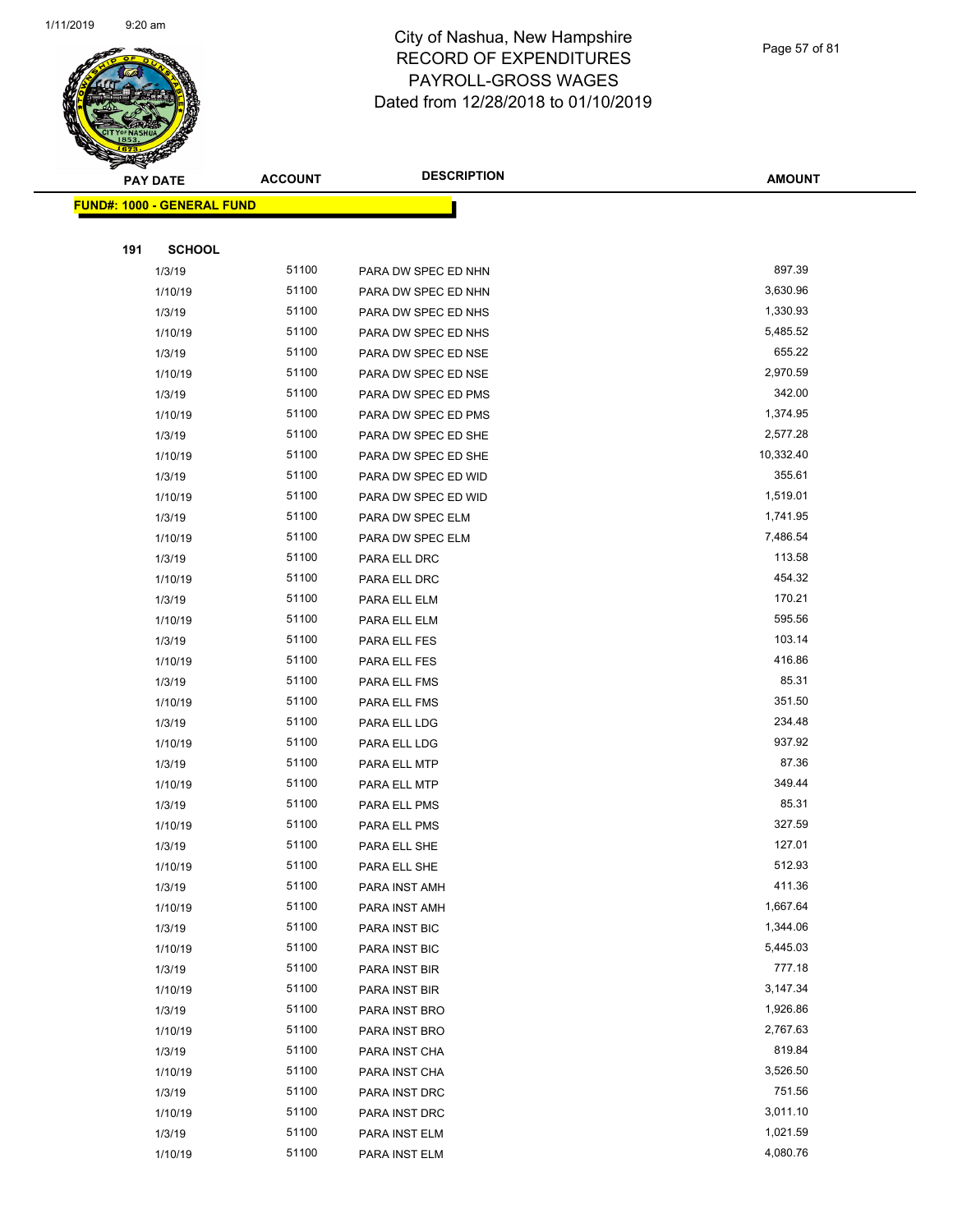

Page 57 of 81

|     | <b>PAY DATE</b>                   | <b>ACCOUNT</b> | <b>DESCRIPTION</b>  | <b>AMOUNT</b> |
|-----|-----------------------------------|----------------|---------------------|---------------|
|     | <b>FUND#: 1000 - GENERAL FUND</b> |                |                     |               |
|     |                                   |                |                     |               |
| 191 | <b>SCHOOL</b>                     |                |                     |               |
|     | 1/3/19                            | 51100          | PARA DW SPEC ED NHN | 897.39        |
|     | 1/10/19                           | 51100          | PARA DW SPEC ED NHN | 3,630.96      |
|     | 1/3/19                            | 51100          | PARA DW SPEC ED NHS | 1,330.93      |
|     | 1/10/19                           | 51100          | PARA DW SPEC ED NHS | 5,485.52      |
|     | 1/3/19                            | 51100          | PARA DW SPEC ED NSE | 655.22        |
|     | 1/10/19                           | 51100          | PARA DW SPEC ED NSE | 2,970.59      |
|     | 1/3/19                            | 51100          | PARA DW SPEC ED PMS | 342.00        |
|     | 1/10/19                           | 51100          | PARA DW SPEC ED PMS | 1,374.95      |
|     | 1/3/19                            | 51100          | PARA DW SPEC ED SHE | 2,577.28      |
|     | 1/10/19                           | 51100          | PARA DW SPEC ED SHE | 10,332.40     |
|     | 1/3/19                            | 51100          | PARA DW SPEC ED WID | 355.61        |
|     | 1/10/19                           | 51100          | PARA DW SPEC ED WID | 1,519.01      |
|     | 1/3/19                            | 51100          | PARA DW SPEC ELM    | 1,741.95      |
|     | 1/10/19                           | 51100          | PARA DW SPEC ELM    | 7,486.54      |
|     | 1/3/19                            | 51100          | PARA ELL DRC        | 113.58        |
|     | 1/10/19                           | 51100          | PARA ELL DRC        | 454.32        |
|     | 1/3/19                            | 51100          | PARA ELL ELM        | 170.21        |
|     | 1/10/19                           | 51100          | PARA ELL ELM        | 595.56        |
|     | 1/3/19                            | 51100          | PARA ELL FES        | 103.14        |
|     | 1/10/19                           | 51100          | PARA ELL FES        | 416.86        |
|     | 1/3/19                            | 51100          | PARA ELL FMS        | 85.31         |
|     | 1/10/19                           | 51100          | PARA ELL FMS        | 351.50        |
|     | 1/3/19                            | 51100          | PARA ELL LDG        | 234.48        |
|     | 1/10/19                           | 51100          | PARA ELL LDG        | 937.92        |
|     | 1/3/19                            | 51100          | PARA ELL MTP        | 87.36         |
|     | 1/10/19                           | 51100          | PARA ELL MTP        | 349.44        |
|     | 1/3/19                            | 51100          | PARA ELL PMS        | 85.31         |
|     | 1/10/19                           | 51100          | PARA ELL PMS        | 327.59        |
|     | 1/3/19                            | 51100          | PARA ELL SHE        | 127.01        |
|     | 1/10/19                           | 51100          | PARA ELL SHE        | 512.93        |
|     | 1/3/19                            | 51100          | PARA INST AMH       | 411.36        |
|     | 1/10/19                           | 51100          | PARA INST AMH       | 1,667.64      |
|     | 1/3/19                            | 51100          | PARA INST BIC       | 1,344.06      |
|     | 1/10/19                           | 51100          | PARA INST BIC       | 5,445.03      |
|     | 1/3/19                            | 51100          | PARA INST BIR       | 777.18        |
|     | 1/10/19                           | 51100          | PARA INST BIR       | 3,147.34      |
|     | 1/3/19                            | 51100          | PARA INST BRO       | 1,926.86      |
|     | 1/10/19                           | 51100          | PARA INST BRO       | 2,767.63      |
|     | 1/3/19                            | 51100          | PARA INST CHA       | 819.84        |
|     | 1/10/19                           | 51100          | PARA INST CHA       | 3,526.50      |
|     | 1/3/19                            | 51100          | PARA INST DRC       | 751.56        |
|     | 1/10/19                           | 51100          | PARA INST DRC       | 3,011.10      |
|     | 1/3/19                            | 51100          | PARA INST ELM       | 1,021.59      |
|     | 1/10/19                           | 51100          | PARA INST ELM       | 4,080.76      |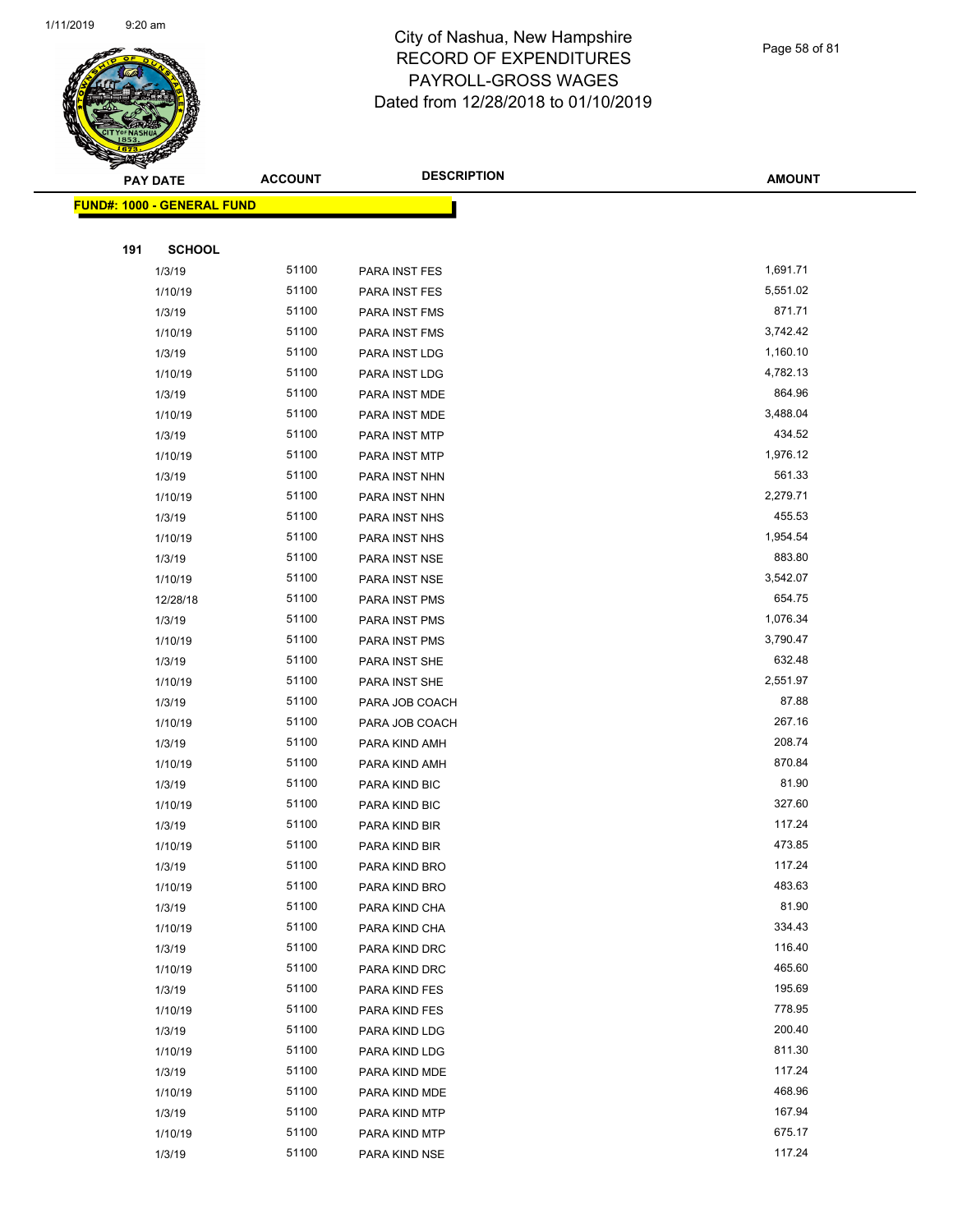

Page 58 of 81

|     | <b>PAY DATE</b>                   | <b>ACCOUNT</b> | <b>DESCRIPTION</b> | <b>AMOUNT</b> |
|-----|-----------------------------------|----------------|--------------------|---------------|
|     | <b>FUND#: 1000 - GENERAL FUND</b> |                |                    |               |
|     |                                   |                |                    |               |
| 191 | <b>SCHOOL</b>                     |                |                    |               |
|     | 1/3/19                            | 51100          | PARA INST FES      | 1,691.71      |
|     | 1/10/19                           | 51100          | PARA INST FES      | 5,551.02      |
|     | 1/3/19                            | 51100          | PARA INST FMS      | 871.71        |
|     | 1/10/19                           | 51100          | PARA INST FMS      | 3,742.42      |
|     | 1/3/19                            | 51100          | PARA INST LDG      | 1,160.10      |
|     | 1/10/19                           | 51100          | PARA INST LDG      | 4,782.13      |
|     | 1/3/19                            | 51100          | PARA INST MDE      | 864.96        |
|     | 1/10/19                           | 51100          | PARA INST MDE      | 3,488.04      |
|     | 1/3/19                            | 51100          | PARA INST MTP      | 434.52        |
|     | 1/10/19                           | 51100          | PARA INST MTP      | 1,976.12      |
|     | 1/3/19                            | 51100          | PARA INST NHN      | 561.33        |
|     | 1/10/19                           | 51100          | PARA INST NHN      | 2,279.71      |
|     | 1/3/19                            | 51100          | PARA INST NHS      | 455.53        |
|     | 1/10/19                           | 51100          | PARA INST NHS      | 1,954.54      |
|     | 1/3/19                            | 51100          | PARA INST NSE      | 883.80        |
|     | 1/10/19                           | 51100          | PARA INST NSE      | 3,542.07      |
|     | 12/28/18                          | 51100          | PARA INST PMS      | 654.75        |
|     | 1/3/19                            | 51100          | PARA INST PMS      | 1,076.34      |
|     | 1/10/19                           | 51100          | PARA INST PMS      | 3,790.47      |
|     | 1/3/19                            | 51100          | PARA INST SHE      | 632.48        |
|     | 1/10/19                           | 51100          | PARA INST SHE      | 2,551.97      |
|     | 1/3/19                            | 51100          | PARA JOB COACH     | 87.88         |
|     | 1/10/19                           | 51100          | PARA JOB COACH     | 267.16        |
|     | 1/3/19                            | 51100          | PARA KIND AMH      | 208.74        |
|     | 1/10/19                           | 51100          | PARA KIND AMH      | 870.84        |
|     | 1/3/19                            | 51100          | PARA KIND BIC      | 81.90         |
|     | 1/10/19                           | 51100          | PARA KIND BIC      | 327.60        |
|     | 1/3/19                            | 51100          | PARA KIND BIR      | 117.24        |
|     | 1/10/19                           | 51100          | PARA KIND BIR      | 473.85        |
|     | 1/3/19                            | 51100          | PARA KIND BRO      | 117.24        |
|     | 1/10/19                           | 51100          | PARA KIND BRO      | 483.63        |
|     | 1/3/19                            | 51100          | PARA KIND CHA      | 81.90         |
|     | 1/10/19                           | 51100          | PARA KIND CHA      | 334.43        |
|     | 1/3/19                            | 51100          | PARA KIND DRC      | 116.40        |
|     | 1/10/19                           | 51100          | PARA KIND DRC      | 465.60        |
|     | 1/3/19                            | 51100          | PARA KIND FES      | 195.69        |
|     | 1/10/19                           | 51100          | PARA KIND FES      | 778.95        |
|     | 1/3/19                            | 51100          | PARA KIND LDG      | 200.40        |
|     | 1/10/19                           | 51100          | PARA KIND LDG      | 811.30        |
|     | 1/3/19                            | 51100          | PARA KIND MDE      | 117.24        |
|     | 1/10/19                           | 51100          | PARA KIND MDE      | 468.96        |
|     | 1/3/19                            | 51100          | PARA KIND MTP      | 167.94        |
|     | 1/10/19                           | 51100          | PARA KIND MTP      | 675.17        |
|     | 1/3/19                            | 51100          | PARA KIND NSE      | 117.24        |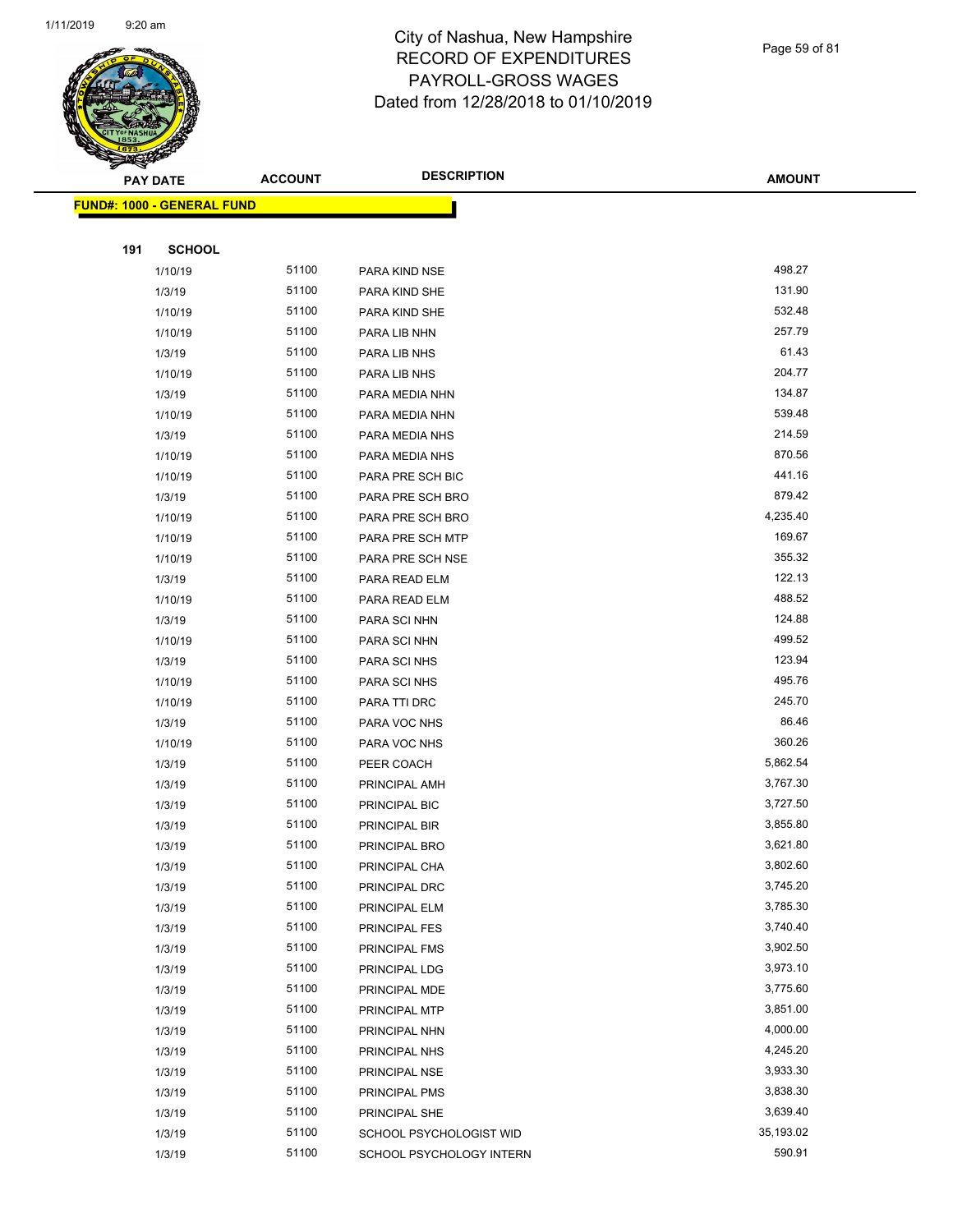

Page 59 of 81

|     | <b>PAY DATE</b>                   | <b>ACCOUNT</b> | <b>DESCRIPTION</b>       | <b>AMOUNT</b> |
|-----|-----------------------------------|----------------|--------------------------|---------------|
|     | <b>FUND#: 1000 - GENERAL FUND</b> |                |                          |               |
|     |                                   |                |                          |               |
| 191 | <b>SCHOOL</b>                     |                |                          |               |
|     | 1/10/19                           | 51100          | PARA KIND NSE            | 498.27        |
|     | 1/3/19                            | 51100          | PARA KIND SHE            | 131.90        |
|     | 1/10/19                           | 51100          | PARA KIND SHE            | 532.48        |
|     | 1/10/19                           | 51100          | PARA LIB NHN             | 257.79        |
|     | 1/3/19                            | 51100          | PARA LIB NHS             | 61.43         |
|     | 1/10/19                           | 51100          | PARA LIB NHS             | 204.77        |
|     | 1/3/19                            | 51100          | PARA MEDIA NHN           | 134.87        |
|     | 1/10/19                           | 51100          | PARA MEDIA NHN           | 539.48        |
|     | 1/3/19                            | 51100          | PARA MEDIA NHS           | 214.59        |
|     | 1/10/19                           | 51100          | PARA MEDIA NHS           | 870.56        |
|     | 1/10/19                           | 51100          | PARA PRE SCH BIC         | 441.16        |
|     | 1/3/19                            | 51100          | PARA PRE SCH BRO         | 879.42        |
|     | 1/10/19                           | 51100          | PARA PRE SCH BRO         | 4,235.40      |
|     | 1/10/19                           | 51100          | PARA PRE SCH MTP         | 169.67        |
|     | 1/10/19                           | 51100          | PARA PRE SCH NSE         | 355.32        |
|     | 1/3/19                            | 51100          | PARA READ ELM            | 122.13        |
|     | 1/10/19                           | 51100          | PARA READ ELM            | 488.52        |
|     | 1/3/19                            | 51100          | PARA SCI NHN             | 124.88        |
|     | 1/10/19                           | 51100          | PARA SCI NHN             | 499.52        |
|     | 1/3/19                            | 51100          | PARA SCI NHS             | 123.94        |
|     | 1/10/19                           | 51100          | PARA SCI NHS             | 495.76        |
|     | 1/10/19                           | 51100          | PARA TTI DRC             | 245.70        |
|     | 1/3/19                            | 51100          | PARA VOC NHS             | 86.46         |
|     | 1/10/19                           | 51100          | PARA VOC NHS             | 360.26        |
|     | 1/3/19                            | 51100          | PEER COACH               | 5,862.54      |
|     | 1/3/19                            | 51100          | PRINCIPAL AMH            | 3,767.30      |
|     | 1/3/19                            | 51100          | PRINCIPAL BIC            | 3,727.50      |
|     | 1/3/19                            | 51100          | PRINCIPAL BIR            | 3,855.80      |
|     | 1/3/19                            | 51100          | PRINCIPAL BRO            | 3,621.80      |
|     | 1/3/19                            | 51100          | PRINCIPAL CHA            | 3,802.60      |
|     | 1/3/19                            | 51100          | PRINCIPAL DRC            | 3,745.20      |
|     | 1/3/19                            | 51100          | PRINCIPAL ELM            | 3,785.30      |
|     | 1/3/19                            | 51100          | PRINCIPAL FES            | 3,740.40      |
|     | 1/3/19                            | 51100          | PRINCIPAL FMS            | 3,902.50      |
|     | 1/3/19                            | 51100          | PRINCIPAL LDG            | 3,973.10      |
|     | 1/3/19                            | 51100          | PRINCIPAL MDE            | 3,775.60      |
|     | 1/3/19                            | 51100          | PRINCIPAL MTP            | 3,851.00      |
|     | 1/3/19                            | 51100          | PRINCIPAL NHN            | 4,000.00      |
|     | 1/3/19                            | 51100          | PRINCIPAL NHS            | 4,245.20      |
|     | 1/3/19                            | 51100          | PRINCIPAL NSE            | 3,933.30      |
|     | 1/3/19                            | 51100          | PRINCIPAL PMS            | 3,838.30      |
|     | 1/3/19                            | 51100          | PRINCIPAL SHE            | 3,639.40      |
|     | 1/3/19                            | 51100          | SCHOOL PSYCHOLOGIST WID  | 35,193.02     |
|     | 1/3/19                            | 51100          | SCHOOL PSYCHOLOGY INTERN | 590.91        |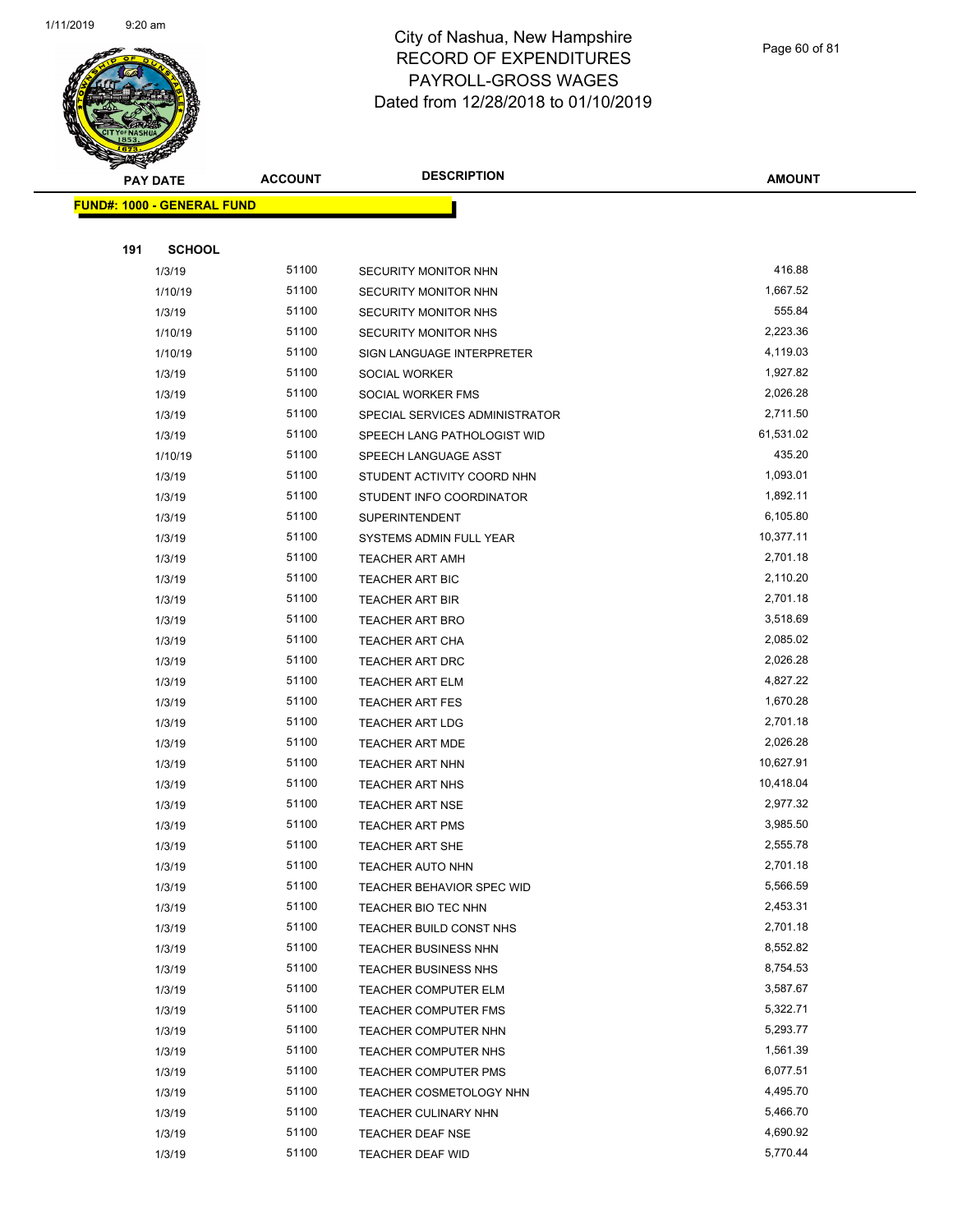

Page 60 of 81

| <b>PAY DATE</b>                   | <b>ACCOUNT</b> | <b>DESCRIPTION</b>             | <b>AMOUNT</b>        |
|-----------------------------------|----------------|--------------------------------|----------------------|
| <b>FUND#: 1000 - GENERAL FUND</b> |                |                                |                      |
|                                   |                |                                |                      |
| 191<br><b>SCHOOL</b>              |                |                                |                      |
| 1/3/19                            | 51100          | SECURITY MONITOR NHN           | 416.88               |
| 1/10/19                           | 51100          | SECURITY MONITOR NHN           | 1,667.52             |
| 1/3/19                            | 51100          | SECURITY MONITOR NHS           | 555.84               |
| 1/10/19                           | 51100          | SECURITY MONITOR NHS           | 2,223.36             |
| 1/10/19                           | 51100          | SIGN LANGUAGE INTERPRETER      | 4,119.03             |
| 1/3/19                            | 51100          | SOCIAL WORKER                  | 1,927.82             |
| 1/3/19                            | 51100          | SOCIAL WORKER FMS              | 2,026.28             |
| 1/3/19                            | 51100          | SPECIAL SERVICES ADMINISTRATOR | 2,711.50             |
| 1/3/19                            | 51100          | SPEECH LANG PATHOLOGIST WID    | 61,531.02            |
| 1/10/19                           | 51100          | SPEECH LANGUAGE ASST           | 435.20               |
| 1/3/19                            | 51100          | STUDENT ACTIVITY COORD NHN     | 1,093.01             |
| 1/3/19                            | 51100          | STUDENT INFO COORDINATOR       | 1,892.11             |
| 1/3/19                            | 51100          | <b>SUPERINTENDENT</b>          | 6,105.80             |
| 1/3/19                            | 51100          | SYSTEMS ADMIN FULL YEAR        | 10,377.11            |
| 1/3/19                            | 51100          | TEACHER ART AMH                | 2,701.18             |
| 1/3/19                            | 51100          | <b>TEACHER ART BIC</b>         | 2,110.20             |
| 1/3/19                            | 51100          | <b>TEACHER ART BIR</b>         | 2,701.18             |
| 1/3/19                            | 51100          | TEACHER ART BRO                | 3,518.69             |
| 1/3/19                            | 51100          | TEACHER ART CHA                | 2,085.02             |
| 1/3/19                            | 51100          | TEACHER ART DRC                | 2,026.28             |
| 1/3/19                            | 51100          | <b>TEACHER ART ELM</b>         | 4,827.22             |
| 1/3/19                            | 51100          | <b>TEACHER ART FES</b>         | 1,670.28             |
| 1/3/19                            | 51100          | <b>TEACHER ART LDG</b>         | 2,701.18             |
| 1/3/19                            | 51100          | <b>TEACHER ART MDE</b>         | 2,026.28             |
| 1/3/19                            | 51100          | TEACHER ART NHN                | 10,627.91            |
| 1/3/19                            | 51100          | <b>TEACHER ART NHS</b>         | 10,418.04            |
| 1/3/19                            | 51100          | <b>TEACHER ART NSE</b>         | 2,977.32             |
| 1/3/19                            | 51100          | <b>TEACHER ART PMS</b>         | 3,985.50             |
| 1/3/19                            | 51100          | TEACHER ART SHE                | 2,555.78             |
| 1/3/19                            | 51100          | TEACHER AUTO NHN               | 2,701.18             |
| 1/3/19                            | 51100          | TEACHER BEHAVIOR SPEC WID      | 5,566.59             |
| 1/3/19                            | 51100          | TEACHER BIO TEC NHN            | 2,453.31             |
| 1/3/19                            | 51100          | TEACHER BUILD CONST NHS        | 2,701.18             |
| 1/3/19                            | 51100          | <b>TEACHER BUSINESS NHN</b>    | 8,552.82             |
| 1/3/19                            | 51100          | <b>TEACHER BUSINESS NHS</b>    | 8,754.53             |
| 1/3/19                            | 51100          | TEACHER COMPUTER ELM           | 3,587.67             |
| 1/3/19                            | 51100          | <b>TEACHER COMPUTER FMS</b>    | 5,322.71             |
| 1/3/19                            | 51100          | TEACHER COMPUTER NHN           | 5,293.77             |
| 1/3/19                            | 51100          | TEACHER COMPUTER NHS           | 1,561.39             |
| 1/3/19                            | 51100          | <b>TEACHER COMPUTER PMS</b>    | 6,077.51             |
| 1/3/19                            | 51100<br>51100 | TEACHER COSMETOLOGY NHN        | 4,495.70<br>5,466.70 |
| 1/3/19                            | 51100          | <b>TEACHER CULINARY NHN</b>    | 4,690.92             |
| 1/3/19                            |                | TEACHER DEAF NSE               | 5,770.44             |
| 1/3/19                            | 51100          | <b>TEACHER DEAF WID</b>        |                      |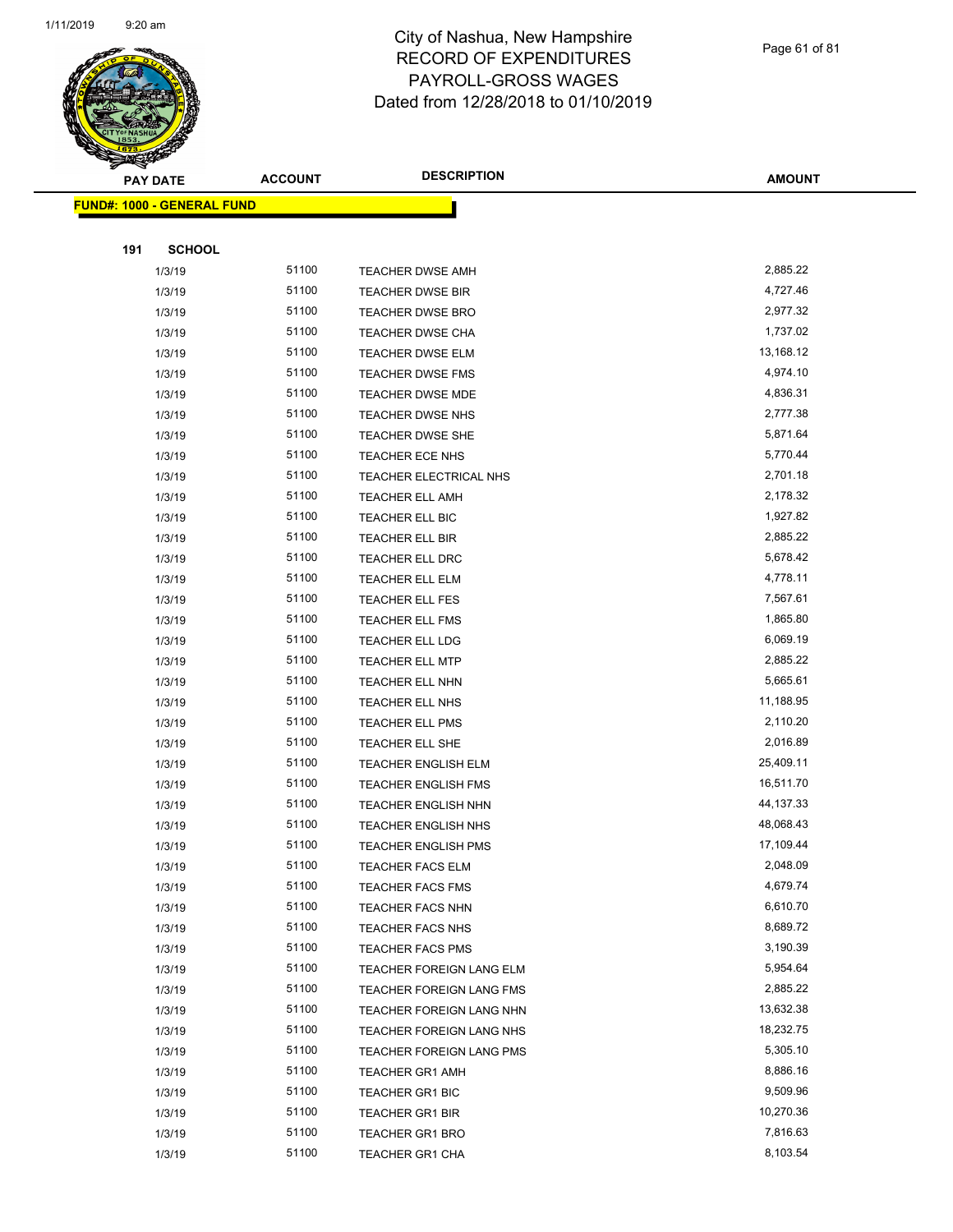

|     | <b>PAY DATE</b>            | <b>ACCOUNT</b> | <b>DESCRIPTION</b>         | <b>AMOUNT</b> |
|-----|----------------------------|----------------|----------------------------|---------------|
|     | FUND#: 1000 - GENERAL FUND |                |                            |               |
|     |                            |                |                            |               |
| 191 | <b>SCHOOL</b>              |                |                            |               |
|     | 1/3/19                     | 51100          | <b>TEACHER DWSE AMH</b>    | 2,885.22      |
|     | 1/3/19                     | 51100          | TEACHER DWSE BIR           | 4,727.46      |
|     | 1/3/19                     | 51100          | <b>TEACHER DWSE BRO</b>    | 2,977.32      |
|     | 1/3/19                     | 51100          | TEACHER DWSE CHA           | 1,737.02      |
|     | 1/3/19                     | 51100          | TEACHER DWSE ELM           | 13,168.12     |
|     | 1/3/19                     | 51100          | <b>TEACHER DWSE FMS</b>    | 4,974.10      |
|     | 1/3/19                     | 51100          | TEACHER DWSE MDE           | 4,836.31      |
|     | 1/3/19                     | 51100          | TEACHER DWSE NHS           | 2,777.38      |
|     | 1/3/19                     | 51100          | TEACHER DWSE SHE           | 5,871.64      |
|     | 1/3/19                     | 51100          | TEACHER ECE NHS            | 5,770.44      |
|     | 1/3/19                     | 51100          | TEACHER ELECTRICAL NHS     | 2,701.18      |
|     | 1/3/19                     | 51100          | <b>TEACHER ELL AMH</b>     | 2,178.32      |
|     | 1/3/19                     | 51100          | TEACHER ELL BIC            | 1,927.82      |
|     | 1/3/19                     | 51100          | <b>TEACHER ELL BIR</b>     | 2,885.22      |
|     | 1/3/19                     | 51100          | <b>TEACHER ELL DRC</b>     | 5,678.42      |
|     | 1/3/19                     | 51100          | <b>TEACHER ELL ELM</b>     | 4,778.11      |
|     | 1/3/19                     | 51100          | <b>TEACHER ELL FES</b>     | 7,567.61      |
|     | 1/3/19                     | 51100          | <b>TEACHER ELL FMS</b>     | 1,865.80      |
|     | 1/3/19                     | 51100          | <b>TEACHER ELL LDG</b>     | 6,069.19      |
|     | 1/3/19                     | 51100          | <b>TEACHER ELL MTP</b>     | 2,885.22      |
|     | 1/3/19                     | 51100          | <b>TEACHER ELL NHN</b>     | 5,665.61      |
|     | 1/3/19                     | 51100          | <b>TEACHER ELL NHS</b>     | 11,188.95     |
|     | 1/3/19                     | 51100          | TEACHER ELL PMS            | 2,110.20      |
|     | 1/3/19                     | 51100          | TEACHER ELL SHE            | 2,016.89      |
|     | 1/3/19                     | 51100          | TEACHER ENGLISH ELM        | 25,409.11     |
|     | 1/3/19                     | 51100          | <b>TEACHER ENGLISH FMS</b> | 16,511.70     |
|     | 1/3/19                     | 51100          | <b>TEACHER ENGLISH NHN</b> | 44, 137. 33   |
|     | 1/3/19                     | 51100          | TEACHER ENGLISH NHS        | 48,068.43     |
|     | 1/3/19                     | 51100          | <b>TEACHER ENGLISH PMS</b> | 17,109.44     |
|     | 1/3/19                     | 51100          | TEACHER FACS ELM           | 2,048.09      |
|     | 1/3/19                     | 51100          | <b>TEACHER FACS FMS</b>    | 4,679.74      |
|     | 1/3/19                     | 51100          | <b>TEACHER FACS NHN</b>    | 6,610.70      |
|     | 1/3/19                     | 51100          | <b>TEACHER FACS NHS</b>    | 8,689.72      |
|     | 1/3/19                     | 51100          | <b>TEACHER FACS PMS</b>    | 3,190.39      |
|     | 1/3/19                     | 51100          | TEACHER FOREIGN LANG ELM   | 5,954.64      |
|     | 1/3/19                     | 51100          | TEACHER FOREIGN LANG FMS   | 2,885.22      |
|     | 1/3/19                     | 51100          | TEACHER FOREIGN LANG NHN   | 13,632.38     |
|     | 1/3/19                     | 51100          | TEACHER FOREIGN LANG NHS   | 18,232.75     |
|     | 1/3/19                     | 51100          | TEACHER FOREIGN LANG PMS   | 5,305.10      |
|     | 1/3/19                     | 51100          | <b>TEACHER GR1 AMH</b>     | 8,886.16      |
|     | 1/3/19                     | 51100          | <b>TEACHER GR1 BIC</b>     | 9,509.96      |
|     | 1/3/19                     | 51100          | <b>TEACHER GR1 BIR</b>     | 10,270.36     |
|     | 1/3/19                     | 51100          | TEACHER GR1 BRO            | 7,816.63      |
|     | 1/3/19                     | 51100          | TEACHER GR1 CHA            | 8,103.54      |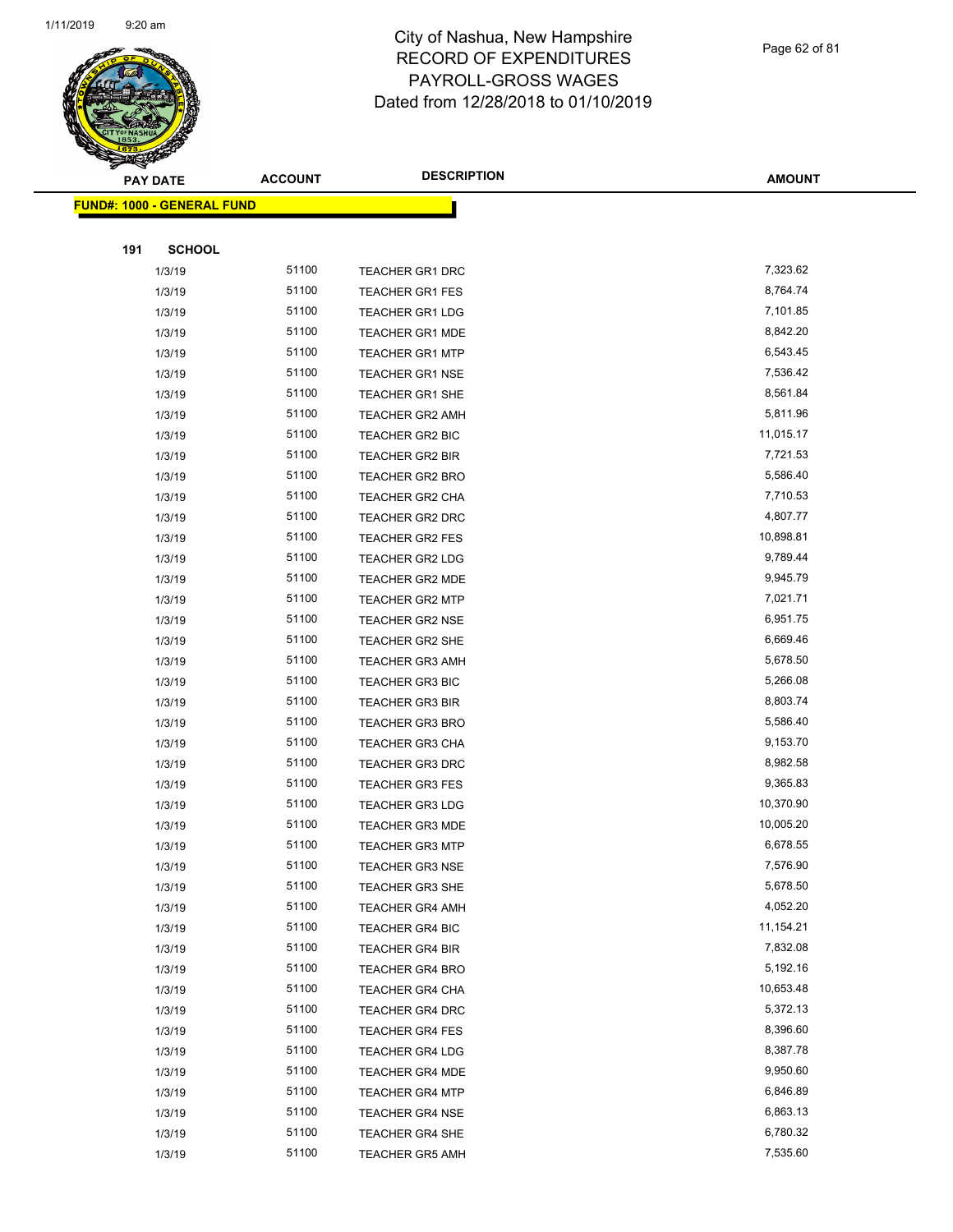

| ॼ   | <b>PAY DATE</b>                   | <b>ACCOUNT</b> | <b>DESCRIPTION</b>     | <b>AMOUNT</b> |
|-----|-----------------------------------|----------------|------------------------|---------------|
|     | <b>FUND#: 1000 - GENERAL FUND</b> |                |                        |               |
|     |                                   |                |                        |               |
| 191 | <b>SCHOOL</b>                     |                |                        |               |
|     | 1/3/19                            | 51100          | <b>TEACHER GR1 DRC</b> | 7,323.62      |
|     | 1/3/19                            | 51100          | TEACHER GR1 FES        | 8,764.74      |
|     | 1/3/19                            | 51100          | <b>TEACHER GR1 LDG</b> | 7,101.85      |
|     | 1/3/19                            | 51100          | <b>TEACHER GR1 MDE</b> | 8,842.20      |
|     | 1/3/19                            | 51100          | <b>TEACHER GR1 MTP</b> | 6,543.45      |
|     | 1/3/19                            | 51100          | <b>TEACHER GR1 NSE</b> | 7,536.42      |
|     | 1/3/19                            | 51100          | TEACHER GR1 SHE        | 8,561.84      |
|     | 1/3/19                            | 51100          | <b>TEACHER GR2 AMH</b> | 5,811.96      |
|     | 1/3/19                            | 51100          | TEACHER GR2 BIC        | 11,015.17     |
|     | 1/3/19                            | 51100          | TEACHER GR2 BIR        | 7,721.53      |
|     | 1/3/19                            | 51100          | TEACHER GR2 BRO        | 5,586.40      |
|     | 1/3/19                            | 51100          | TEACHER GR2 CHA        | 7,710.53      |
|     | 1/3/19                            | 51100          | <b>TEACHER GR2 DRC</b> | 4,807.77      |
|     | 1/3/19                            | 51100          | TEACHER GR2 FES        | 10,898.81     |
|     | 1/3/19                            | 51100          | TEACHER GR2 LDG        | 9,789.44      |
|     | 1/3/19                            | 51100          | TEACHER GR2 MDE        | 9,945.79      |
|     | 1/3/19                            | 51100          | <b>TEACHER GR2 MTP</b> | 7,021.71      |
|     | 1/3/19                            | 51100          | <b>TEACHER GR2 NSE</b> | 6,951.75      |
|     | 1/3/19                            | 51100          | <b>TEACHER GR2 SHE</b> | 6,669.46      |
|     | 1/3/19                            | 51100          | <b>TEACHER GR3 AMH</b> | 5,678.50      |
|     | 1/3/19                            | 51100          | TEACHER GR3 BIC        | 5,266.08      |
|     | 1/3/19                            | 51100          | <b>TEACHER GR3 BIR</b> | 8,803.74      |
|     | 1/3/19                            | 51100          | <b>TEACHER GR3 BRO</b> | 5,586.40      |
|     | 1/3/19                            | 51100          | <b>TEACHER GR3 CHA</b> | 9,153.70      |
|     | 1/3/19                            | 51100          | <b>TEACHER GR3 DRC</b> | 8,982.58      |
|     | 1/3/19                            | 51100          | <b>TEACHER GR3 FES</b> | 9,365.83      |
|     | 1/3/19                            | 51100          | TEACHER GR3 LDG        | 10,370.90     |
|     | 1/3/19                            | 51100          | <b>TEACHER GR3 MDE</b> | 10,005.20     |
|     | 1/3/19                            | 51100          | <b>TEACHER GR3 MTP</b> | 6,678.55      |
|     | 1/3/19                            | 51100          | TEACHER GR3 NSE        | 7,576.90      |
|     | 1/3/19                            | 51100          | TEACHER GR3 SHE        | 5,678.50      |
|     | 1/3/19                            | 51100          | <b>TEACHER GR4 AMH</b> | 4,052.20      |
|     | 1/3/19                            | 51100          | <b>TEACHER GR4 BIC</b> | 11,154.21     |
|     | 1/3/19                            | 51100          | TEACHER GR4 BIR        | 7,832.08      |
|     | 1/3/19                            | 51100          | TEACHER GR4 BRO        | 5,192.16      |
|     | 1/3/19                            | 51100          | TEACHER GR4 CHA        | 10,653.48     |
|     | 1/3/19                            | 51100          | TEACHER GR4 DRC        | 5,372.13      |
|     | 1/3/19                            | 51100          | <b>TEACHER GR4 FES</b> | 8,396.60      |
|     | 1/3/19                            | 51100          | <b>TEACHER GR4 LDG</b> | 8,387.78      |
|     | 1/3/19                            | 51100          | <b>TEACHER GR4 MDE</b> | 9,950.60      |
|     | 1/3/19                            | 51100          | TEACHER GR4 MTP        | 6,846.89      |
|     | 1/3/19                            | 51100          | <b>TEACHER GR4 NSE</b> | 6,863.13      |
|     | 1/3/19                            | 51100          | <b>TEACHER GR4 SHE</b> | 6,780.32      |
|     | 1/3/19                            | 51100          | <b>TEACHER GR5 AMH</b> | 7,535.60      |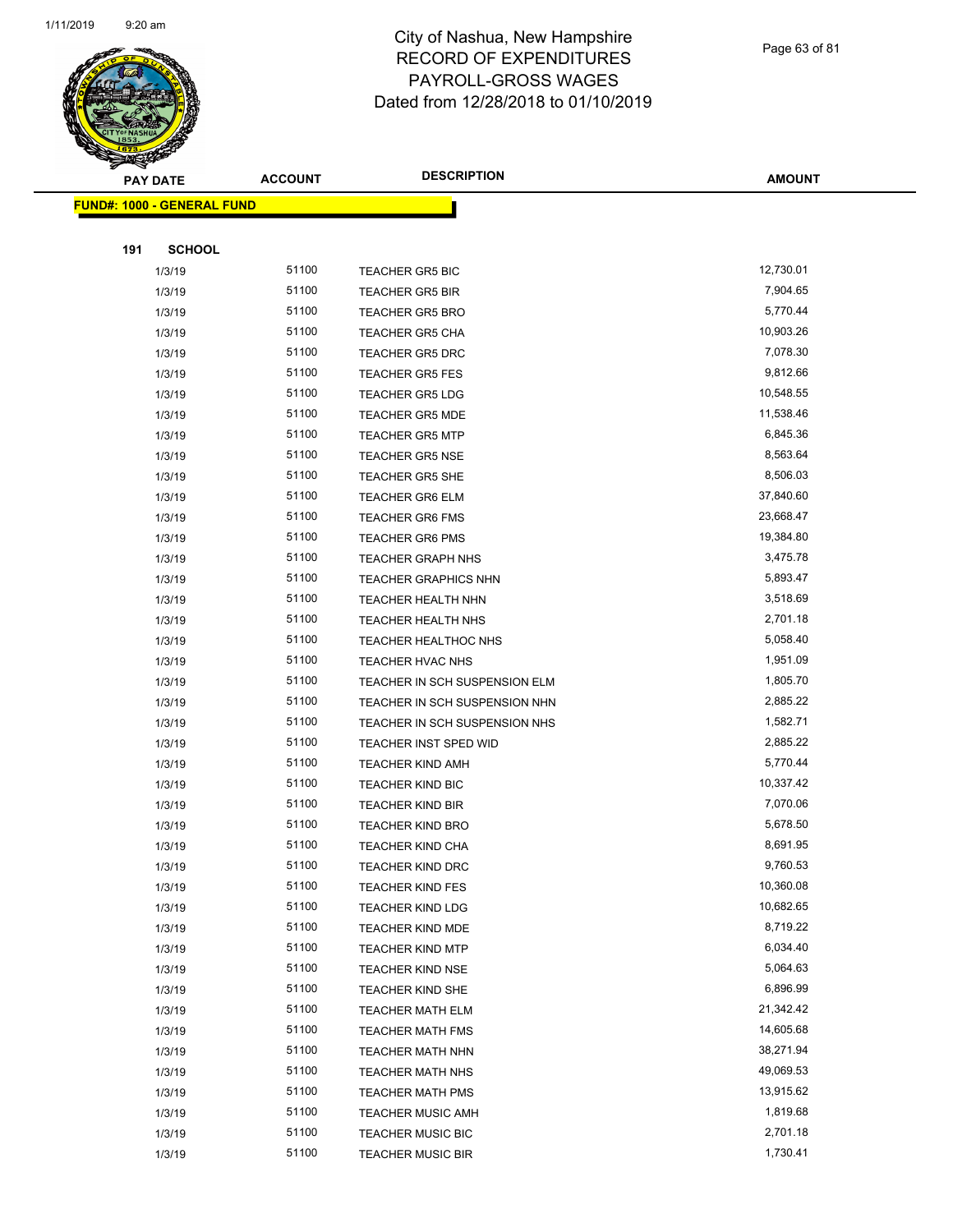

|     | <b>PAY DATE</b>                   | <b>ACCOUNT</b> | <b>DESCRIPTION</b>                            | <b>AMOUNT</b>          |
|-----|-----------------------------------|----------------|-----------------------------------------------|------------------------|
|     | <b>FUND#: 1000 - GENERAL FUND</b> |                |                                               |                        |
|     |                                   |                |                                               |                        |
| 191 | <b>SCHOOL</b>                     |                |                                               |                        |
|     | 1/3/19                            | 51100          | <b>TEACHER GR5 BIC</b>                        | 12,730.01              |
|     | 1/3/19                            | 51100          | <b>TEACHER GR5 BIR</b>                        | 7,904.65               |
|     | 1/3/19                            | 51100          | <b>TEACHER GR5 BRO</b>                        | 5,770.44               |
|     | 1/3/19                            | 51100          | <b>TEACHER GR5 CHA</b>                        | 10,903.26              |
|     | 1/3/19                            | 51100          | <b>TEACHER GR5 DRC</b>                        | 7,078.30               |
|     | 1/3/19                            | 51100          | <b>TEACHER GR5 FES</b>                        | 9,812.66               |
|     | 1/3/19                            | 51100          | <b>TEACHER GR5 LDG</b>                        | 10,548.55              |
|     | 1/3/19                            | 51100          | <b>TEACHER GR5 MDE</b>                        | 11,538.46              |
|     | 1/3/19                            | 51100          | <b>TEACHER GR5 MTP</b>                        | 6,845.36               |
|     | 1/3/19                            | 51100          | <b>TEACHER GR5 NSE</b>                        | 8,563.64               |
|     | 1/3/19                            | 51100          | <b>TEACHER GR5 SHE</b>                        | 8,506.03               |
|     | 1/3/19                            | 51100          | <b>TEACHER GR6 ELM</b>                        | 37,840.60              |
|     | 1/3/19                            | 51100          | <b>TEACHER GR6 FMS</b>                        | 23,668.47              |
|     | 1/3/19                            | 51100          | <b>TEACHER GR6 PMS</b>                        | 19,384.80              |
|     | 1/3/19                            | 51100          | <b>TEACHER GRAPH NHS</b>                      | 3,475.78               |
|     | 1/3/19                            | 51100          | <b>TEACHER GRAPHICS NHN</b>                   | 5,893.47               |
|     | 1/3/19                            | 51100          | TEACHER HEALTH NHN                            | 3,518.69               |
|     | 1/3/19                            | 51100          | TEACHER HEALTH NHS                            | 2,701.18               |
|     | 1/3/19                            | 51100          | TEACHER HEALTHOC NHS                          | 5,058.40               |
|     | 1/3/19                            | 51100          | TEACHER HVAC NHS                              | 1,951.09               |
|     | 1/3/19                            | 51100          | TEACHER IN SCH SUSPENSION ELM                 | 1,805.70               |
|     | 1/3/19                            | 51100          | TEACHER IN SCH SUSPENSION NHN                 | 2,885.22               |
|     | 1/3/19                            | 51100          | TEACHER IN SCH SUSPENSION NHS                 | 1,582.71               |
|     | 1/3/19                            | 51100          | TEACHER INST SPED WID                         | 2,885.22               |
|     | 1/3/19                            | 51100          | <b>TEACHER KIND AMH</b>                       | 5,770.44               |
|     | 1/3/19                            | 51100          | TEACHER KIND BIC                              | 10,337.42              |
|     | 1/3/19                            | 51100          | <b>TEACHER KIND BIR</b>                       | 7,070.06               |
|     | 1/3/19                            | 51100          | <b>TEACHER KIND BRO</b>                       | 5,678.50               |
|     | 1/3/19                            | 51100          | <b>TEACHER KIND CHA</b>                       | 8,691.95               |
|     | 1/3/19                            | 51100          | TEACHER KIND DRC                              | 9,760.53               |
|     | 1/3/19                            | 51100          | <b>TEACHER KIND FES</b>                       | 10,360.08              |
|     | 1/3/19                            | 51100          | <b>TEACHER KIND LDG</b>                       | 10,682.65              |
|     | 1/3/19                            | 51100          | <b>TEACHER KIND MDE</b>                       | 8,719.22               |
|     | 1/3/19                            | 51100          | <b>TEACHER KIND MTP</b>                       | 6,034.40               |
|     | 1/3/19                            | 51100          | <b>TEACHER KIND NSE</b>                       | 5,064.63               |
|     | 1/3/19                            | 51100          | TEACHER KIND SHE                              | 6,896.99               |
|     | 1/3/19                            | 51100          | <b>TEACHER MATH ELM</b>                       | 21,342.42              |
|     | 1/3/19                            | 51100          | <b>TEACHER MATH FMS</b>                       | 14,605.68              |
|     | 1/3/19                            | 51100          | <b>TEACHER MATH NHN</b>                       | 38,271.94              |
|     | 1/3/19                            | 51100<br>51100 | <b>TEACHER MATH NHS</b>                       | 49,069.53<br>13,915.62 |
|     | 1/3/19                            | 51100          | <b>TEACHER MATH PMS</b>                       | 1,819.68               |
|     | 1/3/19                            | 51100          | <b>TEACHER MUSIC AMH</b><br>TEACHER MUSIC BIC | 2,701.18               |
|     | 1/3/19                            | 51100          |                                               | 1,730.41               |
|     | 1/3/19                            |                | TEACHER MUSIC BIR                             |                        |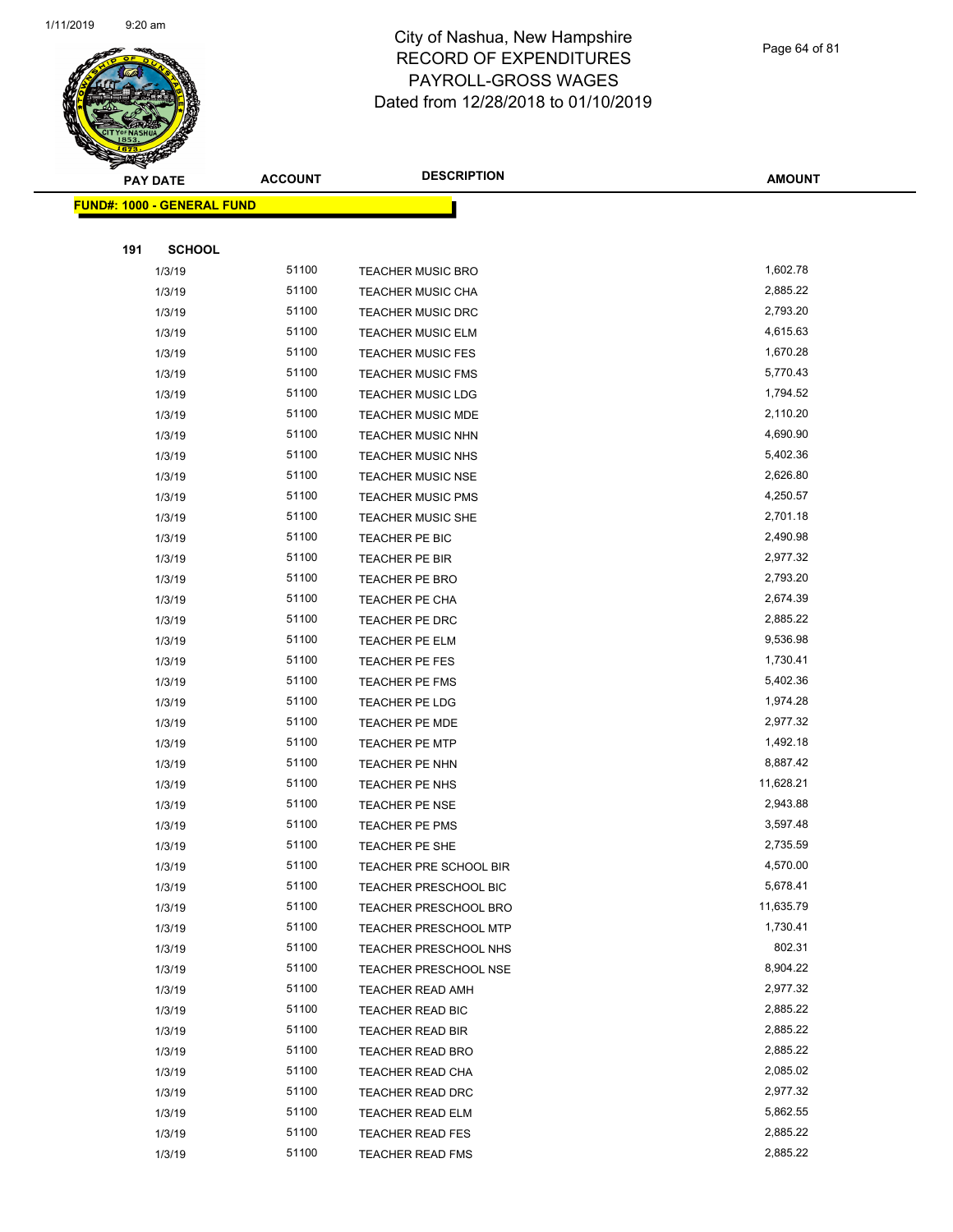

#### City of Nashua, New Hampshire RECORD OF EXPENDITURES PAYROLL-GROSS WAGES Dated from 12/28/2018 to 01/10/2019

| $\tilde{\phantom{a}}$ | <b>PAY DATE</b>                   | <b>ACCOUNT</b> | <b>DESCRIPTION</b>           | <b>AMOUNT</b> |
|-----------------------|-----------------------------------|----------------|------------------------------|---------------|
|                       | <b>FUND#: 1000 - GENERAL FUND</b> |                |                              |               |
|                       |                                   |                |                              |               |
| 191                   | <b>SCHOOL</b>                     |                |                              |               |
|                       | 1/3/19                            | 51100          | <b>TEACHER MUSIC BRO</b>     | 1,602.78      |
|                       | 1/3/19                            | 51100          | <b>TEACHER MUSIC CHA</b>     | 2,885.22      |
|                       | 1/3/19                            | 51100          | <b>TEACHER MUSIC DRC</b>     | 2,793.20      |
|                       | 1/3/19                            | 51100          | <b>TEACHER MUSIC ELM</b>     | 4,615.63      |
|                       | 1/3/19                            | 51100          | <b>TEACHER MUSIC FES</b>     | 1,670.28      |
|                       | 1/3/19                            | 51100          | <b>TEACHER MUSIC FMS</b>     | 5,770.43      |
|                       | 1/3/19                            | 51100          | <b>TEACHER MUSIC LDG</b>     | 1,794.52      |
|                       | 1/3/19                            | 51100          | <b>TEACHER MUSIC MDE</b>     | 2,110.20      |
|                       | 1/3/19                            | 51100          | <b>TEACHER MUSIC NHN</b>     | 4,690.90      |
|                       | 1/3/19                            | 51100          | TEACHER MUSIC NHS            | 5,402.36      |
|                       | 1/3/19                            | 51100          | <b>TEACHER MUSIC NSE</b>     | 2,626.80      |
|                       | 1/3/19                            | 51100          | <b>TEACHER MUSIC PMS</b>     | 4,250.57      |
|                       | 1/3/19                            | 51100          | <b>TEACHER MUSIC SHE</b>     | 2,701.18      |
|                       | 1/3/19                            | 51100          | TEACHER PE BIC               | 2,490.98      |
|                       | 1/3/19                            | 51100          | TEACHER PE BIR               | 2,977.32      |
|                       | 1/3/19                            | 51100          | TEACHER PE BRO               | 2,793.20      |
|                       | 1/3/19                            | 51100          | TEACHER PE CHA               | 2,674.39      |
|                       | 1/3/19                            | 51100          | TEACHER PE DRC               | 2,885.22      |
|                       | 1/3/19                            | 51100          | TEACHER PE ELM               | 9,536.98      |
|                       | 1/3/19                            | 51100          | TEACHER PE FES               | 1,730.41      |
|                       | 1/3/19                            | 51100          | TEACHER PE FMS               | 5,402.36      |
|                       | 1/3/19                            | 51100          | TEACHER PE LDG               | 1,974.28      |
|                       | 1/3/19                            | 51100          | TEACHER PE MDE               | 2,977.32      |
|                       | 1/3/19                            | 51100          | <b>TEACHER PE MTP</b>        | 1,492.18      |
|                       | 1/3/19                            | 51100          | TEACHER PE NHN               | 8,887.42      |
|                       | 1/3/19                            | 51100          | TEACHER PE NHS               | 11,628.21     |
|                       | 1/3/19                            | 51100          | TEACHER PE NSE               | 2,943.88      |
|                       | 1/3/19                            | 51100          | TEACHER PE PMS               | 3,597.48      |
|                       | 1/3/19                            | 51100          | TEACHER PE SHE               | 2,735.59      |
|                       | 1/3/19                            | 51100          | TEACHER PRE SCHOOL BIR       | 4,570.00      |
|                       | 1/3/19                            | 51100          | <b>TEACHER PRESCHOOL BIC</b> | 5,678.41      |
|                       | 1/3/19                            | 51100          | TEACHER PRESCHOOL BRO        | 11,635.79     |
|                       | 1/3/19                            | 51100          | <b>TEACHER PRESCHOOL MTP</b> | 1,730.41      |
|                       | 1/3/19                            | 51100          | TEACHER PRESCHOOL NHS        | 802.31        |
|                       | 1/3/19                            | 51100          | TEACHER PRESCHOOL NSE        | 8,904.22      |
|                       | 1/3/19                            | 51100          | <b>TEACHER READ AMH</b>      | 2,977.32      |
|                       | 1/3/19                            | 51100          | TEACHER READ BIC             | 2,885.22      |
|                       | 1/3/19                            | 51100          | TEACHER READ BIR             | 2,885.22      |
|                       | 1/3/19                            | 51100          | TEACHER READ BRO             | 2,885.22      |
|                       | 1/3/19                            | 51100          | TEACHER READ CHA             | 2,085.02      |

1/3/19 51100 TEACHER READ DRC 2,977.32 1/3/19 51100 TEACHER READ ELM 5,862.55 1/3/19 51100 TEACHER READ FES 2,885.22 1/3/19 51100 TEACHER READ FMS 2,885.22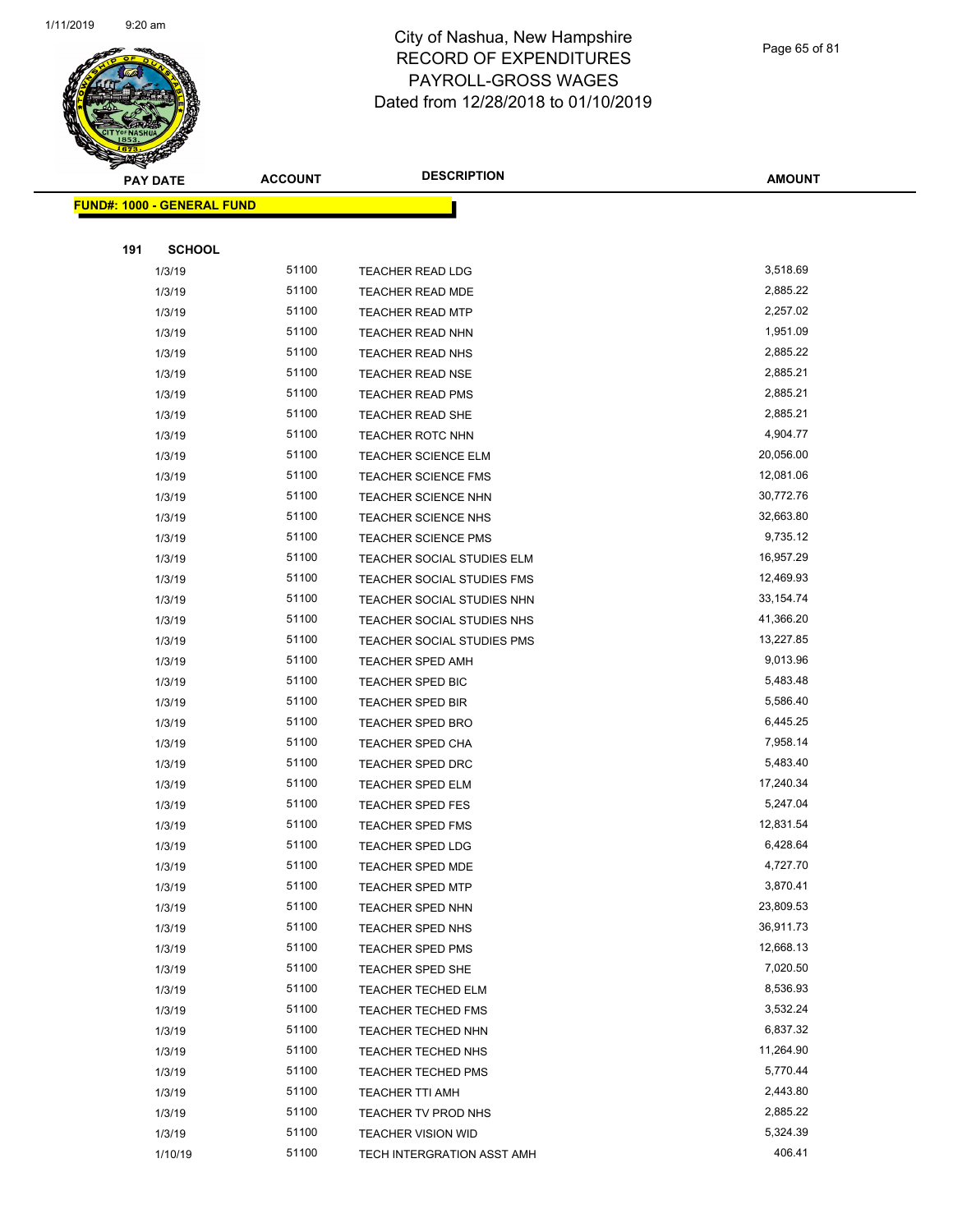**FUND#: 1000 - GENERAL FUND**



#### City of Nashua, New Hampshire RECORD OF EXPENDITURES PAYROLL-GROSS WAGES Dated from 12/28/2018 to 01/10/2019

|     | <b>PAY DATE</b>     | <b>ACCOUNT</b> | <b>DESCRIPTION</b>         | <b>AMOUNT</b> |
|-----|---------------------|----------------|----------------------------|---------------|
|     | 1000 - GENERAL FUND |                |                            |               |
|     |                     |                |                            |               |
| 191 | <b>SCHOOL</b>       |                |                            |               |
|     | 1/3/19              | 51100          | <b>TEACHER READ LDG</b>    | 3,518.69      |
|     | 1/3/19              | 51100          | <b>TEACHER READ MDE</b>    | 2,885.22      |
|     | 1/3/19              | 51100          | <b>TEACHER READ MTP</b>    | 2,257.02      |
|     | 1/3/19              | 51100          | TEACHER READ NHN           | 1,951.09      |
|     | 1/3/19              | 51100          | <b>TEACHER READ NHS</b>    | 2,885.22      |
|     | 1/3/19              | 51100          | <b>TEACHER READ NSE</b>    | 2,885.21      |
|     | 1/3/19              | 51100          | TEACHER READ PMS           | 2,885.21      |
|     | 1/3/19              | 51100          | TEACHER READ SHE           | 2,885.21      |
|     | 1/3/19              | 51100          | <b>TEACHER ROTC NHN</b>    | 4,904.77      |
|     | 1/3/19              | 51100          | <b>TEACHER SCIENCE ELM</b> | 20,056.00     |
|     | 1/3/19              | 51100          | <b>TEACHER SCIENCE FMS</b> | 12,081.06     |
|     | 1/3/19              | 51100          | <b>TEACHER SCIENCE NHN</b> | 30,772.76     |
|     | 1/3/19              | 51100          | <b>TEACHER SCIENCE NHS</b> | 32,663.80     |
|     | 1/3/19              | 51100          | <b>TEACHER SCIENCE PMS</b> | 9,735.12      |
|     | 1/3/19              | 51100          | TEACHER SOCIAL STUDIES ELM | 16,957.29     |
|     | 1/3/19              | 51100          | TEACHER SOCIAL STUDIES FMS | 12,469.93     |
|     | 1/3/19              | 51100          | TEACHER SOCIAL STUDIES NHN | 33, 154. 74   |
|     | 1/3/19              | 51100          | TEACHER SOCIAL STUDIES NHS | 41,366.20     |
|     | 1/3/19              | 51100          | TEACHER SOCIAL STUDIES PMS | 13,227.85     |
|     | 1/3/19              | 51100          | <b>TEACHER SPED AMH</b>    | 9,013.96      |
|     | 1/3/19              | 51100          | TEACHER SPED BIC           | 5,483.48      |
|     | 1/3/19              | 51100          | TEACHER SPED BIR           | 5,586.40      |
|     | 1/3/19              | 51100          | <b>TEACHER SPED BRO</b>    | 6,445.25      |
|     | 1/3/19              | 51100          | TEACHER SPED CHA           | 7,958.14      |
|     | 1/3/19              | 51100          | TEACHER SPED DRC           | 5,483.40      |
|     | 1/3/19              | 51100          | TEACHER SPED ELM           | 17,240.34     |
|     | 1/3/19              | 51100          | TEACHER SPED FES           | 5,247.04      |
|     | 1/3/19              | 51100          | <b>TEACHER SPED FMS</b>    | 12,831.54     |
|     | 1/3/19              | 51100          | <b>TEACHER SPED LDG</b>    | 6,428.64      |
|     | 1/3/19              | 51100          | TEACHER SPED MDE           | 4,727.70      |
|     | 1/3/19              | 51100          | <b>TEACHER SPED MTP</b>    | 3,870.41      |
|     | 1/3/19              | 51100          | TEACHER SPED NHN           | 23,809.53     |
|     | 1/3/19              | 51100          | TEACHER SPED NHS           | 36,911.73     |
|     | 1/3/19              | 51100          | <b>TEACHER SPED PMS</b>    | 12,668.13     |
|     | 1/3/19              | 51100          | TEACHER SPED SHE           | 7,020.50      |
|     | 1/3/19              | 51100          | TEACHER TECHED ELM         | 8,536.93      |
|     | 1/3/19              | 51100          | <b>TEACHER TECHED FMS</b>  | 3,532.24      |
|     | 1/3/19              | 51100          | TEACHER TECHED NHN         | 6,837.32      |
|     | 1/3/19              | 51100          | <b>TEACHER TECHED NHS</b>  | 11,264.90     |
|     | 1/3/19              | 51100          | <b>TEACHER TECHED PMS</b>  | 5,770.44      |

1/3/19 51100 TEACHER TTI AMH 2,443.80 1/3/19 51100 TEACHER TV PROD NHS 2,885.22 1/3/19 5,324.39 5 51100 TEACHER VISION WID 5,324.39 1/10/19 51100 TECH INTERGRATION ASST AMH 406.41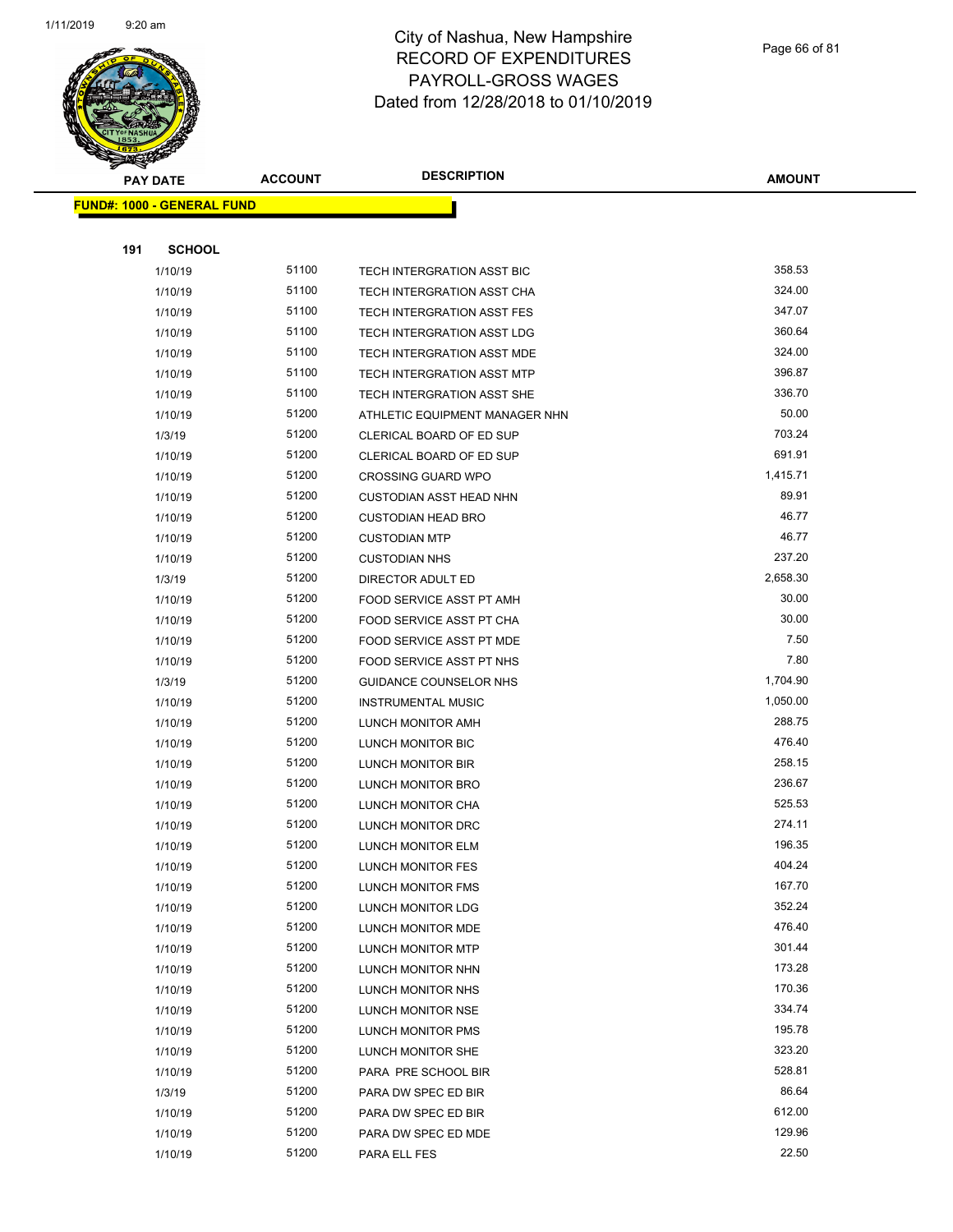

Page 66 of 81

| $\tilde{\phantom{a}}$ | <b>PAY DATE</b>                   | <b>ACCOUNT</b> | <b>DESCRIPTION</b>                            | <b>AMOUNT</b>    |
|-----------------------|-----------------------------------|----------------|-----------------------------------------------|------------------|
|                       | <b>FUND#: 1000 - GENERAL FUND</b> |                |                                               |                  |
|                       |                                   |                |                                               |                  |
| 191                   | <b>SCHOOL</b>                     |                |                                               |                  |
|                       | 1/10/19                           | 51100          | TECH INTERGRATION ASST BIC                    | 358.53           |
|                       | 1/10/19                           | 51100          | TECH INTERGRATION ASST CHA                    | 324.00           |
|                       | 1/10/19                           | 51100          | TECH INTERGRATION ASST FES                    | 347.07           |
|                       | 1/10/19                           | 51100          | TECH INTERGRATION ASST LDG                    | 360.64           |
|                       | 1/10/19                           | 51100          | TECH INTERGRATION ASST MDE                    | 324.00           |
|                       | 1/10/19                           | 51100          | TECH INTERGRATION ASST MTP                    | 396.87           |
|                       | 1/10/19                           | 51100          | TECH INTERGRATION ASST SHE                    | 336.70           |
|                       | 1/10/19                           | 51200          | ATHLETIC EQUIPMENT MANAGER NHN                | 50.00            |
|                       | 1/3/19                            | 51200          | CLERICAL BOARD OF ED SUP                      | 703.24           |
|                       | 1/10/19                           | 51200          | CLERICAL BOARD OF ED SUP                      | 691.91           |
|                       | 1/10/19                           | 51200          | <b>CROSSING GUARD WPO</b>                     | 1,415.71         |
|                       | 1/10/19                           | 51200          | <b>CUSTODIAN ASST HEAD NHN</b>                | 89.91            |
|                       | 1/10/19                           | 51200          | <b>CUSTODIAN HEAD BRO</b>                     | 46.77            |
|                       | 1/10/19                           | 51200          | <b>CUSTODIAN MTP</b>                          | 46.77            |
|                       | 1/10/19                           | 51200          | <b>CUSTODIAN NHS</b>                          | 237.20           |
|                       | 1/3/19                            | 51200          | DIRECTOR ADULT ED                             | 2,658.30         |
|                       | 1/10/19                           | 51200          | FOOD SERVICE ASST PT AMH                      | 30.00            |
|                       | 1/10/19                           | 51200          | FOOD SERVICE ASST PT CHA                      | 30.00            |
|                       | 1/10/19                           | 51200          | FOOD SERVICE ASST PT MDE                      | 7.50             |
|                       | 1/10/19                           | 51200          | FOOD SERVICE ASST PT NHS                      | 7.80             |
|                       | 1/3/19                            | 51200          | <b>GUIDANCE COUNSELOR NHS</b>                 | 1,704.90         |
|                       | 1/10/19                           | 51200          | <b>INSTRUMENTAL MUSIC</b>                     | 1,050.00         |
|                       | 1/10/19                           | 51200          | LUNCH MONITOR AMH                             | 288.75           |
|                       | 1/10/19                           | 51200          | LUNCH MONITOR BIC                             | 476.40           |
|                       | 1/10/19                           | 51200          | LUNCH MONITOR BIR                             | 258.15           |
|                       | 1/10/19                           | 51200          | LUNCH MONITOR BRO                             | 236.67           |
|                       | 1/10/19                           | 51200          | LUNCH MONITOR CHA                             | 525.53           |
|                       | 1/10/19                           | 51200          | LUNCH MONITOR DRC                             | 274.11           |
|                       | 1/10/19                           | 51200          | LUNCH MONITOR ELM                             | 196.35           |
|                       | 1/10/19                           | 51200          | LUNCH MONITOR FES                             | 404.24           |
|                       | 1/10/19                           | 51200          | LUNCH MONITOR FMS                             | 167.70           |
|                       | 1/10/19                           | 51200          | LUNCH MONITOR LDG                             | 352.24           |
|                       | 1/10/19                           | 51200          | LUNCH MONITOR MDE                             | 476.40           |
|                       | 1/10/19                           | 51200          | LUNCH MONITOR MTP                             | 301.44<br>173.28 |
|                       | 1/10/19                           | 51200<br>51200 | LUNCH MONITOR NHN                             | 170.36           |
|                       | 1/10/19<br>1/10/19                | 51200          | LUNCH MONITOR NHS                             | 334.74           |
|                       |                                   |                | LUNCH MONITOR NSE<br><b>LUNCH MONITOR PMS</b> | 195.78           |
|                       | 1/10/19<br>1/10/19                | 51200<br>51200 | LUNCH MONITOR SHE                             | 323.20           |
|                       | 1/10/19                           | 51200          | PARA PRE SCHOOL BIR                           | 528.81           |
|                       | 1/3/19                            | 51200          | PARA DW SPEC ED BIR                           | 86.64            |
|                       | 1/10/19                           | 51200          | PARA DW SPEC ED BIR                           | 612.00           |
|                       | 1/10/19                           | 51200          | PARA DW SPEC ED MDE                           | 129.96           |
|                       | 1/10/19                           | 51200          | PARA ELL FES                                  | 22.50            |
|                       |                                   |                |                                               |                  |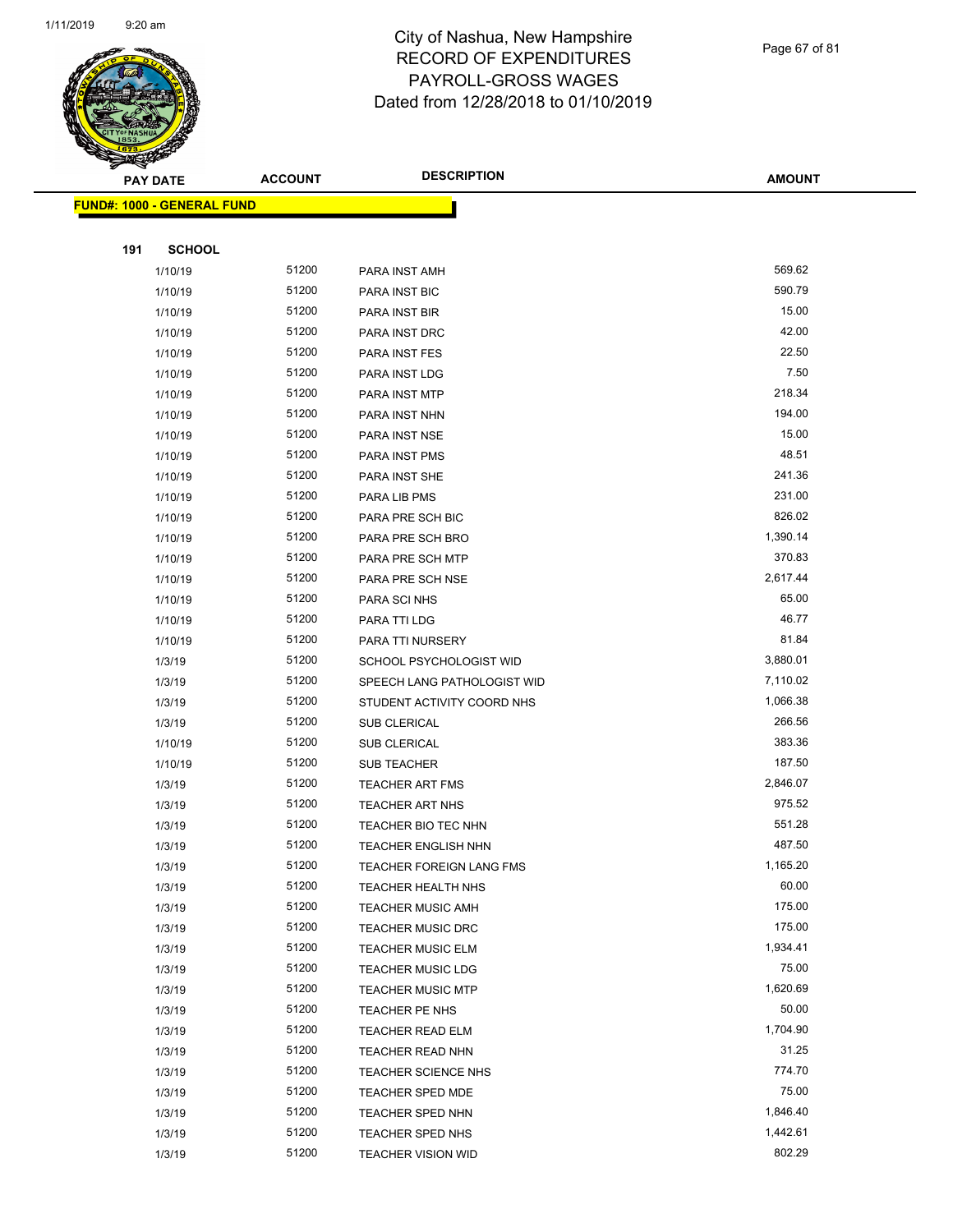

| <b>PAY DATE</b> |                                   | <b>ACCOUNT</b> | <b>DESCRIPTION</b>          | <b>AMOUNT</b> |
|-----------------|-----------------------------------|----------------|-----------------------------|---------------|
|                 | <b>FUND#: 1000 - GENERAL FUND</b> |                |                             |               |
|                 |                                   |                |                             |               |
| 191             | <b>SCHOOL</b>                     |                |                             |               |
|                 | 1/10/19                           | 51200          | PARA INST AMH               | 569.62        |
|                 | 1/10/19                           | 51200          | PARA INST BIC               | 590.79        |
|                 | 1/10/19                           | 51200          | PARA INST BIR               | 15.00         |
|                 | 1/10/19                           | 51200          | PARA INST DRC               | 42.00         |
|                 | 1/10/19                           | 51200          | PARA INST FES               | 22.50         |
|                 | 1/10/19                           | 51200          | PARA INST LDG               | 7.50          |
|                 | 1/10/19                           | 51200          | PARA INST MTP               | 218.34        |
|                 | 1/10/19                           | 51200          | PARA INST NHN               | 194.00        |
|                 | 1/10/19                           | 51200          | PARA INST NSE               | 15.00         |
|                 | 1/10/19                           | 51200          | PARA INST PMS               | 48.51         |
|                 | 1/10/19                           | 51200          | PARA INST SHE               | 241.36        |
|                 | 1/10/19                           | 51200          | PARA LIB PMS                | 231.00        |
|                 | 1/10/19                           | 51200          | PARA PRE SCH BIC            | 826.02        |
|                 | 1/10/19                           | 51200          | PARA PRE SCH BRO            | 1,390.14      |
|                 | 1/10/19                           | 51200          | PARA PRE SCH MTP            | 370.83        |
|                 | 1/10/19                           | 51200          | PARA PRE SCH NSE            | 2,617.44      |
|                 | 1/10/19                           | 51200          | PARA SCI NHS                | 65.00         |
|                 | 1/10/19                           | 51200          | PARA TTI LDG                | 46.77         |
|                 | 1/10/19                           | 51200          | PARA TTI NURSERY            | 81.84         |
|                 | 1/3/19                            | 51200          | SCHOOL PSYCHOLOGIST WID     | 3,880.01      |
|                 | 1/3/19                            | 51200          | SPEECH LANG PATHOLOGIST WID | 7,110.02      |
|                 | 1/3/19                            | 51200          | STUDENT ACTIVITY COORD NHS  | 1,066.38      |
|                 | 1/3/19                            | 51200          | SUB CLERICAL                | 266.56        |
|                 | 1/10/19                           | 51200          | SUB CLERICAL                | 383.36        |
|                 | 1/10/19                           | 51200          | <b>SUB TEACHER</b>          | 187.50        |
|                 | 1/3/19                            | 51200          | <b>TEACHER ART FMS</b>      | 2,846.07      |
|                 | 1/3/19                            | 51200          | <b>TEACHER ART NHS</b>      | 975.52        |
|                 | 1/3/19                            | 51200          | TEACHER BIO TEC NHN         | 551.28        |
|                 | 1/3/19                            | 51200          | TEACHER ENGLISH NHN         | 487.50        |
|                 | 1/3/19                            | 51200          | TEACHER FOREIGN LANG FMS    | 1,165.20      |
|                 | 1/3/19                            | 51200          | <b>TEACHER HEALTH NHS</b>   | 60.00         |
|                 | 1/3/19                            | 51200          | <b>TEACHER MUSIC AMH</b>    | 175.00        |
|                 | 1/3/19                            | 51200          | <b>TEACHER MUSIC DRC</b>    | 175.00        |
|                 | 1/3/19                            | 51200          | <b>TEACHER MUSIC ELM</b>    | 1,934.41      |
|                 | 1/3/19                            | 51200          | <b>TEACHER MUSIC LDG</b>    | 75.00         |
|                 | 1/3/19                            | 51200          | <b>TEACHER MUSIC MTP</b>    | 1,620.69      |
|                 | 1/3/19                            | 51200          | TEACHER PE NHS              | 50.00         |
|                 | 1/3/19                            | 51200          | TEACHER READ ELM            | 1,704.90      |
|                 | 1/3/19                            | 51200          | TEACHER READ NHN            | 31.25         |
|                 | 1/3/19                            | 51200          | <b>TEACHER SCIENCE NHS</b>  | 774.70        |
|                 | 1/3/19                            | 51200          | <b>TEACHER SPED MDE</b>     | 75.00         |
|                 | 1/3/19                            | 51200          | TEACHER SPED NHN            | 1,846.40      |
|                 | 1/3/19                            | 51200          | TEACHER SPED NHS            | 1,442.61      |
|                 | 1/3/19                            | 51200          | <b>TEACHER VISION WID</b>   | 802.29        |

Page 67 of 81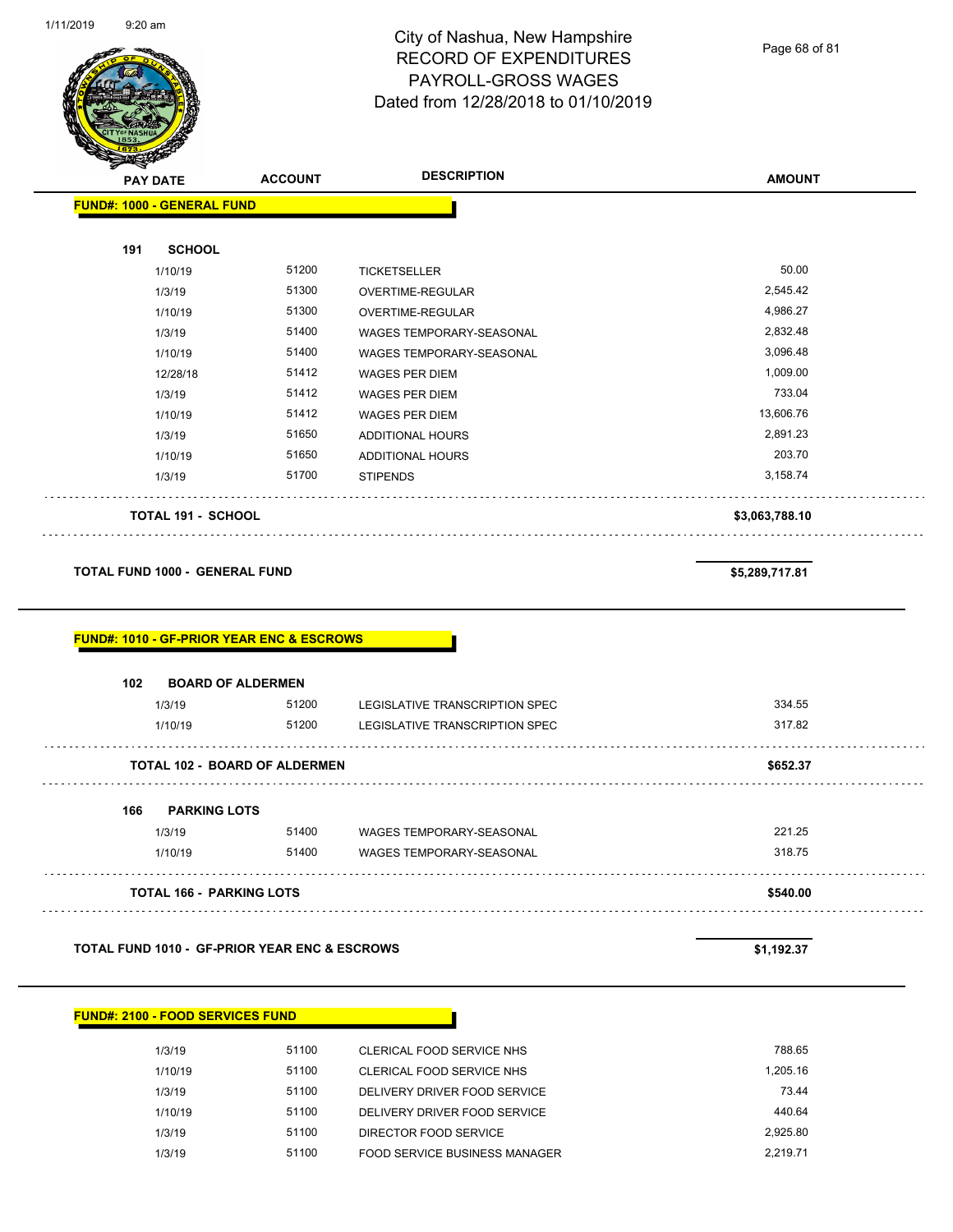Page 68 of 81

|                           | <b>FUND#: 1000 - GENERAL FUND</b> |                                                      |                                |                |
|---------------------------|-----------------------------------|------------------------------------------------------|--------------------------------|----------------|
| 191                       | <b>SCHOOL</b>                     |                                                      |                                |                |
|                           | 1/10/19                           | 51200                                                | TICKETSELLER                   | 50.00          |
|                           | 1/3/19                            | 51300                                                | OVERTIME-REGULAR               | 2,545.42       |
|                           | 1/10/19                           | 51300                                                | OVERTIME-REGULAR               | 4,986.27       |
|                           | 1/3/19                            | 51400                                                | WAGES TEMPORARY-SEASONAL       | 2,832.48       |
|                           | 1/10/19                           | 51400                                                | WAGES TEMPORARY-SEASONAL       | 3,096.48       |
|                           | 12/28/18                          | 51412                                                | <b>WAGES PER DIEM</b>          | 1,009.00       |
|                           | 1/3/19                            | 51412                                                | <b>WAGES PER DIEM</b>          | 733.04         |
|                           | 1/10/19                           | 51412                                                | <b>WAGES PER DIEM</b>          | 13,606.76      |
|                           | 1/3/19                            | 51650                                                | <b>ADDITIONAL HOURS</b>        | 2,891.23       |
|                           | 1/10/19                           | 51650                                                | ADDITIONAL HOURS               | 203.70         |
|                           | 1/3/19                            | 51700                                                | <b>STIPENDS</b>                | 3,158.74       |
| <b>TOTAL 191 - SCHOOL</b> |                                   |                                                      | \$3,063,788.10                 |                |
|                           | TOTAL FUND 1000 - GENERAL FUND    |                                                      |                                | \$5,289,717.81 |
|                           |                                   |                                                      |                                |                |
|                           |                                   | <b>FUND#: 1010 - GF-PRIOR YEAR ENC &amp; ESCROWS</b> |                                |                |
| 102                       | <b>BOARD OF ALDERMEN</b>          |                                                      |                                |                |
|                           | 1/3/19                            | 51200                                                | LEGISLATIVE TRANSCRIPTION SPEC | 334.55         |
|                           | 1/10/19                           | 51200                                                | LEGISLATIVE TRANSCRIPTION SPEC | 317.82         |
|                           |                                   | <b>TOTAL 102 - BOARD OF ALDERMEN</b>                 |                                | \$652.37       |
| 166                       | <b>PARKING LOTS</b>               |                                                      |                                |                |
|                           | 1/3/19                            | 51400                                                | WAGES TEMPORARY-SEASONAL       | 221.25         |
|                           | 1/10/19                           | 51400                                                | WAGES TEMPORARY-SEASONAL       | 318.75         |

**TOTAL FUND 1010 - GF-PRIOR YEAR ENC & ESCROWS \$1,192.37** 

#### **FUND#: 2100 - FOOD SERVICES FUND**

| 1/3/19  | 51100 | CLERICAL FOOD SERVICE NHS     | 788.65   |
|---------|-------|-------------------------------|----------|
| 1/10/19 | 51100 | CLERICAL FOOD SERVICE NHS     | 1.205.16 |
| 1/3/19  | 51100 | DELIVERY DRIVER FOOD SERVICE  | 73.44    |
| 1/10/19 | 51100 | DELIVERY DRIVER FOOD SERVICE  | 440.64   |
| 1/3/19  | 51100 | DIRECTOR FOOD SERVICE         | 2.925.80 |
| 1/3/19  | 51100 | FOOD SERVICE BUSINESS MANAGER | 2.219.71 |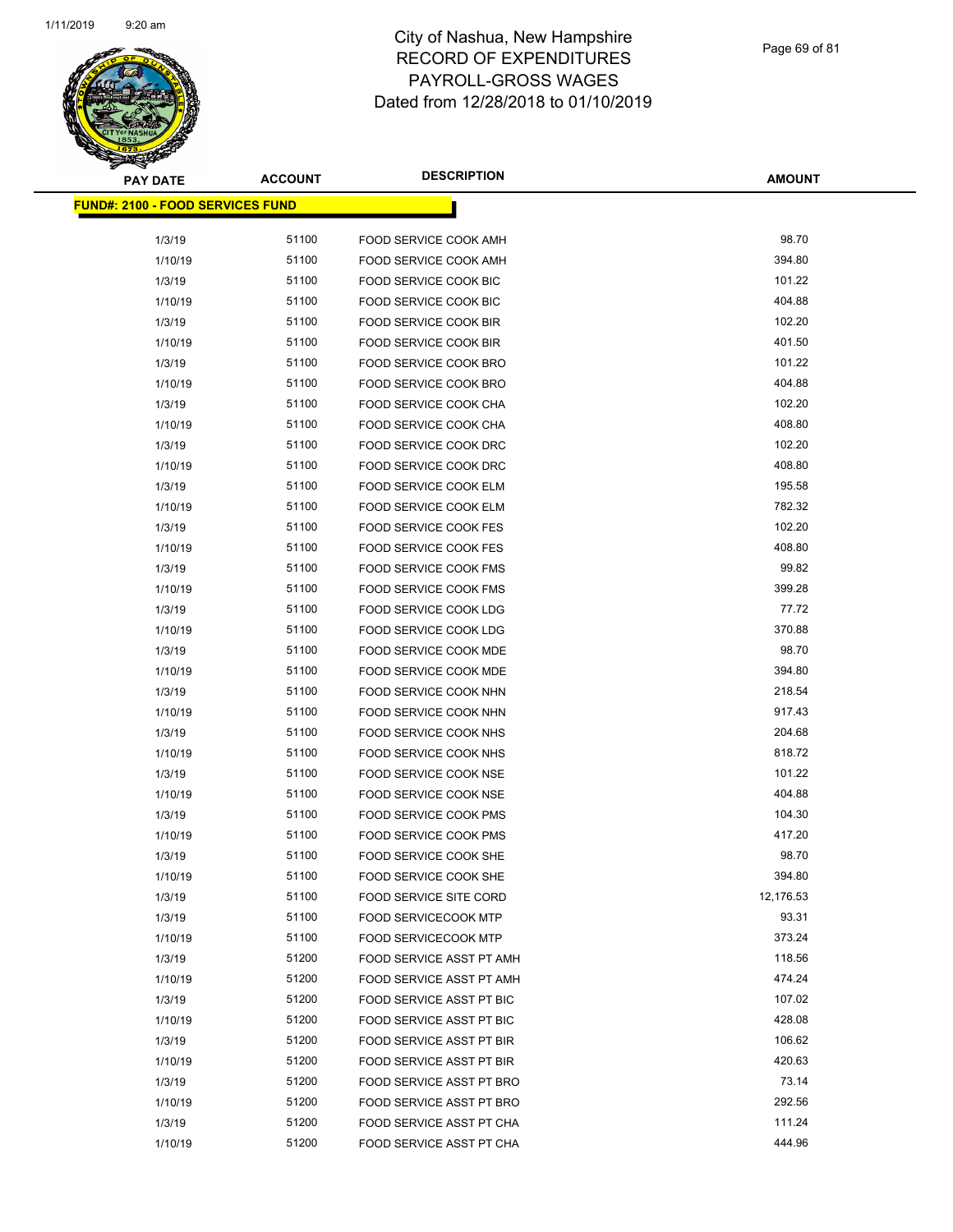

| <b>PAY DATE</b>                         | <b>ACCOUNT</b> | <b>DESCRIPTION</b>            | <b>AMOUNT</b> |
|-----------------------------------------|----------------|-------------------------------|---------------|
| <b>FUND#: 2100 - FOOD SERVICES FUND</b> |                |                               |               |
| 1/3/19                                  | 51100          | FOOD SERVICE COOK AMH         | 98.70         |
| 1/10/19                                 | 51100          | FOOD SERVICE COOK AMH         | 394.80        |
| 1/3/19                                  | 51100          | FOOD SERVICE COOK BIC         | 101.22        |
| 1/10/19                                 | 51100          | FOOD SERVICE COOK BIC         | 404.88        |
| 1/3/19                                  | 51100          | FOOD SERVICE COOK BIR         | 102.20        |
| 1/10/19                                 | 51100          | FOOD SERVICE COOK BIR         | 401.50        |
| 1/3/19                                  | 51100          | <b>FOOD SERVICE COOK BRO</b>  | 101.22        |
| 1/10/19                                 | 51100          | <b>FOOD SERVICE COOK BRO</b>  | 404.88        |
| 1/3/19                                  | 51100          | FOOD SERVICE COOK CHA         | 102.20        |
| 1/10/19                                 | 51100          | FOOD SERVICE COOK CHA         | 408.80        |
| 1/3/19                                  | 51100          | FOOD SERVICE COOK DRC         | 102.20        |
| 1/10/19                                 | 51100          | FOOD SERVICE COOK DRC         | 408.80        |
| 1/3/19                                  | 51100          | <b>FOOD SERVICE COOK ELM</b>  | 195.58        |
| 1/10/19                                 | 51100          | FOOD SERVICE COOK ELM         | 782.32        |
| 1/3/19                                  | 51100          | FOOD SERVICE COOK FES         | 102.20        |
| 1/10/19                                 | 51100          | <b>FOOD SERVICE COOK FES</b>  | 408.80        |
| 1/3/19                                  | 51100          | <b>FOOD SERVICE COOK FMS</b>  | 99.82         |
| 1/10/19                                 | 51100          | <b>FOOD SERVICE COOK FMS</b>  | 399.28        |
| 1/3/19                                  | 51100          | FOOD SERVICE COOK LDG         | 77.72         |
| 1/10/19                                 | 51100          | FOOD SERVICE COOK LDG         | 370.88        |
| 1/3/19                                  | 51100          | FOOD SERVICE COOK MDE         | 98.70         |
| 1/10/19                                 | 51100          | FOOD SERVICE COOK MDE         | 394.80        |
| 1/3/19                                  | 51100          | FOOD SERVICE COOK NHN         | 218.54        |
| 1/10/19                                 | 51100          | FOOD SERVICE COOK NHN         | 917.43        |
| 1/3/19                                  | 51100          | FOOD SERVICE COOK NHS         | 204.68        |
| 1/10/19                                 | 51100          | FOOD SERVICE COOK NHS         | 818.72        |
| 1/3/19                                  | 51100          | <b>FOOD SERVICE COOK NSE</b>  | 101.22        |
| 1/10/19                                 | 51100          | <b>FOOD SERVICE COOK NSE</b>  | 404.88        |
| 1/3/19                                  | 51100          | FOOD SERVICE COOK PMS         | 104.30        |
| 1/10/19                                 | 51100          | <b>FOOD SERVICE COOK PMS</b>  | 417.20        |
| 1/3/19                                  | 51100          | FOOD SERVICE COOK SHE         | 98.70         |
| 1/10/19                                 | 51100          | FOOD SERVICE COOK SHE         | 394.80        |
| 1/3/19                                  | 51100          | <b>FOOD SERVICE SITE CORD</b> | 12,176.53     |
| 1/3/19                                  | 51100          | <b>FOOD SERVICECOOK MTP</b>   | 93.31         |
| 1/10/19                                 | 51100          | <b>FOOD SERVICECOOK MTP</b>   | 373.24        |
| 1/3/19                                  | 51200          | FOOD SERVICE ASST PT AMH      | 118.56        |
| 1/10/19                                 | 51200          | FOOD SERVICE ASST PT AMH      | 474.24        |
| 1/3/19                                  | 51200          | FOOD SERVICE ASST PT BIC      | 107.02        |
| 1/10/19                                 | 51200          | FOOD SERVICE ASST PT BIC      | 428.08        |
| 1/3/19                                  | 51200          | FOOD SERVICE ASST PT BIR      | 106.62        |
| 1/10/19                                 | 51200          | FOOD SERVICE ASST PT BIR      | 420.63        |
| 1/3/19                                  | 51200          | FOOD SERVICE ASST PT BRO      | 73.14         |
| 1/10/19                                 | 51200          | FOOD SERVICE ASST PT BRO      | 292.56        |
| 1/3/19                                  | 51200          | FOOD SERVICE ASST PT CHA      | 111.24        |
| 1/10/19                                 | 51200          | FOOD SERVICE ASST PT CHA      | 444.96        |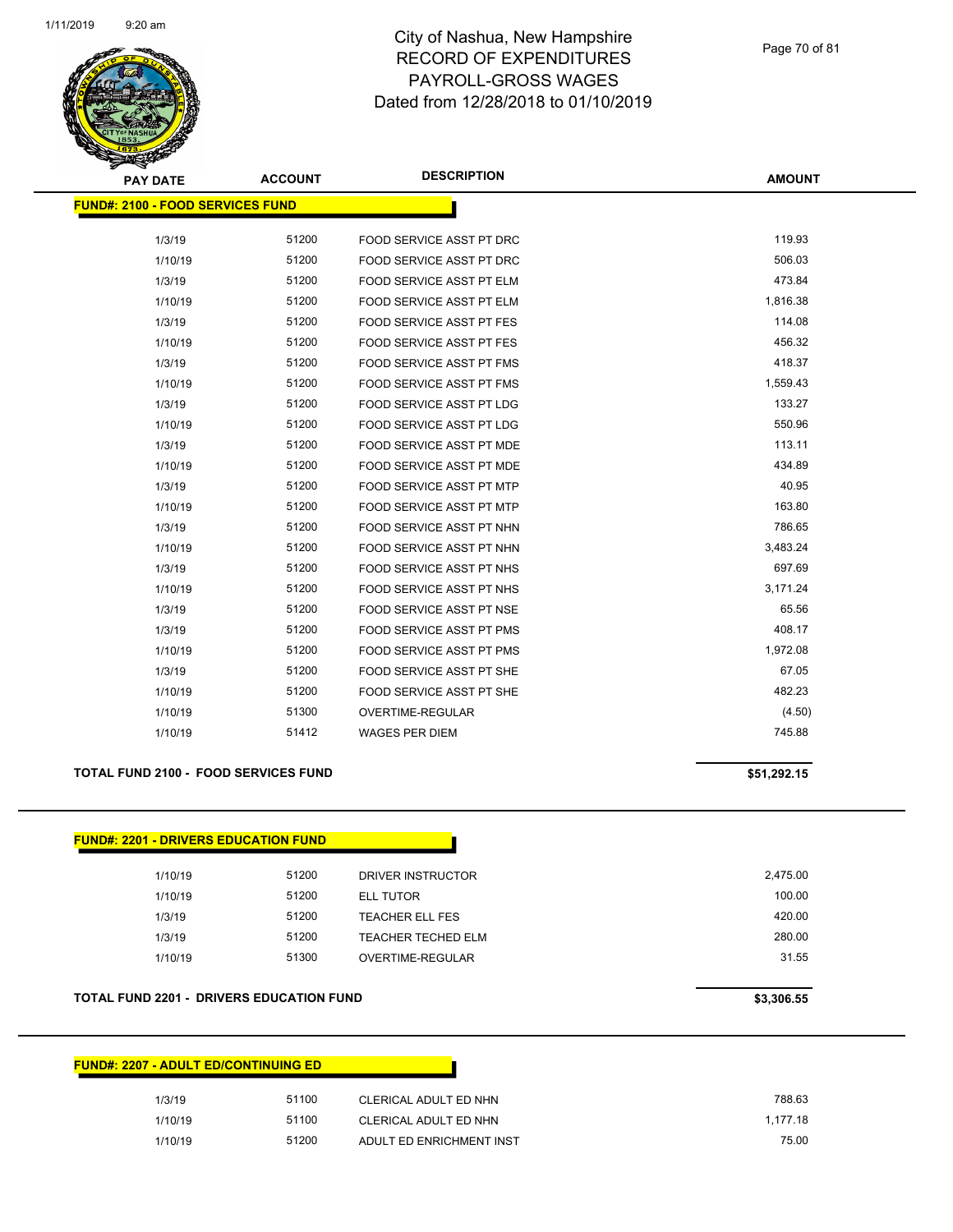

Page 70 of 81

| <b>PAY DATE</b>                         | <b>ACCOUNT</b> | <b>DESCRIPTION</b>              | <b>AMOUNT</b> |
|-----------------------------------------|----------------|---------------------------------|---------------|
| <b>FUND#: 2100 - FOOD SERVICES FUND</b> |                |                                 |               |
|                                         |                |                                 |               |
| 1/3/19                                  | 51200          | FOOD SERVICE ASST PT DRC        | 119.93        |
| 1/10/19                                 | 51200          | FOOD SERVICE ASST PT DRC        | 506.03        |
| 1/3/19                                  | 51200          | FOOD SERVICE ASST PT ELM        | 473.84        |
| 1/10/19                                 | 51200          | FOOD SERVICE ASST PT ELM        | 1,816.38      |
| 1/3/19                                  | 51200          | <b>FOOD SERVICE ASST PT FES</b> | 114.08        |
| 1/10/19                                 | 51200          | FOOD SERVICE ASST PT FES        | 456.32        |
| 1/3/19                                  | 51200          | FOOD SERVICE ASST PT FMS        | 418.37        |
| 1/10/19                                 | 51200          | FOOD SERVICE ASST PT FMS        | 1,559.43      |
| 1/3/19                                  | 51200          | <b>FOOD SERVICE ASST PT LDG</b> | 133.27        |
| 1/10/19                                 | 51200          | <b>FOOD SERVICE ASST PT LDG</b> | 550.96        |
| 1/3/19                                  | 51200          | FOOD SERVICE ASST PT MDE        | 113.11        |
| 1/10/19                                 | 51200          | FOOD SERVICE ASST PT MDE        | 434.89        |
| 1/3/19                                  | 51200          | <b>FOOD SERVICE ASST PT MTP</b> | 40.95         |
| 1/10/19                                 | 51200          | <b>FOOD SERVICE ASST PT MTP</b> | 163.80        |
| 1/3/19                                  | 51200          | FOOD SERVICE ASST PT NHN        | 786.65        |
| 1/10/19                                 | 51200          | FOOD SERVICE ASST PT NHN        | 3,483.24      |
| 1/3/19                                  | 51200          | FOOD SERVICE ASST PT NHS        | 697.69        |
| 1/10/19                                 | 51200          | FOOD SERVICE ASST PT NHS        | 3,171.24      |
| 1/3/19                                  | 51200          | <b>FOOD SERVICE ASST PT NSE</b> | 65.56         |
| 1/3/19                                  | 51200          | <b>FOOD SERVICE ASST PT PMS</b> | 408.17        |
| 1/10/19                                 | 51200          | FOOD SERVICE ASST PT PMS        | 1,972.08      |
| 1/3/19                                  | 51200          | <b>FOOD SERVICE ASST PT SHE</b> | 67.05         |
| 1/10/19                                 | 51200          | FOOD SERVICE ASST PT SHE        | 482.23        |
| 1/10/19                                 | 51300          | OVERTIME-REGULAR                | (4.50)        |
| 1/10/19                                 | 51412          | <b>WAGES PER DIEM</b>           | 745.88        |

#### **TOTAL FUND 2100 - FOOD SERVICES FUND 100 CONTRACT 120 CONTRACT 120 CONTRACT 120 CONTRACT 15 \$51,292.15**

| <b>FUND#: 2201 - DRIVERS EDUCATION FUND</b> |       |                           |          |
|---------------------------------------------|-------|---------------------------|----------|
| 1/10/19                                     | 51200 | DRIVER INSTRUCTOR         | 2,475.00 |
| 1/10/19                                     | 51200 | ELL TUTOR                 | 100.00   |
| 1/3/19                                      | 51200 | <b>TEACHER ELL FES</b>    | 420.00   |
| 1/3/19                                      | 51200 | <b>TEACHER TECHED ELM</b> | 280.00   |
| 1/10/19                                     | 51300 | OVERTIME-REGULAR          | 31.55    |
|                                             |       |                           |          |

#### **TOTAL FUND 2201 - DRIVERS EDUCATION FUND \$3,306.55**

| <b>FUND#: 2207 - ADULT ED/CONTINUING ED</b> |         |       |                          |          |  |
|---------------------------------------------|---------|-------|--------------------------|----------|--|
|                                             | 1/3/19  | 51100 | CLERICAL ADULT ED NHN    | 788.63   |  |
|                                             | 1/10/19 | 51100 | CLERICAL ADULT ED NHN    | 1.177.18 |  |
|                                             | 1/10/19 | 51200 | ADULT ED ENRICHMENT INST | 75.00    |  |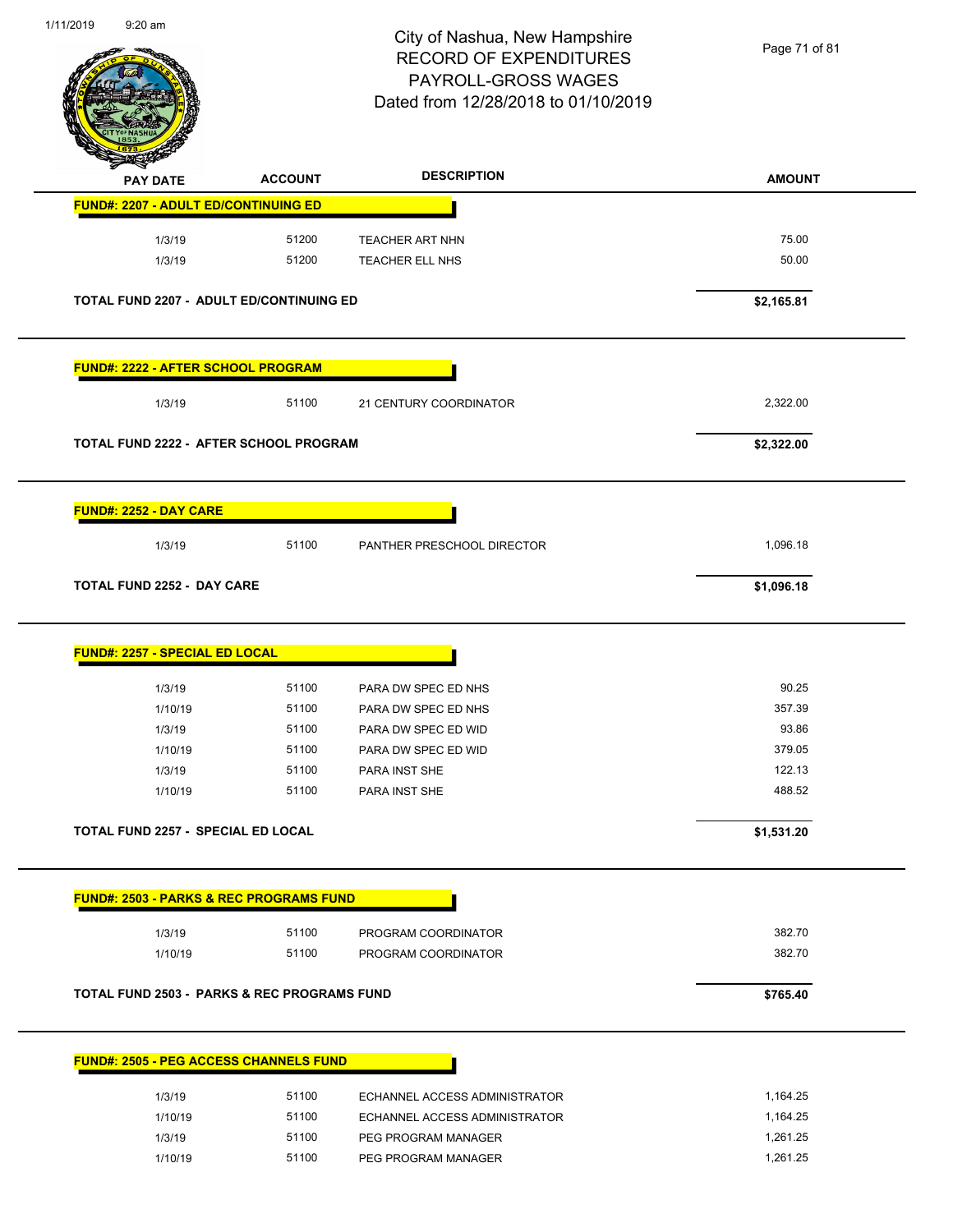

Page 71 of 81

| <b>PAY DATE</b>                                        | <b>ACCOUNT</b> | <b>DESCRIPTION</b>            | <b>AMOUNT</b> |
|--------------------------------------------------------|----------------|-------------------------------|---------------|
| <b>FUND#: 2207 - ADULT ED/CONTINUING ED</b>            |                |                               |               |
| 1/3/19                                                 | 51200          | <b>TEACHER ART NHN</b>        | 75.00         |
| 1/3/19                                                 | 51200          | <b>TEACHER ELL NHS</b>        | 50.00         |
| TOTAL FUND 2207 - ADULT ED/CONTINUING ED               |                |                               | \$2,165.81    |
| <b>FUND#: 2222 - AFTER SCHOOL PROGRAM</b>              |                |                               |               |
| 1/3/19                                                 | 51100          | 21 CENTURY COORDINATOR        | 2,322.00      |
| TOTAL FUND 2222 - AFTER SCHOOL PROGRAM                 |                |                               | \$2,322.00    |
| <b>FUND#: 2252 - DAY CARE</b>                          |                |                               |               |
| 1/3/19                                                 | 51100          | PANTHER PRESCHOOL DIRECTOR    | 1,096.18      |
| <b>TOTAL FUND 2252 - DAY CARE</b>                      |                |                               | \$1,096.18    |
| <b>FUND#: 2257 - SPECIAL ED LOCAL</b>                  |                |                               |               |
| 1/3/19                                                 | 51100          | PARA DW SPEC ED NHS           | 90.25         |
| 1/10/19                                                | 51100          | PARA DW SPEC ED NHS           | 357.39        |
| 1/3/19                                                 | 51100          | PARA DW SPEC ED WID           | 93.86         |
| 1/10/19                                                | 51100          | PARA DW SPEC ED WID           | 379.05        |
| 1/3/19                                                 | 51100          | PARA INST SHE                 | 122.13        |
| 1/10/19                                                | 51100          | PARA INST SHE                 | 488.52        |
| TOTAL FUND 2257 - SPECIAL ED LOCAL                     |                |                               | \$1,531.20    |
| <b>FUND#: 2503 - PARKS &amp; REC PROGRAMS FUND</b>     |                |                               |               |
| 1/3/19                                                 | 51100          | PROGRAM COORDINATOR           | 382.70        |
| 1/10/19                                                | 51100          | PROGRAM COORDINATOR           | 382.70        |
| <b>TOTAL FUND 2503 - PARKS &amp; REC PROGRAMS FUND</b> |                |                               | \$765.40      |
| <b>FUND#: 2505 - PEG ACCESS CHANNELS FUND</b>          |                |                               |               |
| 1/3/19                                                 | 51100          | ECHANNEL ACCESS ADMINISTRATOR | 1,164.25      |
| 1/10/19                                                | 51100          | ECHANNEL ACCESS ADMINISTRATOR | 1,164.25      |
| 1/3/19                                                 | 51100          | PEG PROGRAM MANAGER           | 1,261.25      |

1/10/19 51100 PEG PROGRAM MANAGER 1,261.25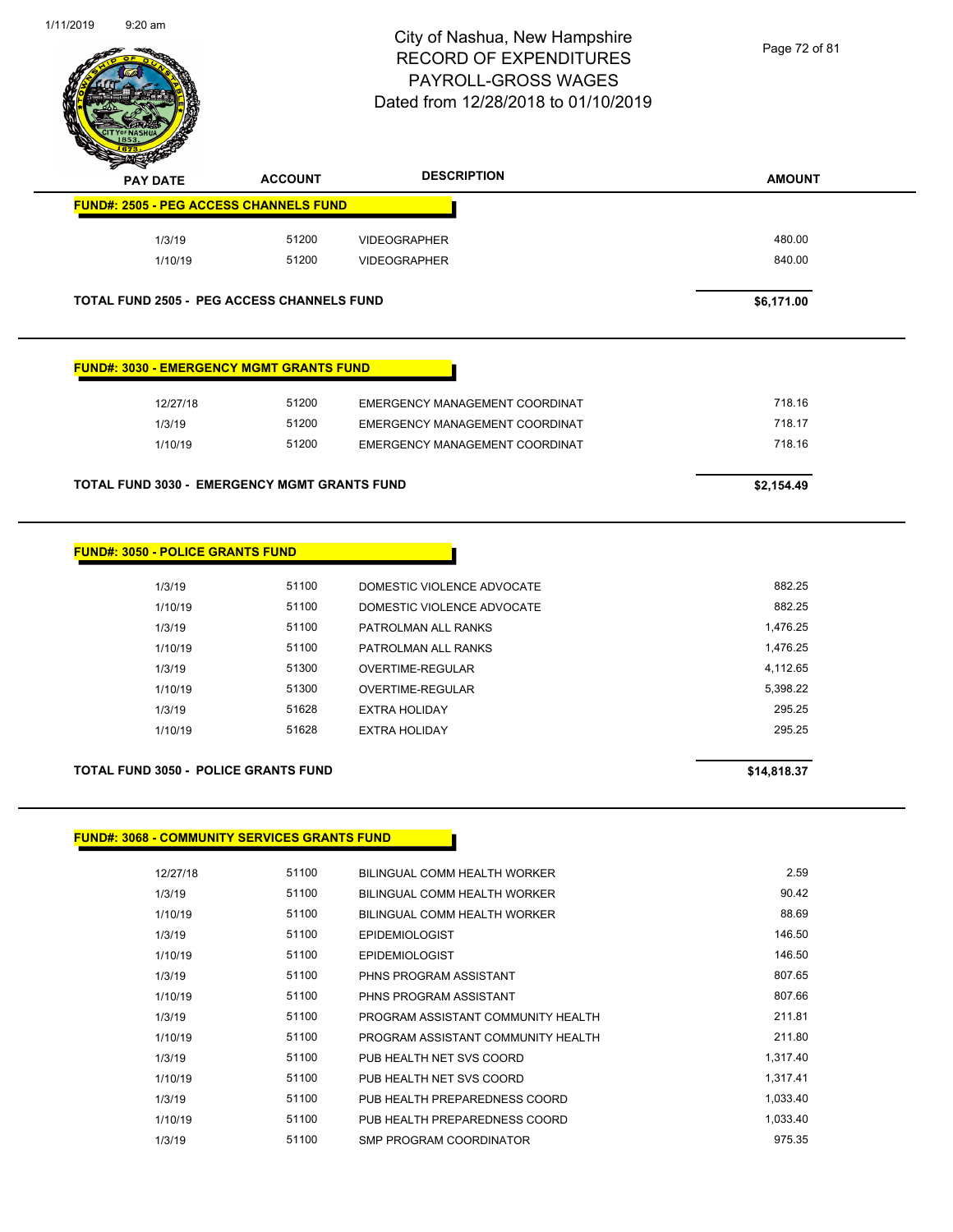

Page 72 of 81

| <b>PAY DATE</b>                                     | <b>ACCOUNT</b> | <b>DESCRIPTION</b>             | <b>AMOUNT</b> |
|-----------------------------------------------------|----------------|--------------------------------|---------------|
| <b>FUND#: 2505 - PEG ACCESS CHANNELS FUND</b>       |                |                                |               |
| 1/3/19                                              | 51200          | <b>VIDEOGRAPHER</b>            | 480.00        |
| 1/10/19                                             | 51200          | <b>VIDEOGRAPHER</b>            | 840.00        |
| <b>TOTAL FUND 2505 - PEG ACCESS CHANNELS FUND</b>   |                |                                | \$6,171.00    |
| <b>FUND#: 3030 - EMERGENCY MGMT GRANTS FUND</b>     |                |                                |               |
|                                                     |                |                                |               |
| 12/27/18                                            | 51200          | EMERGENCY MANAGEMENT COORDINAT | 718.16        |
| 1/3/19                                              | 51200          | EMERGENCY MANAGEMENT COORDINAT | 718.17        |
| 1/10/19                                             | 51200          | EMERGENCY MANAGEMENT COORDINAT | 718.16        |
| <b>TOTAL FUND 3030 - EMERGENCY MGMT GRANTS FUND</b> |                |                                | \$2,154.49    |
|                                                     |                |                                |               |
| <b>FUND#: 3050 - POLICE GRANTS FUND</b>             |                |                                |               |
| 1/3/19                                              | 51100          | DOMESTIC VIOLENCE ADVOCATE     | 882.25        |
| 1/10/19                                             | 51100          | DOMESTIC VIOLENCE ADVOCATE     | 882.25        |
| 1/3/19                                              | 51100          | PATROLMAN ALL RANKS            | 1,476.25      |
| 1/10/19                                             | 51100          | PATROLMAN ALL RANKS            | 1,476.25      |
|                                                     |                |                                |               |

1/10/19 51300 OVERTIME-REGULAR 5,398.22 1/3/19 51628 EXTRA HOLIDAY 295.25 1/10/19 51628 EXTRA HOLIDAY 295.25

| <b>TOTAL FUND 3050 - POLICE GRANTS FUND</b> | \$14.818.37 |
|---------------------------------------------|-------------|

#### **FUND#: 3068 - COMMUNITY SERVICES GRANTS FUND**

| 12/27/18 | 51100 | BILINGUAL COMM HEALTH WORKER       | 2.59     |
|----------|-------|------------------------------------|----------|
| 1/3/19   | 51100 | BILINGUAL COMM HEALTH WORKER       | 90.42    |
| 1/10/19  | 51100 | BILINGUAL COMM HEALTH WORKER       | 88.69    |
| 1/3/19   | 51100 | <b>EPIDEMIOLOGIST</b>              | 146.50   |
| 1/10/19  | 51100 | <b>EPIDEMIOLOGIST</b>              | 146.50   |
| 1/3/19   | 51100 | PHNS PROGRAM ASSISTANT             | 807.65   |
| 1/10/19  | 51100 | PHNS PROGRAM ASSISTANT             | 807.66   |
| 1/3/19   | 51100 | PROGRAM ASSISTANT COMMUNITY HEALTH | 211.81   |
| 1/10/19  | 51100 | PROGRAM ASSISTANT COMMUNITY HEALTH | 211.80   |
| 1/3/19   | 51100 | PUB HEALTH NET SVS COORD           | 1.317.40 |
| 1/10/19  | 51100 | PUB HEALTH NET SVS COORD           | 1.317.41 |
| 1/3/19   | 51100 | PUB HEALTH PREPAREDNESS COORD      | 1,033.40 |
| 1/10/19  | 51100 | PUB HEALTH PREPAREDNESS COORD      | 1,033.40 |
| 1/3/19   | 51100 | SMP PROGRAM COORDINATOR            | 975.35   |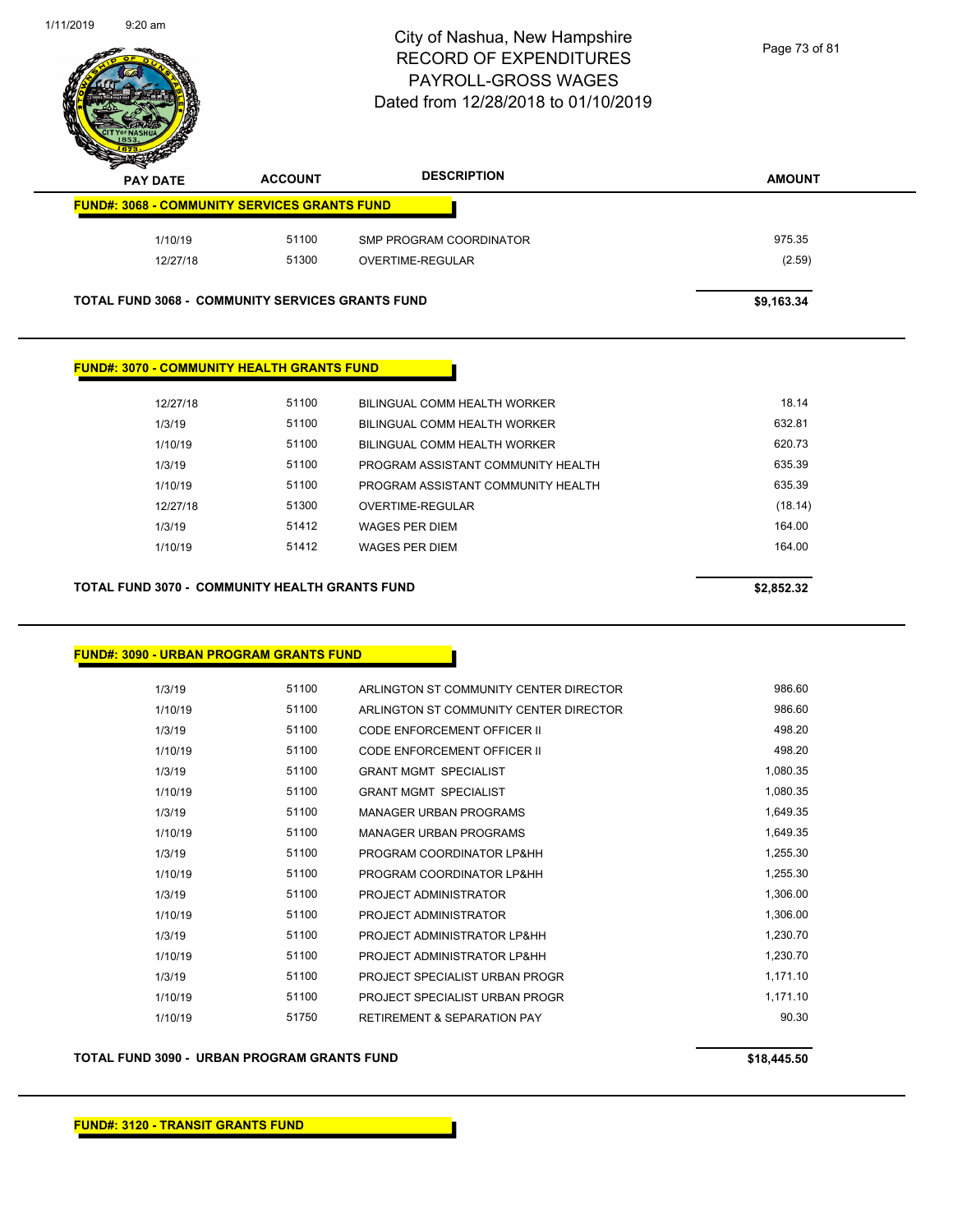

| $\boldsymbol{\nu}$<br>--<br><b>PAY DATE</b>             | <b>ACCOUNT</b> | <b>DESCRIPTION</b>      | <b>AMOUNT</b> |
|---------------------------------------------------------|----------------|-------------------------|---------------|
| <b>FUND#: 3068 - COMMUNITY SERVICES GRANTS FUND</b>     |                |                         |               |
| 1/10/19                                                 | 51100          | SMP PROGRAM COORDINATOR | 975.35        |
| 12/27/18                                                | 51300          | OVERTIME-REGULAR        | (2.59)        |
| <b>TOTAL FUND 3068 - COMMUNITY SERVICES GRANTS FUND</b> |                |                         | \$9,163.34    |

**FUND#: 3070 - COMMUNITY HEALTH GRANTS FUND**

| 12/27/18 | 51100 | BILINGUAL COMM HEALTH WORKER       | 18.14   |
|----------|-------|------------------------------------|---------|
| 1/3/19   | 51100 | BILINGUAL COMM HEALTH WORKER       | 632.81  |
| 1/10/19  | 51100 | BILINGUAL COMM HEALTH WORKER       | 620.73  |
| 1/3/19   | 51100 | PROGRAM ASSISTANT COMMUNITY HEALTH | 635.39  |
| 1/10/19  | 51100 | PROGRAM ASSISTANT COMMUNITY HEALTH | 635.39  |
| 12/27/18 | 51300 | OVERTIME-REGULAR                   | (18.14) |
| 1/3/19   | 51412 | <b>WAGES PER DIEM</b>              | 164.00  |
| 1/10/19  | 51412 | <b>WAGES PER DIEM</b>              | 164.00  |
|          |       |                                    |         |
|          |       |                                    |         |

**TOTAL FUND 3070 - COMMUNITY HEALTH GRANTS FUND \$2,852.32** 

**FUND#: 3090 - URBAN PROGRAM GRANTS FUND**

| 1/3/19  | 51100 | ARLINGTON ST COMMUNITY CENTER DIRECTOR | 986.60   |
|---------|-------|----------------------------------------|----------|
| 1/10/19 | 51100 | ARLINGTON ST COMMUNITY CENTER DIRECTOR | 986.60   |
| 1/3/19  | 51100 | CODE ENFORCEMENT OFFICER II            | 498.20   |
| 1/10/19 | 51100 | <b>CODE ENFORCEMENT OFFICER II</b>     | 498.20   |
| 1/3/19  | 51100 | <b>GRANT MGMT SPECIALIST</b>           | 1,080.35 |
| 1/10/19 | 51100 | <b>GRANT MGMT SPECIALIST</b>           | 1,080.35 |
| 1/3/19  | 51100 | MANAGER URBAN PROGRAMS                 | 1,649.35 |
| 1/10/19 | 51100 | <b>MANAGER URBAN PROGRAMS</b>          | 1,649.35 |
| 1/3/19  | 51100 | PROGRAM COORDINATOR LP&HH              | 1,255.30 |
| 1/10/19 | 51100 | PROGRAM COORDINATOR LP&HH              | 1,255.30 |
| 1/3/19  | 51100 | PROJECT ADMINISTRATOR                  | 1,306.00 |
| 1/10/19 | 51100 | PROJECT ADMINISTRATOR                  | 1,306.00 |
| 1/3/19  | 51100 | PROJECT ADMINISTRATOR LP&HH            | 1,230.70 |
| 1/10/19 | 51100 | PROJECT ADMINISTRATOR LP&HH            | 1,230.70 |
| 1/3/19  | 51100 | PROJECT SPECIALIST URBAN PROGR         | 1,171.10 |
| 1/10/19 | 51100 | PROJECT SPECIALIST URBAN PROGR         | 1,171.10 |
| 1/10/19 | 51750 | <b>RETIREMENT &amp; SEPARATION PAY</b> | 90.30    |
|         |       |                                        |          |

**TOTAL FUND 3090 - URBAN PROGRAM GRANTS FUND \$18,445.50**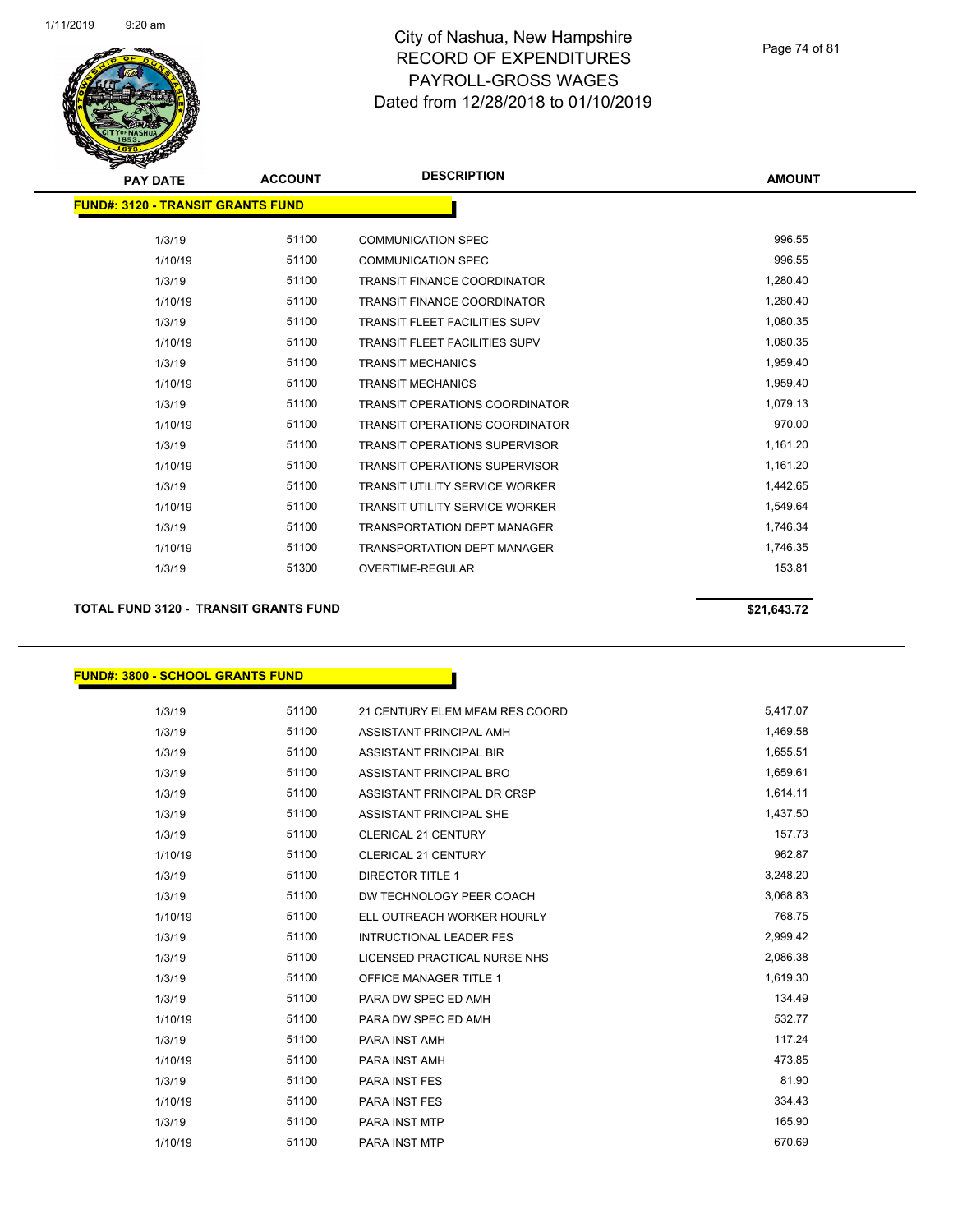

| <b>PAY DATE</b>                          | <b>ACCOUNT</b> | <b>DESCRIPTION</b>                    | <b>AMOUNT</b> |
|------------------------------------------|----------------|---------------------------------------|---------------|
| <b>FUND#: 3120 - TRANSIT GRANTS FUND</b> |                |                                       |               |
| 1/3/19                                   | 51100          | <b>COMMUNICATION SPEC</b>             | 996.55        |
| 1/10/19                                  | 51100          | <b>COMMUNICATION SPEC</b>             | 996.55        |
| 1/3/19                                   | 51100          | <b>TRANSIT FINANCE COORDINATOR</b>    | 1,280.40      |
| 1/10/19                                  | 51100          | <b>TRANSIT FINANCE COORDINATOR</b>    | 1,280.40      |
| 1/3/19                                   | 51100          | <b>TRANSIT FLEET FACILITIES SUPV</b>  | 1,080.35      |
| 1/10/19                                  | 51100          | <b>TRANSIT FLEET FACILITIES SUPV</b>  | 1,080.35      |
| 1/3/19                                   | 51100          | <b>TRANSIT MECHANICS</b>              | 1,959.40      |
| 1/10/19                                  | 51100          | <b>TRANSIT MECHANICS</b>              | 1,959.40      |
| 1/3/19                                   | 51100          | <b>TRANSIT OPERATIONS COORDINATOR</b> | 1,079.13      |
| 1/10/19                                  | 51100          | <b>TRANSIT OPERATIONS COORDINATOR</b> | 970.00        |
| 1/3/19                                   | 51100          | <b>TRANSIT OPERATIONS SUPERVISOR</b>  | 1,161.20      |
| 1/10/19                                  | 51100          | <b>TRANSIT OPERATIONS SUPERVISOR</b>  | 1,161.20      |
| 1/3/19                                   | 51100          | <b>TRANSIT UTILITY SERVICE WORKER</b> | 1,442.65      |
| 1/10/19                                  | 51100          | <b>TRANSIT UTILITY SERVICE WORKER</b> | 1,549.64      |
| 1/3/19                                   | 51100          | <b>TRANSPORTATION DEPT MANAGER</b>    | 1,746.34      |
| 1/10/19                                  | 51100          | <b>TRANSPORTATION DEPT MANAGER</b>    | 1,746.35      |
| 1/3/19                                   | 51300          | <b>OVERTIME-REGULAR</b>               | 153.81        |
|                                          |                |                                       |               |

#### **TOTAL FUND 3120 - TRANSIT GRANTS FUND \$21,643.72**

#### **FUND#: 3800 - SCHOOL GRANTS FUND**

| 1/3/19  | 51100 | 21 CENTURY ELEM MFAM RES COORD | 5,417.07 |
|---------|-------|--------------------------------|----------|
| 1/3/19  | 51100 | ASSISTANT PRINCIPAL AMH        | 1,469.58 |
| 1/3/19  | 51100 | ASSISTANT PRINCIPAL BIR        | 1,655.51 |
| 1/3/19  | 51100 | ASSISTANT PRINCIPAL BRO        | 1,659.61 |
| 1/3/19  | 51100 | ASSISTANT PRINCIPAL DR CRSP    | 1,614.11 |
| 1/3/19  | 51100 | ASSISTANT PRINCIPAL SHE        | 1,437.50 |
| 1/3/19  | 51100 | <b>CLERICAL 21 CENTURY</b>     | 157.73   |
| 1/10/19 | 51100 | CLERICAL 21 CENTURY            | 962.87   |
| 1/3/19  | 51100 | <b>DIRECTOR TITLE 1</b>        | 3,248.20 |
| 1/3/19  | 51100 | DW TECHNOLOGY PEER COACH       | 3,068.83 |
| 1/10/19 | 51100 | ELL OUTREACH WORKER HOURLY     | 768.75   |
| 1/3/19  | 51100 | <b>INTRUCTIONAL LEADER FES</b> | 2,999.42 |
| 1/3/19  | 51100 | LICENSED PRACTICAL NURSE NHS   | 2,086.38 |
| 1/3/19  | 51100 | <b>OFFICE MANAGER TITLE 1</b>  | 1,619.30 |
| 1/3/19  | 51100 | PARA DW SPEC ED AMH            | 134.49   |
| 1/10/19 | 51100 | PARA DW SPEC ED AMH            | 532.77   |
| 1/3/19  | 51100 | PARA INST AMH                  | 117.24   |
| 1/10/19 | 51100 | PARA INST AMH                  | 473.85   |
| 1/3/19  | 51100 | <b>PARA INST FES</b>           | 81.90    |
| 1/10/19 | 51100 | <b>PARA INST FES</b>           | 334.43   |
| 1/3/19  | 51100 | <b>PARA INST MTP</b>           | 165.90   |
| 1/10/19 | 51100 | <b>PARA INST MTP</b>           | 670.69   |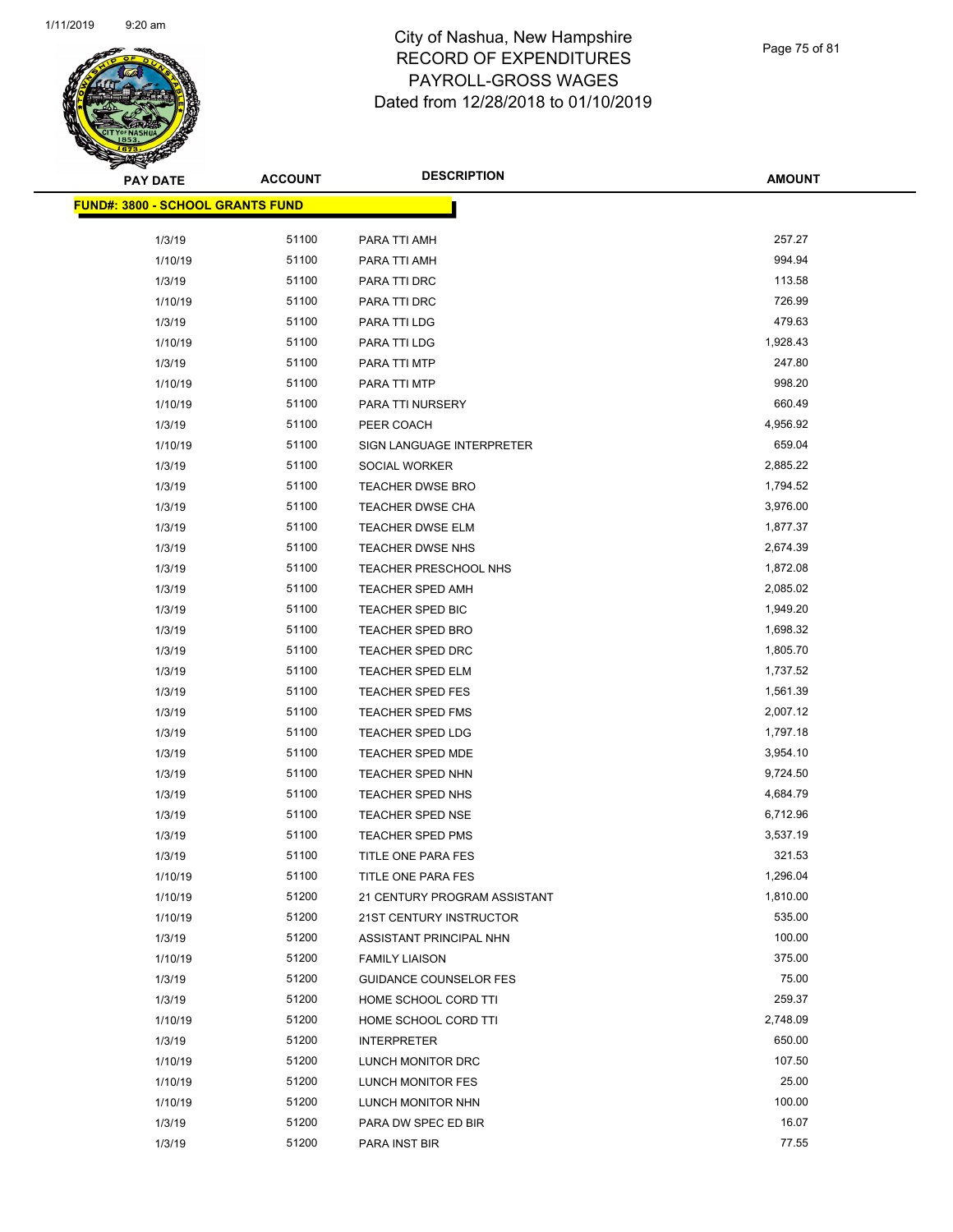

Page 75 of 81

| PAY DATE                         | <b>ACCOUNT</b> | <b>DESCRIPTION</b>            | <b>AMOUNT</b> |
|----------------------------------|----------------|-------------------------------|---------------|
| FUND#: 3800 - SCHOOL GRANTS FUND |                |                               |               |
| 1/3/19                           | 51100          | PARA TTI AMH                  | 257.27        |
| 1/10/19                          | 51100          | PARA TTI AMH                  | 994.94        |
| 1/3/19                           | 51100          | PARA TTI DRC                  | 113.58        |
| 1/10/19                          | 51100          | PARA TTI DRC                  | 726.99        |
| 1/3/19                           | 51100          | PARA TTI LDG                  | 479.63        |
| 1/10/19                          | 51100          | PARA TTI LDG                  | 1,928.43      |
| 1/3/19                           | 51100          | PARA TTI MTP                  | 247.80        |
| 1/10/19                          | 51100          | PARA TTI MTP                  | 998.20        |
| 1/10/19                          | 51100          | PARA TTI NURSERY              | 660.49        |
| 1/3/19                           | 51100          | PEER COACH                    | 4,956.92      |
| 1/10/19                          | 51100          | SIGN LANGUAGE INTERPRETER     | 659.04        |
| 1/3/19                           | 51100          | SOCIAL WORKER                 | 2,885.22      |
| 1/3/19                           | 51100          | <b>TEACHER DWSE BRO</b>       | 1,794.52      |
| 1/3/19                           | 51100          | TEACHER DWSE CHA              | 3,976.00      |
| 1/3/19                           | 51100          | <b>TEACHER DWSE ELM</b>       | 1,877.37      |
| 1/3/19                           | 51100          | <b>TEACHER DWSE NHS</b>       | 2,674.39      |
| 1/3/19                           | 51100          | TEACHER PRESCHOOL NHS         | 1,872.08      |
| 1/3/19                           | 51100          | TEACHER SPED AMH              | 2,085.02      |
| 1/3/19                           | 51100          | TEACHER SPED BIC              | 1,949.20      |
| 1/3/19                           | 51100          | <b>TEACHER SPED BRO</b>       | 1,698.32      |
| 1/3/19                           | 51100          | TEACHER SPED DRC              | 1,805.70      |
| 1/3/19                           | 51100          | TEACHER SPED ELM              | 1,737.52      |
| 1/3/19                           | 51100          | <b>TEACHER SPED FES</b>       | 1,561.39      |
| 1/3/19                           | 51100          | TEACHER SPED FMS              | 2,007.12      |
| 1/3/19                           | 51100          | <b>TEACHER SPED LDG</b>       | 1,797.18      |
| 1/3/19                           | 51100          | <b>TEACHER SPED MDE</b>       | 3,954.10      |
| 1/3/19                           | 51100          | <b>TEACHER SPED NHN</b>       | 9,724.50      |
| 1/3/19                           | 51100          | TEACHER SPED NHS              | 4,684.79      |
| 1/3/19                           | 51100          | <b>TEACHER SPED NSE</b>       | 6,712.96      |
| 1/3/19                           | 51100          | TEACHER SPED PMS              | 3,537.19      |
| 1/3/19                           | 51100          | TITLE ONE PARA FES            | 321.53        |
| 1/10/19                          | 51100          | TITLE ONE PARA FES            | 1,296.04      |
| 1/10/19                          | 51200          | 21 CENTURY PROGRAM ASSISTANT  | 1,810.00      |
| 1/10/19                          | 51200          | 21ST CENTURY INSTRUCTOR       | 535.00        |
| 1/3/19                           | 51200          | ASSISTANT PRINCIPAL NHN       | 100.00        |
| 1/10/19                          | 51200          | <b>FAMILY LIAISON</b>         | 375.00        |
| 1/3/19                           | 51200          | <b>GUIDANCE COUNSELOR FES</b> | 75.00         |
| 1/3/19                           | 51200          | HOME SCHOOL CORD TTI          | 259.37        |
| 1/10/19                          | 51200          | HOME SCHOOL CORD TTI          | 2,748.09      |
| 1/3/19                           | 51200          | <b>INTERPRETER</b>            | 650.00        |
| 1/10/19                          | 51200          | LUNCH MONITOR DRC             | 107.50        |
| 1/10/19                          | 51200          | LUNCH MONITOR FES             | 25.00         |
| 1/10/19                          | 51200          | LUNCH MONITOR NHN             | 100.00        |
| 1/3/19                           | 51200          | PARA DW SPEC ED BIR           | 16.07         |
| 1/3/19                           | 51200          | PARA INST BIR                 | 77.55         |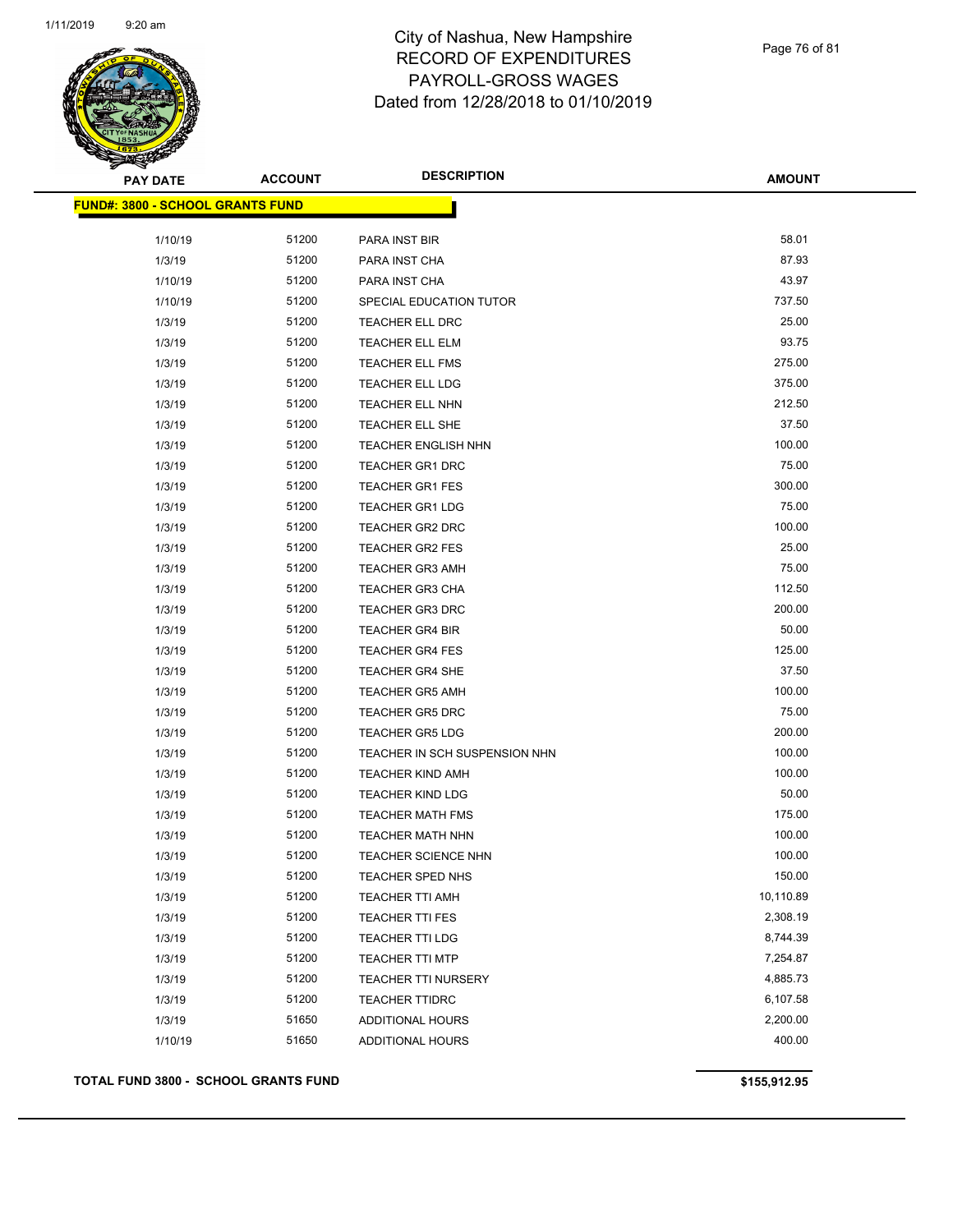

Page 76 of 81

| <b>PAY DATE</b>                  | <b>ACCOUNT</b> | <b>DESCRIPTION</b>            | <b>AMOUNT</b> |
|----------------------------------|----------------|-------------------------------|---------------|
| FUND#: 3800 - SCHOOL GRANTS FUND |                |                               |               |
|                                  |                |                               |               |
| 1/10/19                          | 51200          | PARA INST BIR                 | 58.01         |
| 1/3/19                           | 51200          | PARA INST CHA                 | 87.93         |
| 1/10/19                          | 51200          | PARA INST CHA                 | 43.97         |
| 1/10/19                          | 51200          | SPECIAL EDUCATION TUTOR       | 737.50        |
| 1/3/19                           | 51200          | TEACHER ELL DRC               | 25.00         |
| 1/3/19                           | 51200          | <b>TEACHER ELL ELM</b>        | 93.75         |
| 1/3/19                           | 51200          | TEACHER ELL FMS               | 275.00        |
| 1/3/19                           | 51200          | <b>TEACHER ELL LDG</b>        | 375.00        |
| 1/3/19                           | 51200          | TEACHER ELL NHN               | 212.50        |
| 1/3/19                           | 51200          | TEACHER ELL SHE               | 37.50         |
| 1/3/19                           | 51200          | TEACHER ENGLISH NHN           | 100.00        |
| 1/3/19                           | 51200          | <b>TEACHER GR1 DRC</b>        | 75.00         |
| 1/3/19                           | 51200          | <b>TEACHER GR1 FES</b>        | 300.00        |
| 1/3/19                           | 51200          | <b>TEACHER GR1 LDG</b>        | 75.00         |
| 1/3/19                           | 51200          | TEACHER GR2 DRC               | 100.00        |
| 1/3/19                           | 51200          | <b>TEACHER GR2 FES</b>        | 25.00         |
| 1/3/19                           | 51200          | <b>TEACHER GR3 AMH</b>        | 75.00         |
| 1/3/19                           | 51200          | <b>TEACHER GR3 CHA</b>        | 112.50        |
| 1/3/19                           | 51200          | <b>TEACHER GR3 DRC</b>        | 200.00        |
| 1/3/19                           | 51200          | <b>TEACHER GR4 BIR</b>        | 50.00         |
| 1/3/19                           | 51200          | <b>TEACHER GR4 FES</b>        | 125.00        |
| 1/3/19                           | 51200          | TEACHER GR4 SHE               | 37.50         |
| 1/3/19                           | 51200          | <b>TEACHER GR5 AMH</b>        | 100.00        |
| 1/3/19                           | 51200          | <b>TEACHER GR5 DRC</b>        | 75.00         |
| 1/3/19                           | 51200          | <b>TEACHER GR5 LDG</b>        | 200.00        |
| 1/3/19                           | 51200          | TEACHER IN SCH SUSPENSION NHN | 100.00        |
| 1/3/19                           | 51200          | <b>TEACHER KIND AMH</b>       | 100.00        |
| 1/3/19                           | 51200          | <b>TEACHER KIND LDG</b>       | 50.00         |
| 1/3/19                           | 51200          | <b>TEACHER MATH FMS</b>       | 175.00        |
| 1/3/19                           | 51200          | <b>TEACHER MATH NHN</b>       | 100.00        |
| 1/3/19                           | 51200          | <b>TEACHER SCIENCE NHN</b>    | 100.00        |
| 1/3/19                           | 51200          | TEACHER SPED NHS              | 150.00        |
| 1/3/19                           | 51200          | <b>TEACHER TTI AMH</b>        | 10,110.89     |
| 1/3/19                           | 51200          | TEACHER TTI FES               | 2,308.19      |
| 1/3/19                           | 51200          | TEACHER TTI LDG               | 8,744.39      |
| 1/3/19                           | 51200          | <b>TEACHER TTI MTP</b>        | 7,254.87      |
| 1/3/19                           | 51200          | <b>TEACHER TTI NURSERY</b>    | 4,885.73      |
| 1/3/19                           | 51200          | <b>TEACHER TTIDRC</b>         | 6,107.58      |
| 1/3/19                           | 51650          | <b>ADDITIONAL HOURS</b>       | 2,200.00      |
| 1/10/19                          | 51650          | <b>ADDITIONAL HOURS</b>       | 400.00        |
|                                  |                |                               |               |

#### **TOTAL FUND 3800 - SCHOOL GRANTS FUND 6155,912.95**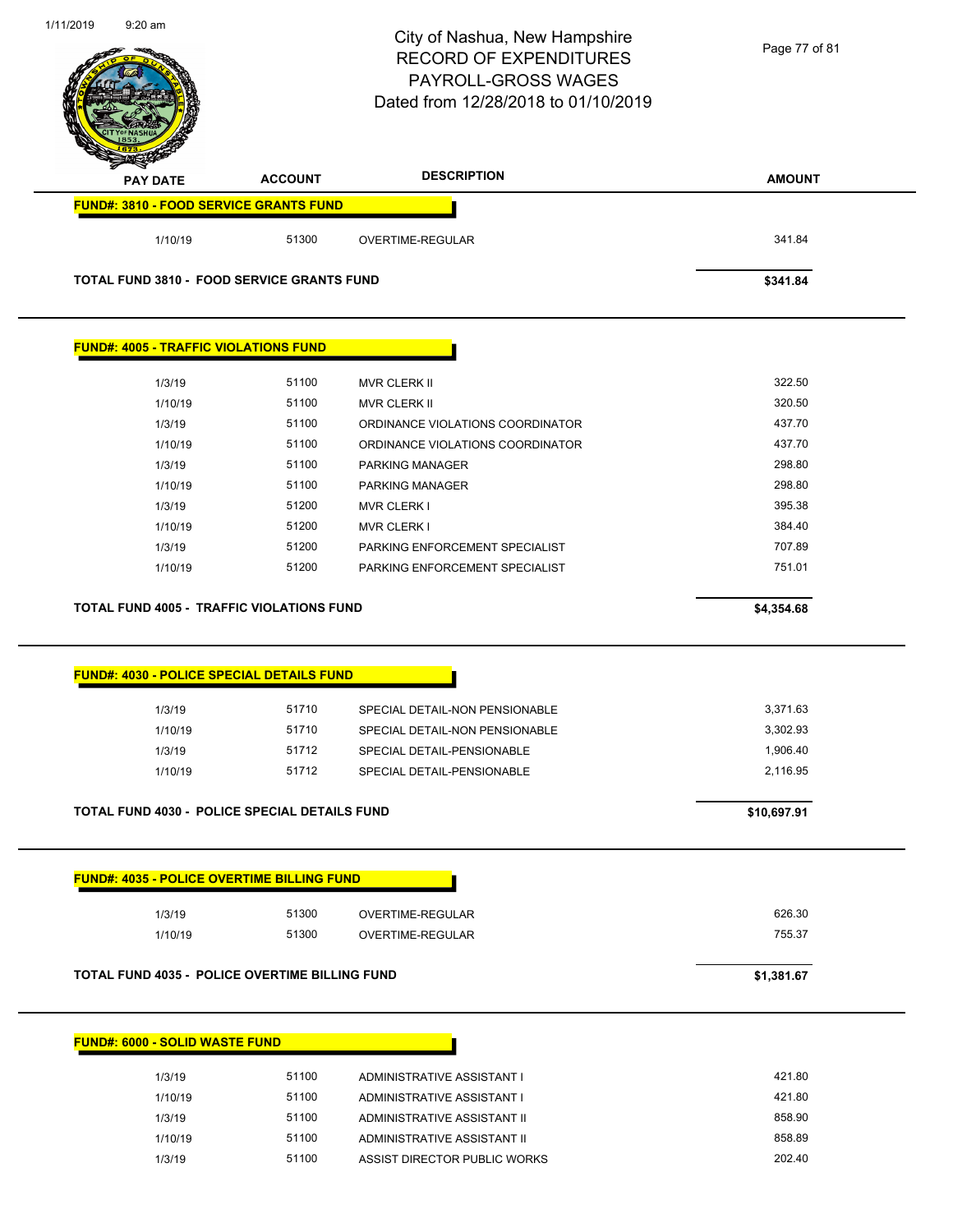| 1/11/2019 | $9:20$ am                                         |                | City of Nashua, New Hampshire<br><b>RECORD OF EXPENDITURES</b><br>PAYROLL-GROSS WAGES<br>Dated from 12/28/2018 to 01/10/2019 | Page 77 of 81    |
|-----------|---------------------------------------------------|----------------|------------------------------------------------------------------------------------------------------------------------------|------------------|
|           | <b>PAY DATE</b>                                   | <b>ACCOUNT</b> | <b>DESCRIPTION</b>                                                                                                           | <b>AMOUNT</b>    |
|           | <b>FUND#: 3810 - FOOD SERVICE GRANTS FUND</b>     |                |                                                                                                                              |                  |
|           | 1/10/19                                           | 51300          | OVERTIME-REGULAR                                                                                                             | 341.84           |
|           | <b>TOTAL FUND 3810 - FOOD SERVICE GRANTS FUND</b> |                |                                                                                                                              | \$341.84         |
|           | <b>FUND#: 4005 - TRAFFIC VIOLATIONS FUND</b>      |                |                                                                                                                              |                  |
|           | 1/3/19                                            | 51100          | <b>MVR CLERK II</b>                                                                                                          | 322.50           |
|           | 1/10/19                                           | 51100          | <b>MVR CLERK II</b>                                                                                                          | 320.50           |
|           | 1/3/19                                            | 51100          | ORDINANCE VIOLATIONS COORDINATOR                                                                                             | 437.70           |
|           | 1/10/19                                           | 51100          | ORDINANCE VIOLATIONS COORDINATOR                                                                                             | 437.70           |
|           | 1/3/19                                            | 51100          | <b>PARKING MANAGER</b>                                                                                                       | 298.80           |
|           | 1/10/19                                           | 51100          | PARKING MANAGER                                                                                                              | 298.80           |
|           | 1/3/19                                            | 51200          | <b>MVR CLERK I</b>                                                                                                           | 395.38           |
|           | 1/10/19                                           | 51200          | <b>MVR CLERK I</b>                                                                                                           | 384.40           |
|           |                                                   |                |                                                                                                                              | 707.89           |
|           | 1/3/19<br>1/10/19                                 | 51200<br>51200 | PARKING ENFORCEMENT SPECIALIST<br>PARKING ENFORCEMENT SPECIALIST                                                             | 751.01           |
|           | <b>TOTAL FUND 4005 - TRAFFIC VIOLATIONS FUND</b>  |                |                                                                                                                              | \$4,354.68       |
|           | <b>FUND#: 4030 - POLICE SPECIAL DETAILS FUND</b>  |                |                                                                                                                              |                  |
|           | 1/3/19                                            | 51710          | SPECIAL DETAIL-NON PENSIONABLE                                                                                               | 3,371.63         |
|           | 1/10/19                                           | 51710          | SPECIAL DETAIL-NON PENSIONABLE                                                                                               | 3,302.93         |
|           | 1/3/19                                            | 51712          | SPECIAL DETAIL-PENSIONABLE                                                                                                   | 1,906.40         |
|           | 1/10/19                                           | 51712          | SPECIAL DETAIL-PENSIONABLE                                                                                                   | 2,116.95         |
|           | TOTAL FUND 4030 - POLICE SPECIAL DETAILS FUND     |                |                                                                                                                              | \$10,697.91      |
|           | <b>FUND#: 4035 - POLICE OVERTIME BILLING FUND</b> |                |                                                                                                                              |                  |
|           | 1/3/19                                            | 51300          | OVERTIME-REGULAR                                                                                                             | 626.30           |
|           | 1/10/19                                           | 51300          | OVERTIME-REGULAR                                                                                                             | 755.37           |
|           | TOTAL FUND 4035 - POLICE OVERTIME BILLING FUND    |                |                                                                                                                              | \$1,381.67       |
|           | FUND#: 6000 - SOLID WASTE FUND                    |                |                                                                                                                              |                  |
|           |                                                   |                |                                                                                                                              |                  |
|           | 1/3/19                                            | 51100          | ADMINISTRATIVE ASSISTANT I                                                                                                   | 421.80           |
|           | 1/10/19                                           | 51100          | ADMINISTRATIVE ASSISTANT I                                                                                                   | 421.80           |
|           | 1/3/19<br>1/10/19                                 | 51100<br>51100 | ADMINISTRATIVE ASSISTANT II<br>ADMINISTRATIVE ASSISTANT II                                                                   | 858.90<br>858.89 |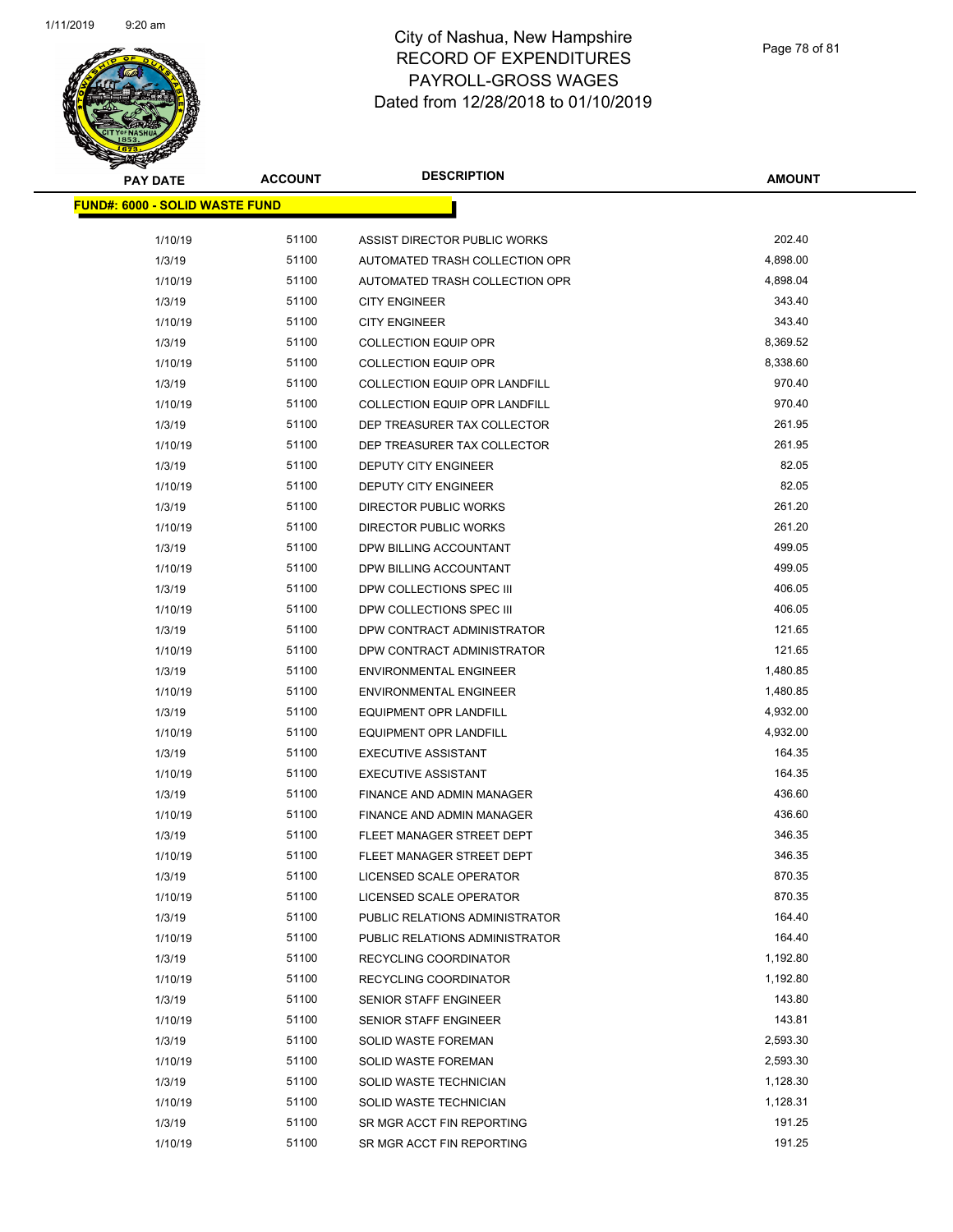

| <b>PAY DATE</b>                       | <b>ACCOUNT</b> | <b>DESCRIPTION</b>                   | <b>AMOUNT</b> |
|---------------------------------------|----------------|--------------------------------------|---------------|
| <b>FUND#: 6000 - SOLID WASTE FUND</b> |                |                                      |               |
|                                       |                |                                      |               |
| 1/10/19                               | 51100          | ASSIST DIRECTOR PUBLIC WORKS         | 202.40        |
| 1/3/19                                | 51100          | AUTOMATED TRASH COLLECTION OPR       | 4,898.00      |
| 1/10/19                               | 51100          | AUTOMATED TRASH COLLECTION OPR       | 4,898.04      |
| 1/3/19                                | 51100          | <b>CITY ENGINEER</b>                 | 343.40        |
| 1/10/19                               | 51100          | <b>CITY ENGINEER</b>                 | 343.40        |
| 1/3/19                                | 51100          | <b>COLLECTION EQUIP OPR</b>          | 8,369.52      |
| 1/10/19                               | 51100          | <b>COLLECTION EQUIP OPR</b>          | 8,338.60      |
| 1/3/19                                | 51100          | <b>COLLECTION EQUIP OPR LANDFILL</b> | 970.40        |
| 1/10/19                               | 51100          | COLLECTION EQUIP OPR LANDFILL        | 970.40        |
| 1/3/19                                | 51100          | DEP TREASURER TAX COLLECTOR          | 261.95        |
| 1/10/19                               | 51100          | DEP TREASURER TAX COLLECTOR          | 261.95        |
| 1/3/19                                | 51100          | DEPUTY CITY ENGINEER                 | 82.05         |
| 1/10/19                               | 51100          | DEPUTY CITY ENGINEER                 | 82.05         |
| 1/3/19                                | 51100          | DIRECTOR PUBLIC WORKS                | 261.20        |
| 1/10/19                               | 51100          | DIRECTOR PUBLIC WORKS                | 261.20        |
| 1/3/19                                | 51100          | DPW BILLING ACCOUNTANT               | 499.05        |
| 1/10/19                               | 51100          | DPW BILLING ACCOUNTANT               | 499.05        |
| 1/3/19                                | 51100          | DPW COLLECTIONS SPEC III             | 406.05        |
| 1/10/19                               | 51100          | DPW COLLECTIONS SPEC III             | 406.05        |
| 1/3/19                                | 51100          | DPW CONTRACT ADMINISTRATOR           | 121.65        |
| 1/10/19                               | 51100          | DPW CONTRACT ADMINISTRATOR           | 121.65        |
| 1/3/19                                | 51100          | <b>ENVIRONMENTAL ENGINEER</b>        | 1,480.85      |
| 1/10/19                               | 51100          | <b>ENVIRONMENTAL ENGINEER</b>        | 1,480.85      |
| 1/3/19                                | 51100          | <b>EQUIPMENT OPR LANDFILL</b>        | 4,932.00      |
| 1/10/19                               | 51100          | <b>EQUIPMENT OPR LANDFILL</b>        | 4,932.00      |
| 1/3/19                                | 51100          | <b>EXECUTIVE ASSISTANT</b>           | 164.35        |
| 1/10/19                               | 51100          | <b>EXECUTIVE ASSISTANT</b>           | 164.35        |
| 1/3/19                                | 51100          | FINANCE AND ADMIN MANAGER            | 436.60        |
| 1/10/19                               | 51100          | <b>FINANCE AND ADMIN MANAGER</b>     | 436.60        |
| 1/3/19                                | 51100          | FLEET MANAGER STREET DEPT            | 346.35        |
| 1/10/19                               | 51100          | FLEET MANAGER STREET DEPT            | 346.35        |
| 1/3/19                                | 51100          | LICENSED SCALE OPERATOR              | 870.35        |
| 1/10/19                               | 51100          | LICENSED SCALE OPERATOR              | 870.35        |
| 1/3/19                                | 51100          | PUBLIC RELATIONS ADMINISTRATOR       | 164.40        |
| 1/10/19                               | 51100          | PUBLIC RELATIONS ADMINISTRATOR       | 164.40        |
| 1/3/19                                | 51100          | RECYCLING COORDINATOR                | 1,192.80      |
| 1/10/19                               | 51100          | <b>RECYCLING COORDINATOR</b>         | 1,192.80      |
| 1/3/19                                | 51100          | <b>SENIOR STAFF ENGINEER</b>         | 143.80        |
| 1/10/19                               | 51100          | <b>SENIOR STAFF ENGINEER</b>         | 143.81        |
| 1/3/19                                | 51100          | SOLID WASTE FOREMAN                  | 2,593.30      |
| 1/10/19                               | 51100          | SOLID WASTE FOREMAN                  | 2,593.30      |
| 1/3/19                                | 51100          | SOLID WASTE TECHNICIAN               | 1,128.30      |
| 1/10/19                               | 51100          | SOLID WASTE TECHNICIAN               | 1,128.31      |
| 1/3/19                                | 51100          | SR MGR ACCT FIN REPORTING            | 191.25        |
| 1/10/19                               | 51100          | SR MGR ACCT FIN REPORTING            | 191.25        |
|                                       |                |                                      |               |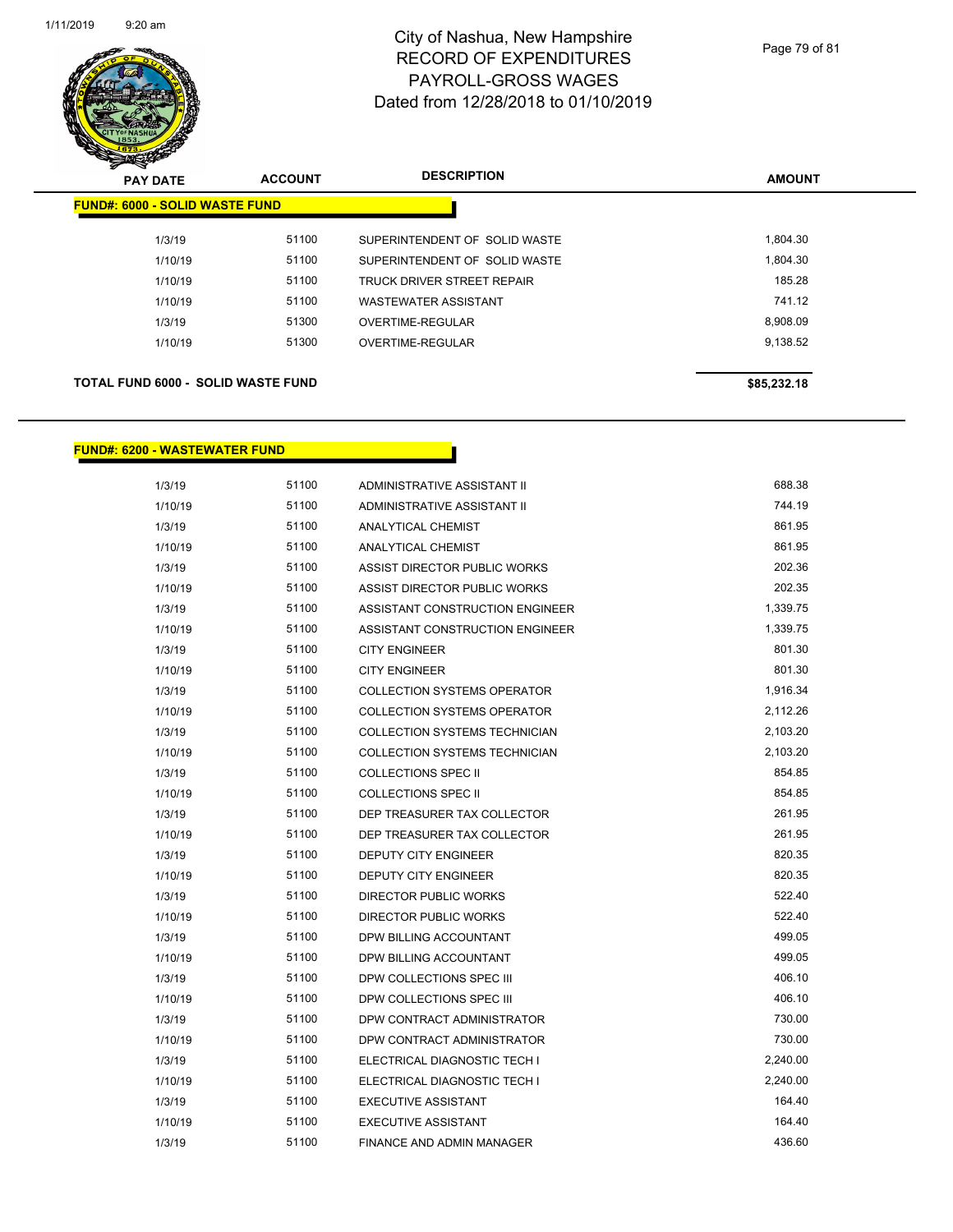

| $\mathbf{z}$<br>$\overline{\phantom{a}}$<br><b>PAY DATE</b> | <b>ACCOUNT</b> | <b>DESCRIPTION</b>                | <b>AMOUNT</b> |
|-------------------------------------------------------------|----------------|-----------------------------------|---------------|
| <b>FUND#: 6000 - SOLID WASTE FUND</b>                       |                |                                   |               |
| 1/3/19                                                      | 51100          | SUPERINTENDENT OF SOLID WASTE     | 1,804.30      |
| 1/10/19                                                     | 51100          | SUPERINTENDENT OF SOLID WASTE     | 1,804.30      |
| 1/10/19                                                     | 51100          | <b>TRUCK DRIVER STREET REPAIR</b> | 185.28        |
| 1/10/19                                                     | 51100          | <b>WASTEWATER ASSISTANT</b>       | 741.12        |
| 1/3/19                                                      | 51300          | OVERTIME-REGULAR                  | 8,908.09      |
| 1/10/19                                                     | 51300          | OVERTIME-REGULAR                  | 9,138.52      |
| <b>TOTAL FUND 6000 - SOLID WASTE FUND</b>                   |                |                                   | \$85,232.18   |

#### **FUND#: 6200 - WASTEWATER FUND**

| 1/3/19  | 51100 | ADMINISTRATIVE ASSISTANT II          | 688.38   |
|---------|-------|--------------------------------------|----------|
| 1/10/19 | 51100 | ADMINISTRATIVE ASSISTANT II          | 744.19   |
| 1/3/19  | 51100 | ANALYTICAL CHEMIST                   | 861.95   |
| 1/10/19 | 51100 | ANALYTICAL CHEMIST                   | 861.95   |
| 1/3/19  | 51100 | ASSIST DIRECTOR PUBLIC WORKS         | 202.36   |
| 1/10/19 | 51100 | ASSIST DIRECTOR PUBLIC WORKS         | 202.35   |
| 1/3/19  | 51100 | ASSISTANT CONSTRUCTION ENGINEER      | 1,339.75 |
| 1/10/19 | 51100 | ASSISTANT CONSTRUCTION ENGINEER      | 1,339.75 |
| 1/3/19  | 51100 | <b>CITY ENGINEER</b>                 | 801.30   |
| 1/10/19 | 51100 | <b>CITY ENGINEER</b>                 | 801.30   |
| 1/3/19  | 51100 | <b>COLLECTION SYSTEMS OPERATOR</b>   | 1,916.34 |
| 1/10/19 | 51100 | <b>COLLECTION SYSTEMS OPERATOR</b>   | 2,112.26 |
| 1/3/19  | 51100 | <b>COLLECTION SYSTEMS TECHNICIAN</b> | 2,103.20 |
| 1/10/19 | 51100 | COLLECTION SYSTEMS TECHNICIAN        | 2,103.20 |
| 1/3/19  | 51100 | <b>COLLECTIONS SPEC II</b>           | 854.85   |
| 1/10/19 | 51100 | <b>COLLECTIONS SPEC II</b>           | 854.85   |
| 1/3/19  | 51100 | DEP TREASURER TAX COLLECTOR          | 261.95   |
| 1/10/19 | 51100 | DEP TREASURER TAX COLLECTOR          | 261.95   |
| 1/3/19  | 51100 | DEPUTY CITY ENGINEER                 | 820.35   |
| 1/10/19 | 51100 | DEPUTY CITY ENGINEER                 | 820.35   |
| 1/3/19  | 51100 | <b>DIRECTOR PUBLIC WORKS</b>         | 522.40   |
| 1/10/19 | 51100 | <b>DIRECTOR PUBLIC WORKS</b>         | 522.40   |
| 1/3/19  | 51100 | DPW BILLING ACCOUNTANT               | 499.05   |
| 1/10/19 | 51100 | DPW BILLING ACCOUNTANT               | 499.05   |
| 1/3/19  | 51100 | DPW COLLECTIONS SPEC III             | 406.10   |
| 1/10/19 | 51100 | DPW COLLECTIONS SPEC III             | 406.10   |
| 1/3/19  | 51100 | DPW CONTRACT ADMINISTRATOR           | 730.00   |
| 1/10/19 | 51100 | DPW CONTRACT ADMINISTRATOR           | 730.00   |
| 1/3/19  | 51100 | ELECTRICAL DIAGNOSTIC TECH I         | 2,240.00 |
| 1/10/19 | 51100 | ELECTRICAL DIAGNOSTIC TECH I         | 2,240.00 |
| 1/3/19  | 51100 | <b>EXECUTIVE ASSISTANT</b>           | 164.40   |
| 1/10/19 | 51100 | <b>EXECUTIVE ASSISTANT</b>           | 164.40   |
| 1/3/19  | 51100 | <b>FINANCE AND ADMIN MANAGER</b>     | 436.60   |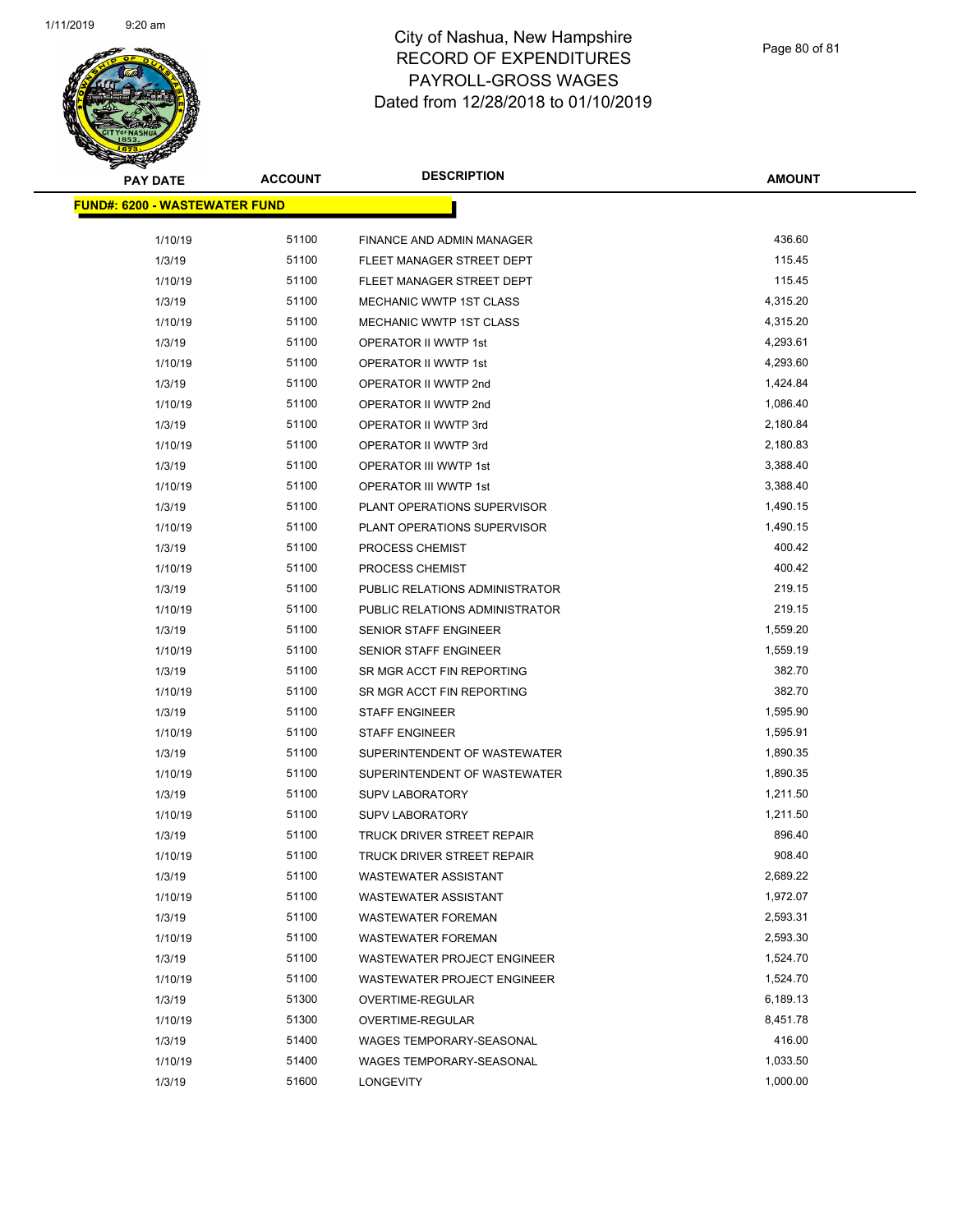

| <b>PAY DATE</b>                       | <b>ACCOUNT</b> | <b>DESCRIPTION</b>                 | <b>AMOUNT</b> |
|---------------------------------------|----------------|------------------------------------|---------------|
| <u> FUND#: 6200 - WASTEWATER FUND</u> |                |                                    |               |
| 1/10/19                               | 51100          | FINANCE AND ADMIN MANAGER          | 436.60        |
| 1/3/19                                | 51100          | FLEET MANAGER STREET DEPT          | 115.45        |
| 1/10/19                               | 51100          | FLEET MANAGER STREET DEPT          | 115.45        |
|                                       | 51100          | <b>MECHANIC WWTP 1ST CLASS</b>     | 4,315.20      |
| 1/3/19<br>1/10/19                     | 51100          | MECHANIC WWTP 1ST CLASS            | 4,315.20      |
| 1/3/19                                | 51100          | OPERATOR II WWTP 1st               | 4,293.61      |
|                                       | 51100          | OPERATOR II WWTP 1st               | 4,293.60      |
| 1/10/19<br>1/3/19                     | 51100          | OPERATOR II WWTP 2nd               | 1,424.84      |
| 1/10/19                               | 51100          | OPERATOR II WWTP 2nd               | 1,086.40      |
| 1/3/19                                | 51100          | OPERATOR II WWTP 3rd               | 2,180.84      |
| 1/10/19                               | 51100          | OPERATOR II WWTP 3rd               | 2,180.83      |
|                                       | 51100          |                                    | 3,388.40      |
| 1/3/19<br>1/10/19                     | 51100          | OPERATOR III WWTP 1st              | 3,388.40      |
|                                       | 51100          | <b>OPERATOR III WWTP 1st</b>       | 1,490.15      |
| 1/3/19                                |                | PLANT OPERATIONS SUPERVISOR        |               |
| 1/10/19                               | 51100          | PLANT OPERATIONS SUPERVISOR        | 1,490.15      |
| 1/3/19                                | 51100          | PROCESS CHEMIST                    | 400.42        |
| 1/10/19                               | 51100          | PROCESS CHEMIST                    | 400.42        |
| 1/3/19                                | 51100          | PUBLIC RELATIONS ADMINISTRATOR     | 219.15        |
| 1/10/19                               | 51100          | PUBLIC RELATIONS ADMINISTRATOR     | 219.15        |
| 1/3/19                                | 51100          | SENIOR STAFF ENGINEER              | 1,559.20      |
| 1/10/19                               | 51100          | SENIOR STAFF ENGINEER              | 1,559.19      |
| 1/3/19                                | 51100          | SR MGR ACCT FIN REPORTING          | 382.70        |
| 1/10/19                               | 51100          | SR MGR ACCT FIN REPORTING          | 382.70        |
| 1/3/19                                | 51100          | <b>STAFF ENGINEER</b>              | 1,595.90      |
| 1/10/19                               | 51100          | <b>STAFF ENGINEER</b>              | 1,595.91      |
| 1/3/19                                | 51100          | SUPERINTENDENT OF WASTEWATER       | 1,890.35      |
| 1/10/19                               | 51100          | SUPERINTENDENT OF WASTEWATER       | 1,890.35      |
| 1/3/19                                | 51100          | <b>SUPV LABORATORY</b>             | 1,211.50      |
| 1/10/19                               | 51100          | <b>SUPV LABORATORY</b>             | 1,211.50      |
| 1/3/19                                | 51100          | TRUCK DRIVER STREET REPAIR         | 896.40        |
| 1/10/19                               | 51100          | TRUCK DRIVER STREET REPAIR         | 908.40        |
| 1/3/19                                | 51100          | WASTEWATER ASSISTANT               | 2,689.22      |
| 1/10/19                               | 51100          | <b>WASTEWATER ASSISTANT</b>        | 1,972.07      |
| 1/3/19                                | 51100          | <b>WASTEWATER FOREMAN</b>          | 2,593.31      |
| 1/10/19                               | 51100          | <b>WASTEWATER FOREMAN</b>          | 2,593.30      |
| 1/3/19                                | 51100          | <b>WASTEWATER PROJECT ENGINEER</b> | 1,524.70      |
| 1/10/19                               | 51100          | <b>WASTEWATER PROJECT ENGINEER</b> | 1,524.70      |
| 1/3/19                                | 51300          | OVERTIME-REGULAR                   | 6,189.13      |
| 1/10/19                               | 51300          | OVERTIME-REGULAR                   | 8,451.78      |
| 1/3/19                                | 51400          | WAGES TEMPORARY-SEASONAL           | 416.00        |
| 1/10/19                               | 51400          | WAGES TEMPORARY-SEASONAL           | 1,033.50      |
| 1/3/19                                | 51600          | LONGEVITY                          | 1,000.00      |